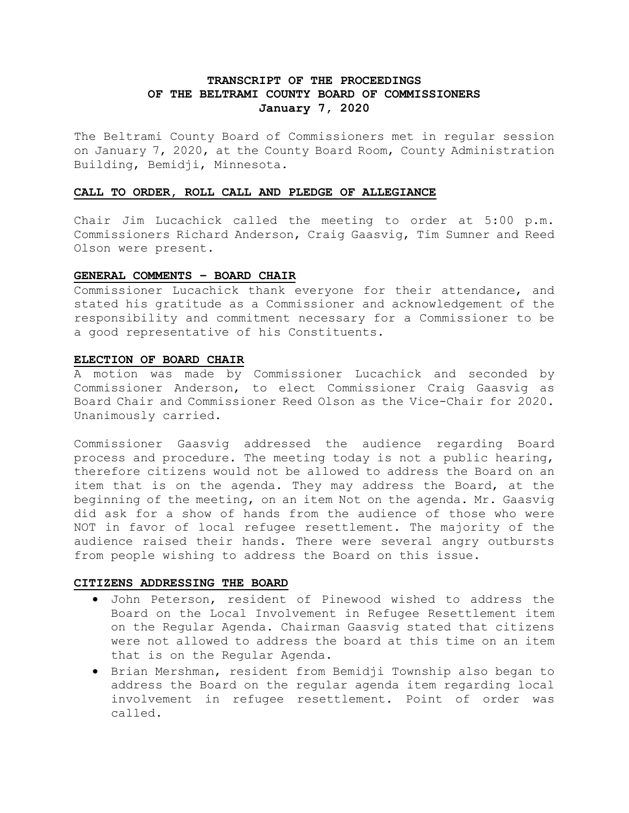# **TRANSCRIPT OF THE PROCEEDINGS OF THE BELTRAMI COUNTY BOARD OF COMMISSIONERS January 7, 2020**

The Beltrami County Board of Commissioners met in regular session on January 7, 2020, at the County Board Room, County Administration Building, Bemidji, Minnesota.

## **CALL TO ORDER, ROLL CALL AND PLEDGE OF ALLEGIANCE**

Chair Jim Lucachick called the meeting to order at 5:00 p.m. Commissioners Richard Anderson, Craig Gaasvig, Tim Sumner and Reed Olson were present.

#### **GENERAL COMMENTS – BOARD CHAIR**

Commissioner Lucachick thank everyone for their attendance, and stated his gratitude as a Commissioner and acknowledgement of the responsibility and commitment necessary for a Commissioner to be a good representative of his Constituents.

#### **ELECTION OF BOARD CHAIR**

A motion was made by Commissioner Lucachick and seconded by Commissioner Anderson, to elect Commissioner Craig Gaasvig as Board Chair and Commissioner Reed Olson as the Vice-Chair for 2020. Unanimously carried.

Commissioner Gaasvig addressed the audience regarding Board process and procedure. The meeting today is not a public hearing, therefore citizens would not be allowed to address the Board on an item that is on the agenda. They may address the Board, at the beginning of the meeting, on an item Not on the agenda. Mr. Gaasvig did ask for a show of hands from the audience of those who were NOT in favor of local refugee resettlement. The majority of the audience raised their hands. There were several angry outbursts from people wishing to address the Board on this issue.

### **CITIZENS ADDRESSING THE BOARD**

- John Peterson, resident of Pinewood wished to address the Board on the Local Involvement in Refugee Resettlement item on the Regular Agenda. Chairman Gaasvig stated that citizens were not allowed to address the board at this time on an item that is on the Regular Agenda.
- Brian Mershman, resident from Bemidji Township also began to address the Board on the regular agenda item regarding local involvement in refugee resettlement. Point of order was called.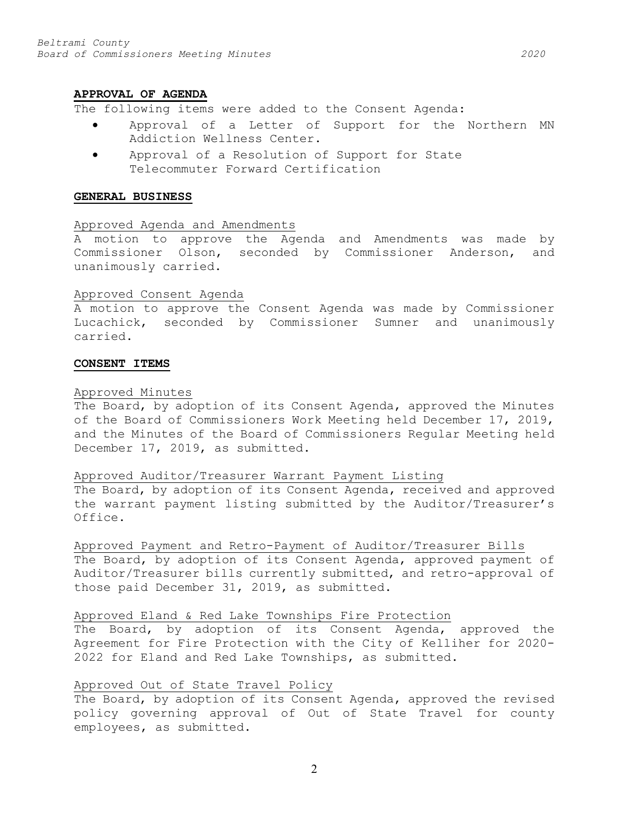#### **APPROVAL OF AGENDA**

The following items were added to the Consent Agenda:

- Approval of a Letter of Support for the Northern MN Addiction Wellness Center.
- Approval of a Resolution of Support for State Telecommuter Forward Certification

#### **GENERAL BUSINESS**

#### Approved Agenda and Amendments

A motion to approve the Agenda and Amendments was made by Commissioner Olson, seconded by Commissioner Anderson, and unanimously carried.

#### Approved Consent Agenda

A motion to approve the Consent Agenda was made by Commissioner Lucachick, seconded by Commissioner Sumner and unanimously carried.

#### **CONSENT ITEMS**

#### Approved Minutes

The Board, by adoption of its Consent Agenda, approved the Minutes of the Board of Commissioners Work Meeting held December 17, 2019, and the Minutes of the Board of Commissioners Regular Meeting held December 17, 2019, as submitted.

#### Approved Auditor/Treasurer Warrant Payment Listing

The Board, by adoption of its Consent Agenda, received and approved the warrant payment listing submitted by the Auditor/Treasurer's Office.

Approved Payment and Retro-Payment of Auditor/Treasurer Bills The Board, by adoption of its Consent Agenda, approved payment of Auditor/Treasurer bills currently submitted, and retro-approval of those paid December 31, 2019, as submitted.

#### Approved Eland & Red Lake Townships Fire Protection

The Board, by adoption of its Consent Agenda, approved the Agreement for Fire Protection with the City of Kelliher for 2020- 2022 for Eland and Red Lake Townships, as submitted.

#### Approved Out of State Travel Policy

The Board, by adoption of its Consent Agenda, approved the revised policy governing approval of Out of State Travel for county employees, as submitted.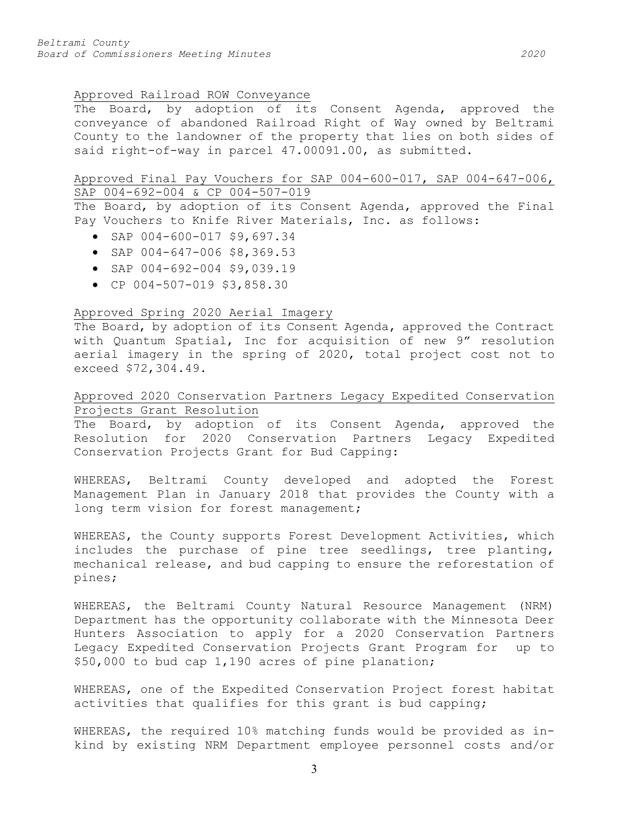### Approved Railroad ROW Conveyance

The Board, by adoption of its Consent Agenda, approved the conveyance of abandoned Railroad Right of Way owned by Beltrami County to the landowner of the property that lies on both sides of said right-of-way in parcel 47.00091.00, as submitted.

### Approved Final Pay Vouchers for SAP 004-600-017, SAP 004-647-006, SAP 004-692-004 & CP 004-507-019

The Board, by adoption of its Consent Agenda, approved the Final Pay Vouchers to Knife River Materials, Inc. as follows:

- SAP 004-600-017 \$9,697.34
- SAP 004-647-006 \$8,369.53
- SAP 004-692-004 \$9,039.19
- CP 004-507-019 \$3,858.30

## Approved Spring 2020 Aerial Imagery

The Board, by adoption of its Consent Agenda, approved the Contract with Quantum Spatial, Inc for acquisition of new 9" resolution aerial imagery in the spring of 2020, total project cost not to exceed \$72,304.49.

# Approved 2020 Conservation Partners Legacy Expedited Conservation Projects Grant Resolution

The Board, by adoption of its Consent Agenda, approved the Resolution for 2020 Conservation Partners Legacy Expedited Conservation Projects Grant for Bud Capping:

WHEREAS, Beltrami County developed and adopted the Forest Management Plan in January 2018 that provides the County with a long term vision for forest management;

WHEREAS, the County supports Forest Development Activities, which includes the purchase of pine tree seedlings, tree planting, mechanical release, and bud capping to ensure the reforestation of pines;

WHEREAS, the Beltrami County Natural Resource Management (NRM) Department has the opportunity collaborate with the Minnesota Deer Hunters Association to apply for a 2020 Conservation Partners Legacy Expedited Conservation Projects Grant Program for up to \$50,000 to bud cap 1,190 acres of pine planation;

WHEREAS, one of the Expedited Conservation Project forest habitat activities that qualifies for this grant is bud capping;

WHEREAS, the required 10% matching funds would be provided as inkind by existing NRM Department employee personnel costs and/or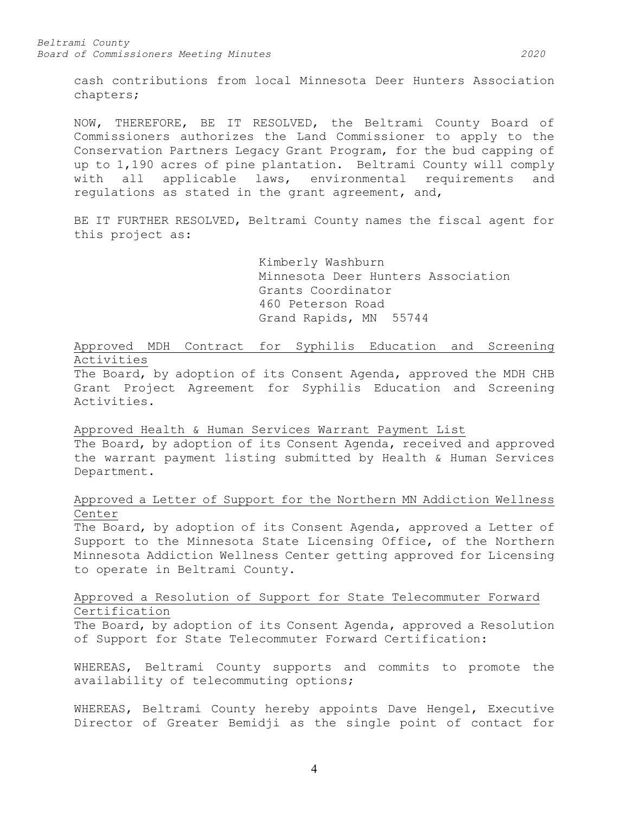cash contributions from local Minnesota Deer Hunters Association chapters;

NOW, THEREFORE, BE IT RESOLVED, the Beltrami County Board of Commissioners authorizes the Land Commissioner to apply to the Conservation Partners Legacy Grant Program, for the bud capping of up to 1,190 acres of pine plantation. Beltrami County will comply with all applicable laws, environmental requirements and regulations as stated in the grant agreement, and,

BE IT FURTHER RESOLVED, Beltrami County names the fiscal agent for this project as:

> Kimberly Washburn Minnesota Deer Hunters Association Grants Coordinator 460 Peterson Road Grand Rapids, MN 55744

Approved MDH Contract for Syphilis Education and Screening Activities

The Board, by adoption of its Consent Agenda, approved the MDH CHB Grant Project Agreement for Syphilis Education and Screening Activities.

Approved Health & Human Services Warrant Payment List

The Board, by adoption of its Consent Agenda, received and approved the warrant payment listing submitted by Health & Human Services Department.

Approved a Letter of Support for the Northern MN Addiction Wellness Center

The Board, by adoption of its Consent Agenda, approved a Letter of Support to the Minnesota State Licensing Office, of the Northern Minnesota Addiction Wellness Center getting approved for Licensing to operate in Beltrami County.

## Approved a Resolution of Support for State Telecommuter Forward Certification

The Board, by adoption of its Consent Agenda, approved a Resolution of Support for State Telecommuter Forward Certification:

WHEREAS, Beltrami County supports and commits to promote the availability of telecommuting options;

WHEREAS, Beltrami County hereby appoints Dave Hengel, Executive Director of Greater Bemidji as the single point of contact for

4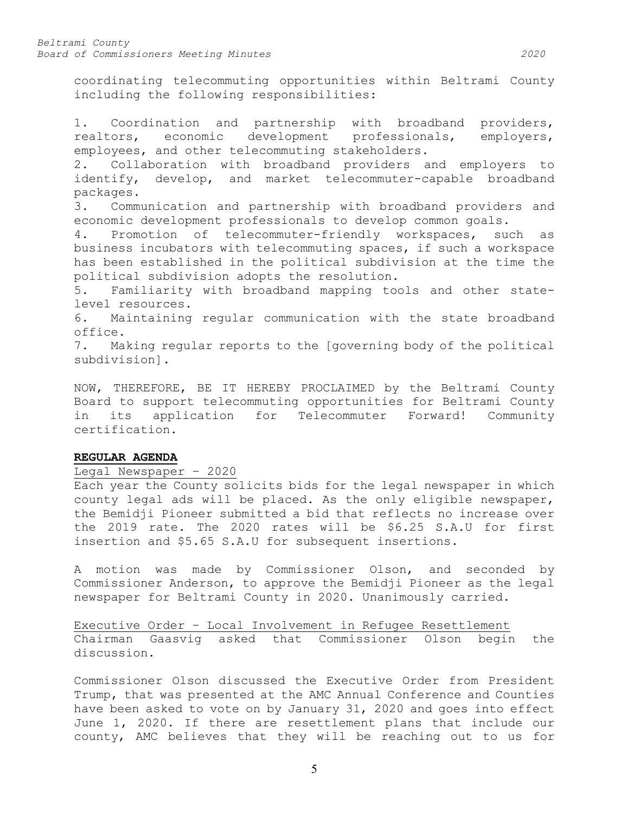coordinating telecommuting opportunities within Beltrami County including the following responsibilities:

1. Coordination and partnership with broadband providers, realtors, economic development professionals, employers, employees, and other telecommuting stakeholders.

2. Collaboration with broadband providers and employers to identify, develop, and market telecommuter-capable broadband packages.

3. Communication and partnership with broadband providers and economic development professionals to develop common goals.

4. Promotion of telecommuter-friendly workspaces, such as business incubators with telecommuting spaces, if such a workspace has been established in the political subdivision at the time the political subdivision adopts the resolution.

5. Familiarity with broadband mapping tools and other statelevel resources.<br>6. Maintaining

Maintaining regular communication with the state broadband office.<br>7. Ma

Making regular reports to the [governing body of the political subdivision].

NOW, THEREFORE, BE IT HEREBY PROCLAIMED by the Beltrami County Board to support telecommuting opportunities for Beltrami County in its application for Telecommuter Forward! Community certification.

### **REGULAR AGENDA**

## Legal Newspaper – 2020

Each year the County solicits bids for the legal newspaper in which county legal ads will be placed. As the only eligible newspaper, the Bemidji Pioneer submitted a bid that reflects no increase over the 2019 rate. The 2020 rates will be \$6.25 S.A.U for first insertion and \$5.65 S.A.U for subsequent insertions.

A motion was made by Commissioner Olson, and seconded by Commissioner Anderson, to approve the Bemidji Pioneer as the legal newspaper for Beltrami County in 2020. Unanimously carried.

Executive Order – Local Involvement in Refugee Resettlement Chairman Gaasvig asked that Commissioner Olson begin the discussion.

Commissioner Olson discussed the Executive Order from President Trump, that was presented at the AMC Annual Conference and Counties have been asked to vote on by January 31, 2020 and goes into effect June 1, 2020. If there are resettlement plans that include our county, AMC believes that they will be reaching out to us for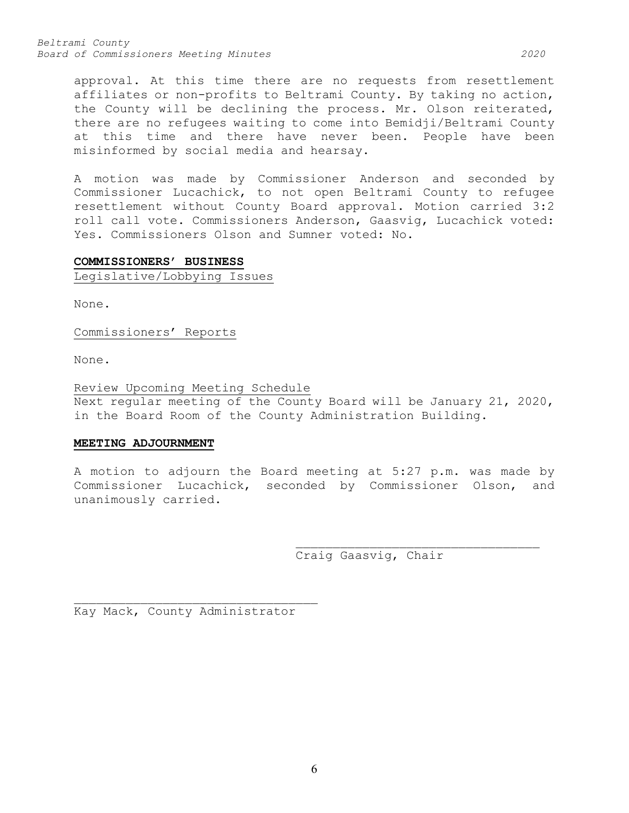*Beltrami County Board of Commissioners Meeting Minutes 2020*

approval. At this time there are no requests from resettlement affiliates or non-profits to Beltrami County. By taking no action, the County will be declining the process. Mr. Olson reiterated, there are no refugees waiting to come into Bemidji/Beltrami County at this time and there have never been. People have been misinformed by social media and hearsay.

A motion was made by Commissioner Anderson and seconded by Commissioner Lucachick, to not open Beltrami County to refugee resettlement without County Board approval. Motion carried 3:2 roll call vote. Commissioners Anderson, Gaasvig, Lucachick voted: Yes. Commissioners Olson and Sumner voted: No.

#### **COMMISSIONERS' BUSINESS**

Legislative/Lobbying Issues

None.

Commissioners' Reports

None.

Review Upcoming Meeting Schedule Next regular meeting of the County Board will be January 21, 2020, in the Board Room of the County Administration Building.

### **MEETING ADJOURNMENT**

A motion to adjourn the Board meeting at 5:27 p.m. was made by Commissioner Lucachick, seconded by Commissioner Olson, and unanimously carried.

Craig Gaasvig, Chair

\_\_\_\_\_\_\_\_\_\_\_\_\_\_\_\_\_\_\_\_\_\_\_\_\_\_\_\_\_\_\_\_\_

\_\_\_\_\_\_\_\_\_\_\_\_\_\_\_\_\_\_\_\_\_\_\_\_\_\_\_\_\_\_\_\_\_ Kay Mack, County Administrator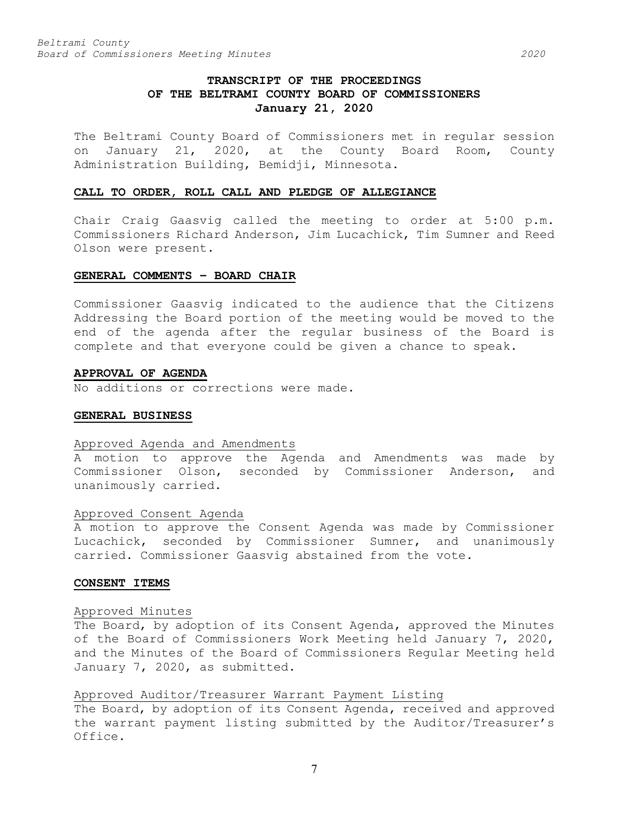# **TRANSCRIPT OF THE PROCEEDINGS OF THE BELTRAMI COUNTY BOARD OF COMMISSIONERS January 21, 2020**

The Beltrami County Board of Commissioners met in regular session on January 21, 2020, at the County Board Room, County Administration Building, Bemidji, Minnesota.

#### **CALL TO ORDER, ROLL CALL AND PLEDGE OF ALLEGIANCE**

Chair Craig Gaasvig called the meeting to order at 5:00 p.m. Commissioners Richard Anderson, Jim Lucachick, Tim Sumner and Reed Olson were present.

#### **GENERAL COMMENTS – BOARD CHAIR**

Commissioner Gaasvig indicated to the audience that the Citizens Addressing the Board portion of the meeting would be moved to the end of the agenda after the regular business of the Board is complete and that everyone could be given a chance to speak.

#### **APPROVAL OF AGENDA**

No additions or corrections were made.

#### **GENERAL BUSINESS**

#### Approved Agenda and Amendments

A motion to approve the Agenda and Amendments was made by Commissioner Olson, seconded by Commissioner Anderson, and unanimously carried.

#### Approved Consent Agenda

A motion to approve the Consent Agenda was made by Commissioner Lucachick, seconded by Commissioner Sumner, and unanimously carried. Commissioner Gaasvig abstained from the vote.

#### **CONSENT ITEMS**

#### Approved Minutes

The Board, by adoption of its Consent Agenda, approved the Minutes of the Board of Commissioners Work Meeting held January 7, 2020, and the Minutes of the Board of Commissioners Regular Meeting held January 7, 2020, as submitted.

Approved Auditor/Treasurer Warrant Payment Listing

The Board, by adoption of its Consent Agenda, received and approved the warrant payment listing submitted by the Auditor/Treasurer's Office.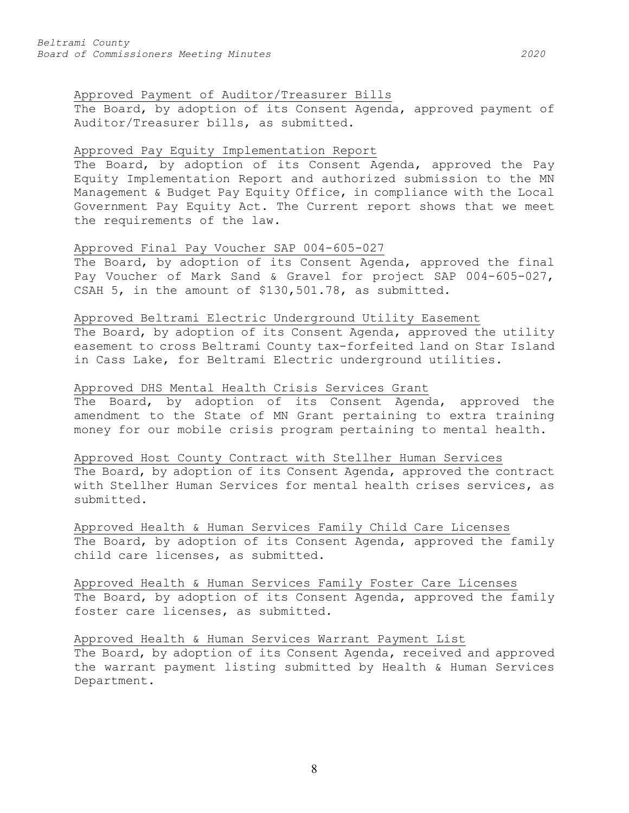## Approved Payment of Auditor/Treasurer Bills

The Board, by adoption of its Consent Agenda, approved payment of Auditor/Treasurer bills, as submitted.

### Approved Pay Equity Implementation Report

The Board, by adoption of its Consent Agenda, approved the Pay Equity Implementation Report and authorized submission to the MN Management & Budget Pay Equity Office, in compliance with the Local Government Pay Equity Act. The Current report shows that we meet the requirements of the law.

## Approved Final Pay Voucher SAP 004-605-027

The Board, by adoption of its Consent Agenda, approved the final Pay Voucher of Mark Sand & Gravel for project SAP 004-605-027, CSAH 5, in the amount of \$130,501.78, as submitted.

#### Approved Beltrami Electric Underground Utility Easement

The Board, by adoption of its Consent Agenda, approved the utility easement to cross Beltrami County tax-forfeited land on Star Island in Cass Lake, for Beltrami Electric underground utilities.

### Approved DHS Mental Health Crisis Services Grant

The Board, by adoption of its Consent Agenda, approved the amendment to the State of MN Grant pertaining to extra training money for our mobile crisis program pertaining to mental health.

## Approved Host County Contract with Stellher Human Services The Board, by adoption of its Consent Agenda, approved the contract with Stellher Human Services for mental health crises services, as submitted.

Approved Health & Human Services Family Child Care Licenses The Board, by adoption of its Consent Agenda, approved the family child care licenses, as submitted.

Approved Health & Human Services Family Foster Care Licenses The Board, by adoption of its Consent Agenda, approved the family foster care licenses, as submitted.

Approved Health & Human Services Warrant Payment List The Board, by adoption of its Consent Agenda, received and approved the warrant payment listing submitted by Health & Human Services Department.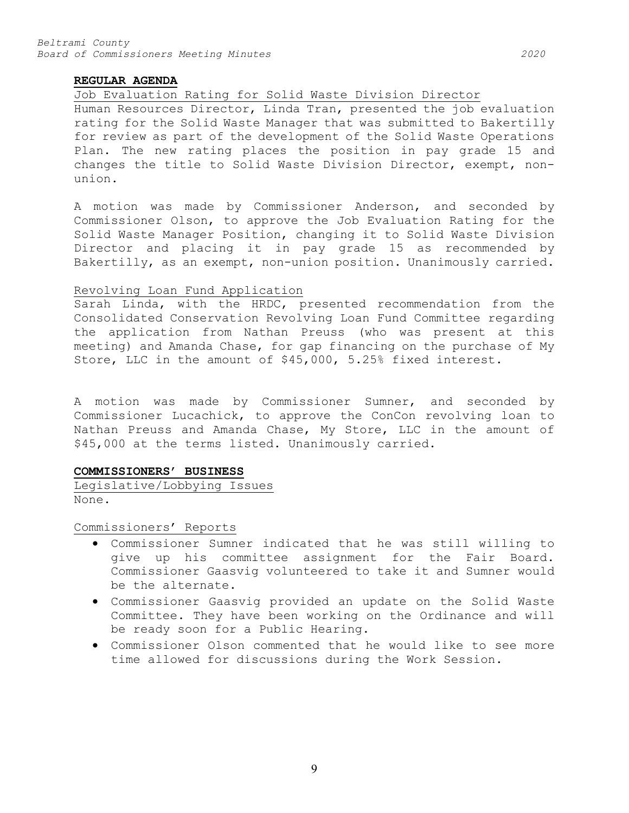#### **REGULAR AGENDA**

#### Job Evaluation Rating for Solid Waste Division Director

Human Resources Director, Linda Tran, presented the job evaluation rating for the Solid Waste Manager that was submitted to Bakertilly for review as part of the development of the Solid Waste Operations Plan. The new rating places the position in pay grade 15 and changes the title to Solid Waste Division Director, exempt, nonunion.

A motion was made by Commissioner Anderson, and seconded by Commissioner Olson, to approve the Job Evaluation Rating for the Solid Waste Manager Position, changing it to Solid Waste Division Director and placing it in pay grade 15 as recommended by Bakertilly, as an exempt, non-union position. Unanimously carried.

#### Revolving Loan Fund Application

Sarah Linda, with the HRDC, presented recommendation from the Consolidated Conservation Revolving Loan Fund Committee regarding the application from Nathan Preuss (who was present at this meeting) and Amanda Chase, for gap financing on the purchase of My Store, LLC in the amount of \$45,000, 5.25% fixed interest.

A motion was made by Commissioner Sumner, and seconded by Commissioner Lucachick, to approve the ConCon revolving loan to Nathan Preuss and Amanda Chase, My Store, LLC in the amount of \$45,000 at the terms listed. Unanimously carried.

### **COMMISSIONERS' BUSINESS**

Legislative/Lobbying Issues None.

Commissioners' Reports

- Commissioner Sumner indicated that he was still willing to give up his committee assignment for the Fair Board. Commissioner Gaasvig volunteered to take it and Sumner would be the alternate.
- Commissioner Gaasvig provided an update on the Solid Waste Committee. They have been working on the Ordinance and will be ready soon for a Public Hearing.
- Commissioner Olson commented that he would like to see more time allowed for discussions during the Work Session.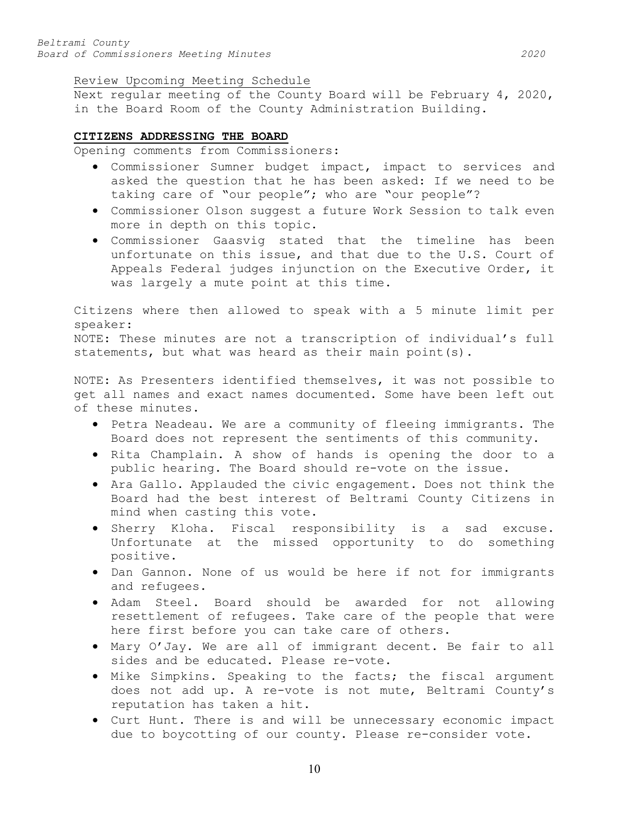### Review Upcoming Meeting Schedule

Next regular meeting of the County Board will be February 4, 2020, in the Board Room of the County Administration Building.

## **CITIZENS ADDRESSING THE BOARD**

Opening comments from Commissioners:

- Commissioner Sumner budget impact, impact to services and asked the question that he has been asked: If we need to be taking care of "our people"; who are "our people"?
- Commissioner Olson suggest a future Work Session to talk even more in depth on this topic.
- Commissioner Gaasvig stated that the timeline has been unfortunate on this issue, and that due to the U.S. Court of Appeals Federal judges injunction on the Executive Order, it was largely a mute point at this time.

Citizens where then allowed to speak with a 5 minute limit per speaker: NOTE: These minutes are not a transcription of individual's full statements, but what was heard as their main point(s).

NOTE: As Presenters identified themselves, it was not possible to get all names and exact names documented. Some have been left out of these minutes.

- Petra Neadeau. We are a community of fleeing immigrants. The Board does not represent the sentiments of this community.
- Rita Champlain. A show of hands is opening the door to a public hearing. The Board should re-vote on the issue.
- Ara Gallo. Applauded the civic engagement. Does not think the Board had the best interest of Beltrami County Citizens in mind when casting this vote.
- Sherry Kloha. Fiscal responsibility is a sad excuse. Unfortunate at the missed opportunity to do something positive.
- Dan Gannon. None of us would be here if not for immigrants and refugees.
- Adam Steel. Board should be awarded for not allowing resettlement of refugees. Take care of the people that were here first before you can take care of others.
- Mary O'Jay. We are all of immigrant decent. Be fair to all sides and be educated. Please re-vote.
- Mike Simpkins. Speaking to the facts; the fiscal argument does not add up. A re-vote is not mute, Beltrami County's reputation has taken a hit.
- Curt Hunt. There is and will be unnecessary economic impact due to boycotting of our county. Please re-consider vote.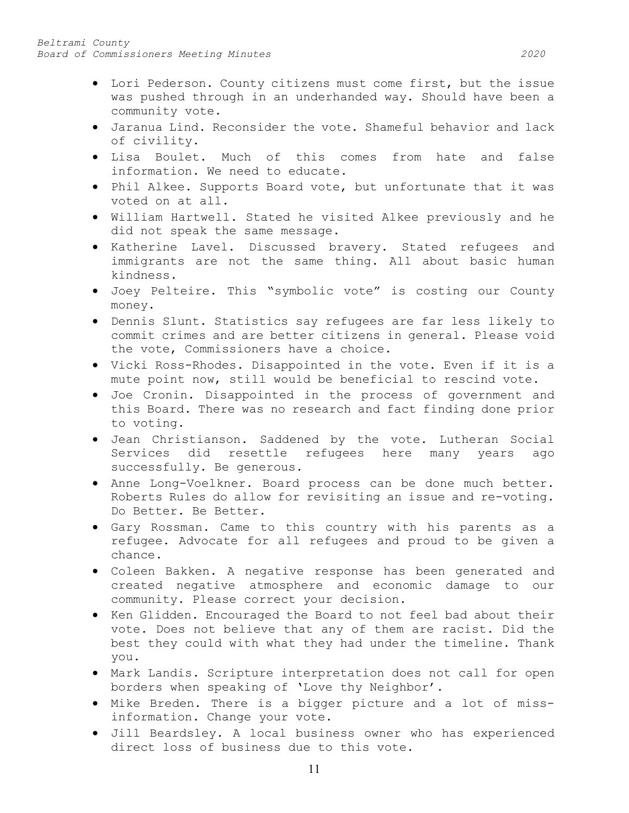- Lori Pederson. County citizens must come first, but the issue was pushed through in an underhanded way. Should have been a community vote.
- Jaranua Lind. Reconsider the vote. Shameful behavior and lack of civility.
- Lisa Boulet. Much of this comes from hate and false information. We need to educate.
- Phil Alkee. Supports Board vote, but unfortunate that it was voted on at all.
- William Hartwell. Stated he visited Alkee previously and he did not speak the same message.
- Katherine Lavel. Discussed bravery. Stated refugees and immigrants are not the same thing. All about basic human kindness.
- Joey Pelteire. This "symbolic vote" is costing our County money.
- Dennis Slunt. Statistics say refugees are far less likely to commit crimes and are better citizens in general. Please void the vote, Commissioners have a choice.
- Vicki Ross-Rhodes. Disappointed in the vote. Even if it is a mute point now, still would be beneficial to rescind vote.
- Joe Cronin. Disappointed in the process of government and this Board. There was no research and fact finding done prior to voting.
- Jean Christianson. Saddened by the vote. Lutheran Social Services did resettle refugees here many years ago successfully. Be generous.
- Anne Long-Voelkner. Board process can be done much better. Roberts Rules do allow for revisiting an issue and re-voting. Do Better. Be Better.
- Gary Rossman. Came to this country with his parents as a refugee. Advocate for all refugees and proud to be given a chance.
- Coleen Bakken. A negative response has been generated and created negative atmosphere and economic damage to our community. Please correct your decision.
- Ken Glidden. Encouraged the Board to not feel bad about their vote. Does not believe that any of them are racist. Did the best they could with what they had under the timeline. Thank you.
- Mark Landis. Scripture interpretation does not call for open borders when speaking of 'Love thy Neighbor'.
- Mike Breden. There is a bigger picture and a lot of missinformation. Change your vote.
- Jill Beardsley. A local business owner who has experienced direct loss of business due to this vote.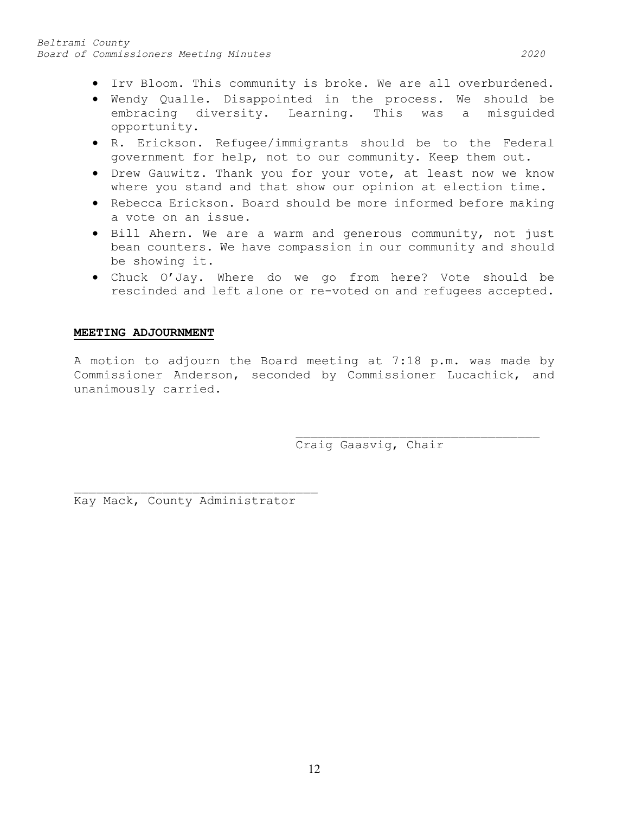- Irv Bloom. This community is broke. We are all overburdened.
- Wendy Qualle. Disappointed in the process. We should be embracing diversity. Learning. This was a misguided opportunity.
- R. Erickson. Refugee/immigrants should be to the Federal government for help, not to our community. Keep them out.
- Drew Gauwitz. Thank you for your vote, at least now we know where you stand and that show our opinion at election time.
- Rebecca Erickson. Board should be more informed before making a vote on an issue.
- Bill Ahern. We are a warm and generous community, not just bean counters. We have compassion in our community and should be showing it.
- Chuck O'Jay. Where do we go from here? Vote should be rescinded and left alone or re-voted on and refugees accepted.

### **MEETING ADJOURNMENT**

A motion to adjourn the Board meeting at 7:18 p.m. was made by Commissioner Anderson, seconded by Commissioner Lucachick, and unanimously carried.

> \_\_\_\_\_\_\_\_\_\_\_\_\_\_\_\_\_\_\_\_\_\_\_\_\_\_\_\_\_\_\_\_\_ Craig Gaasvig, Chair

\_\_\_\_\_\_\_\_\_\_\_\_\_\_\_\_\_\_\_\_\_\_\_\_\_\_\_\_\_\_\_\_\_ Kay Mack, County Administrator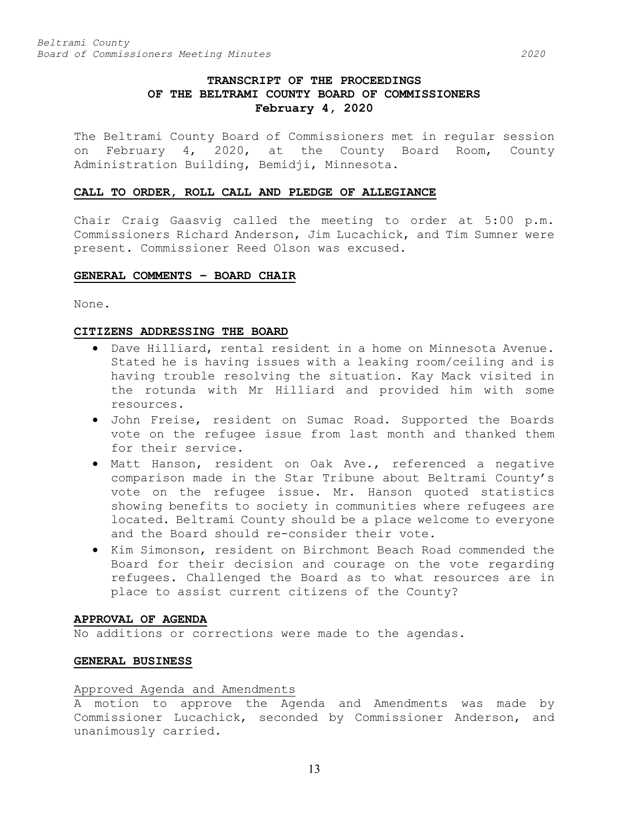# **TRANSCRIPT OF THE PROCEEDINGS OF THE BELTRAMI COUNTY BOARD OF COMMISSIONERS February 4, 2020**

The Beltrami County Board of Commissioners met in regular session on February 4, 2020, at the County Board Room, County Administration Building, Bemidji, Minnesota.

#### **CALL TO ORDER, ROLL CALL AND PLEDGE OF ALLEGIANCE**

Chair Craig Gaasvig called the meeting to order at 5:00 p.m. Commissioners Richard Anderson, Jim Lucachick, and Tim Sumner were present. Commissioner Reed Olson was excused.

## **GENERAL COMMENTS – BOARD CHAIR**

None.

### **CITIZENS ADDRESSING THE BOARD**

- Dave Hilliard, rental resident in a home on Minnesota Avenue. Stated he is having issues with a leaking room/ceiling and is having trouble resolving the situation. Kay Mack visited in the rotunda with Mr Hilliard and provided him with some resources.
- John Freise, resident on Sumac Road. Supported the Boards vote on the refugee issue from last month and thanked them for their service.
- Matt Hanson, resident on Oak Ave., referenced a negative comparison made in the Star Tribune about Beltrami County's vote on the refugee issue. Mr. Hanson quoted statistics showing benefits to society in communities where refugees are located. Beltrami County should be a place welcome to everyone and the Board should re-consider their vote.
- Kim Simonson, resident on Birchmont Beach Road commended the Board for their decision and courage on the vote regarding refugees. Challenged the Board as to what resources are in place to assist current citizens of the County?

## **APPROVAL OF AGENDA**

No additions or corrections were made to the agendas.

#### **GENERAL BUSINESS**

### Approved Agenda and Amendments

A motion to approve the Agenda and Amendments was made by Commissioner Lucachick, seconded by Commissioner Anderson, and unanimously carried.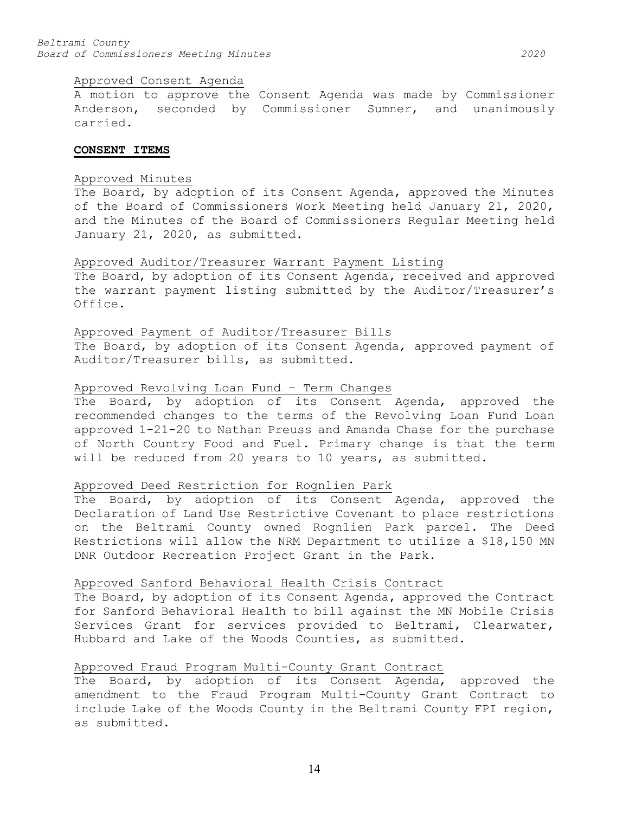#### Approved Consent Agenda

A motion to approve the Consent Agenda was made by Commissioner Anderson, seconded by Commissioner Sumner, and unanimously carried.

#### **CONSENT ITEMS**

### Approved Minutes

The Board, by adoption of its Consent Agenda, approved the Minutes of the Board of Commissioners Work Meeting held January 21, 2020, and the Minutes of the Board of Commissioners Regular Meeting held January 21, 2020, as submitted.

#### Approved Auditor/Treasurer Warrant Payment Listing

The Board, by adoption of its Consent Agenda, received and approved the warrant payment listing submitted by the Auditor/Treasurer's Office.

#### Approved Payment of Auditor/Treasurer Bills

The Board, by adoption of its Consent Agenda, approved payment of Auditor/Treasurer bills, as submitted.

#### Approved Revolving Loan Fund – Term Changes

The Board, by adoption of its Consent Agenda, approved the recommended changes to the terms of the Revolving Loan Fund Loan approved 1-21-20 to Nathan Preuss and Amanda Chase for the purchase of North Country Food and Fuel. Primary change is that the term will be reduced from 20 years to 10 years, as submitted.

### Approved Deed Restriction for Rognlien Park

The Board, by adoption of its Consent Agenda, approved the Declaration of Land Use Restrictive Covenant to place restrictions on the Beltrami County owned Rognlien Park parcel. The Deed Restrictions will allow the NRM Department to utilize a \$18,150 MN DNR Outdoor Recreation Project Grant in the Park.

### Approved Sanford Behavioral Health Crisis Contract

The Board, by adoption of its Consent Agenda, approved the Contract for Sanford Behavioral Health to bill against the MN Mobile Crisis Services Grant for services provided to Beltrami, Clearwater, Hubbard and Lake of the Woods Counties, as submitted.

## Approved Fraud Program Multi-County Grant Contract

The Board, by adoption of its Consent Agenda, approved the amendment to the Fraud Program Multi-County Grant Contract to include Lake of the Woods County in the Beltrami County FPI region, as submitted.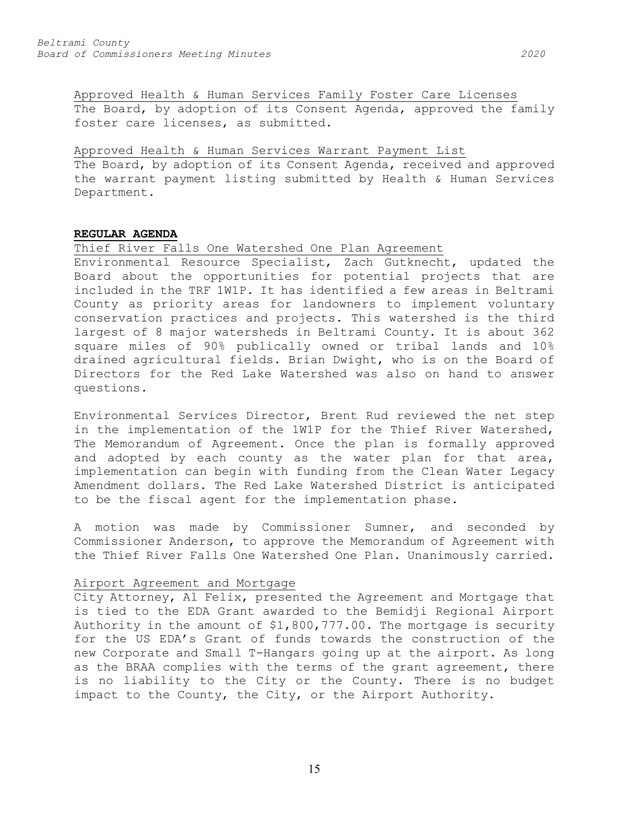Approved Health & Human Services Family Foster Care Licenses The Board, by adoption of its Consent Agenda, approved the family foster care licenses, as submitted.

#### Approved Health & Human Services Warrant Payment List

The Board, by adoption of its Consent Agenda, received and approved the warrant payment listing submitted by Health & Human Services Department.

### **REGULAR AGENDA**

## Thief River Falls One Watershed One Plan Agreement

Environmental Resource Specialist, Zach Gutknecht, updated the Board about the opportunities for potential projects that are included in the TRF 1W1P. It has identified a few areas in Beltrami County as priority areas for landowners to implement voluntary conservation practices and projects. This watershed is the third largest of 8 major watersheds in Beltrami County. It is about 362 square miles of 90% publically owned or tribal lands and 10% drained agricultural fields. Brian Dwight, who is on the Board of Directors for the Red Lake Watershed was also on hand to answer questions.

Environmental Services Director, Brent Rud reviewed the net step in the implementation of the 1W1P for the Thief River Watershed, The Memorandum of Agreement. Once the plan is formally approved and adopted by each county as the water plan for that area, implementation can begin with funding from the Clean Water Legacy Amendment dollars. The Red Lake Watershed District is anticipated to be the fiscal agent for the implementation phase.

A motion was made by Commissioner Sumner, and seconded by Commissioner Anderson, to approve the Memorandum of Agreement with the Thief River Falls One Watershed One Plan. Unanimously carried.

## Airport Agreement and Mortgage

City Attorney, Al Felix, presented the Agreement and Mortgage that is tied to the EDA Grant awarded to the Bemidji Regional Airport Authority in the amount of \$1,800,777.00. The mortgage is security for the US EDA's Grant of funds towards the construction of the new Corporate and Small T-Hangars going up at the airport. As long as the BRAA complies with the terms of the grant agreement, there is no liability to the City or the County. There is no budget impact to the County, the City, or the Airport Authority.

15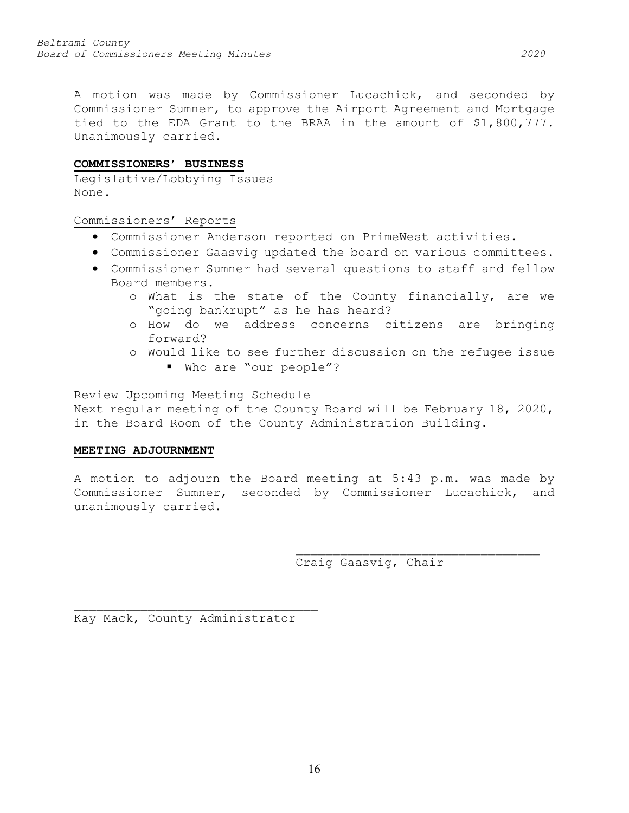A motion was made by Commissioner Lucachick, and seconded by Commissioner Sumner, to approve the Airport Agreement and Mortgage tied to the EDA Grant to the BRAA in the amount of \$1,800,777. Unanimously carried.

### **COMMISSIONERS' BUSINESS**

Legislative/Lobbying Issues None.

Commissioners' Reports

- Commissioner Anderson reported on PrimeWest activities.
- Commissioner Gaasvig updated the board on various committees.
- Commissioner Sumner had several questions to staff and fellow Board members.
	- o What is the state of the County financially, are we "going bankrupt" as he has heard?
	- o How do we address concerns citizens are bringing forward?
	- o Would like to see further discussion on the refugee issue
		- Who are "our people"?

Review Upcoming Meeting Schedule

Next regular meeting of the County Board will be February 18, 2020, in the Board Room of the County Administration Building.

### **MEETING ADJOURNMENT**

A motion to adjourn the Board meeting at 5:43 p.m. was made by Commissioner Sumner, seconded by Commissioner Lucachick, and unanimously carried.

> \_\_\_\_\_\_\_\_\_\_\_\_\_\_\_\_\_\_\_\_\_\_\_\_\_\_\_\_\_\_\_\_\_ Craig Gaasvig, Chair

\_\_\_\_\_\_\_\_\_\_\_\_\_\_\_\_\_\_\_\_\_\_\_\_\_\_\_\_\_\_\_\_\_ Kay Mack, County Administrator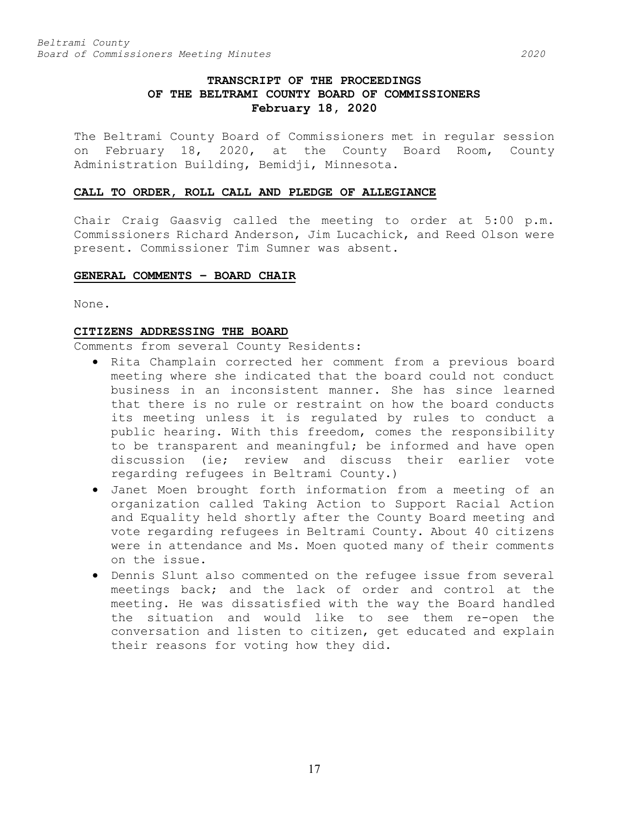# **TRANSCRIPT OF THE PROCEEDINGS OF THE BELTRAMI COUNTY BOARD OF COMMISSIONERS February 18, 2020**

The Beltrami County Board of Commissioners met in regular session on February 18, 2020, at the County Board Room, County Administration Building, Bemidji, Minnesota.

## **CALL TO ORDER, ROLL CALL AND PLEDGE OF ALLEGIANCE**

Chair Craig Gaasvig called the meeting to order at 5:00 p.m. Commissioners Richard Anderson, Jim Lucachick, and Reed Olson were present. Commissioner Tim Sumner was absent.

### **GENERAL COMMENTS – BOARD CHAIR**

None.

### **CITIZENS ADDRESSING THE BOARD**

Comments from several County Residents:

- Rita Champlain corrected her comment from a previous board meeting where she indicated that the board could not conduct business in an inconsistent manner. She has since learned that there is no rule or restraint on how the board conducts its meeting unless it is regulated by rules to conduct a public hearing. With this freedom, comes the responsibility to be transparent and meaningful; be informed and have open discussion (ie; review and discuss their earlier vote regarding refugees in Beltrami County.)
- Janet Moen brought forth information from a meeting of an organization called Taking Action to Support Racial Action and Equality held shortly after the County Board meeting and vote regarding refugees in Beltrami County. About 40 citizens were in attendance and Ms. Moen quoted many of their comments on the issue.
- Dennis Slunt also commented on the refugee issue from several meetings back; and the lack of order and control at the meeting. He was dissatisfied with the way the Board handled the situation and would like to see them re-open the conversation and listen to citizen, get educated and explain their reasons for voting how they did.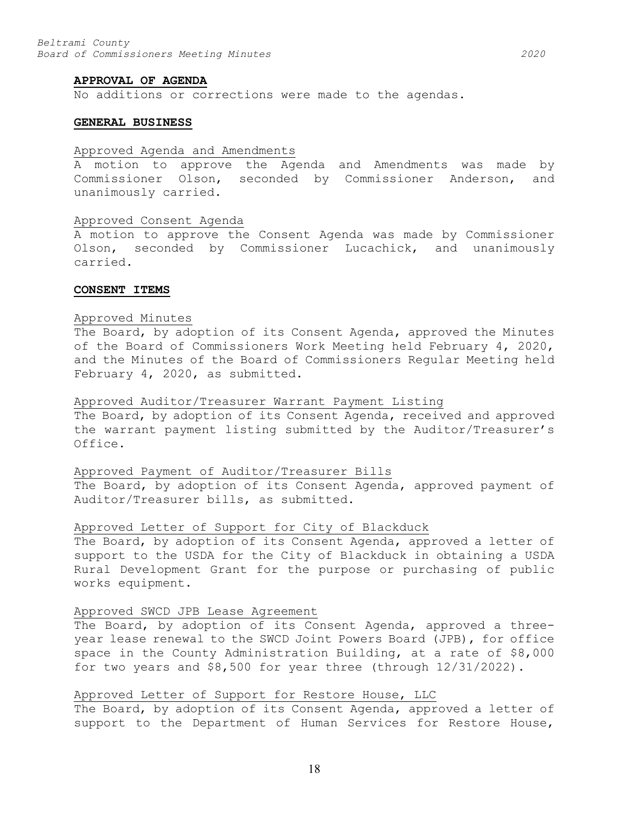#### **APPROVAL OF AGENDA**

No additions or corrections were made to the agendas.

#### **GENERAL BUSINESS**

#### Approved Agenda and Amendments

A motion to approve the Agenda and Amendments was made by Commissioner Olson, seconded by Commissioner Anderson, and unanimously carried.

#### Approved Consent Agenda

A motion to approve the Consent Agenda was made by Commissioner Olson, seconded by Commissioner Lucachick, and unanimously carried.

#### **CONSENT ITEMS**

#### Approved Minutes

The Board, by adoption of its Consent Agenda, approved the Minutes of the Board of Commissioners Work Meeting held February 4, 2020, and the Minutes of the Board of Commissioners Regular Meeting held February 4, 2020, as submitted.

#### Approved Auditor/Treasurer Warrant Payment Listing

The Board, by adoption of its Consent Agenda, received and approved the warrant payment listing submitted by the Auditor/Treasurer's Office.

#### Approved Payment of Auditor/Treasurer Bills

The Board, by adoption of its Consent Agenda, approved payment of Auditor/Treasurer bills, as submitted.

#### Approved Letter of Support for City of Blackduck

The Board, by adoption of its Consent Agenda, approved a letter of support to the USDA for the City of Blackduck in obtaining a USDA Rural Development Grant for the purpose or purchasing of public works equipment.

#### Approved SWCD JPB Lease Agreement

The Board, by adoption of its Consent Agenda, approved a threeyear lease renewal to the SWCD Joint Powers Board (JPB), for office space in the County Administration Building, at a rate of \$8,000 for two years and \$8,500 for year three (through 12/31/2022).

#### Approved Letter of Support for Restore House, LLC

The Board, by adoption of its Consent Agenda, approved a letter of support to the Department of Human Services for Restore House,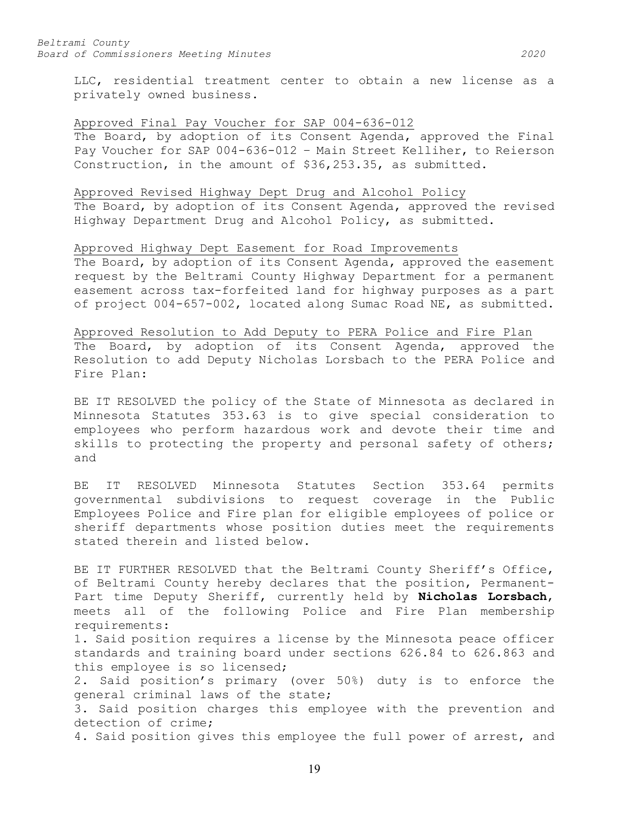LLC, residential treatment center to obtain a new license as a privately owned business.

#### Approved Final Pay Voucher for SAP 004-636-012

The Board, by adoption of its Consent Agenda, approved the Final Pay Voucher for SAP 004-636-012 – Main Street Kelliher, to Reierson Construction, in the amount of \$36,253.35, as submitted.

#### Approved Revised Highway Dept Drug and Alcohol Policy

The Board, by adoption of its Consent Agenda, approved the revised Highway Department Drug and Alcohol Policy, as submitted.

## Approved Highway Dept Easement for Road Improvements

The Board, by adoption of its Consent Agenda, approved the easement request by the Beltrami County Highway Department for a permanent easement across tax-forfeited land for highway purposes as a part of project 004-657-002, located along Sumac Road NE, as submitted.

#### Approved Resolution to Add Deputy to PERA Police and Fire Plan

The Board, by adoption of its Consent Agenda, approved the Resolution to add Deputy Nicholas Lorsbach to the PERA Police and Fire Plan:

BE IT RESOLVED the policy of the State of Minnesota as declared in Minnesota Statutes 353.63 is to give special consideration to employees who perform hazardous work and devote their time and skills to protecting the property and personal safety of others; and

BE IT RESOLVED Minnesota Statutes Section 353.64 permits governmental subdivisions to request coverage in the Public Employees Police and Fire plan for eligible employees of police or sheriff departments whose position duties meet the requirements stated therein and listed below.

BE IT FURTHER RESOLVED that the Beltrami County Sheriff's Office, of Beltrami County hereby declares that the position, Permanent-Part time Deputy Sheriff, currently held by **Nicholas Lorsbach**, meets all of the following Police and Fire Plan membership requirements:

1. Said position requires a license by the Minnesota peace officer standards and training board under sections 626.84 to 626.863 and this employee is so licensed;

2. Said position's primary (over 50%) duty is to enforce the general criminal laws of the state;

3. Said position charges this employee with the prevention and detection of crime;

4. Said position gives this employee the full power of arrest, and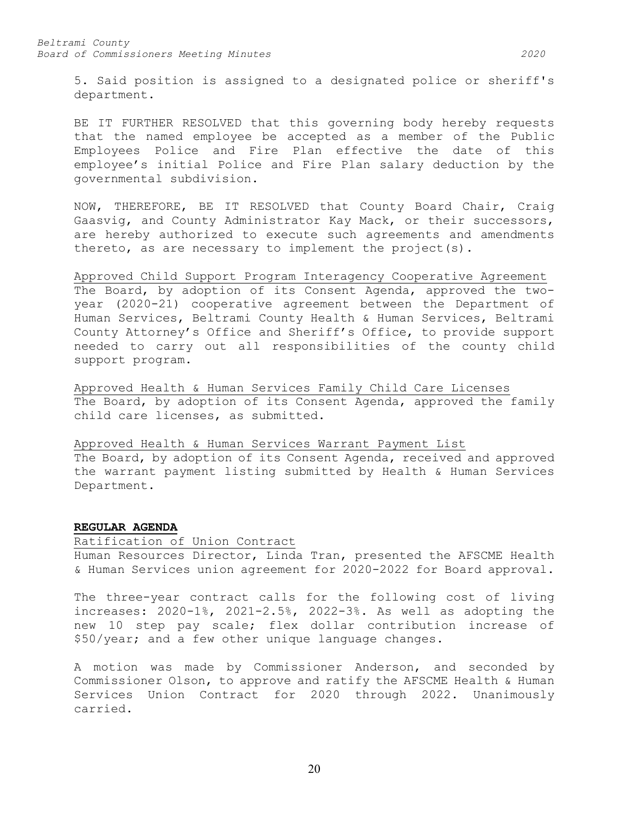5. Said position is assigned to a designated police or sheriff's department.

BE IT FURTHER RESOLVED that this governing body hereby requests that the named employee be accepted as a member of the Public Employees Police and Fire Plan effective the date of this employee's initial Police and Fire Plan salary deduction by the governmental subdivision.

NOW, THEREFORE, BE IT RESOLVED that County Board Chair, Craig Gaasvig, and County Administrator Kay Mack, or their successors, are hereby authorized to execute such agreements and amendments thereto, as are necessary to implement the project(s).

Approved Child Support Program Interagency Cooperative Agreement The Board, by adoption of its Consent Agenda, approved the twoyear (2020-21) cooperative agreement between the Department of Human Services, Beltrami County Health & Human Services, Beltrami County Attorney's Office and Sheriff's Office, to provide support needed to carry out all responsibilities of the county child support program.

Approved Health & Human Services Family Child Care Licenses The Board, by adoption of its Consent Agenda, approved the family child care licenses, as submitted.

Approved Health & Human Services Warrant Payment List The Board, by adoption of its Consent Agenda, received and approved the warrant payment listing submitted by Health & Human Services Department.

#### **REGULAR AGENDA**

Ratification of Union Contract Human Resources Director, Linda Tran, presented the AFSCME Health & Human Services union agreement for 2020-2022 for Board approval.

The three-year contract calls for the following cost of living increases: 2020-1%, 2021-2.5%, 2022-3%. As well as adopting the new 10 step pay scale; flex dollar contribution increase of \$50/year; and a few other unique language changes.

A motion was made by Commissioner Anderson, and seconded by Commissioner Olson, to approve and ratify the AFSCME Health & Human Services Union Contract for 2020 through 2022. Unanimously carried.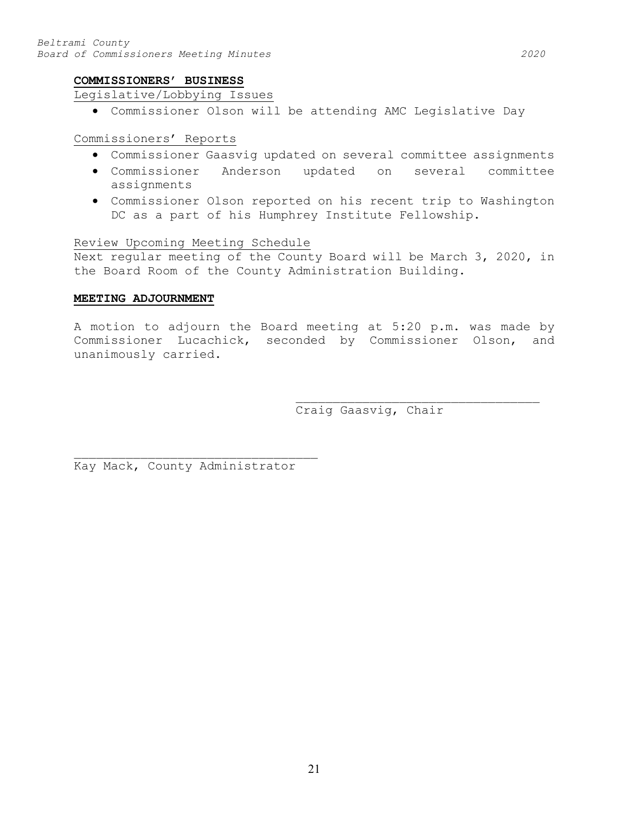## **COMMISSIONERS' BUSINESS**

### Legislative/Lobbying Issues

• Commissioner Olson will be attending AMC Legislative Day

## Commissioners' Reports

- Commissioner Gaasvig updated on several committee assignments
- Commissioner Anderson updated on several committee assignments
- Commissioner Olson reported on his recent trip to Washington DC as a part of his Humphrey Institute Fellowship.

### Review Upcoming Meeting Schedule

Next regular meeting of the County Board will be March 3, 2020, in the Board Room of the County Administration Building.

#### **MEETING ADJOURNMENT**

A motion to adjourn the Board meeting at 5:20 p.m. was made by Commissioner Lucachick, seconded by Commissioner Olson, and unanimously carried.

Craig Gaasvig, Chair

\_\_\_\_\_\_\_\_\_\_\_\_\_\_\_\_\_\_\_\_\_\_\_\_\_\_\_\_\_\_\_\_\_

\_\_\_\_\_\_\_\_\_\_\_\_\_\_\_\_\_\_\_\_\_\_\_\_\_\_\_\_\_\_\_\_\_ Kay Mack, County Administrator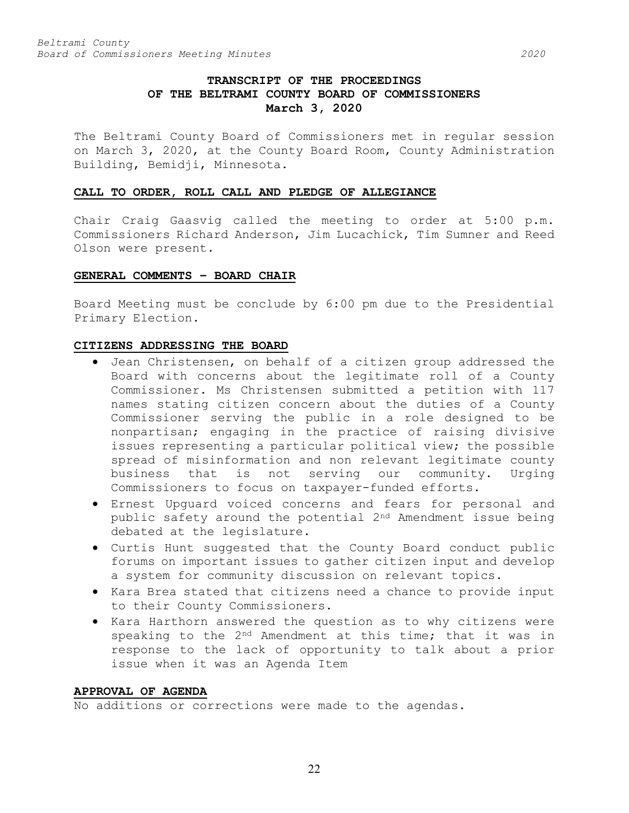# **TRANSCRIPT OF THE PROCEEDINGS OF THE BELTRAMI COUNTY BOARD OF COMMISSIONERS March 3, 2020**

The Beltrami County Board of Commissioners met in regular session on March 3, 2020, at the County Board Room, County Administration Building, Bemidji, Minnesota.

### **CALL TO ORDER, ROLL CALL AND PLEDGE OF ALLEGIANCE**

Chair Craig Gaasvig called the meeting to order at 5:00 p.m. Commissioners Richard Anderson, Jim Lucachick, Tim Sumner and Reed Olson were present.

### **GENERAL COMMENTS – BOARD CHAIR**

Board Meeting must be conclude by 6:00 pm due to the Presidential Primary Election.

#### **CITIZENS ADDRESSING THE BOARD**

- Jean Christensen, on behalf of a citizen group addressed the Board with concerns about the legitimate roll of a County Commissioner. Ms Christensen submitted a petition with 117 names stating citizen concern about the duties of a County Commissioner serving the public in a role designed to be nonpartisan; engaging in the practice of raising divisive issues representing a particular political view; the possible spread of misinformation and non relevant legitimate county business that is not serving our community. Urging Commissioners to focus on taxpayer-funded efforts.
- Ernest Upguard voiced concerns and fears for personal and public safety around the potential 2nd Amendment issue being debated at the legislature.
- Curtis Hunt suggested that the County Board conduct public forums on important issues to gather citizen input and develop a system for community discussion on relevant topics.
- Kara Brea stated that citizens need a chance to provide input to their County Commissioners.
- Kara Harthorn answered the question as to why citizens were speaking to the 2<sup>nd</sup> Amendment at this time; that it was in response to the lack of opportunity to talk about a prior issue when it was an Agenda Item

#### **APPROVAL OF AGENDA**

No additions or corrections were made to the agendas.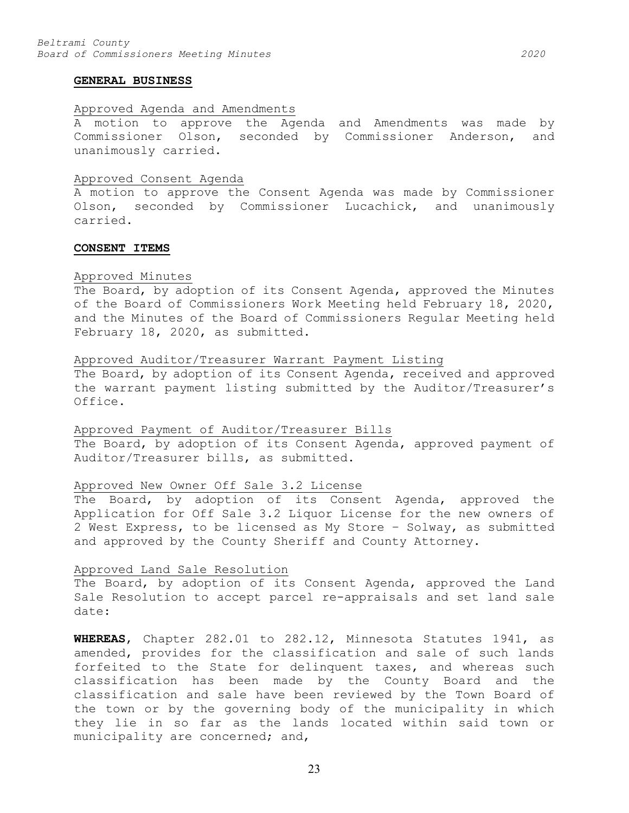#### **GENERAL BUSINESS**

### Approved Agenda and Amendments

A motion to approve the Agenda and Amendments was made by Commissioner Olson, seconded by Commissioner Anderson, and unanimously carried.

#### Approved Consent Agenda

A motion to approve the Consent Agenda was made by Commissioner Olson, seconded by Commissioner Lucachick, and unanimously carried.

#### **CONSENT ITEMS**

#### Approved Minutes

The Board, by adoption of its Consent Agenda, approved the Minutes of the Board of Commissioners Work Meeting held February 18, 2020, and the Minutes of the Board of Commissioners Regular Meeting held February 18, 2020, as submitted.

#### Approved Auditor/Treasurer Warrant Payment Listing

The Board, by adoption of its Consent Agenda, received and approved the warrant payment listing submitted by the Auditor/Treasurer's Office.

#### Approved Payment of Auditor/Treasurer Bills

The Board, by adoption of its Consent Agenda, approved payment of Auditor/Treasurer bills, as submitted.

### Approved New Owner Off Sale 3.2 License

The Board, by adoption of its Consent Agenda, approved the Application for Off Sale 3.2 Liquor License for the new owners of 2 West Express, to be licensed as My Store – Solway, as submitted and approved by the County Sheriff and County Attorney.

#### Approved Land Sale Resolution

The Board, by adoption of its Consent Agenda, approved the Land Sale Resolution to accept parcel re-appraisals and set land sale date:

**WHEREAS**, Chapter 282.01 to 282.12, Minnesota Statutes 1941, as amended, provides for the classification and sale of such lands forfeited to the State for delinquent taxes, and whereas such classification has been made by the County Board and the classification and sale have been reviewed by the Town Board of the town or by the governing body of the municipality in which they lie in so far as the lands located within said town or municipality are concerned; and,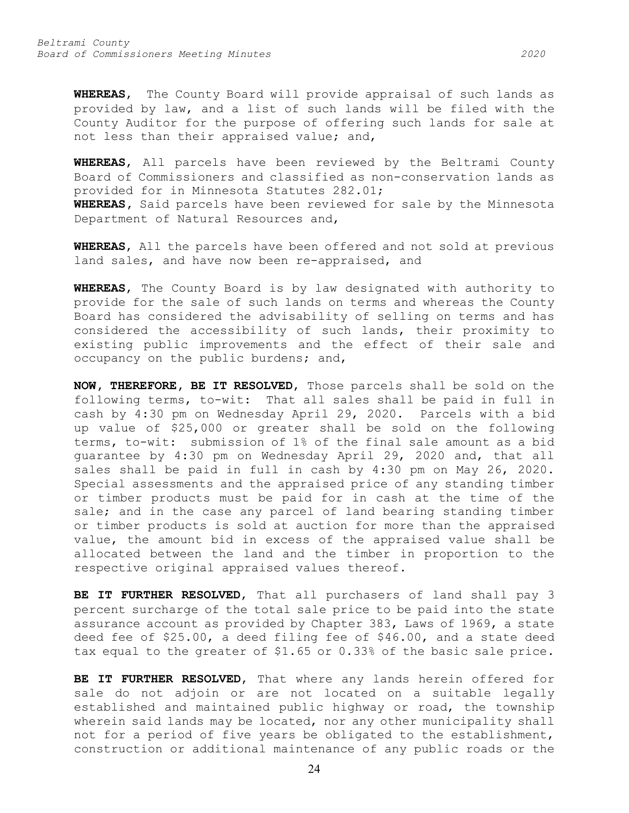**WHEREAS**, The County Board will provide appraisal of such lands as provided by law, and a list of such lands will be filed with the County Auditor for the purpose of offering such lands for sale at not less than their appraised value; and,

**WHEREAS**, All parcels have been reviewed by the Beltrami County Board of Commissioners and classified as non-conservation lands as provided for in Minnesota Statutes 282.01; **WHEREAS,** Said parcels have been reviewed for sale by the Minnesota Department of Natural Resources and,

**WHEREAS**, All the parcels have been offered and not sold at previous land sales, and have now been re-appraised, and

**WHEREAS**, The County Board is by law designated with authority to provide for the sale of such lands on terms and whereas the County Board has considered the advisability of selling on terms and has considered the accessibility of such lands, their proximity to existing public improvements and the effect of their sale and occupancy on the public burdens; and,

**NOW, THEREFORE, BE IT RESOLVED**, Those parcels shall be sold on the following terms, to-wit: That all sales shall be paid in full in cash by 4:30 pm on Wednesday April 29, 2020. Parcels with a bid up value of \$25,000 or greater shall be sold on the following terms, to-wit: submission of 1% of the final sale amount as a bid guarantee by 4:30 pm on Wednesday April 29, 2020 and, that all sales shall be paid in full in cash by 4:30 pm on May 26, 2020. Special assessments and the appraised price of any standing timber or timber products must be paid for in cash at the time of the sale; and in the case any parcel of land bearing standing timber or timber products is sold at auction for more than the appraised value, the amount bid in excess of the appraised value shall be allocated between the land and the timber in proportion to the respective original appraised values thereof.

**BE IT FURTHER RESOLVED**, That all purchasers of land shall pay 3 percent surcharge of the total sale price to be paid into the state assurance account as provided by Chapter 383, Laws of 1969, a state deed fee of \$25.00, a deed filing fee of \$46.00, and a state deed tax equal to the greater of \$1.65 or 0.33% of the basic sale price.

**BE IT FURTHER RESOLVED**, That where any lands herein offered for sale do not adjoin or are not located on a suitable legally established and maintained public highway or road, the township wherein said lands may be located, nor any other municipality shall not for a period of five years be obligated to the establishment, construction or additional maintenance of any public roads or the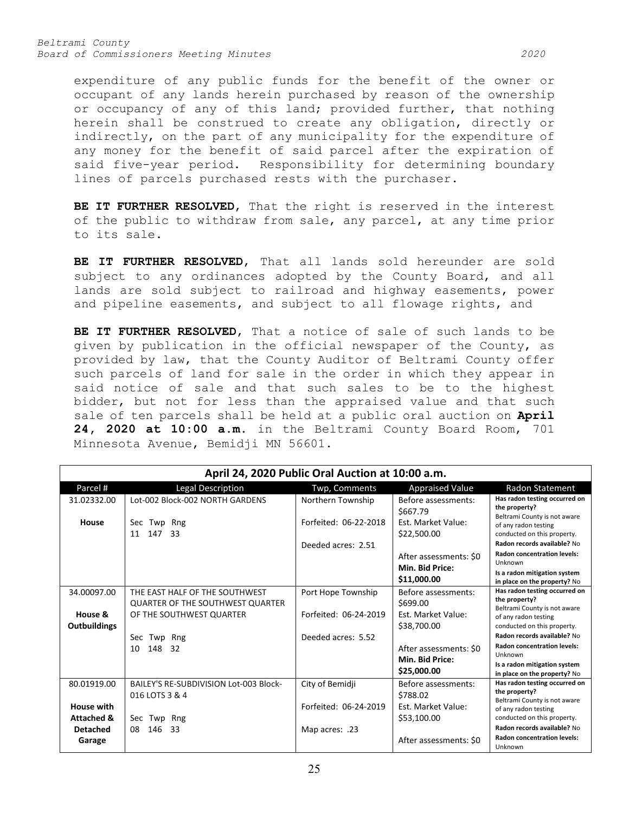*Beltrami County Board of Commissioners Meeting Minutes 2020*

expenditure of any public funds for the benefit of the owner or occupant of any lands herein purchased by reason of the ownership or occupancy of any of this land; provided further, that nothing herein shall be construed to create any obligation, directly or indirectly, on the part of any municipality for the expenditure of any money for the benefit of said parcel after the expiration of said five-year period. Responsibility for determining boundary lines of parcels purchased rests with the purchaser.

**BE IT FURTHER RESOLVED**, That the right is reserved in the interest of the public to withdraw from sale, any parcel, at any time prior to its sale.

**BE IT FURTHER RESOLVED**, That all lands sold hereunder are sold subject to any ordinances adopted by the County Board, and all lands are sold subject to railroad and highway easements, power and pipeline easements, and subject to all flowage rights, and

**BE IT FURTHER RESOLVED**, That a notice of sale of such lands to be given by publication in the official newspaper of the County, as provided by law, that the County Auditor of Beltrami County offer such parcels of land for sale in the order in which they appear in said notice of sale and that such sales to be to the highest bidder, but not for less than the appraised value and that such sale of ten parcels shall be held at a public oral auction on **April 24, 2020 at 10:00 a.m.** in the Beltrami County Board Room, 701 Minnesota Avenue, Bemidji MN 56601.

| April 24, 2020 Public Oral Auction at 10:00 a.m. |                                                                           |                       |                                                          |                                                                                                                                              |  |  |  |  |
|--------------------------------------------------|---------------------------------------------------------------------------|-----------------------|----------------------------------------------------------|----------------------------------------------------------------------------------------------------------------------------------------------|--|--|--|--|
| Parcel #                                         | <b>Legal Description</b>                                                  | Twp, Comments         | <b>Appraised Value</b>                                   | <b>Radon Statement</b>                                                                                                                       |  |  |  |  |
| 31.02332.00                                      | Lot-002 Block-002 NORTH GARDENS                                           | Northern Township     | Before assessments:<br>\$667.79                          | Has radon testing occurred on<br>the property?<br>Beltrami County is not aware                                                               |  |  |  |  |
| House                                            | Sec<br>Twp Rng<br>11<br>147<br>- 33                                       | Forfeited: 06-22-2018 | Est. Market Value:<br>\$22,500.00                        | of any radon testing<br>conducted on this property.<br>Radon records available? No                                                           |  |  |  |  |
|                                                  |                                                                           | Deeded acres: 2.51    | After assessments: \$0<br>Min. Bid Price:<br>\$11,000.00 | <b>Radon concentration levels:</b><br>Unknown<br>Is a radon mitigation system<br>in place on the property? No                                |  |  |  |  |
| 34.00097.00                                      | THE EAST HALF OF THE SOUTHWEST<br><b>QUARTER OF THE SOUTHWEST QUARTER</b> | Port Hope Township    | Before assessments:<br>\$699.00                          | Has radon testing occurred on<br>the property?<br>Beltrami County is not aware                                                               |  |  |  |  |
| House &<br><b>Outbuildings</b>                   | OF THE SOUTHWEST QUARTER                                                  | Forfeited: 06-24-2019 | <b>Fst. Market Value:</b><br>\$38,700.00                 | of any radon testing<br>conducted on this property.                                                                                          |  |  |  |  |
|                                                  | Sec<br>Twp Rng<br>148 32<br>10                                            | Deeded acres: 5.52    | After assessments: \$0<br>Min. Bid Price:<br>\$25,000.00 | Radon records available? No<br><b>Radon concentration levels:</b><br>Unknown<br>Is a radon mitigation system<br>in place on the property? No |  |  |  |  |
| 80.01919.00                                      | BAILEY'S RE-SUBDIVISION Lot-003 Block-<br>016 LOTS 3 & 4                  | City of Bemidji       | Before assessments:<br>\$788.02                          | Has radon testing occurred on<br>the property?<br>Beltrami County is not aware                                                               |  |  |  |  |
| <b>House with</b><br><b>Attached &amp;</b>       | Sec Twp Rng                                                               | Forfeited: 06-24-2019 | Est. Market Value:<br>\$53,100.00                        | of any radon testing<br>conducted on this property.                                                                                          |  |  |  |  |
| <b>Detached</b><br>Garage                        | 08<br>146<br>-33                                                          | Map acres: .23        | After assessments: \$0                                   | Radon records available? No<br><b>Radon concentration levels:</b><br>Unknown                                                                 |  |  |  |  |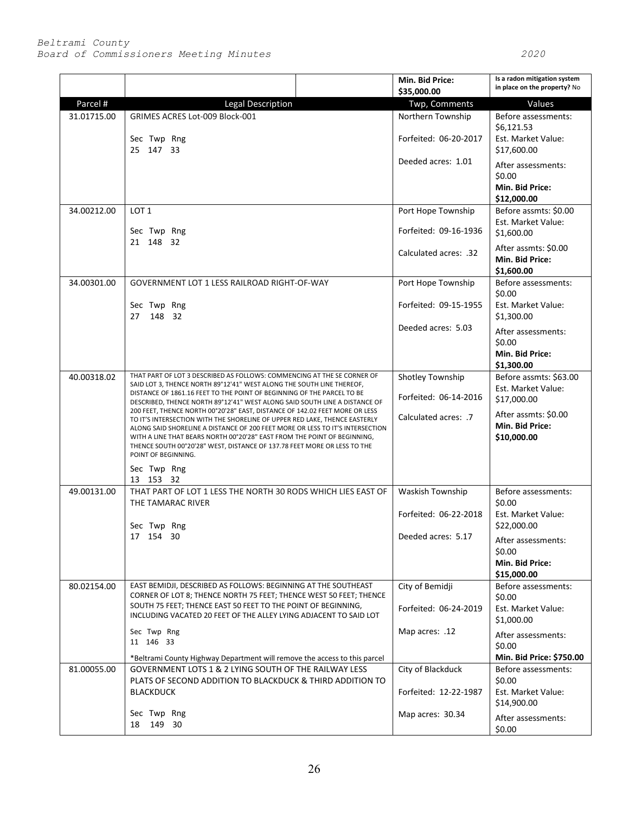|             |                                                                                                                                                                                                                                                                                                                                                                                                                           |                      | Min. Bid Price:<br>\$35,000.00                         | Is a radon mitigation system<br>in place on the property? No   |
|-------------|---------------------------------------------------------------------------------------------------------------------------------------------------------------------------------------------------------------------------------------------------------------------------------------------------------------------------------------------------------------------------------------------------------------------------|----------------------|--------------------------------------------------------|----------------------------------------------------------------|
| Parcel #    | <b>Legal Description</b>                                                                                                                                                                                                                                                                                                                                                                                                  |                      | Twp, Comments                                          | Values                                                         |
| 31.01715.00 | GRIMES ACRES Lot-009 Block-001<br>Sec Twp Rng<br>25 147 33                                                                                                                                                                                                                                                                                                                                                                |                      | Northern Township                                      | Before assessments:<br>\$6,121.53                              |
|             |                                                                                                                                                                                                                                                                                                                                                                                                                           |                      | Forfeited: 06-20-2017<br>Deeded acres: 1.01            | Est. Market Value:<br>\$17,600.00                              |
|             |                                                                                                                                                                                                                                                                                                                                                                                                                           |                      |                                                        | After assessments:<br>\$0.00<br>Min. Bid Price:<br>\$12,000.00 |
| 34.00212.00 | LOT <sub>1</sub><br>Sec Twp Rng<br>21 148 32                                                                                                                                                                                                                                                                                                                                                                              |                      | Port Hope Township<br>Forfeited: 09-16-1936            | Before assmts: \$0.00<br>Est. Market Value:                    |
|             |                                                                                                                                                                                                                                                                                                                                                                                                                           |                      | Calculated acres: .32                                  | \$1,600.00<br>After assmts: \$0.00                             |
|             |                                                                                                                                                                                                                                                                                                                                                                                                                           |                      | Min. Bid Price:<br>\$1,600.00                          |                                                                |
| 34.00301.00 | GOVERNMENT LOT 1 LESS RAILROAD RIGHT-OF-WAY<br>Sec Twp Rng<br>148 32<br>27                                                                                                                                                                                                                                                                                                                                                |                      | Port Hope Township                                     | Before assessments:<br>\$0.00                                  |
|             |                                                                                                                                                                                                                                                                                                                                                                                                                           |                      | Forfeited: 09-15-1955                                  | Est. Market Value:<br>\$1,300.00                               |
|             |                                                                                                                                                                                                                                                                                                                                                                                                                           |                      | Deeded acres: 5.03                                     | After assessments:<br>\$0.00                                   |
|             |                                                                                                                                                                                                                                                                                                                                                                                                                           |                      |                                                        | Min. Bid Price:<br>\$1,300.00                                  |
| 40.00318.02 | THAT PART OF LOT 3 DESCRIBED AS FOLLOWS: COMMENCING AT THE SE CORNER OF<br>SAID LOT 3, THENCE NORTH 89°12'41" WEST ALONG THE SOUTH LINE THEREOF,<br>DISTANCE OF 1861.16 FEET TO THE POINT OF BEGINNING OF THE PARCEL TO BE<br>DESCRIBED, THENCE NORTH 89°12'41" WEST ALONG SAID SOUTH LINE A DISTANCE OF                                                                                                                  |                      | Shotley Township<br>Forfeited: 06-14-2016              | Before assmts: \$63.00<br>Est. Market Value:<br>\$17,000.00    |
|             | 200 FEET, THENCE NORTH 00°20'28" EAST, DISTANCE OF 142.02 FEET MORE OR LESS<br>TO IT'S INTERSECTION WITH THE SHORELINE OF UPPER RED LAKE, THENCE EASTERLY<br>ALONG SAID SHORELINE A DISTANCE OF 200 FEET MORE OR LESS TO IT'S INTERSECTION<br>WITH A LINE THAT BEARS NORTH 00°20'28" EAST FROM THE POINT OF BEGINNING,<br>THENCE SOUTH 00°20'28" WEST, DISTANCE OF 137.78 FEET MORE OR LESS TO THE<br>POINT OF BEGINNING. | Calculated acres: .7 | After assmts: \$0.00<br>Min. Bid Price:<br>\$10,000.00 |                                                                |
|             | Sec Twp Rng<br>13 153 32                                                                                                                                                                                                                                                                                                                                                                                                  |                      |                                                        |                                                                |
| 49.00131.00 | THAT PART OF LOT 1 LESS THE NORTH 30 RODS WHICH LIES EAST OF<br>THE TAMARAC RIVER<br>Sec Twp Rng<br>17 154 30                                                                                                                                                                                                                                                                                                             |                      | Waskish Township                                       | Before assessments:<br>\$0.00                                  |
|             |                                                                                                                                                                                                                                                                                                                                                                                                                           |                      | Forfeited: 06-22-2018                                  | Est. Market Value:<br>\$22,000.00                              |
|             |                                                                                                                                                                                                                                                                                                                                                                                                                           |                      | Deeded acres: 5.17                                     | After assessments:<br>\$0.00<br>Min. Bid Price:                |
| 80.02154.00 | EAST BEMIDJI, DESCRIBED AS FOLLOWS: BEGINNING AT THE SOUTHEAST<br>CORNER OF LOT 8; THENCE NORTH 75 FEET; THENCE WEST 50 FEET; THENCE<br>SOUTH 75 FEET; THENCE EAST 50 FEET TO THE POINT OF BEGINNING,<br>INCLUDING VACATED 20 FEET OF THE ALLEY LYING ADJACENT TO SAID LOT<br>Sec Twp Rng<br>11 146 33                                                                                                                    |                      | City of Bemidji                                        | \$15,000.00<br>Before assessments:                             |
|             |                                                                                                                                                                                                                                                                                                                                                                                                                           |                      | Forfeited: 06-24-2019                                  | \$0.00<br>Est. Market Value:<br>\$1,000.00                     |
|             |                                                                                                                                                                                                                                                                                                                                                                                                                           |                      | Map acres: .12                                         | After assessments:<br>\$0.00                                   |
| 81.00055.00 | *Beltrami County Highway Department will remove the access to this parcel<br>GOVERNMENT LOTS 1 & 2 LYING SOUTH OF THE RAILWAY LESS<br>PLATS OF SECOND ADDITION TO BLACKDUCK & THIRD ADDITION TO<br><b>BLACKDUCK</b>                                                                                                                                                                                                       |                      | City of Blackduck                                      | Min. Bid Price: \$750.00<br>Before assessments:                |
|             |                                                                                                                                                                                                                                                                                                                                                                                                                           |                      | Forfeited: 12-22-1987                                  | \$0.00<br>Est. Market Value:<br>\$14,900.00                    |
|             | Sec Twp Rng<br>149 30<br>18                                                                                                                                                                                                                                                                                                                                                                                               |                      | Map acres: 30.34                                       | After assessments:<br>\$0.00                                   |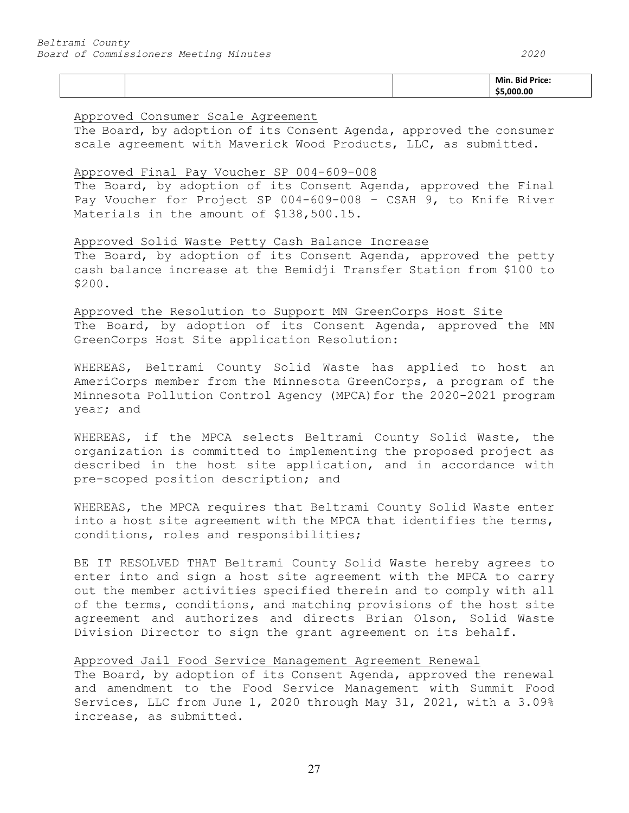|  | Min<br>Βи |
|--|-----------|
|  |           |

### Approved Consumer Scale Agreement

The Board, by adoption of its Consent Agenda, approved the consumer scale agreement with Maverick Wood Products, LLC, as submitted.

### Approved Final Pay Voucher SP 004-609-008

The Board, by adoption of its Consent Agenda, approved the Final Pay Voucher for Project SP 004-609-008 – CSAH 9, to Knife River Materials in the amount of \$138,500.15.

## Approved Solid Waste Petty Cash Balance Increase

The Board, by adoption of its Consent Agenda, approved the petty cash balance increase at the Bemidji Transfer Station from \$100 to \$200.

# Approved the Resolution to Support MN GreenCorps Host Site

The Board, by adoption of its Consent Agenda, approved the MN GreenCorps Host Site application Resolution:

WHEREAS, Beltrami County Solid Waste has applied to host an AmeriCorps member from the Minnesota GreenCorps, a program of the Minnesota Pollution Control Agency (MPCA)for the 2020-2021 program year; and

WHEREAS, if the MPCA selects Beltrami County Solid Waste, the organization is committed to implementing the proposed project as described in the host site application, and in accordance with pre-scoped position description; and

WHEREAS, the MPCA requires that Beltrami County Solid Waste enter into a host site agreement with the MPCA that identifies the terms, conditions, roles and responsibilities;

BE IT RESOLVED THAT Beltrami County Solid Waste hereby agrees to enter into and sign a host site agreement with the MPCA to carry out the member activities specified therein and to comply with all of the terms, conditions, and matching provisions of the host site agreement and authorizes and directs Brian Olson, Solid Waste Division Director to sign the grant agreement on its behalf.

## Approved Jail Food Service Management Agreement Renewal

The Board, by adoption of its Consent Agenda, approved the renewal and amendment to the Food Service Management with Summit Food Services, LLC from June 1, 2020 through May 31, 2021, with a 3.09% increase, as submitted.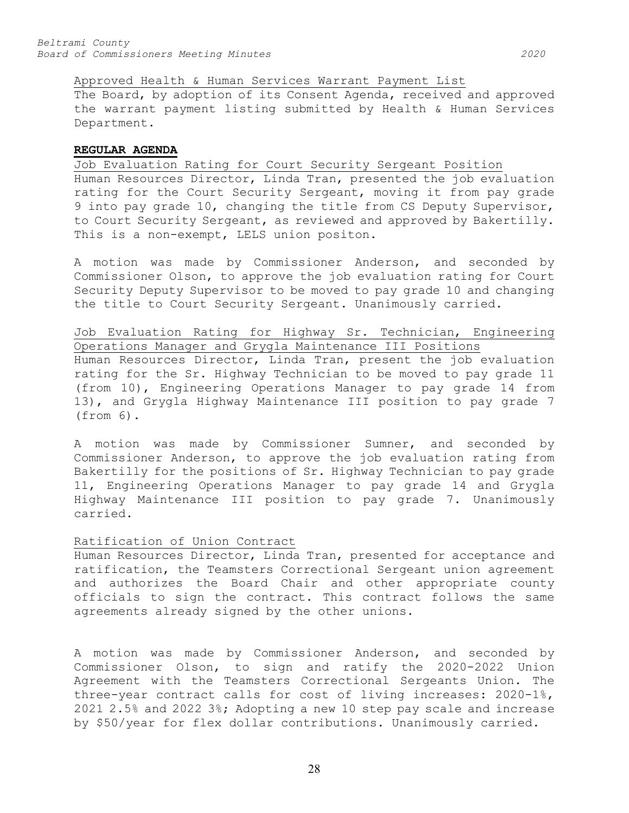Approved Health & Human Services Warrant Payment List

The Board, by adoption of its Consent Agenda, received and approved the warrant payment listing submitted by Health & Human Services Department.

#### **REGULAR AGENDA**

Job Evaluation Rating for Court Security Sergeant Position Human Resources Director, Linda Tran, presented the job evaluation rating for the Court Security Sergeant, moving it from pay grade 9 into pay grade 10, changing the title from CS Deputy Supervisor, to Court Security Sergeant, as reviewed and approved by Bakertilly. This is a non-exempt, LELS union positon.

A motion was made by Commissioner Anderson, and seconded by Commissioner Olson, to approve the job evaluation rating for Court Security Deputy Supervisor to be moved to pay grade 10 and changing the title to Court Security Sergeant. Unanimously carried.

Job Evaluation Rating for Highway Sr. Technician, Engineering Operations Manager and Grygla Maintenance III Positions

Human Resources Director, Linda Tran, present the job evaluation rating for the Sr. Highway Technician to be moved to pay grade 11 (from 10), Engineering Operations Manager to pay grade 14 from 13), and Grygla Highway Maintenance III position to pay grade 7 (from 6).

A motion was made by Commissioner Sumner, and seconded by Commissioner Anderson, to approve the job evaluation rating from Bakertilly for the positions of Sr. Highway Technician to pay grade 11, Engineering Operations Manager to pay grade 14 and Grygla Highway Maintenance III position to pay grade 7. Unanimously carried.

## Ratification of Union Contract

Human Resources Director, Linda Tran, presented for acceptance and ratification, the Teamsters Correctional Sergeant union agreement and authorizes the Board Chair and other appropriate county officials to sign the contract. This contract follows the same agreements already signed by the other unions.

A motion was made by Commissioner Anderson, and seconded by Commissioner Olson, to sign and ratify the 2020-2022 Union Agreement with the Teamsters Correctional Sergeants Union. The three-year contract calls for cost of living increases: 2020-1%, 2021 2.5% and 2022 3%; Adopting a new 10 step pay scale and increase by \$50/year for flex dollar contributions. Unanimously carried.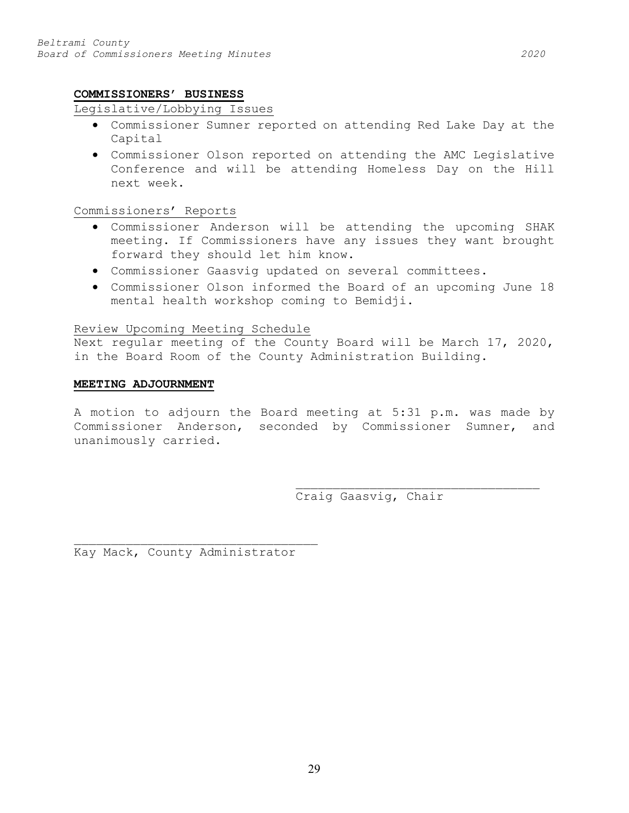#### **COMMISSIONERS' BUSINESS**

#### Legislative/Lobbying Issues

- Commissioner Sumner reported on attending Red Lake Day at the Capital
- Commissioner Olson reported on attending the AMC Legislative Conference and will be attending Homeless Day on the Hill next week.

# Commissioners' Reports

- Commissioner Anderson will be attending the upcoming SHAK meeting. If Commissioners have any issues they want brought forward they should let him know.
- Commissioner Gaasvig updated on several committees.
- Commissioner Olson informed the Board of an upcoming June 18 mental health workshop coming to Bemidji.

# Review Upcoming Meeting Schedule

Next regular meeting of the County Board will be March 17, 2020, in the Board Room of the County Administration Building.

#### **MEETING ADJOURNMENT**

A motion to adjourn the Board meeting at 5:31 p.m. was made by Commissioner Anderson, seconded by Commissioner Sumner, and unanimously carried.

> \_\_\_\_\_\_\_\_\_\_\_\_\_\_\_\_\_\_\_\_\_\_\_\_\_\_\_\_\_\_\_\_\_ Craig Gaasvig, Chair

Kay Mack, County Administrator

\_\_\_\_\_\_\_\_\_\_\_\_\_\_\_\_\_\_\_\_\_\_\_\_\_\_\_\_\_\_\_\_\_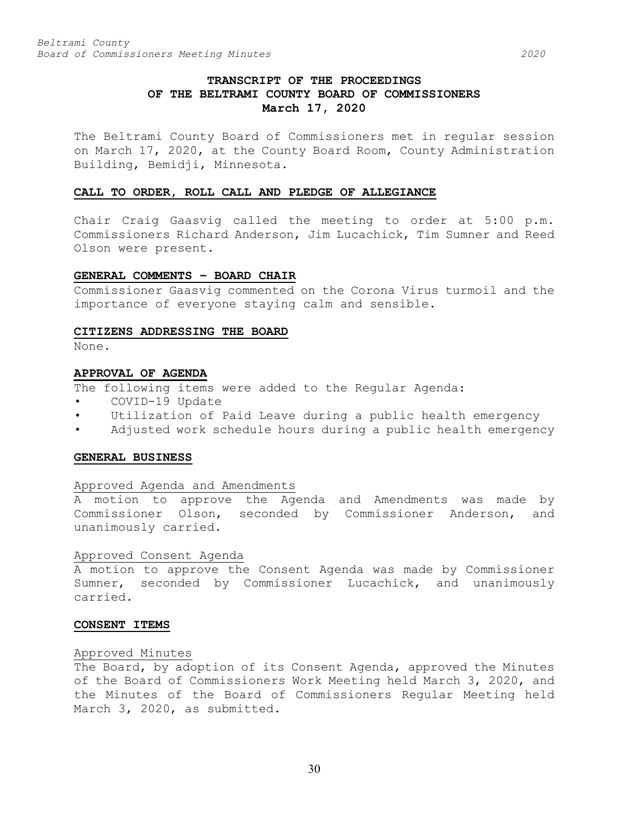# **TRANSCRIPT OF THE PROCEEDINGS OF THE BELTRAMI COUNTY BOARD OF COMMISSIONERS March 17, 2020**

The Beltrami County Board of Commissioners met in regular session on March 17, 2020, at the County Board Room, County Administration Building, Bemidji, Minnesota.

#### **CALL TO ORDER, ROLL CALL AND PLEDGE OF ALLEGIANCE**

Chair Craig Gaasvig called the meeting to order at 5:00 p.m. Commissioners Richard Anderson, Jim Lucachick, Tim Sumner and Reed Olson were present.

#### **GENERAL COMMENTS – BOARD CHAIR**

Commissioner Gaasvig commented on the Corona Virus turmoil and the importance of everyone staying calm and sensible.

#### **CITIZENS ADDRESSING THE BOARD**

None.

#### **APPROVAL OF AGENDA**

The following items were added to the Regular Agenda:

- COVID-19 Update
- Utilization of Paid Leave during a public health emergency
- Adjusted work schedule hours during a public health emergency

### **GENERAL BUSINESS**

### Approved Agenda and Amendments

A motion to approve the Agenda and Amendments was made by Commissioner Olson, seconded by Commissioner Anderson, and unanimously carried.

### Approved Consent Agenda

A motion to approve the Consent Agenda was made by Commissioner Sumner, seconded by Commissioner Lucachick, and unanimously carried.

#### **CONSENT ITEMS**

### Approved Minutes

The Board, by adoption of its Consent Agenda, approved the Minutes of the Board of Commissioners Work Meeting held March 3, 2020, and the Minutes of the Board of Commissioners Regular Meeting held March 3, 2020, as submitted.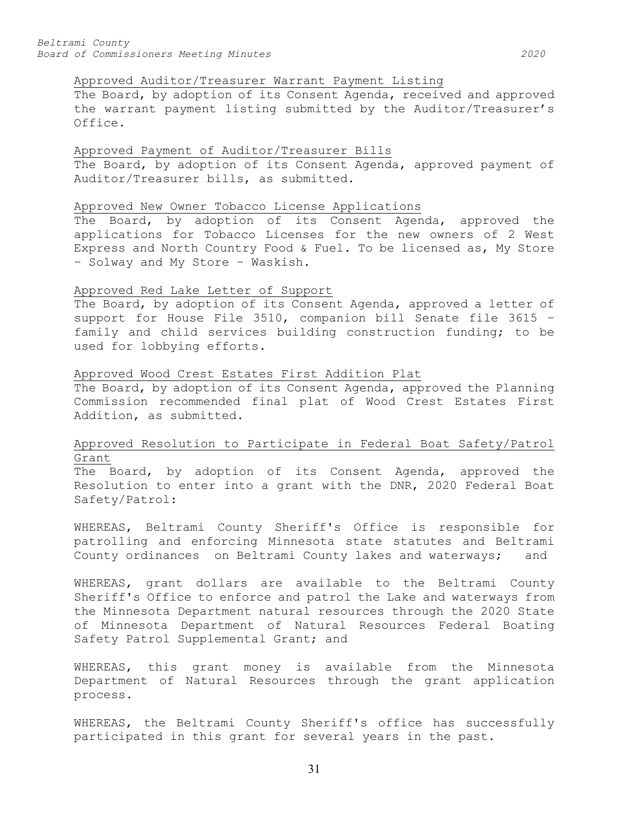## Approved Auditor/Treasurer Warrant Payment Listing

The Board, by adoption of its Consent Agenda, received and approved the warrant payment listing submitted by the Auditor/Treasurer's Office.

### Approved Payment of Auditor/Treasurer Bills

The Board, by adoption of its Consent Agenda, approved payment of Auditor/Treasurer bills, as submitted.

#### Approved New Owner Tobacco License Applications

The Board, by adoption of its Consent Agenda, approved the applications for Tobacco Licenses for the new owners of 2 West Express and North Country Food & Fuel. To be licensed as, My Store – Solway and My Store – Waskish.

### Approved Red Lake Letter of Support

The Board, by adoption of its Consent Agenda, approved a letter of support for House File 3510, companion bill Senate file 3615 – family and child services building construction funding; to be used for lobbying efforts.

#### Approved Wood Crest Estates First Addition Plat

The Board, by adoption of its Consent Agenda, approved the Planning Commission recommended final plat of Wood Crest Estates First Addition, as submitted.

# Approved Resolution to Participate in Federal Boat Safety/Patrol Grant

The Board, by adoption of its Consent Agenda, approved the Resolution to enter into a grant with the DNR, 2020 Federal Boat Safety/Patrol:

WHEREAS, Beltrami County Sheriff's Office is responsible for patrolling and enforcing Minnesota state statutes and Beltrami County ordinances on Beltrami County lakes and waterways; and

WHEREAS, grant dollars are available to the Beltrami County Sheriff's Office to enforce and patrol the Lake and waterways from the Minnesota Department natural resources through the 2020 State of Minnesota Department of Natural Resources Federal Boating Safety Patrol Supplemental Grant; and

WHEREAS, this grant money is available from the Minnesota Department of Natural Resources through the grant application process.

WHEREAS, the Beltrami County Sheriff's office has successfully participated in this grant for several years in the past.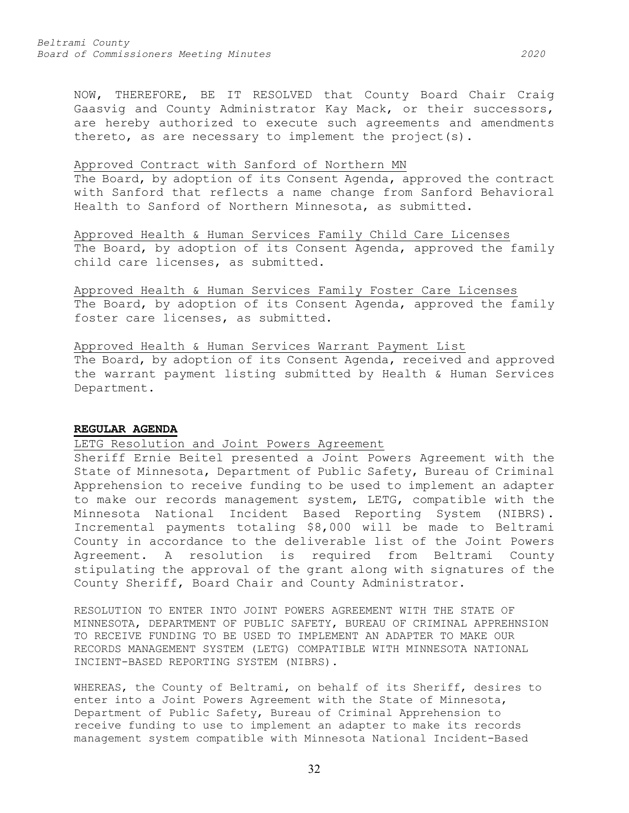NOW, THEREFORE, BE IT RESOLVED that County Board Chair Craig Gaasvig and County Administrator Kay Mack, or their successors, are hereby authorized to execute such agreements and amendments thereto, as are necessary to implement the project(s).

#### Approved Contract with Sanford of Northern MN

The Board, by adoption of its Consent Agenda, approved the contract with Sanford that reflects a name change from Sanford Behavioral Health to Sanford of Northern Minnesota, as submitted.

Approved Health & Human Services Family Child Care Licenses The Board, by adoption of its Consent Agenda, approved the family child care licenses, as submitted.

Approved Health & Human Services Family Foster Care Licenses The Board, by adoption of its Consent Agenda, approved the family foster care licenses, as submitted.

Approved Health & Human Services Warrant Payment List

The Board, by adoption of its Consent Agenda, received and approved the warrant payment listing submitted by Health & Human Services Department.

#### **REGULAR AGENDA**

## LETG Resolution and Joint Powers Agreement

Sheriff Ernie Beitel presented a Joint Powers Agreement with the State of Minnesota, Department of Public Safety, Bureau of Criminal Apprehension to receive funding to be used to implement an adapter to make our records management system, LETG, compatible with the Minnesota National Incident Based Reporting System (NIBRS). Incremental payments totaling \$8,000 will be made to Beltrami County in accordance to the deliverable list of the Joint Powers Agreement. A resolution is required from Beltrami County stipulating the approval of the grant along with signatures of the County Sheriff, Board Chair and County Administrator.

RESOLUTION TO ENTER INTO JOINT POWERS AGREEMENT WITH THE STATE OF MINNESOTA, DEPARTMENT OF PUBLIC SAFETY, BUREAU OF CRIMINAL APPREHNSION TO RECEIVE FUNDING TO BE USED TO IMPLEMENT AN ADAPTER TO MAKE OUR RECORDS MANAGEMENT SYSTEM (LETG) COMPATIBLE WITH MINNESOTA NATIONAL INCIENT-BASED REPORTING SYSTEM (NIBRS).

WHEREAS, the County of Beltrami, on behalf of its Sheriff, desires to enter into a Joint Powers Agreement with the State of Minnesota, Department of Public Safety, Bureau of Criminal Apprehension to receive funding to use to implement an adapter to make its records management system compatible with Minnesota National Incident-Based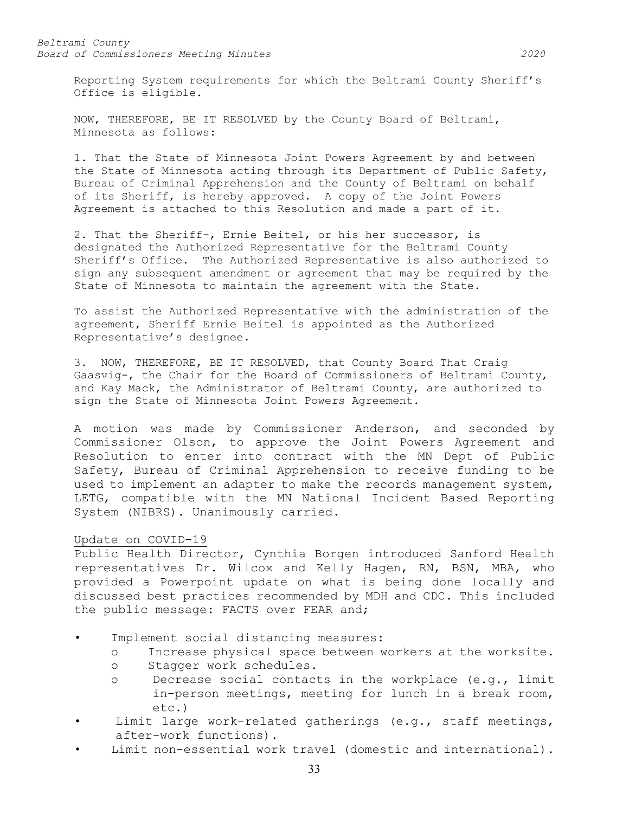Reporting System requirements for which the Beltrami County Sheriff's Office is eligible.

NOW, THEREFORE, BE IT RESOLVED by the County Board of Beltrami, Minnesota as follows:

1. That the State of Minnesota Joint Powers Agreement by and between the State of Minnesota acting through its Department of Public Safety, Bureau of Criminal Apprehension and the County of Beltrami on behalf of its Sheriff, is hereby approved. A copy of the Joint Powers Agreement is attached to this Resolution and made a part of it.

2. That the Sheriff-, Ernie Beitel, or his her successor, is designated the Authorized Representative for the Beltrami County Sheriff's Office. The Authorized Representative is also authorized to sign any subsequent amendment or agreement that may be required by the State of Minnesota to maintain the agreement with the State.

To assist the Authorized Representative with the administration of the agreement, Sheriff Ernie Beitel is appointed as the Authorized Representative's designee.

3. NOW, THEREFORE, BE IT RESOLVED, that County Board That Craig Gaasvig-, the Chair for the Board of Commissioners of Beltrami County, and Kay Mack, the Administrator of Beltrami County, are authorized to sign the State of Minnesota Joint Powers Agreement.

A motion was made by Commissioner Anderson, and seconded by Commissioner Olson, to approve the Joint Powers Agreement and Resolution to enter into contract with the MN Dept of Public Safety, Bureau of Criminal Apprehension to receive funding to be used to implement an adapter to make the records management system, LETG, compatible with the MN National Incident Based Reporting System (NIBRS). Unanimously carried.

#### Update on COVID-19

Public Health Director, Cynthia Borgen introduced Sanford Health representatives Dr. Wilcox and Kelly Hagen, RN, BSN, MBA, who provided a Powerpoint update on what is being done locally and discussed best practices recommended by MDH and CDC. This included the public message: FACTS over FEAR and;

- Implement social distancing measures:
	- o Increase physical space between workers at the worksite.
	- o Stagger work schedules.
	- o Decrease social contacts in the workplace (e.g., limit in-person meetings, meeting for lunch in a break room, etc.)
- Limit large work-related gatherings (e.g., staff meetings, after-work functions).
- Limit non-essential work travel (domestic and international).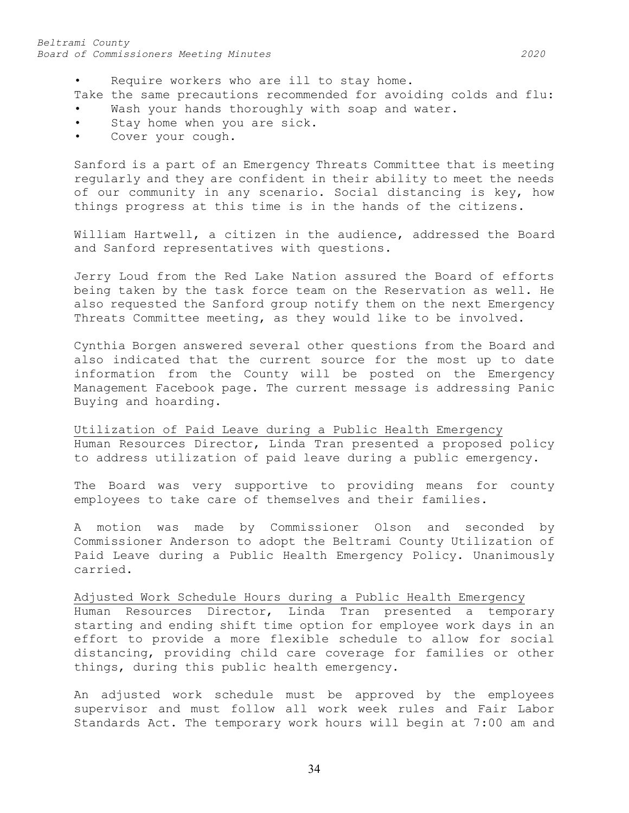#### *Beltrami County Board of Commissioners Meeting Minutes 2020*

- Require workers who are ill to stay home.
- Take the same precautions recommended for avoiding colds and flu:
- Wash your hands thoroughly with soap and water.
- Stay home when you are sick.
- Cover your cough.

Sanford is a part of an Emergency Threats Committee that is meeting regularly and they are confident in their ability to meet the needs of our community in any scenario. Social distancing is key, how things progress at this time is in the hands of the citizens.

William Hartwell, a citizen in the audience, addressed the Board and Sanford representatives with questions.

Jerry Loud from the Red Lake Nation assured the Board of efforts being taken by the task force team on the Reservation as well. He also requested the Sanford group notify them on the next Emergency Threats Committee meeting, as they would like to be involved.

Cynthia Borgen answered several other questions from the Board and also indicated that the current source for the most up to date information from the County will be posted on the Emergency Management Facebook page. The current message is addressing Panic Buying and hoarding.

Utilization of Paid Leave during a Public Health Emergency Human Resources Director, Linda Tran presented a proposed policy to address utilization of paid leave during a public emergency.

The Board was very supportive to providing means for county employees to take care of themselves and their families.

A motion was made by Commissioner Olson and seconded by Commissioner Anderson to adopt the Beltrami County Utilization of Paid Leave during a Public Health Emergency Policy. Unanimously carried.

Adjusted Work Schedule Hours during a Public Health Emergency

Human Resources Director, Linda Tran presented a temporary starting and ending shift time option for employee work days in an effort to provide a more flexible schedule to allow for social distancing, providing child care coverage for families or other things, during this public health emergency.

An adjusted work schedule must be approved by the employees supervisor and must follow all work week rules and Fair Labor Standards Act. The temporary work hours will begin at 7:00 am and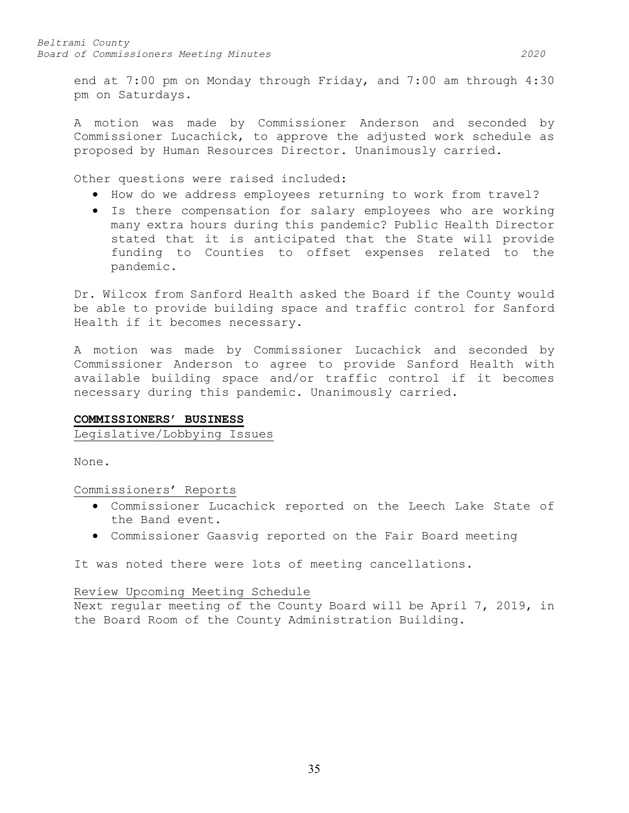end at 7:00 pm on Monday through Friday, and 7:00 am through 4:30 pm on Saturdays.

A motion was made by Commissioner Anderson and seconded by Commissioner Lucachick, to approve the adjusted work schedule as proposed by Human Resources Director. Unanimously carried.

Other questions were raised included:

- How do we address employees returning to work from travel?
- Is there compensation for salary employees who are working many extra hours during this pandemic? Public Health Director stated that it is anticipated that the State will provide funding to Counties to offset expenses related to the pandemic.

Dr. Wilcox from Sanford Health asked the Board if the County would be able to provide building space and traffic control for Sanford Health if it becomes necessary.

A motion was made by Commissioner Lucachick and seconded by Commissioner Anderson to agree to provide Sanford Health with available building space and/or traffic control if it becomes necessary during this pandemic. Unanimously carried.

## **COMMISSIONERS' BUSINESS**

Legislative/Lobbying Issues

None.

Commissioners' Reports

- Commissioner Lucachick reported on the Leech Lake State of the Band event.
- Commissioner Gaasvig reported on the Fair Board meeting

It was noted there were lots of meeting cancellations.

### Review Upcoming Meeting Schedule

Next regular meeting of the County Board will be April 7, 2019, in the Board Room of the County Administration Building.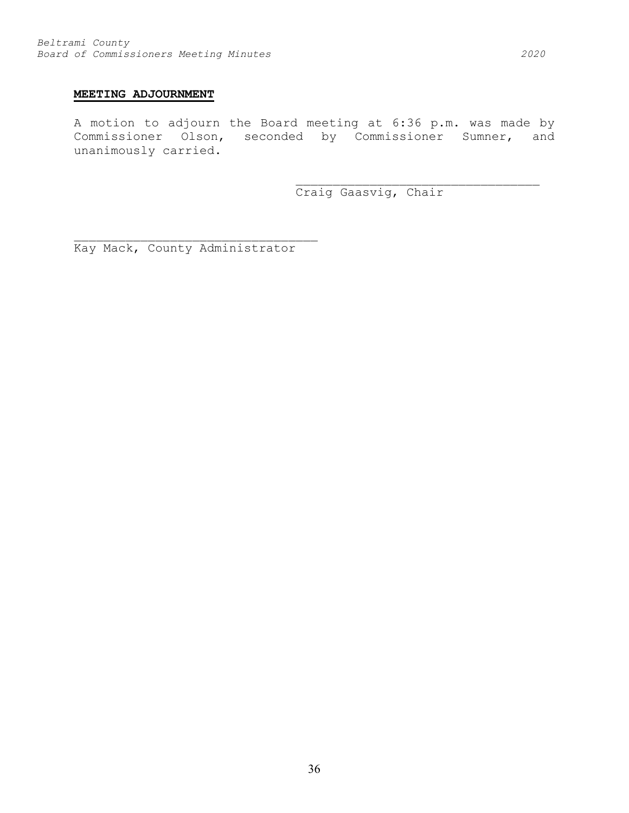## **MEETING ADJOURNMENT**

A motion to adjourn the Board meeting at 6:36 p.m. was made by Commissioner Olson, seconded by Commissioner Sumner, and unanimously carried.

Craig Gaasvig, Chair

\_\_\_\_\_\_\_\_\_\_\_\_\_\_\_\_\_\_\_\_\_\_\_\_\_\_\_\_\_\_\_\_\_

Kay Mack, County Administrator

\_\_\_\_\_\_\_\_\_\_\_\_\_\_\_\_\_\_\_\_\_\_\_\_\_\_\_\_\_\_\_\_\_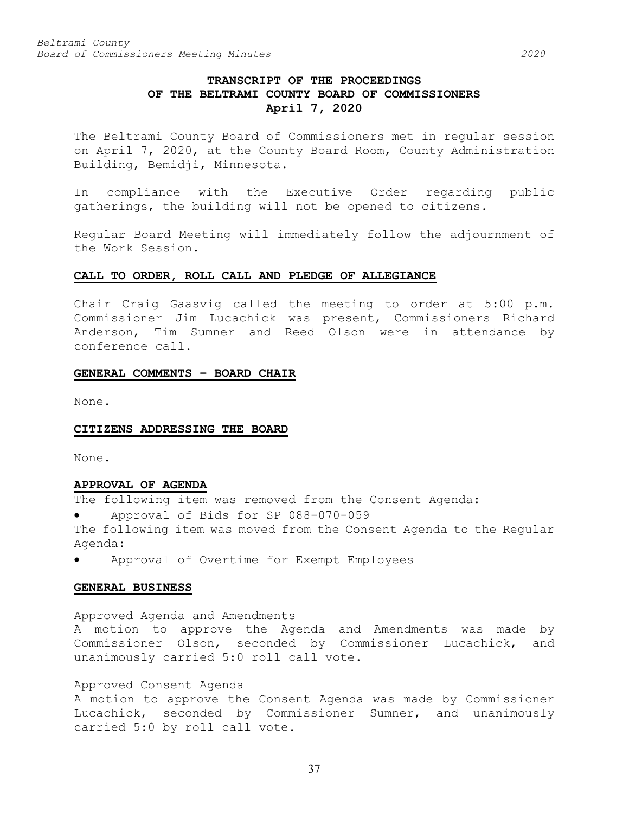# **TRANSCRIPT OF THE PROCEEDINGS OF THE BELTRAMI COUNTY BOARD OF COMMISSIONERS April 7, 2020**

The Beltrami County Board of Commissioners met in regular session on April 7, 2020, at the County Board Room, County Administration Building, Bemidji, Minnesota.

In compliance with the Executive Order regarding public gatherings, the building will not be opened to citizens.

Regular Board Meeting will immediately follow the adjournment of the Work Session.

### **CALL TO ORDER, ROLL CALL AND PLEDGE OF ALLEGIANCE**

Chair Craig Gaasvig called the meeting to order at 5:00 p.m. Commissioner Jim Lucachick was present, Commissioners Richard Anderson, Tim Sumner and Reed Olson were in attendance by conference call.

### **GENERAL COMMENTS – BOARD CHAIR**

None.

### **CITIZENS ADDRESSING THE BOARD**

None.

### **APPROVAL OF AGENDA**

The following item was removed from the Consent Agenda:

• Approval of Bids for SP 088-070-059

The following item was moved from the Consent Agenda to the Regular Agenda:

• Approval of Overtime for Exempt Employees

### **GENERAL BUSINESS**

### Approved Agenda and Amendments

A motion to approve the Agenda and Amendments was made by Commissioner Olson, seconded by Commissioner Lucachick, and unanimously carried 5:0 roll call vote.

### Approved Consent Agenda

A motion to approve the Consent Agenda was made by Commissioner Lucachick, seconded by Commissioner Sumner, and unanimously carried 5:0 by roll call vote.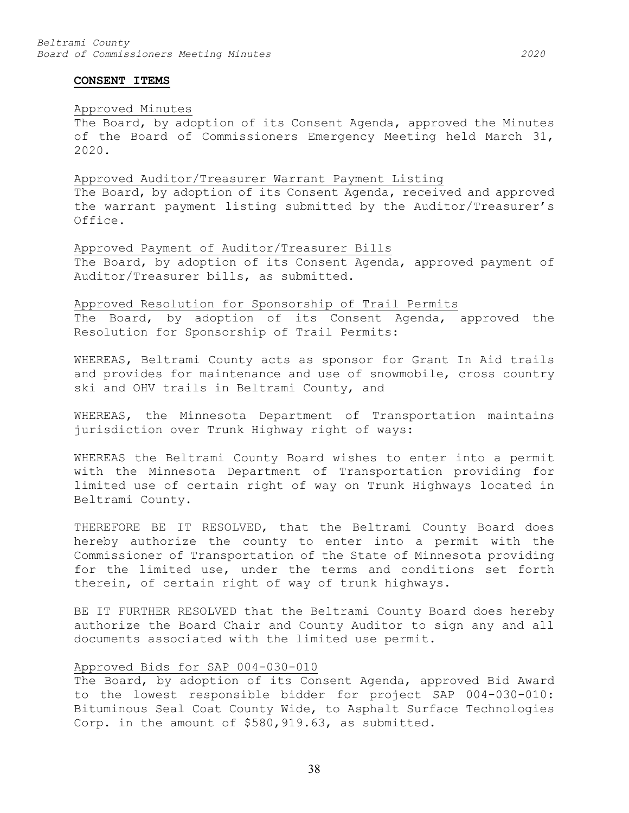#### **CONSENT ITEMS**

# Approved Minutes

The Board, by adoption of its Consent Agenda, approved the Minutes of the Board of Commissioners Emergency Meeting held March 31, 2020.

### Approved Auditor/Treasurer Warrant Payment Listing

The Board, by adoption of its Consent Agenda, received and approved the warrant payment listing submitted by the Auditor/Treasurer's Office.

# Approved Payment of Auditor/Treasurer Bills The Board, by adoption of its Consent Agenda, approved payment of Auditor/Treasurer bills, as submitted.

# Approved Resolution for Sponsorship of Trail Permits

The Board, by adoption of its Consent Agenda, approved the Resolution for Sponsorship of Trail Permits:

WHEREAS, Beltrami County acts as sponsor for Grant In Aid trails and provides for maintenance and use of snowmobile, cross country ski and OHV trails in Beltrami County, and

WHEREAS, the Minnesota Department of Transportation maintains jurisdiction over Trunk Highway right of ways:

WHEREAS the Beltrami County Board wishes to enter into a permit with the Minnesota Department of Transportation providing for limited use of certain right of way on Trunk Highways located in Beltrami County.

THEREFORE BE IT RESOLVED, that the Beltrami County Board does hereby authorize the county to enter into a permit with the Commissioner of Transportation of the State of Minnesota providing for the limited use, under the terms and conditions set forth therein, of certain right of way of trunk highways.

BE IT FURTHER RESOLVED that the Beltrami County Board does hereby authorize the Board Chair and County Auditor to sign any and all documents associated with the limited use permit.

# Approved Bids for SAP 004-030-010

The Board, by adoption of its Consent Agenda, approved Bid Award to the lowest responsible bidder for project SAP 004-030-010: Bituminous Seal Coat County Wide, to Asphalt Surface Technologies Corp. in the amount of \$580,919.63, as submitted.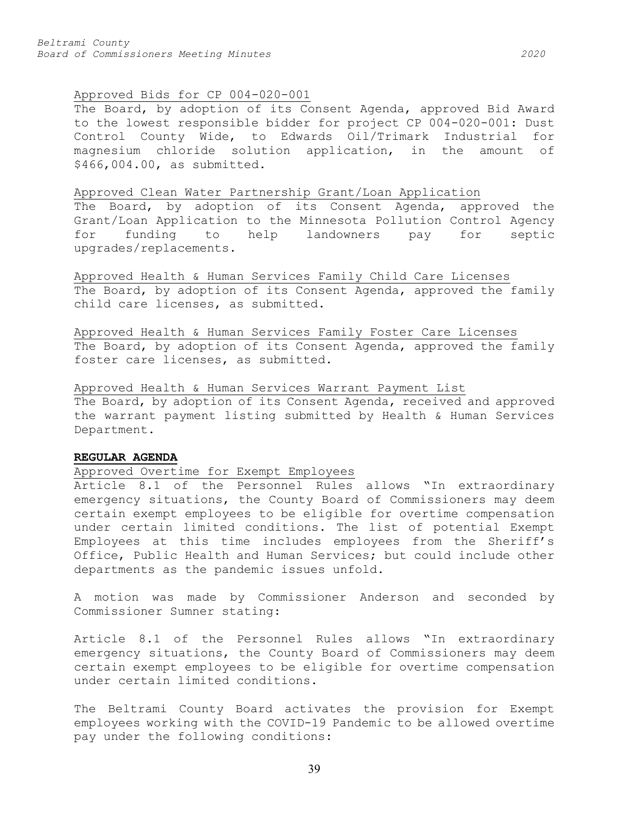# Approved Bids for CP 004-020-001

The Board, by adoption of its Consent Agenda, approved Bid Award to the lowest responsible bidder for project CP 004-020-001: Dust Control County Wide, to Edwards Oil/Trimark Industrial for magnesium chloride solution application, in the amount of \$466,004.00, as submitted.

### Approved Clean Water Partnership Grant/Loan Application

The Board, by adoption of its Consent Agenda, approved the Grant/Loan Application to the Minnesota Pollution Control Agency<br>for funding to help landowners pay for septic for funding to help landowners pay for septic upgrades/replacements.

Approved Health & Human Services Family Child Care Licenses The Board, by adoption of its Consent Agenda, approved the family child care licenses, as submitted.

Approved Health & Human Services Family Foster Care Licenses The Board, by adoption of its Consent Agenda, approved the family foster care licenses, as submitted.

Approved Health & Human Services Warrant Payment List The Board, by adoption of its Consent Agenda, received and approved the warrant payment listing submitted by Health & Human Services Department.

# **REGULAR AGENDA**

# Approved Overtime for Exempt Employees

Article 8.1 of the Personnel Rules allows "In extraordinary emergency situations, the County Board of Commissioners may deem certain exempt employees to be eligible for overtime compensation under certain limited conditions. The list of potential Exempt Employees at this time includes employees from the Sheriff's Office, Public Health and Human Services; but could include other departments as the pandemic issues unfold.

A motion was made by Commissioner Anderson and seconded by Commissioner Sumner stating:

Article 8.1 of the Personnel Rules allows "In extraordinary emergency situations, the County Board of Commissioners may deem certain exempt employees to be eligible for overtime compensation under certain limited conditions.

The Beltrami County Board activates the provision for Exempt employees working with the COVID-19 Pandemic to be allowed overtime pay under the following conditions: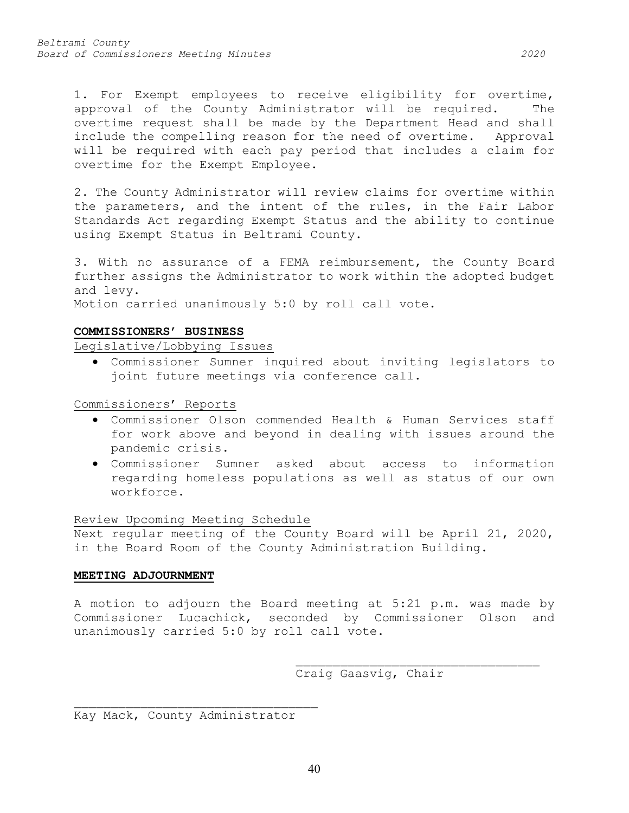1. For Exempt employees to receive eligibility for overtime, approval of the County Administrator will be required. The overtime request shall be made by the Department Head and shall include the compelling reason for the need of overtime. Approval will be required with each pay period that includes a claim for overtime for the Exempt Employee.

2. The County Administrator will review claims for overtime within the parameters, and the intent of the rules, in the Fair Labor Standards Act regarding Exempt Status and the ability to continue using Exempt Status in Beltrami County.

3. With no assurance of a FEMA reimbursement, the County Board further assigns the Administrator to work within the adopted budget and levy.

Motion carried unanimously 5:0 by roll call vote.

# **COMMISSIONERS' BUSINESS**

Legislative/Lobbying Issues

• Commissioner Sumner inquired about inviting legislators to joint future meetings via conference call.

Commissioners' Reports

- Commissioner Olson commended Health & Human Services staff for work above and beyond in dealing with issues around the pandemic crisis.
- Commissioner Sumner asked about access to information regarding homeless populations as well as status of our own workforce.

Review Upcoming Meeting Schedule

Next regular meeting of the County Board will be April 21, 2020, in the Board Room of the County Administration Building.

# **MEETING ADJOURNMENT**

A motion to adjourn the Board meeting at 5:21 p.m. was made by Commissioner Lucachick, seconded by Commissioner Olson and unanimously carried 5:0 by roll call vote.

> \_\_\_\_\_\_\_\_\_\_\_\_\_\_\_\_\_\_\_\_\_\_\_\_\_\_\_\_\_\_\_\_\_ Craig Gaasvig, Chair

\_\_\_\_\_\_\_\_\_\_\_\_\_\_\_\_\_\_\_\_\_\_\_\_\_\_\_\_\_\_\_\_\_ Kay Mack, County Administrator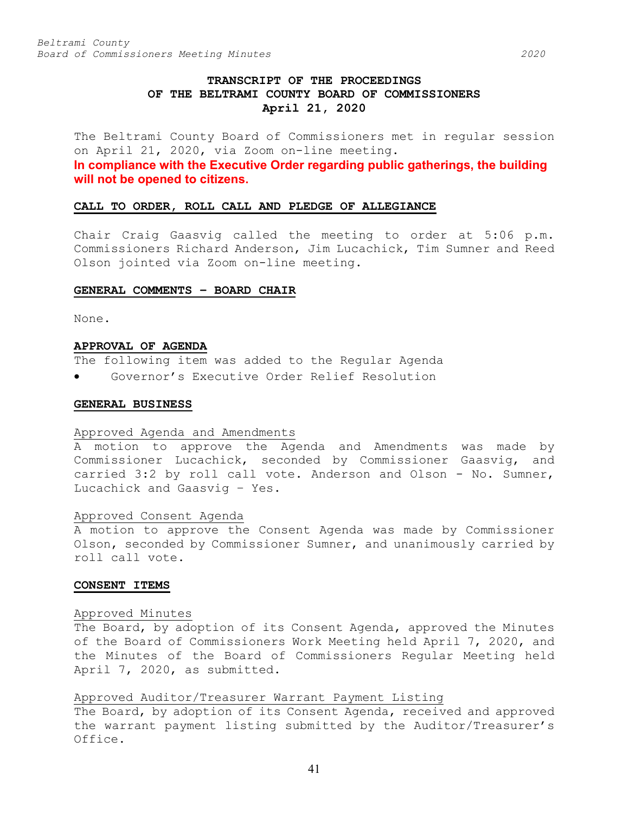# **TRANSCRIPT OF THE PROCEEDINGS OF THE BELTRAMI COUNTY BOARD OF COMMISSIONERS April 21, 2020**

The Beltrami County Board of Commissioners met in regular session on April 21, 2020, via Zoom on-line meeting.

**In compliance with the Executive Order regarding public gatherings, the building will not be opened to citizens.**

### **CALL TO ORDER, ROLL CALL AND PLEDGE OF ALLEGIANCE**

Chair Craig Gaasvig called the meeting to order at 5:06 p.m. Commissioners Richard Anderson, Jim Lucachick, Tim Sumner and Reed Olson jointed via Zoom on-line meeting.

### **GENERAL COMMENTS – BOARD CHAIR**

None.

### **APPROVAL OF AGENDA**

The following item was added to the Regular Agenda

• Governor's Executive Order Relief Resolution

### **GENERAL BUSINESS**

### Approved Agenda and Amendments

A motion to approve the Agenda and Amendments was made by Commissioner Lucachick, seconded by Commissioner Gaasvig, and carried 3:2 by roll call vote. Anderson and Olson - No. Sumner, Lucachick and Gaasvig – Yes.

# Approved Consent Agenda

A motion to approve the Consent Agenda was made by Commissioner Olson, seconded by Commissioner Sumner, and unanimously carried by roll call vote.

### **CONSENT ITEMS**

### Approved Minutes

The Board, by adoption of its Consent Agenda, approved the Minutes of the Board of Commissioners Work Meeting held April 7, 2020, and the Minutes of the Board of Commissioners Regular Meeting held April 7, 2020, as submitted.

# Approved Auditor/Treasurer Warrant Payment Listing

The Board, by adoption of its Consent Agenda, received and approved the warrant payment listing submitted by the Auditor/Treasurer's Office.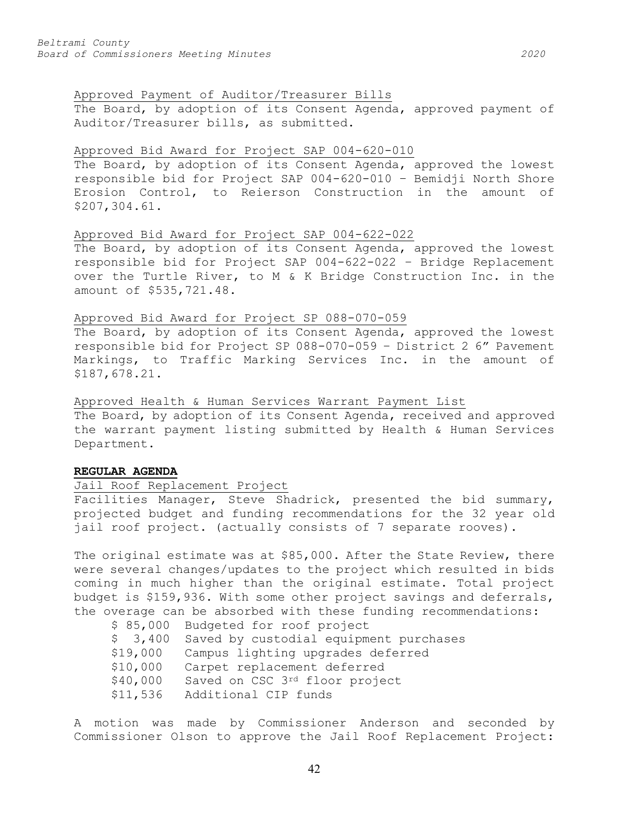# Approved Payment of Auditor/Treasurer Bills

The Board, by adoption of its Consent Agenda, approved payment of Auditor/Treasurer bills, as submitted.

# Approved Bid Award for Project SAP 004-620-010

The Board, by adoption of its Consent Agenda, approved the lowest responsible bid for Project SAP 004-620-010 – Bemidji North Shore Erosion Control, to Reierson Construction in the amount of \$207,304.61.

# Approved Bid Award for Project SAP 004-622-022

The Board, by adoption of its Consent Agenda, approved the lowest responsible bid for Project SAP 004-622-022 – Bridge Replacement over the Turtle River, to M & K Bridge Construction Inc. in the amount of \$535,721.48.

## Approved Bid Award for Project SP 088-070-059

The Board, by adoption of its Consent Agenda, approved the lowest responsible bid for Project SP 088-070-059 – District 2 6" Pavement Markings, to Traffic Marking Services Inc. in the amount of \$187,678.21.

# Approved Health & Human Services Warrant Payment List

The Board, by adoption of its Consent Agenda, received and approved the warrant payment listing submitted by Health & Human Services Department.

### **REGULAR AGENDA**

# Jail Roof Replacement Project

Facilities Manager, Steve Shadrick, presented the bid summary, projected budget and funding recommendations for the 32 year old jail roof project. (actually consists of 7 separate rooves).

The original estimate was at \$85,000. After the State Review, there were several changes/updates to the project which resulted in bids coming in much higher than the original estimate. Total project budget is \$159,936. With some other project savings and deferrals, the overage can be absorbed with these funding recommendations:

|          | \$ 85,000 Budgeted for roof project    |
|----------|----------------------------------------|
| \$3,400  | Saved by custodial equipment purchases |
| \$19,000 | Campus lighting upgrades deferred      |
| \$10,000 | Carpet replacement deferred            |
| \$40,000 | Saved on CSC 3rd floor project         |
| \$11,536 | Additional CIP funds                   |
|          |                                        |

A motion was made by Commissioner Anderson and seconded by Commissioner Olson to approve the Jail Roof Replacement Project:

42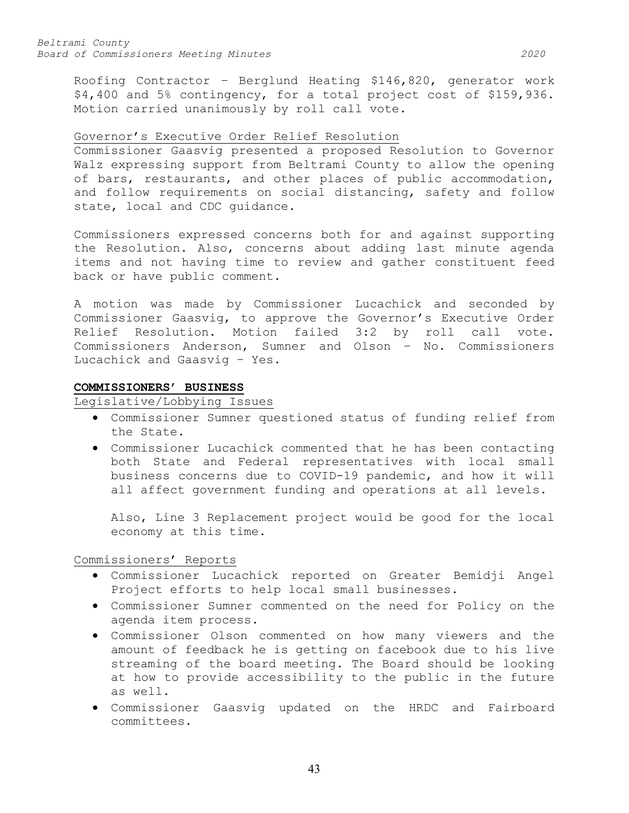Roofing Contractor – Berglund Heating \$146,820, generator work \$4,400 and 5% contingency, for a total project cost of \$159,936. Motion carried unanimously by roll call vote.

# Governor's Executive Order Relief Resolution

Commissioner Gaasvig presented a proposed Resolution to Governor Walz expressing support from Beltrami County to allow the opening of bars, restaurants, and other places of public accommodation, and follow requirements on social distancing, safety and follow state, local and CDC guidance.

Commissioners expressed concerns both for and against supporting the Resolution. Also, concerns about adding last minute agenda items and not having time to review and gather constituent feed back or have public comment.

A motion was made by Commissioner Lucachick and seconded by Commissioner Gaasvig, to approve the Governor's Executive Order Relief Resolution. Motion failed 3:2 by roll call vote. Commissioners Anderson, Sumner and Olson – No. Commissioners Lucachick and Gaasvig – Yes.

# **COMMISSIONERS' BUSINESS**

Legislative/Lobbying Issues

- Commissioner Sumner questioned status of funding relief from the State.
- Commissioner Lucachick commented that he has been contacting both State and Federal representatives with local small business concerns due to COVID-19 pandemic, and how it will all affect government funding and operations at all levels.

Also, Line 3 Replacement project would be good for the local economy at this time.

Commissioners' Reports

- Commissioner Lucachick reported on Greater Bemidji Angel Project efforts to help local small businesses.
- Commissioner Sumner commented on the need for Policy on the agenda item process.
- Commissioner Olson commented on how many viewers and the amount of feedback he is getting on facebook due to his live streaming of the board meeting. The Board should be looking at how to provide accessibility to the public in the future as well.
- Commissioner Gaasvig updated on the HRDC and Fairboard committees.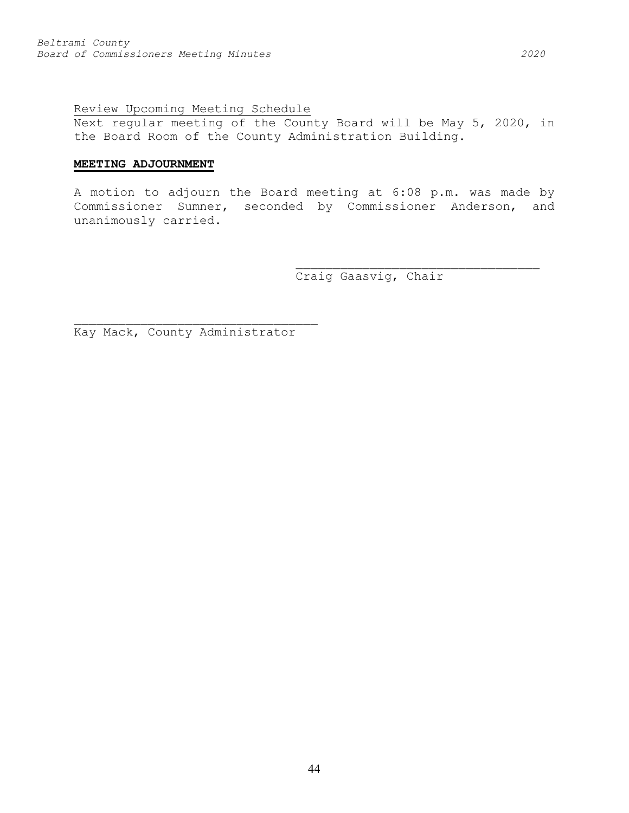# Review Upcoming Meeting Schedule

Next regular meeting of the County Board will be May 5, 2020, in the Board Room of the County Administration Building.

# **MEETING ADJOURNMENT**

A motion to adjourn the Board meeting at 6:08 p.m. was made by Commissioner Sumner, seconded by Commissioner Anderson, and unanimously carried.

Craig Gaasvig, Chair

\_\_\_\_\_\_\_\_\_\_\_\_\_\_\_\_\_\_\_\_\_\_\_\_\_\_\_\_\_\_\_\_\_

Kay Mack, County Administrator

\_\_\_\_\_\_\_\_\_\_\_\_\_\_\_\_\_\_\_\_\_\_\_\_\_\_\_\_\_\_\_\_\_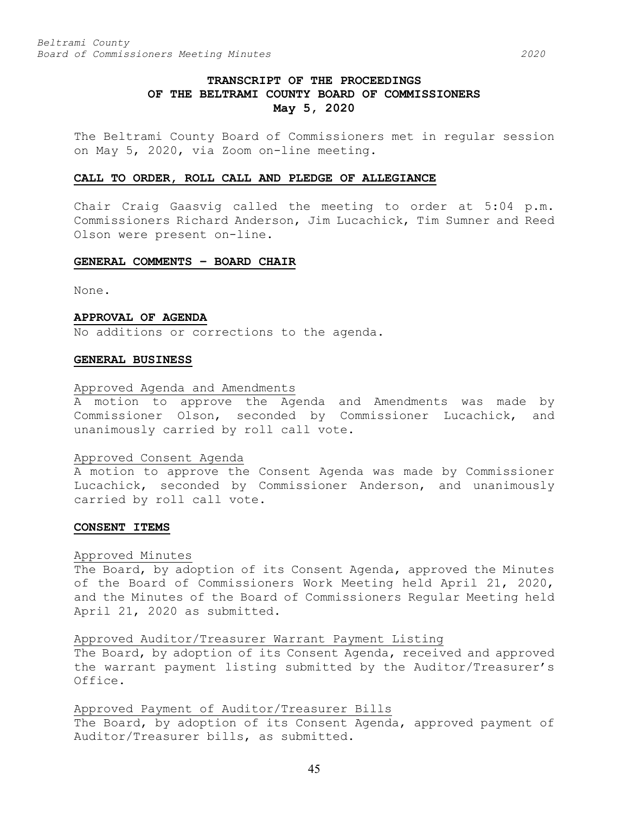# **TRANSCRIPT OF THE PROCEEDINGS OF THE BELTRAMI COUNTY BOARD OF COMMISSIONERS May 5, 2020**

The Beltrami County Board of Commissioners met in regular session on May 5, 2020, via Zoom on-line meeting.

### **CALL TO ORDER, ROLL CALL AND PLEDGE OF ALLEGIANCE**

Chair Craig Gaasvig called the meeting to order at 5:04 p.m. Commissioners Richard Anderson, Jim Lucachick, Tim Sumner and Reed Olson were present on-line.

# **GENERAL COMMENTS – BOARD CHAIR**

None.

### **APPROVAL OF AGENDA**

No additions or corrections to the agenda.

### **GENERAL BUSINESS**

### Approved Agenda and Amendments

A motion to approve the Agenda and Amendments was made by Commissioner Olson, seconded by Commissioner Lucachick, and unanimously carried by roll call vote.

#### Approved Consent Agenda

A motion to approve the Consent Agenda was made by Commissioner Lucachick, seconded by Commissioner Anderson, and unanimously carried by roll call vote.

#### **CONSENT ITEMS**

### Approved Minutes

The Board, by adoption of its Consent Agenda, approved the Minutes of the Board of Commissioners Work Meeting held April 21, 2020, and the Minutes of the Board of Commissioners Regular Meeting held April 21, 2020 as submitted.

### Approved Auditor/Treasurer Warrant Payment Listing

The Board, by adoption of its Consent Agenda, received and approved the warrant payment listing submitted by the Auditor/Treasurer's Office.

# Approved Payment of Auditor/Treasurer Bills

The Board, by adoption of its Consent Agenda, approved payment of Auditor/Treasurer bills, as submitted.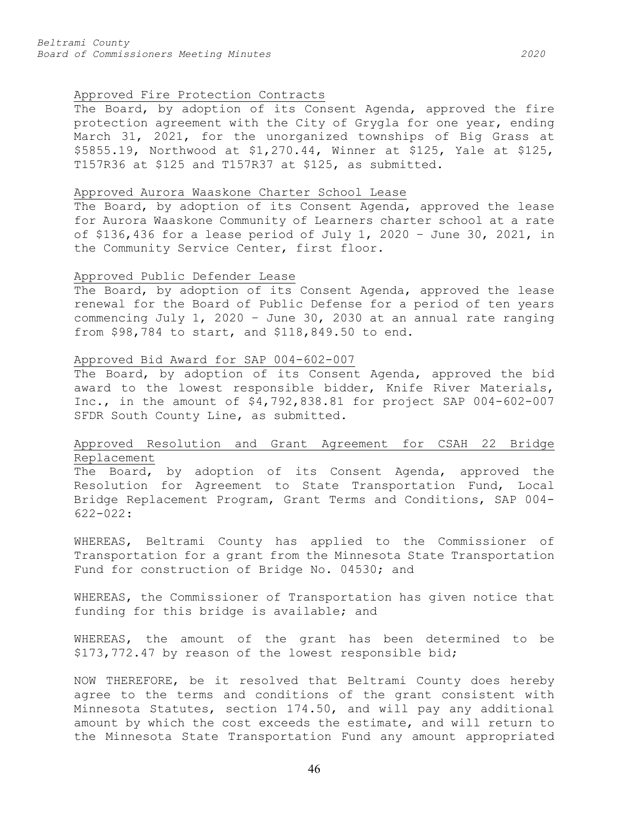# Approved Fire Protection Contracts

The Board, by adoption of its Consent Agenda, approved the fire protection agreement with the City of Grygla for one year, ending March 31, 2021, for the unorganized townships of Big Grass at \$5855.19, Northwood at \$1,270.44, Winner at \$125, Yale at \$125, T157R36 at \$125 and T157R37 at \$125, as submitted.

### Approved Aurora Waaskone Charter School Lease

The Board, by adoption of its Consent Agenda, approved the lease for Aurora Waaskone Community of Learners charter school at a rate of \$136,436 for a lease period of July 1, 2020 – June 30, 2021, in the Community Service Center, first floor.

### Approved Public Defender Lease

The Board, by adoption of its Consent Agenda, approved the lease renewal for the Board of Public Defense for a period of ten years commencing July 1, 2020 – June 30, 2030 at an annual rate ranging from \$98,784 to start, and \$118,849.50 to end.

### Approved Bid Award for SAP 004-602-007

The Board, by adoption of its Consent Agenda, approved the bid award to the lowest responsible bidder, Knife River Materials, Inc., in the amount of \$4,792,838.81 for project SAP 004-602-007 SFDR South County Line, as submitted.

# Approved Resolution and Grant Agreement for CSAH 22 Bridge Replacement

The Board, by adoption of its Consent Agenda, approved the Resolution for Agreement to State Transportation Fund, Local Bridge Replacement Program, Grant Terms and Conditions, SAP 004- 622-022:

WHEREAS, Beltrami County has applied to the Commissioner of Transportation for a grant from the Minnesota State Transportation Fund for construction of Bridge No. 04530; and

WHEREAS, the Commissioner of Transportation has given notice that funding for this bridge is available; and

WHEREAS, the amount of the grant has been determined to be \$173,772.47 by reason of the lowest responsible bid;

NOW THEREFORE, be it resolved that Beltrami County does hereby agree to the terms and conditions of the grant consistent with Minnesota Statutes, section 174.50, and will pay any additional amount by which the cost exceeds the estimate, and will return to the Minnesota State Transportation Fund any amount appropriated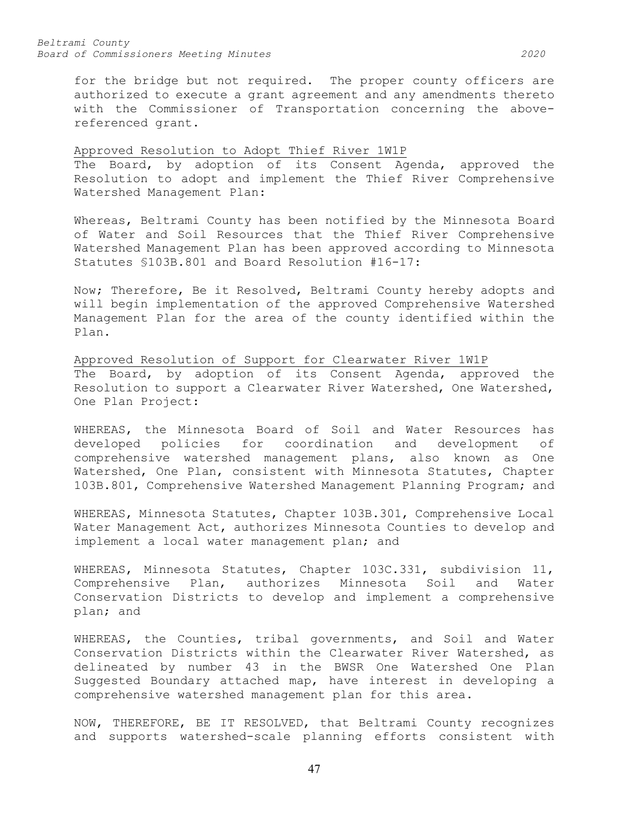for the bridge but not required. The proper county officers are authorized to execute a grant agreement and any amendments thereto with the Commissioner of Transportation concerning the abovereferenced grant.

# Approved Resolution to Adopt Thief River 1W1P

The Board, by adoption of its Consent Agenda, approved the Resolution to adopt and implement the Thief River Comprehensive Watershed Management Plan:

Whereas, Beltrami County has been notified by the Minnesota Board of Water and Soil Resources that the Thief River Comprehensive Watershed Management Plan has been approved according to Minnesota Statutes §103B.801 and Board Resolution #16-17:

Now; Therefore, Be it Resolved, Beltrami County hereby adopts and will begin implementation of the approved Comprehensive Watershed Management Plan for the area of the county identified within the Plan.

Approved Resolution of Support for Clearwater River 1W1P The Board, by adoption of its Consent Agenda, approved the Resolution to support a Clearwater River Watershed, One Watershed, One Plan Project:

WHEREAS, the Minnesota Board of Soil and Water Resources has developed policies for coordination and development of comprehensive watershed management plans, also known as One Watershed, One Plan, consistent with Minnesota Statutes, Chapter 103B.801, Comprehensive Watershed Management Planning Program; and

WHEREAS, Minnesota Statutes, Chapter 103B.301, Comprehensive Local Water Management Act, authorizes Minnesota Counties to develop and implement a local water management plan; and

WHEREAS, Minnesota Statutes, Chapter 103C.331, subdivision 11, Comprehensive Plan, authorizes Minnesota Soil and Water Conservation Districts to develop and implement a comprehensive plan; and

WHEREAS, the Counties, tribal governments, and Soil and Water Conservation Districts within the Clearwater River Watershed, as delineated by number 43 in the BWSR One Watershed One Plan Suggested Boundary attached map, have interest in developing a comprehensive watershed management plan for this area.

NOW, THEREFORE, BE IT RESOLVED, that Beltrami County recognizes and supports watershed-scale planning efforts consistent with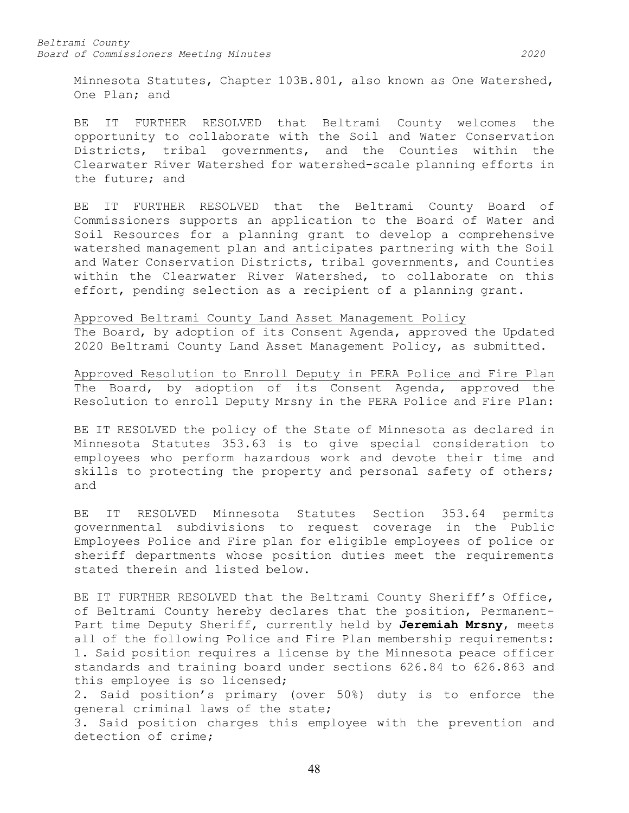Minnesota Statutes, Chapter 103B.801, also known as One Watershed, One Plan; and

BE IT FURTHER RESOLVED that Beltrami County welcomes the opportunity to collaborate with the Soil and Water Conservation Districts, tribal governments, and the Counties within the Clearwater River Watershed for watershed-scale planning efforts in the future; and

BE IT FURTHER RESOLVED that the Beltrami County Board of Commissioners supports an application to the Board of Water and Soil Resources for a planning grant to develop a comprehensive watershed management plan and anticipates partnering with the Soil and Water Conservation Districts, tribal governments, and Counties within the Clearwater River Watershed, to collaborate on this effort, pending selection as a recipient of a planning grant.

Approved Beltrami County Land Asset Management Policy The Board, by adoption of its Consent Agenda, approved the Updated 2020 Beltrami County Land Asset Management Policy, as submitted.

Approved Resolution to Enroll Deputy in PERA Police and Fire Plan The Board, by adoption of its Consent Agenda, approved the Resolution to enroll Deputy Mrsny in the PERA Police and Fire Plan:

BE IT RESOLVED the policy of the State of Minnesota as declared in Minnesota Statutes 353.63 is to give special consideration to employees who perform hazardous work and devote their time and skills to protecting the property and personal safety of others; and

BE IT RESOLVED Minnesota Statutes Section 353.64 permits governmental subdivisions to request coverage in the Public Employees Police and Fire plan for eligible employees of police or sheriff departments whose position duties meet the requirements stated therein and listed below.

BE IT FURTHER RESOLVED that the Beltrami County Sheriff's Office, of Beltrami County hereby declares that the position, Permanent-Part time Deputy Sheriff, currently held by **Jeremiah Mrsny**, meets all of the following Police and Fire Plan membership requirements: 1. Said position requires a license by the Minnesota peace officer standards and training board under sections 626.84 to 626.863 and this employee is so licensed;

2. Said position's primary (over 50%) duty is to enforce the general criminal laws of the state;

3. Said position charges this employee with the prevention and detection of crime;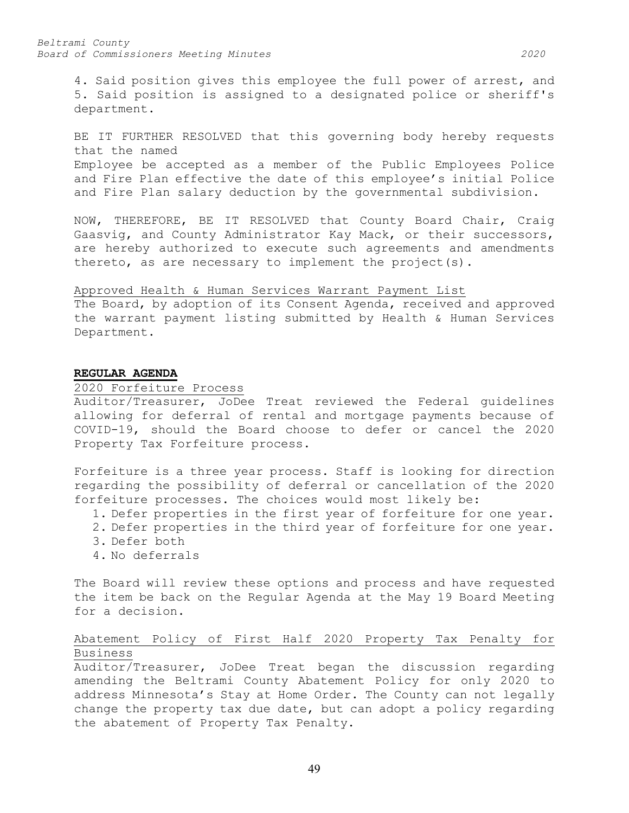4. Said position gives this employee the full power of arrest, and 5. Said position is assigned to a designated police or sheriff's department.

BE IT FURTHER RESOLVED that this governing body hereby requests that the named Employee be accepted as a member of the Public Employees Police and Fire Plan effective the date of this employee's initial Police and Fire Plan salary deduction by the governmental subdivision.

NOW, THEREFORE, BE IT RESOLVED that County Board Chair, Craig Gaasvig, and County Administrator Kay Mack, or their successors, are hereby authorized to execute such agreements and amendments thereto, as are necessary to implement the project(s).

# Approved Health & Human Services Warrant Payment List The Board, by adoption of its Consent Agenda, received and approved

the warrant payment listing submitted by Health & Human Services Department.

# **REGULAR AGENDA**

### 2020 Forfeiture Process

Auditor/Treasurer, JoDee Treat reviewed the Federal guidelines allowing for deferral of rental and mortgage payments because of COVID-19, should the Board choose to defer or cancel the 2020 Property Tax Forfeiture process.

Forfeiture is a three year process. Staff is looking for direction regarding the possibility of deferral or cancellation of the 2020 forfeiture processes. The choices would most likely be:

- 1. Defer properties in the first year of forfeiture for one year.
- 2. Defer properties in the third year of forfeiture for one year.
- 3. Defer both
- 4. No deferrals

The Board will review these options and process and have requested the item be back on the Regular Agenda at the May 19 Board Meeting for a decision.

# Abatement Policy of First Half 2020 Property Tax Penalty for Business

Auditor/Treasurer, JoDee Treat began the discussion regarding amending the Beltrami County Abatement Policy for only 2020 to address Minnesota's Stay at Home Order. The County can not legally change the property tax due date, but can adopt a policy regarding the abatement of Property Tax Penalty.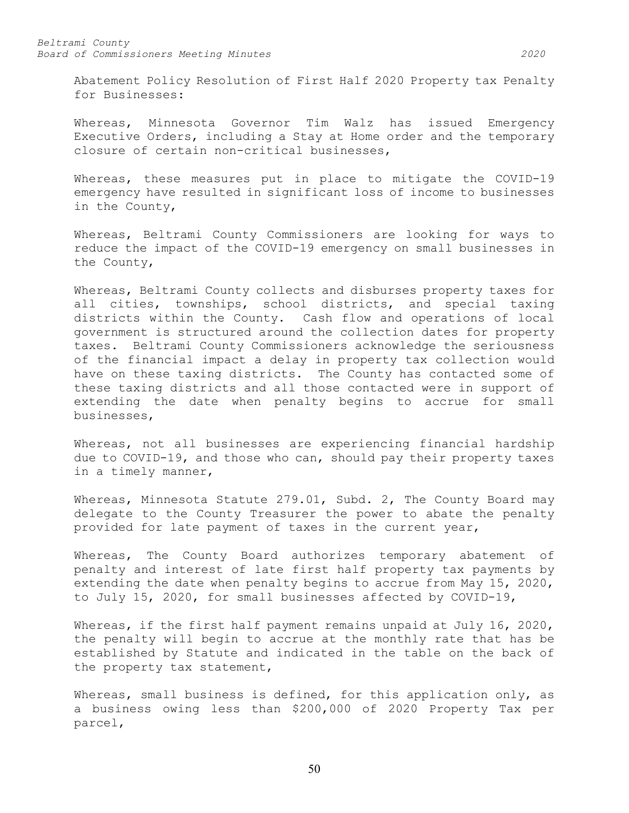Abatement Policy Resolution of First Half 2020 Property tax Penalty for Businesses:

Whereas, Minnesota Governor Tim Walz has issued Emergency Executive Orders, including a Stay at Home order and the temporary closure of certain non-critical businesses,

Whereas, these measures put in place to mitigate the COVID-19 emergency have resulted in significant loss of income to businesses in the County,

Whereas, Beltrami County Commissioners are looking for ways to reduce the impact of the COVID-19 emergency on small businesses in the County,

Whereas, Beltrami County collects and disburses property taxes for all cities, townships, school districts, and special taxing districts within the County. Cash flow and operations of local government is structured around the collection dates for property taxes. Beltrami County Commissioners acknowledge the seriousness of the financial impact a delay in property tax collection would have on these taxing districts. The County has contacted some of these taxing districts and all those contacted were in support of extending the date when penalty begins to accrue for small businesses,

Whereas, not all businesses are experiencing financial hardship due to COVID-19, and those who can, should pay their property taxes in a timely manner,

Whereas, Minnesota Statute 279.01, Subd. 2, The County Board may delegate to the County Treasurer the power to abate the penalty provided for late payment of taxes in the current year,

Whereas, The County Board authorizes temporary abatement of penalty and interest of late first half property tax payments by extending the date when penalty begins to accrue from May 15, 2020, to July 15, 2020, for small businesses affected by COVID-19,

Whereas, if the first half payment remains unpaid at July 16, 2020, the penalty will begin to accrue at the monthly rate that has be established by Statute and indicated in the table on the back of the property tax statement,

Whereas, small business is defined, for this application only, as a business owing less than \$200,000 of 2020 Property Tax per parcel,

50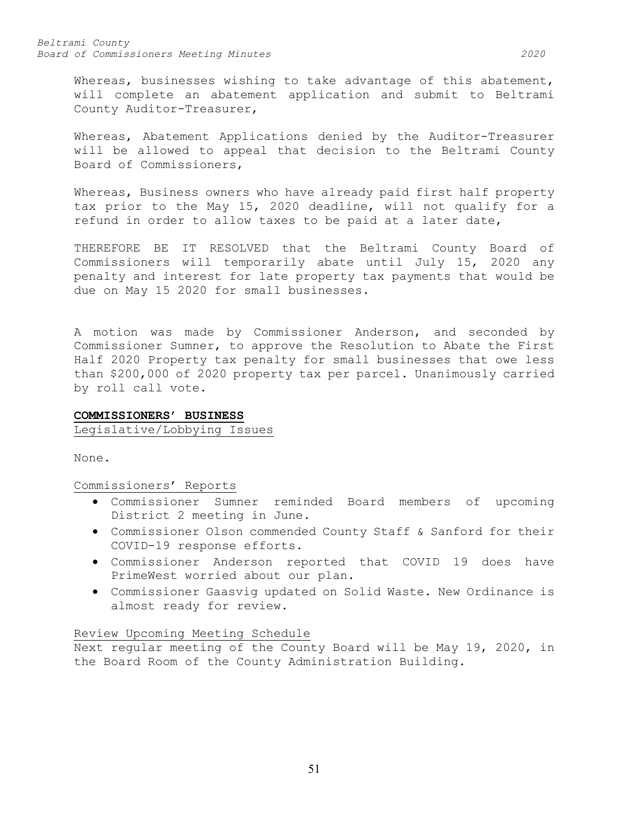Whereas, businesses wishing to take advantage of this abatement, will complete an abatement application and submit to Beltrami County Auditor-Treasurer,

Whereas, Abatement Applications denied by the Auditor-Treasurer will be allowed to appeal that decision to the Beltrami County Board of Commissioners,

Whereas, Business owners who have already paid first half property tax prior to the May 15, 2020 deadline, will not qualify for a refund in order to allow taxes to be paid at a later date,

THEREFORE BE IT RESOLVED that the Beltrami County Board of Commissioners will temporarily abate until July 15, 2020 any penalty and interest for late property tax payments that would be due on May 15 2020 for small businesses.

A motion was made by Commissioner Anderson, and seconded by Commissioner Sumner, to approve the Resolution to Abate the First Half 2020 Property tax penalty for small businesses that owe less than \$200,000 of 2020 property tax per parcel. Unanimously carried by roll call vote.

#### **COMMISSIONERS' BUSINESS**

Legislative/Lobbying Issues

None.

Commissioners' Reports

- Commissioner Sumner reminded Board members of upcoming District 2 meeting in June.
- Commissioner Olson commended County Staff & Sanford for their COVID-19 response efforts.
- Commissioner Anderson reported that COVID 19 does have PrimeWest worried about our plan.
- Commissioner Gaasvig updated on Solid Waste. New Ordinance is almost ready for review.

# Review Upcoming Meeting Schedule

Next regular meeting of the County Board will be May 19, 2020, in the Board Room of the County Administration Building.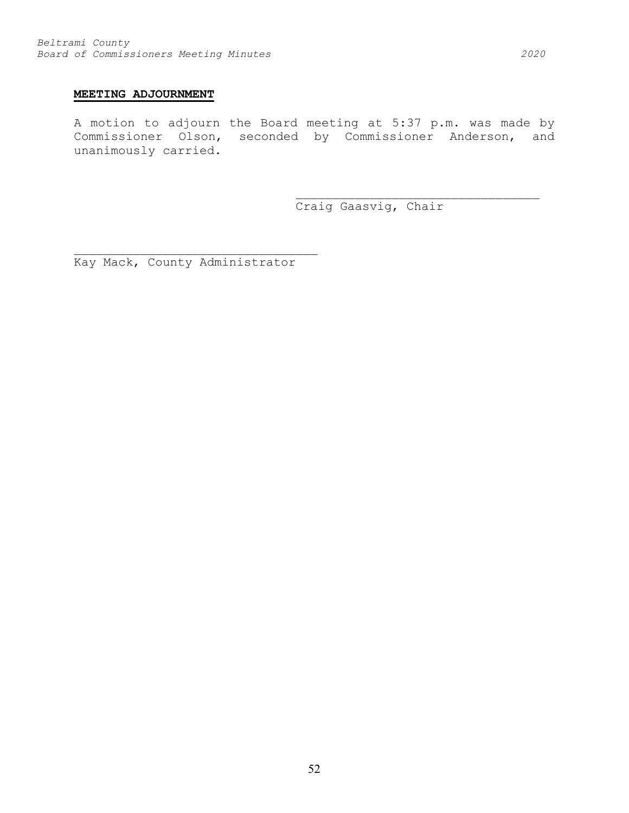# **MEETING ADJOURNMENT**

A motion to adjourn the Board meeting at 5:37 p.m. was made by Commissioner Olson, seconded by Commissioner Anderson, and unanimously carried.

Craig Gaasvig, Chair

\_\_\_\_\_\_\_\_\_\_\_\_\_\_\_\_\_\_\_\_\_\_\_\_\_\_\_\_\_\_\_\_\_

Kay Mack, County Administrator

\_\_\_\_\_\_\_\_\_\_\_\_\_\_\_\_\_\_\_\_\_\_\_\_\_\_\_\_\_\_\_\_\_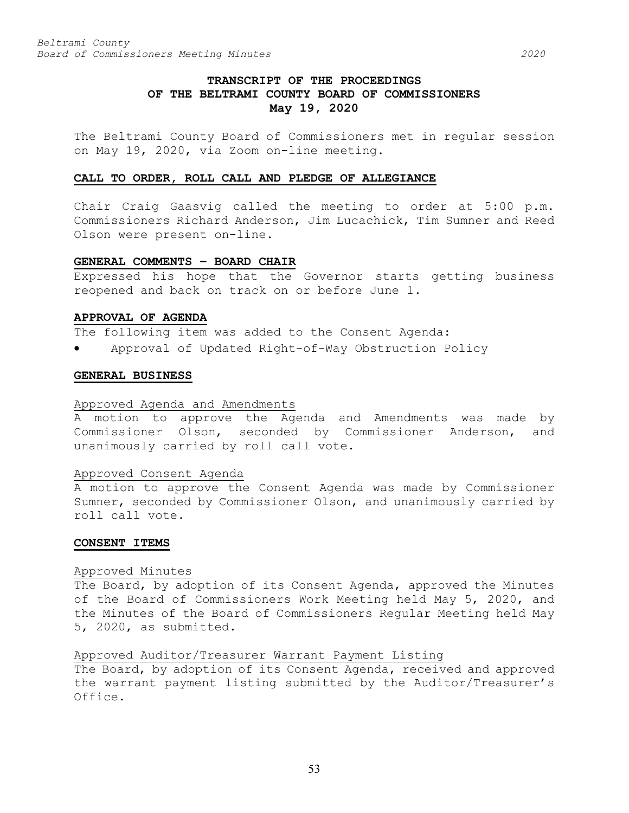# **TRANSCRIPT OF THE PROCEEDINGS OF THE BELTRAMI COUNTY BOARD OF COMMISSIONERS May 19, 2020**

The Beltrami County Board of Commissioners met in regular session on May 19, 2020, via Zoom on-line meeting.

### **CALL TO ORDER, ROLL CALL AND PLEDGE OF ALLEGIANCE**

Chair Craig Gaasvig called the meeting to order at 5:00 p.m. Commissioners Richard Anderson, Jim Lucachick, Tim Sumner and Reed Olson were present on-line.

### **GENERAL COMMENTS – BOARD CHAIR**

Expressed his hope that the Governor starts getting business reopened and back on track on or before June 1.

### **APPROVAL OF AGENDA**

The following item was added to the Consent Agenda:

• Approval of Updated Right-of-Way Obstruction Policy

### **GENERAL BUSINESS**

### Approved Agenda and Amendments

A motion to approve the Agenda and Amendments was made by Commissioner Olson, seconded by Commissioner Anderson, and unanimously carried by roll call vote.

### Approved Consent Agenda

A motion to approve the Consent Agenda was made by Commissioner Sumner, seconded by Commissioner Olson, and unanimously carried by roll call vote.

### **CONSENT ITEMS**

### Approved Minutes

The Board, by adoption of its Consent Agenda, approved the Minutes of the Board of Commissioners Work Meeting held May 5, 2020, and the Minutes of the Board of Commissioners Regular Meeting held May 5, 2020, as submitted.

# Approved Auditor/Treasurer Warrant Payment Listing

The Board, by adoption of its Consent Agenda, received and approved the warrant payment listing submitted by the Auditor/Treasurer's Office.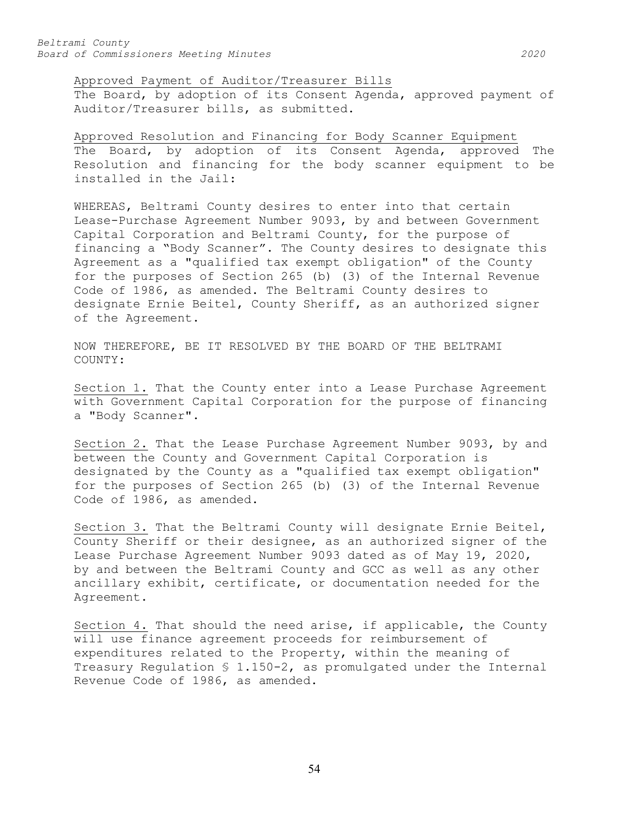Approved Payment of Auditor/Treasurer Bills

The Board, by adoption of its Consent Agenda, approved payment of Auditor/Treasurer bills, as submitted.

Approved Resolution and Financing for Body Scanner Equipment The Board, by adoption of its Consent Agenda, approved The Resolution and financing for the body scanner equipment to be installed in the Jail:

WHEREAS, Beltrami County desires to enter into that certain Lease-Purchase Agreement Number 9093, by and between Government Capital Corporation and Beltrami County, for the purpose of financing a "Body Scanner". The County desires to designate this Agreement as a "qualified tax exempt obligation" of the County for the purposes of Section 265 (b) (3) of the Internal Revenue Code of 1986, as amended. The Beltrami County desires to designate Ernie Beitel, County Sheriff, as an authorized signer of the Agreement.

NOW THEREFORE, BE IT RESOLVED BY THE BOARD OF THE BELTRAMI COUNTY:

Section 1. That the County enter into a Lease Purchase Agreement with Government Capital Corporation for the purpose of financing a "Body Scanner".

Section 2. That the Lease Purchase Agreement Number 9093, by and between the County and Government Capital Corporation is designated by the County as a "qualified tax exempt obligation" for the purposes of Section 265 (b) (3) of the Internal Revenue Code of 1986, as amended.

Section 3. That the Beltrami County will designate Ernie Beitel, County Sheriff or their designee, as an authorized signer of the Lease Purchase Agreement Number 9093 dated as of May 19, 2020, by and between the Beltrami County and GCC as well as any other ancillary exhibit, certificate, or documentation needed for the Agreement.

Section 4. That should the need arise, if applicable, the County will use finance agreement proceeds for reimbursement of expenditures related to the Property, within the meaning of Treasury Regulation § 1.150-2, as promulgated under the Internal Revenue Code of 1986, as amended.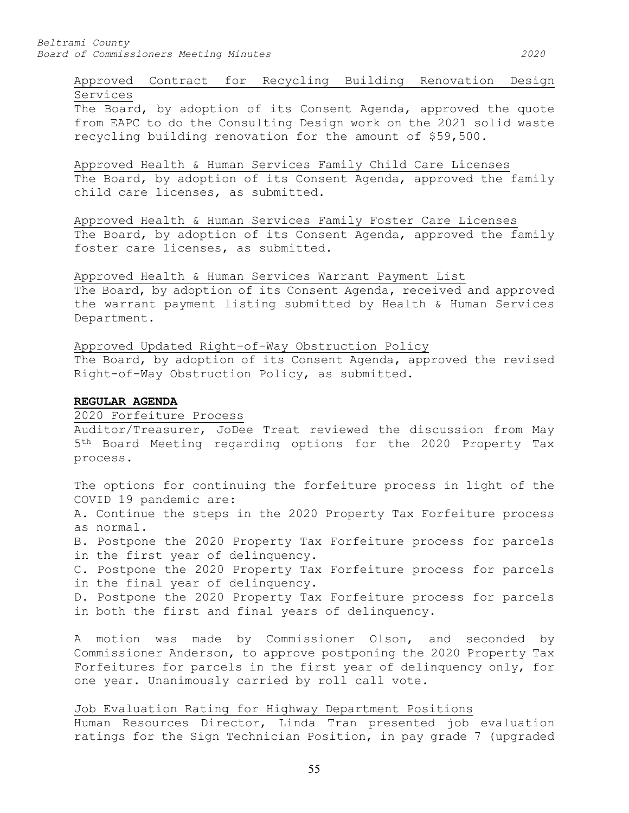# Approved Contract for Recycling Building Renovation Design Services

The Board, by adoption of its Consent Agenda, approved the quote from EAPC to do the Consulting Design work on the 2021 solid waste recycling building renovation for the amount of \$59,500.

Approved Health & Human Services Family Child Care Licenses The Board, by adoption of its Consent Agenda, approved the family child care licenses, as submitted.

Approved Health & Human Services Family Foster Care Licenses The Board, by adoption of its Consent Agenda, approved the family foster care licenses, as submitted.

Approved Health & Human Services Warrant Payment List

The Board, by adoption of its Consent Agenda, received and approved the warrant payment listing submitted by Health & Human Services Department.

Approved Updated Right-of-Way Obstruction Policy The Board, by adoption of its Consent Agenda, approved the revised Right-of-Way Obstruction Policy, as submitted.

## **REGULAR AGENDA**

2020 Forfeiture Process

Auditor/Treasurer, JoDee Treat reviewed the discussion from May 5th Board Meeting regarding options for the 2020 Property Tax process.

The options for continuing the forfeiture process in light of the COVID 19 pandemic are:

A. Continue the steps in the 2020 Property Tax Forfeiture process as normal.

B. Postpone the 2020 Property Tax Forfeiture process for parcels in the first year of delinquency.

C. Postpone the 2020 Property Tax Forfeiture process for parcels in the final year of delinquency.

D. Postpone the 2020 Property Tax Forfeiture process for parcels in both the first and final years of delinquency.

A motion was made by Commissioner Olson, and seconded by Commissioner Anderson, to approve postponing the 2020 Property Tax Forfeitures for parcels in the first year of delinquency only, for one year. Unanimously carried by roll call vote.

Job Evaluation Rating for Highway Department Positions Human Resources Director, Linda Tran presented job evaluation ratings for the Sign Technician Position, in pay grade 7 (upgraded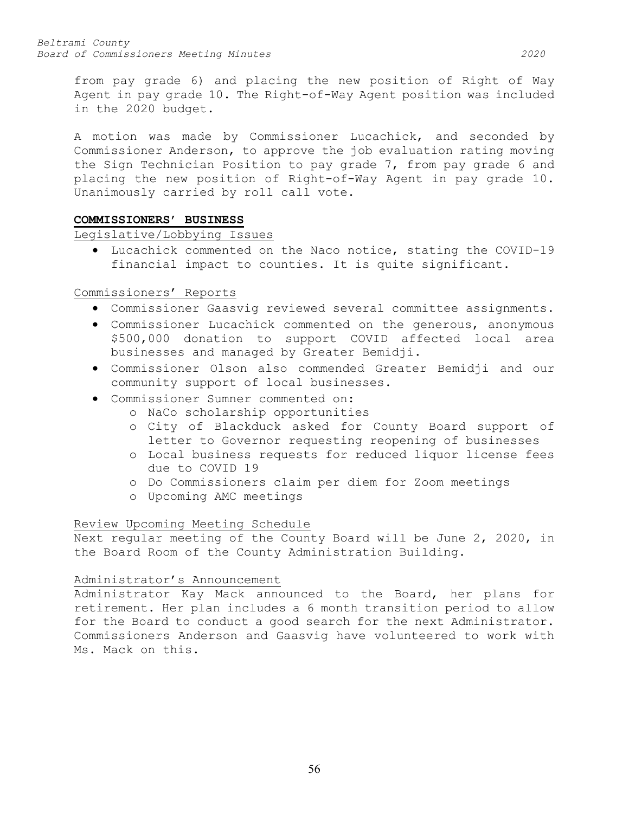from pay grade 6) and placing the new position of Right of Way Agent in pay grade 10. The Right-of-Way Agent position was included in the 2020 budget.

A motion was made by Commissioner Lucachick, and seconded by Commissioner Anderson, to approve the job evaluation rating moving the Sign Technician Position to pay grade 7, from pay grade 6 and placing the new position of Right-of-Way Agent in pay grade 10. Unanimously carried by roll call vote.

# **COMMISSIONERS' BUSINESS**

Legislative/Lobbying Issues

• Lucachick commented on the Naco notice, stating the COVID-19 financial impact to counties. It is quite significant.

# Commissioners' Reports

- Commissioner Gaasvig reviewed several committee assignments.
- Commissioner Lucachick commented on the generous, anonymous \$500,000 donation to support COVID affected local area businesses and managed by Greater Bemidji.
- Commissioner Olson also commended Greater Bemidji and our community support of local businesses.
- Commissioner Sumner commented on:
	- o NaCo scholarship opportunities
	- o City of Blackduck asked for County Board support of letter to Governor requesting reopening of businesses
	- o Local business requests for reduced liquor license fees due to COVID 19
	- o Do Commissioners claim per diem for Zoom meetings
	- o Upcoming AMC meetings

# Review Upcoming Meeting Schedule

Next regular meeting of the County Board will be June 2, 2020, in the Board Room of the County Administration Building.

# Administrator's Announcement

Administrator Kay Mack announced to the Board, her plans for retirement. Her plan includes a 6 month transition period to allow for the Board to conduct a good search for the next Administrator. Commissioners Anderson and Gaasvig have volunteered to work with Ms. Mack on this.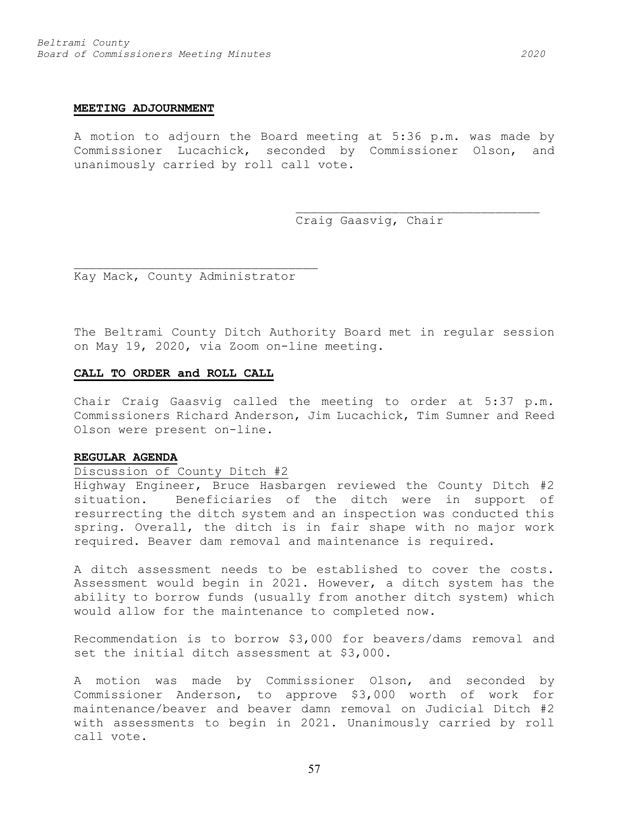### **MEETING ADJOURNMENT**

A motion to adjourn the Board meeting at 5:36 p.m. was made by Commissioner Lucachick, seconded by Commissioner Olson, and unanimously carried by roll call vote.

Craig Gaasvig, Chair

\_\_\_\_\_\_\_\_\_\_\_\_\_\_\_\_\_\_\_\_\_\_\_\_\_\_\_\_\_\_\_\_\_

Kay Mack, County Administrator

\_\_\_\_\_\_\_\_\_\_\_\_\_\_\_\_\_\_\_\_\_\_\_\_\_\_\_\_\_\_\_\_\_

The Beltrami County Ditch Authority Board met in regular session on May 19, 2020, via Zoom on-line meeting.

### **CALL TO ORDER and ROLL CALL**

Chair Craig Gaasvig called the meeting to order at 5:37 p.m. Commissioners Richard Anderson, Jim Lucachick, Tim Sumner and Reed Olson were present on-line.

### **REGULAR AGENDA**

# Discussion of County Ditch #2

Highway Engineer, Bruce Hasbargen reviewed the County Ditch #2 situation. Beneficiaries of the ditch were in support of resurrecting the ditch system and an inspection was conducted this spring. Overall, the ditch is in fair shape with no major work required. Beaver dam removal and maintenance is required.

A ditch assessment needs to be established to cover the costs. Assessment would begin in 2021. However, a ditch system has the ability to borrow funds (usually from another ditch system) which would allow for the maintenance to completed now.

Recommendation is to borrow \$3,000 for beavers/dams removal and set the initial ditch assessment at \$3,000.

A motion was made by Commissioner Olson, and seconded by Commissioner Anderson, to approve \$3,000 worth of work for maintenance/beaver and beaver damn removal on Judicial Ditch #2 with assessments to begin in 2021. Unanimously carried by roll call vote.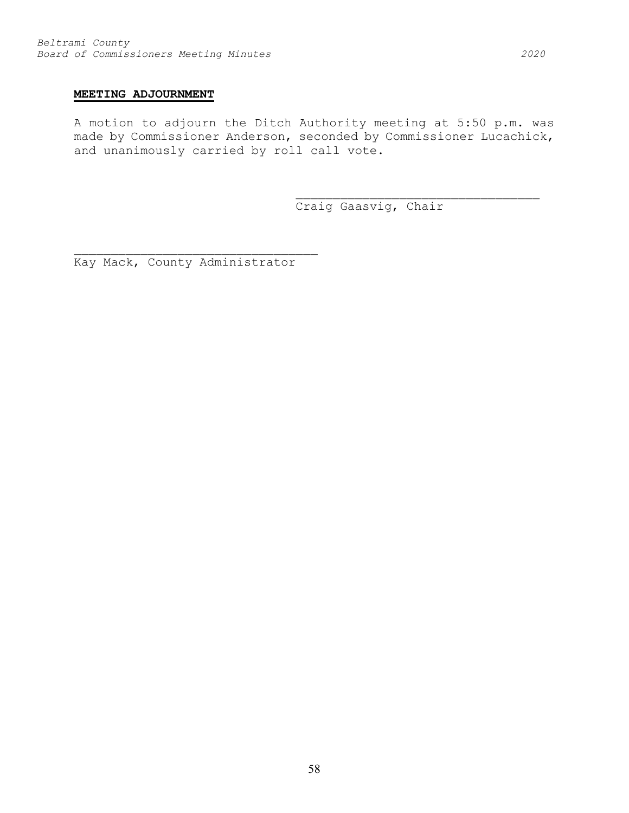# **MEETING ADJOURNMENT**

A motion to adjourn the Ditch Authority meeting at 5:50 p.m. was made by Commissioner Anderson, seconded by Commissioner Lucachick, and unanimously carried by roll call vote.

Craig Gaasvig, Chair

\_\_\_\_\_\_\_\_\_\_\_\_\_\_\_\_\_\_\_\_\_\_\_\_\_\_\_\_\_\_\_\_\_

\_\_\_\_\_\_\_\_\_\_\_\_\_\_\_\_\_\_\_\_\_\_\_\_\_\_\_\_\_\_\_\_\_ Kay Mack, County Administrator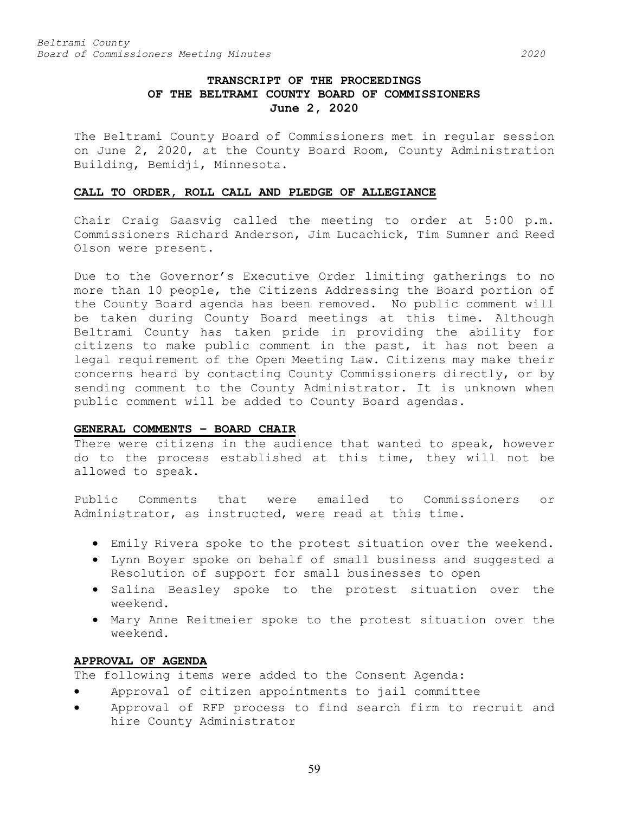# **TRANSCRIPT OF THE PROCEEDINGS OF THE BELTRAMI COUNTY BOARD OF COMMISSIONERS June 2, 2020**

The Beltrami County Board of Commissioners met in regular session on June 2, 2020, at the County Board Room, County Administration Building, Bemidji, Minnesota.

# **CALL TO ORDER, ROLL CALL AND PLEDGE OF ALLEGIANCE**

Chair Craig Gaasvig called the meeting to order at 5:00 p.m. Commissioners Richard Anderson, Jim Lucachick, Tim Sumner and Reed Olson were present.

Due to the Governor's Executive Order limiting gatherings to no more than 10 people, the Citizens Addressing the Board portion of the County Board agenda has been removed. No public comment will be taken during County Board meetings at this time. Although Beltrami County has taken pride in providing the ability for citizens to make public comment in the past, it has not been a legal requirement of the Open Meeting Law. Citizens may make their concerns heard by contacting County Commissioners directly, or by sending comment to the County Administrator. It is unknown when public comment will be added to County Board agendas.

# **GENERAL COMMENTS – BOARD CHAIR**

There were citizens in the audience that wanted to speak, however do to the process established at this time, they will not be allowed to speak.

Public Comments that were emailed to Commissioners or Administrator, as instructed, were read at this time.

- Emily Rivera spoke to the protest situation over the weekend.
- Lynn Boyer spoke on behalf of small business and suggested a Resolution of support for small businesses to open
- Salina Beasley spoke to the protest situation over the weekend.
- Mary Anne Reitmeier spoke to the protest situation over the weekend.

### **APPROVAL OF AGENDA**

The following items were added to the Consent Agenda:

- Approval of citizen appointments to jail committee
- Approval of RFP process to find search firm to recruit and hire County Administrator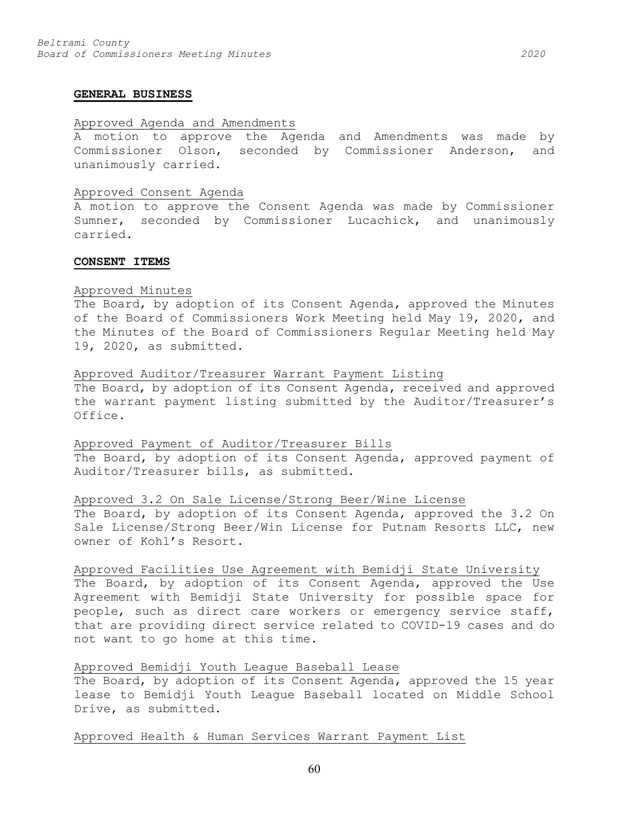#### **GENERAL BUSINESS**

### Approved Agenda and Amendments

A motion to approve the Agenda and Amendments was made by Commissioner Olson, seconded by Commissioner Anderson, and unanimously carried.

### Approved Consent Agenda

A motion to approve the Consent Agenda was made by Commissioner Sumner, seconded by Commissioner Lucachick, and unanimously carried.

#### **CONSENT ITEMS**

### Approved Minutes

The Board, by adoption of its Consent Agenda, approved the Minutes of the Board of Commissioners Work Meeting held May 19, 2020, and the Minutes of the Board of Commissioners Regular Meeting held May 19, 2020, as submitted.

### Approved Auditor/Treasurer Warrant Payment Listing

The Board, by adoption of its Consent Agenda, received and approved the warrant payment listing submitted by the Auditor/Treasurer's Office.

### Approved Payment of Auditor/Treasurer Bills

The Board, by adoption of its Consent Agenda, approved payment of Auditor/Treasurer bills, as submitted.

### Approved 3.2 On Sale License/Strong Beer/Wine License

The Board, by adoption of its Consent Agenda, approved the 3.2 On Sale License/Strong Beer/Win License for Putnam Resorts LLC, new owner of Kohl's Resort.

# Approved Facilities Use Agreement with Bemidji State University

The Board, by adoption of its Consent Agenda, approved the Use Agreement with Bemidji State University for possible space for people, such as direct care workers or emergency service staff, that are providing direct service related to COVID-19 cases and do not want to go home at this time.

# Approved Bemidji Youth League Baseball Lease

The Board, by adoption of its Consent Agenda, approved the 15 year lease to Bemidji Youth League Baseball located on Middle School Drive, as submitted.

### Approved Health & Human Services Warrant Payment List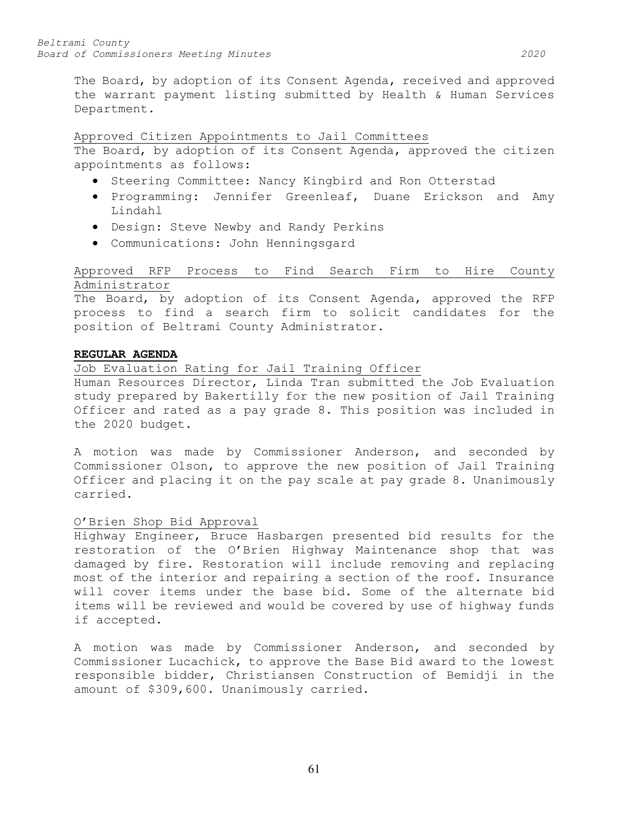The Board, by adoption of its Consent Agenda, received and approved the warrant payment listing submitted by Health & Human Services Department.

# Approved Citizen Appointments to Jail Committees

The Board, by adoption of its Consent Agenda, approved the citizen appointments as follows:

- Steering Committee: Nancy Kingbird and Ron Otterstad
- Programming: Jennifer Greenleaf, Duane Erickson and Amy Lindahl
- Design: Steve Newby and Randy Perkins
- Communications: John Henningsgard

# Approved RFP Process to Find Search Firm to Hire County Administrator

The Board, by adoption of its Consent Agenda, approved the RFP process to find a search firm to solicit candidates for the position of Beltrami County Administrator.

# **REGULAR AGENDA**

# Job Evaluation Rating for Jail Training Officer

Human Resources Director, Linda Tran submitted the Job Evaluation study prepared by Bakertilly for the new position of Jail Training Officer and rated as a pay grade 8. This position was included in the 2020 budget.

A motion was made by Commissioner Anderson, and seconded by Commissioner Olson, to approve the new position of Jail Training Officer and placing it on the pay scale at pay grade 8. Unanimously carried.

# O'Brien Shop Bid Approval

Highway Engineer, Bruce Hasbargen presented bid results for the restoration of the O'Brien Highway Maintenance shop that was damaged by fire. Restoration will include removing and replacing most of the interior and repairing a section of the roof. Insurance will cover items under the base bid. Some of the alternate bid items will be reviewed and would be covered by use of highway funds if accepted.

A motion was made by Commissioner Anderson, and seconded by Commissioner Lucachick, to approve the Base Bid award to the lowest responsible bidder, Christiansen Construction of Bemidji in the amount of \$309,600. Unanimously carried.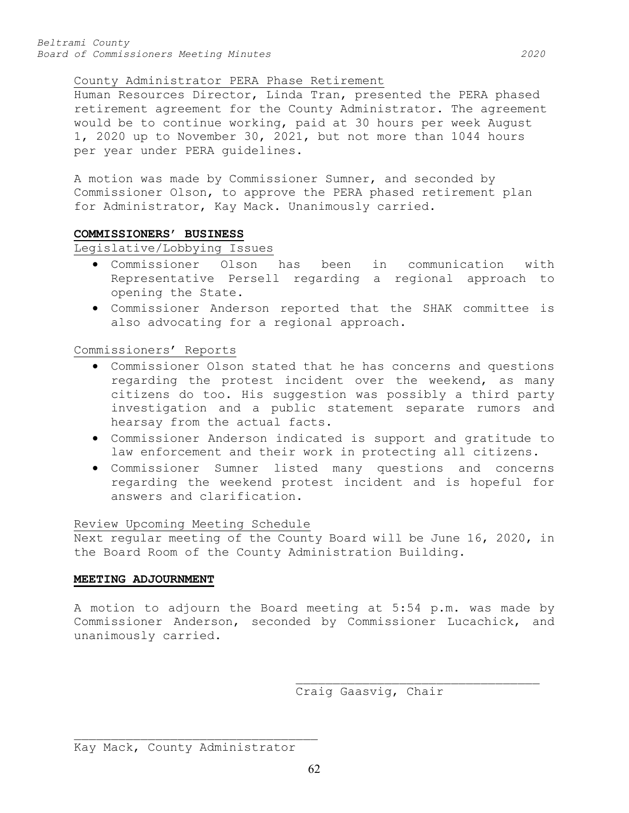# County Administrator PERA Phase Retirement

Human Resources Director, Linda Tran, presented the PERA phased retirement agreement for the County Administrator. The agreement would be to continue working, paid at 30 hours per week August 1, 2020 up to November 30, 2021, but not more than 1044 hours per year under PERA guidelines.

A motion was made by Commissioner Sumner, and seconded by Commissioner Olson, to approve the PERA phased retirement plan for Administrator, Kay Mack. Unanimously carried.

# **COMMISSIONERS' BUSINESS**

Legislative/Lobbying Issues

- Commissioner Olson has been in communication with Representative Persell regarding a regional approach to opening the State.
- Commissioner Anderson reported that the SHAK committee is also advocating for a regional approach.

Commissioners' Reports

- Commissioner Olson stated that he has concerns and questions regarding the protest incident over the weekend, as many citizens do too. His suggestion was possibly a third party investigation and a public statement separate rumors and hearsay from the actual facts.
- Commissioner Anderson indicated is support and gratitude to law enforcement and their work in protecting all citizens.
- Commissioner Sumner listed many questions and concerns regarding the weekend protest incident and is hopeful for answers and clarification.

# Review Upcoming Meeting Schedule

Next regular meeting of the County Board will be June 16, 2020, in the Board Room of the County Administration Building.

# **MEETING ADJOURNMENT**

A motion to adjourn the Board meeting at 5:54 p.m. was made by Commissioner Anderson, seconded by Commissioner Lucachick, and unanimously carried.

62

\_\_\_\_\_\_\_\_\_\_\_\_\_\_\_\_\_\_\_\_\_\_\_\_\_\_\_\_\_\_\_\_\_ Craig Gaasvig, Chair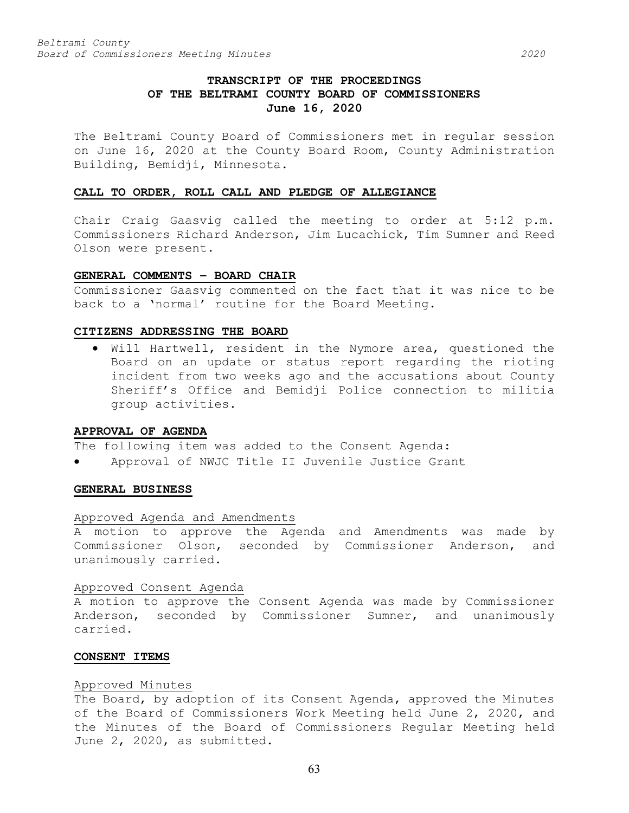# **TRANSCRIPT OF THE PROCEEDINGS OF THE BELTRAMI COUNTY BOARD OF COMMISSIONERS June 16, 2020**

The Beltrami County Board of Commissioners met in regular session on June 16, 2020 at the County Board Room, County Administration Building, Bemidji, Minnesota.

### **CALL TO ORDER, ROLL CALL AND PLEDGE OF ALLEGIANCE**

Chair Craig Gaasvig called the meeting to order at 5:12 p.m. Commissioners Richard Anderson, Jim Lucachick, Tim Sumner and Reed Olson were present.

# **GENERAL COMMENTS – BOARD CHAIR**

Commissioner Gaasvig commented on the fact that it was nice to be back to a 'normal' routine for the Board Meeting.

# **CITIZENS ADDRESSING THE BOARD**

• Will Hartwell, resident in the Nymore area, questioned the Board on an update or status report regarding the rioting incident from two weeks ago and the accusations about County Sheriff's Office and Bemidji Police connection to militia group activities.

#### **APPROVAL OF AGENDA**

The following item was added to the Consent Agenda:

• Approval of NWJC Title II Juvenile Justice Grant

### **GENERAL BUSINESS**

#### Approved Agenda and Amendments

A motion to approve the Agenda and Amendments was made by Commissioner Olson, seconded by Commissioner Anderson, and unanimously carried.

### Approved Consent Agenda

A motion to approve the Consent Agenda was made by Commissioner Anderson, seconded by Commissioner Sumner, and unanimously carried.

#### **CONSENT ITEMS**

#### Approved Minutes

The Board, by adoption of its Consent Agenda, approved the Minutes of the Board of Commissioners Work Meeting held June 2, 2020, and the Minutes of the Board of Commissioners Regular Meeting held June 2, 2020, as submitted.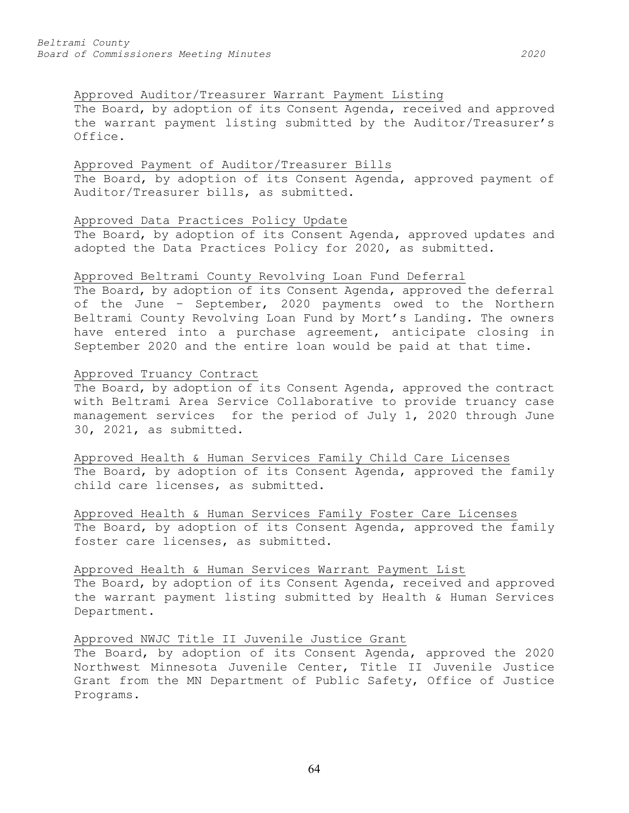# Approved Auditor/Treasurer Warrant Payment Listing

The Board, by adoption of its Consent Agenda, received and approved the warrant payment listing submitted by the Auditor/Treasurer's Office.

# Approved Payment of Auditor/Treasurer Bills

The Board, by adoption of its Consent Agenda, approved payment of Auditor/Treasurer bills, as submitted.

# Approved Data Practices Policy Update

The Board, by adoption of its Consent Agenda, approved updates and adopted the Data Practices Policy for 2020, as submitted.

## Approved Beltrami County Revolving Loan Fund Deferral

The Board, by adoption of its Consent Agenda, approved the deferral of the June – September, 2020 payments owed to the Northern Beltrami County Revolving Loan Fund by Mort's Landing. The owners have entered into a purchase agreement, anticipate closing in September 2020 and the entire loan would be paid at that time.

## Approved Truancy Contract

The Board, by adoption of its Consent Agenda, approved the contract with Beltrami Area Service Collaborative to provide truancy case management services for the period of July 1, 2020 through June 30, 2021, as submitted.

Approved Health & Human Services Family Child Care Licenses The Board, by adoption of its Consent Agenda, approved the family child care licenses, as submitted.

Approved Health & Human Services Family Foster Care Licenses The Board, by adoption of its Consent Agenda, approved the family foster care licenses, as submitted.

# Approved Health & Human Services Warrant Payment List

The Board, by adoption of its Consent Agenda, received and approved the warrant payment listing submitted by Health & Human Services Department.

# Approved NWJC Title II Juvenile Justice Grant

The Board, by adoption of its Consent Agenda, approved the 2020 Northwest Minnesota Juvenile Center, Title II Juvenile Justice Grant from the MN Department of Public Safety, Office of Justice Programs.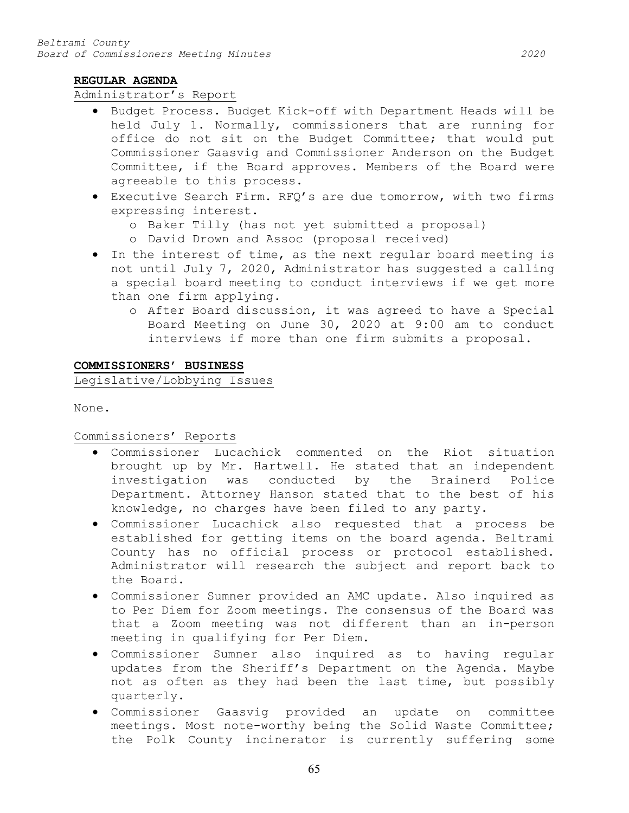# **REGULAR AGENDA**

# Administrator's Report

- Budget Process. Budget Kick-off with Department Heads will be held July 1. Normally, commissioners that are running for office do not sit on the Budget Committee; that would put Commissioner Gaasvig and Commissioner Anderson on the Budget Committee, if the Board approves. Members of the Board were agreeable to this process.
- Executive Search Firm. RFQ's are due tomorrow, with two firms expressing interest.
	- o Baker Tilly (has not yet submitted a proposal)
	- o David Drown and Assoc (proposal received)
- In the interest of time, as the next regular board meeting is not until July 7, 2020, Administrator has suggested a calling a special board meeting to conduct interviews if we get more than one firm applying.
	- o After Board discussion, it was agreed to have a Special Board Meeting on June 30, 2020 at 9:00 am to conduct interviews if more than one firm submits a proposal.

## **COMMISSIONERS' BUSINESS**

Legislative/Lobbying Issues

None.

Commissioners' Reports

- Commissioner Lucachick commented on the Riot situation brought up by Mr. Hartwell. He stated that an independent investigation was conducted by the Brainerd Police Department. Attorney Hanson stated that to the best of his knowledge, no charges have been filed to any party.
- Commissioner Lucachick also requested that a process be established for getting items on the board agenda. Beltrami County has no official process or protocol established. Administrator will research the subject and report back to the Board.
- Commissioner Sumner provided an AMC update. Also inquired as to Per Diem for Zoom meetings. The consensus of the Board was that a Zoom meeting was not different than an in-person meeting in qualifying for Per Diem.
- Commissioner Sumner also inquired as to having regular updates from the Sheriff's Department on the Agenda. Maybe not as often as they had been the last time, but possibly quarterly.
- Commissioner Gaasvig provided an update on committee meetings. Most note-worthy being the Solid Waste Committee; the Polk County incinerator is currently suffering some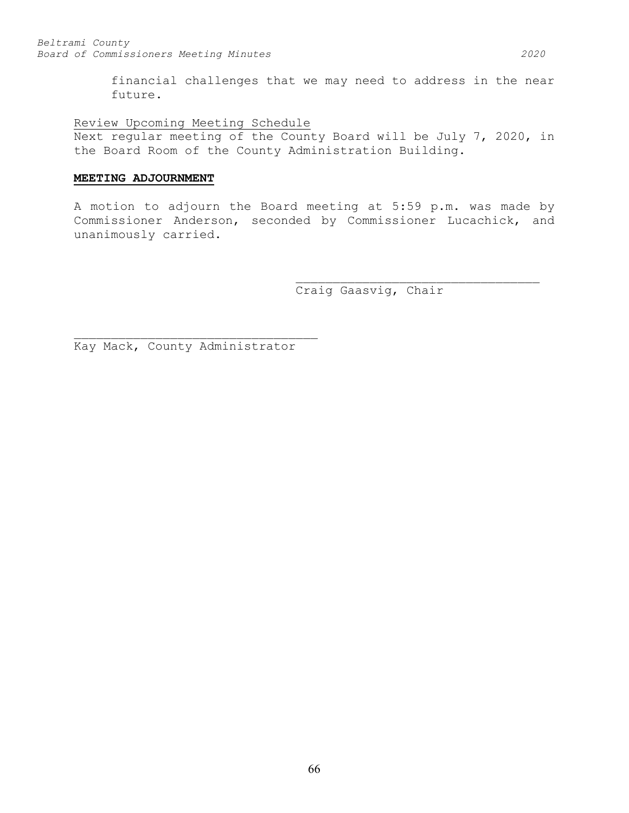financial challenges that we may need to address in the near future.

Review Upcoming Meeting Schedule

Next regular meeting of the County Board will be July 7, 2020, in the Board Room of the County Administration Building.

# **MEETING ADJOURNMENT**

A motion to adjourn the Board meeting at 5:59 p.m. was made by Commissioner Anderson, seconded by Commissioner Lucachick, and unanimously carried.

> \_\_\_\_\_\_\_\_\_\_\_\_\_\_\_\_\_\_\_\_\_\_\_\_\_\_\_\_\_\_\_\_\_ Craig Gaasvig, Chair

\_\_\_\_\_\_\_\_\_\_\_\_\_\_\_\_\_\_\_\_\_\_\_\_\_\_\_\_\_\_\_\_\_ Kay Mack, County Administrator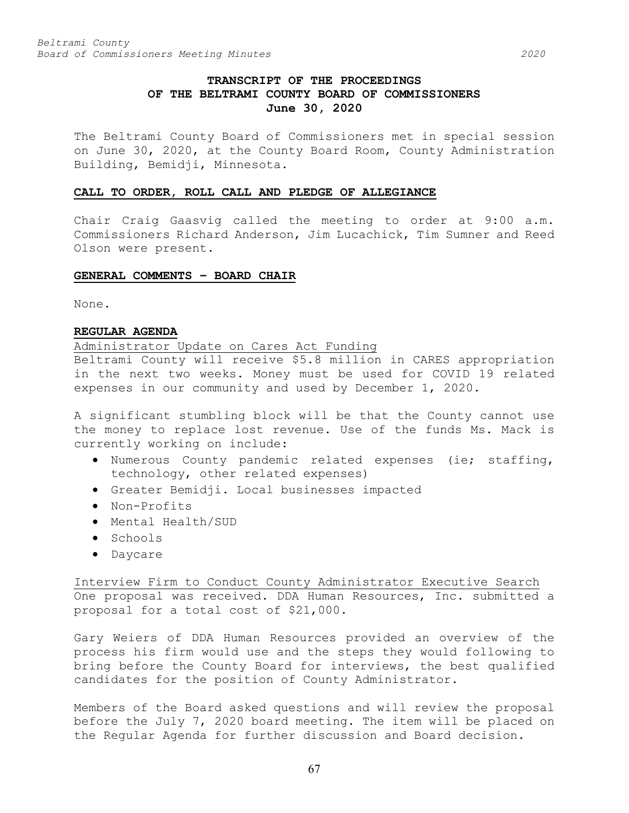# **TRANSCRIPT OF THE PROCEEDINGS OF THE BELTRAMI COUNTY BOARD OF COMMISSIONERS June 30, 2020**

The Beltrami County Board of Commissioners met in special session on June 30, 2020, at the County Board Room, County Administration Building, Bemidji, Minnesota.

### **CALL TO ORDER, ROLL CALL AND PLEDGE OF ALLEGIANCE**

Chair Craig Gaasvig called the meeting to order at 9:00 a.m. Commissioners Richard Anderson, Jim Lucachick, Tim Sumner and Reed Olson were present.

# **GENERAL COMMENTS – BOARD CHAIR**

None.

# **REGULAR AGENDA**

# Administrator Update on Cares Act Funding

Beltrami County will receive \$5.8 million in CARES appropriation in the next two weeks. Money must be used for COVID 19 related expenses in our community and used by December 1, 2020.

A significant stumbling block will be that the County cannot use the money to replace lost revenue. Use of the funds Ms. Mack is currently working on include:

- Numerous County pandemic related expenses (ie; staffing, technology, other related expenses)
- Greater Bemidji. Local businesses impacted
- Non-Profits
- Mental Health/SUD
- Schools
- Daycare

Interview Firm to Conduct County Administrator Executive Search One proposal was received. DDA Human Resources, Inc. submitted a proposal for a total cost of \$21,000.

Gary Weiers of DDA Human Resources provided an overview of the process his firm would use and the steps they would following to bring before the County Board for interviews, the best qualified candidates for the position of County Administrator.

Members of the Board asked questions and will review the proposal before the July 7, 2020 board meeting. The item will be placed on the Regular Agenda for further discussion and Board decision.

67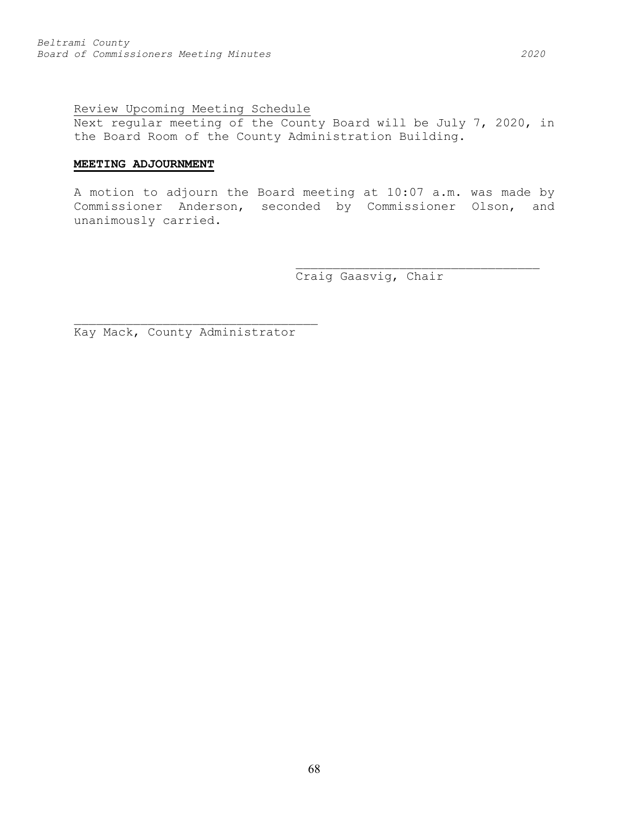# Review Upcoming Meeting Schedule

Next regular meeting of the County Board will be July 7, 2020, in the Board Room of the County Administration Building.

# **MEETING ADJOURNMENT**

A motion to adjourn the Board meeting at 10:07 a.m. was made by Commissioner Anderson, seconded by Commissioner Olson, and unanimously carried.

Craig Gaasvig, Chair

\_\_\_\_\_\_\_\_\_\_\_\_\_\_\_\_\_\_\_\_\_\_\_\_\_\_\_\_\_\_\_\_\_

\_\_\_\_\_\_\_\_\_\_\_\_\_\_\_\_\_\_\_\_\_\_\_\_\_\_\_\_\_\_\_\_\_ Kay Mack, County Administrator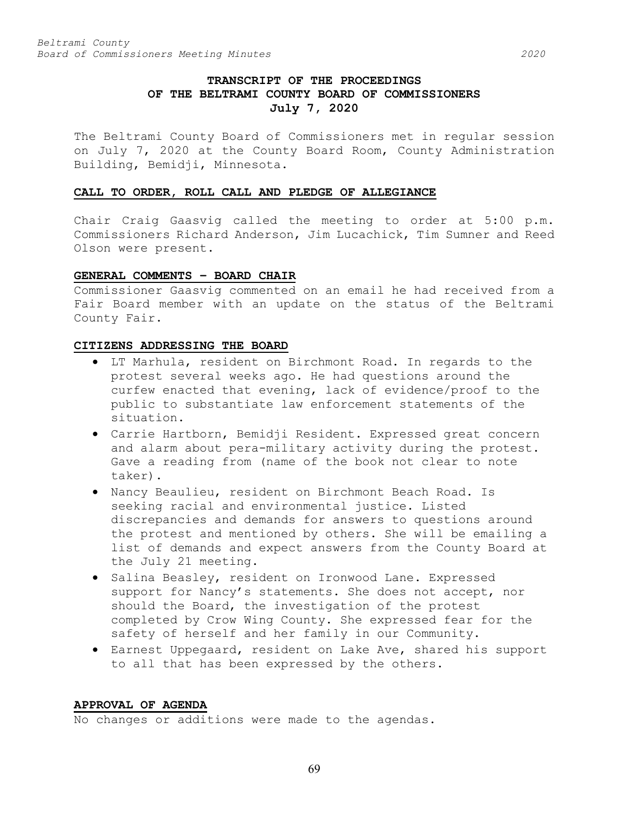# **TRANSCRIPT OF THE PROCEEDINGS OF THE BELTRAMI COUNTY BOARD OF COMMISSIONERS July 7, 2020**

The Beltrami County Board of Commissioners met in regular session on July 7, 2020 at the County Board Room, County Administration Building, Bemidji, Minnesota.

# **CALL TO ORDER, ROLL CALL AND PLEDGE OF ALLEGIANCE**

Chair Craig Gaasvig called the meeting to order at 5:00 p.m. Commissioners Richard Anderson, Jim Lucachick, Tim Sumner and Reed Olson were present.

### **GENERAL COMMENTS – BOARD CHAIR**

Commissioner Gaasvig commented on an email he had received from a Fair Board member with an update on the status of the Beltrami County Fair.

# **CITIZENS ADDRESSING THE BOARD**

- LT Marhula, resident on Birchmont Road. In regards to the protest several weeks ago. He had questions around the curfew enacted that evening, lack of evidence/proof to the public to substantiate law enforcement statements of the situation.
- Carrie Hartborn, Bemidji Resident. Expressed great concern and alarm about pera-military activity during the protest. Gave a reading from (name of the book not clear to note taker).
- Nancy Beaulieu, resident on Birchmont Beach Road. Is seeking racial and environmental justice. Listed discrepancies and demands for answers to questions around the protest and mentioned by others. She will be emailing a list of demands and expect answers from the County Board at the July 21 meeting.
- Salina Beasley, resident on Ironwood Lane. Expressed support for Nancy's statements. She does not accept, nor should the Board, the investigation of the protest completed by Crow Wing County. She expressed fear for the safety of herself and her family in our Community.
- Earnest Uppegaard, resident on Lake Ave, shared his support to all that has been expressed by the others.

### **APPROVAL OF AGENDA**

No changes or additions were made to the agendas.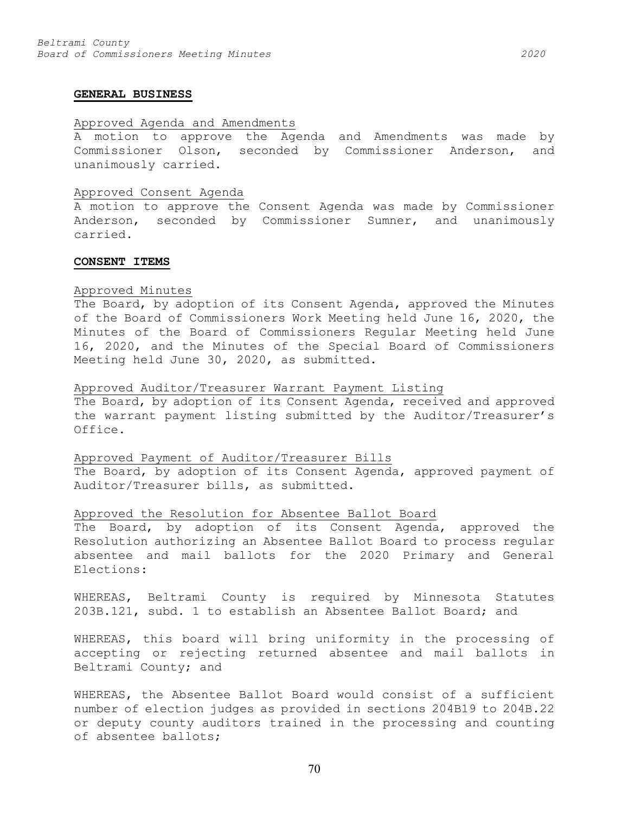#### **GENERAL BUSINESS**

## Approved Agenda and Amendments

A motion to approve the Agenda and Amendments was made by Commissioner Olson, seconded by Commissioner Anderson, and unanimously carried.

#### Approved Consent Agenda

A motion to approve the Consent Agenda was made by Commissioner Anderson, seconded by Commissioner Sumner, and unanimously carried.

#### **CONSENT ITEMS**

### Approved Minutes

The Board, by adoption of its Consent Agenda, approved the Minutes of the Board of Commissioners Work Meeting held June 16, 2020, the Minutes of the Board of Commissioners Regular Meeting held June 16, 2020, and the Minutes of the Special Board of Commissioners Meeting held June 30, 2020, as submitted.

### Approved Auditor/Treasurer Warrant Payment Listing

The Board, by adoption of its Consent Agenda, received and approved the warrant payment listing submitted by the Auditor/Treasurer's Office.

### Approved Payment of Auditor/Treasurer Bills

The Board, by adoption of its Consent Agenda, approved payment of Auditor/Treasurer bills, as submitted.

### Approved the Resolution for Absentee Ballot Board

The Board, by adoption of its Consent Agenda, approved the Resolution authorizing an Absentee Ballot Board to process regular absentee and mail ballots for the 2020 Primary and General Elections:

WHEREAS, Beltrami County is required by Minnesota Statutes 203B.121, subd. 1 to establish an Absentee Ballot Board; and

WHEREAS, this board will bring uniformity in the processing of accepting or rejecting returned absentee and mail ballots in Beltrami County; and

WHEREAS, the Absentee Ballot Board would consist of a sufficient number of election judges as provided in sections 204B19 to 204B.22 or deputy county auditors trained in the processing and counting of absentee ballots;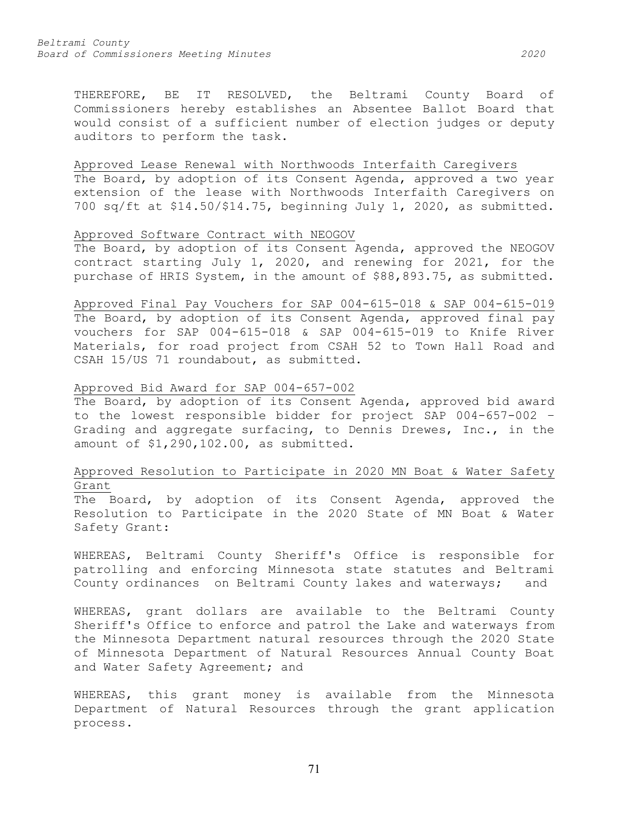THEREFORE, BE IT RESOLVED, the Beltrami County Board of Commissioners hereby establishes an Absentee Ballot Board that would consist of a sufficient number of election judges or deputy auditors to perform the task.

# Approved Lease Renewal with Northwoods Interfaith Caregivers

The Board, by adoption of its Consent Agenda, approved a two year extension of the lease with Northwoods Interfaith Caregivers on 700 sq/ft at \$14.50/\$14.75, beginning July 1, 2020, as submitted.

# Approved Software Contract with NEOGOV

The Board, by adoption of its Consent Agenda, approved the NEOGOV contract starting July 1, 2020, and renewing for 2021, for the purchase of HRIS System, in the amount of \$88,893.75, as submitted.

Approved Final Pay Vouchers for SAP 004-615-018 & SAP 004-615-019 The Board, by adoption of its Consent Agenda, approved final pay vouchers for SAP 004-615-018 & SAP 004-615-019 to Knife River Materials, for road project from CSAH 52 to Town Hall Road and CSAH 15/US 71 roundabout, as submitted.

# Approved Bid Award for SAP 004-657-002

The Board, by adoption of its Consent Agenda, approved bid award to the lowest responsible bidder for project SAP 004-657-002 – Grading and aggregate surfacing, to Dennis Drewes, Inc., in the amount of \$1,290,102.00, as submitted.

# Approved Resolution to Participate in 2020 MN Boat & Water Safety Grant

The Board, by adoption of its Consent Agenda, approved the Resolution to Participate in the 2020 State of MN Boat & Water Safety Grant:

WHEREAS, Beltrami County Sheriff's Office is responsible for patrolling and enforcing Minnesota state statutes and Beltrami County ordinances on Beltrami County lakes and waterways; and

WHEREAS, grant dollars are available to the Beltrami County Sheriff's Office to enforce and patrol the Lake and waterways from the Minnesota Department natural resources through the 2020 State of Minnesota Department of Natural Resources Annual County Boat and Water Safety Agreement; and

WHEREAS, this grant money is available from the Minnesota Department of Natural Resources through the grant application process.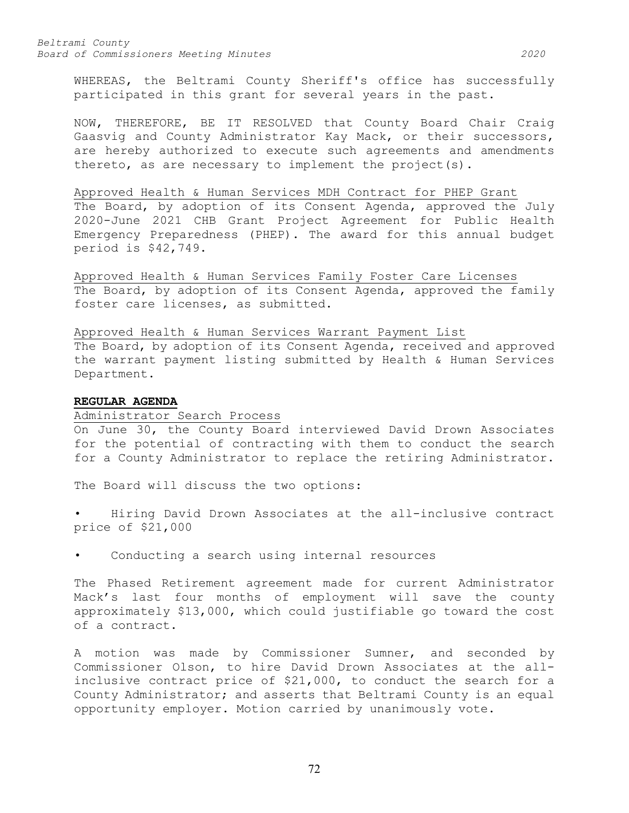WHEREAS, the Beltrami County Sheriff's office has successfully participated in this grant for several years in the past.

NOW, THEREFORE, BE IT RESOLVED that County Board Chair Craig Gaasvig and County Administrator Kay Mack, or their successors, are hereby authorized to execute such agreements and amendments thereto, as are necessary to implement the project(s).

### Approved Health & Human Services MDH Contract for PHEP Grant

The Board, by adoption of its Consent Agenda, approved the July 2020-June 2021 CHB Grant Project Agreement for Public Health Emergency Preparedness (PHEP). The award for this annual budget period is \$42,749.

Approved Health & Human Services Family Foster Care Licenses The Board, by adoption of its Consent Agenda, approved the family foster care licenses, as submitted.

# Approved Health & Human Services Warrant Payment List

The Board, by adoption of its Consent Agenda, received and approved the warrant payment listing submitted by Health & Human Services Department.

# **REGULAR AGENDA**

### Administrator Search Process

On June 30, the County Board interviewed David Drown Associates for the potential of contracting with them to conduct the search for a County Administrator to replace the retiring Administrator.

The Board will discuss the two options:

• Hiring David Drown Associates at the all-inclusive contract price of \$21,000

Conducting a search using internal resources

The Phased Retirement agreement made for current Administrator Mack's last four months of employment will save the county approximately \$13,000, which could justifiable go toward the cost of a contract.

A motion was made by Commissioner Sumner, and seconded by Commissioner Olson, to hire David Drown Associates at the allinclusive contract price of \$21,000, to conduct the search for a County Administrator; and asserts that Beltrami County is an equal opportunity employer. Motion carried by unanimously vote.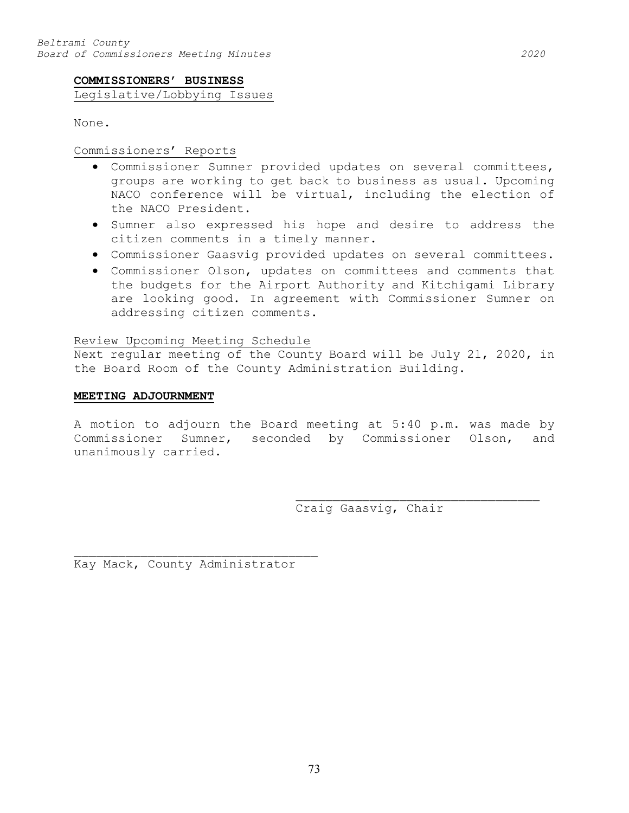## **COMMISSIONERS' BUSINESS**

Legislative/Lobbying Issues

None.

## Commissioners' Reports

- Commissioner Sumner provided updates on several committees, groups are working to get back to business as usual. Upcoming NACO conference will be virtual, including the election of the NACO President.
- Sumner also expressed his hope and desire to address the citizen comments in a timely manner.
- Commissioner Gaasvig provided updates on several committees.
- Commissioner Olson, updates on committees and comments that the budgets for the Airport Authority and Kitchigami Library are looking good. In agreement with Commissioner Sumner on addressing citizen comments.

## Review Upcoming Meeting Schedule

Next regular meeting of the County Board will be July 21, 2020, in the Board Room of the County Administration Building.

### **MEETING ADJOURNMENT**

A motion to adjourn the Board meeting at 5:40 p.m. was made by Commissioner Sumner, seconded by Commissioner Olson, and unanimously carried.

> \_\_\_\_\_\_\_\_\_\_\_\_\_\_\_\_\_\_\_\_\_\_\_\_\_\_\_\_\_\_\_\_\_ Craig Gaasvig, Chair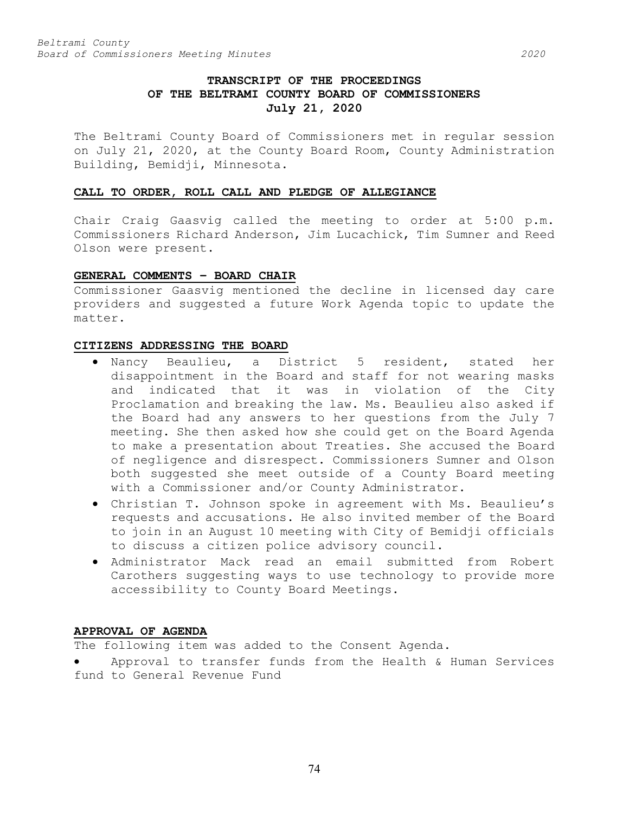# **TRANSCRIPT OF THE PROCEEDINGS OF THE BELTRAMI COUNTY BOARD OF COMMISSIONERS July 21, 2020**

The Beltrami County Board of Commissioners met in regular session on July 21, 2020, at the County Board Room, County Administration Building, Bemidji, Minnesota.

## **CALL TO ORDER, ROLL CALL AND PLEDGE OF ALLEGIANCE**

Chair Craig Gaasvig called the meeting to order at 5:00 p.m. Commissioners Richard Anderson, Jim Lucachick, Tim Sumner and Reed Olson were present.

## **GENERAL COMMENTS – BOARD CHAIR**

Commissioner Gaasvig mentioned the decline in licensed day care providers and suggested a future Work Agenda topic to update the matter.

### **CITIZENS ADDRESSING THE BOARD**

- Nancy Beaulieu, a District 5 resident, stated her disappointment in the Board and staff for not wearing masks and indicated that it was in violation of the City Proclamation and breaking the law. Ms. Beaulieu also asked if the Board had any answers to her questions from the July 7 meeting. She then asked how she could get on the Board Agenda to make a presentation about Treaties. She accused the Board of negligence and disrespect. Commissioners Sumner and Olson both suggested she meet outside of a County Board meeting with a Commissioner and/or County Administrator.
- Christian T. Johnson spoke in agreement with Ms. Beaulieu's requests and accusations. He also invited member of the Board to join in an August 10 meeting with City of Bemidji officials to discuss a citizen police advisory council.
- Administrator Mack read an email submitted from Robert Carothers suggesting ways to use technology to provide more accessibility to County Board Meetings.

## **APPROVAL OF AGENDA**

The following item was added to the Consent Agenda.

• Approval to transfer funds from the Health & Human Services fund to General Revenue Fund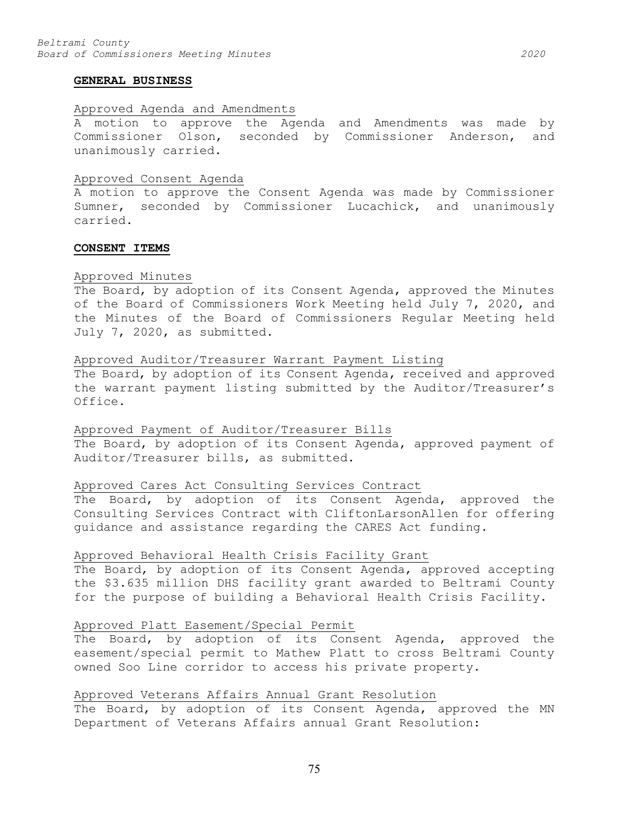#### **GENERAL BUSINESS**

## Approved Agenda and Amendments

A motion to approve the Agenda and Amendments was made by Commissioner Olson, seconded by Commissioner Anderson, and unanimously carried.

#### Approved Consent Agenda

A motion to approve the Consent Agenda was made by Commissioner Sumner, seconded by Commissioner Lucachick, and unanimously carried.

## **CONSENT ITEMS**

#### Approved Minutes

The Board, by adoption of its Consent Agenda, approved the Minutes of the Board of Commissioners Work Meeting held July 7, 2020, and the Minutes of the Board of Commissioners Regular Meeting held July 7, 2020, as submitted.

### Approved Auditor/Treasurer Warrant Payment Listing

The Board, by adoption of its Consent Agenda, received and approved the warrant payment listing submitted by the Auditor/Treasurer's Office.

### Approved Payment of Auditor/Treasurer Bills

The Board, by adoption of its Consent Agenda, approved payment of Auditor/Treasurer bills, as submitted.

## Approved Cares Act Consulting Services Contract

The Board, by adoption of its Consent Agenda, approved the Consulting Services Contract with CliftonLarsonAllen for offering guidance and assistance regarding the CARES Act funding.

## Approved Behavioral Health Crisis Facility Grant

The Board, by adoption of its Consent Agenda, approved accepting the \$3.635 million DHS facility grant awarded to Beltrami County for the purpose of building a Behavioral Health Crisis Facility.

### Approved Platt Easement/Special Permit

The Board, by adoption of its Consent Agenda, approved the easement/special permit to Mathew Platt to cross Beltrami County owned Soo Line corridor to access his private property.

## Approved Veterans Affairs Annual Grant Resolution

The Board, by adoption of its Consent Agenda, approved the MN Department of Veterans Affairs annual Grant Resolution: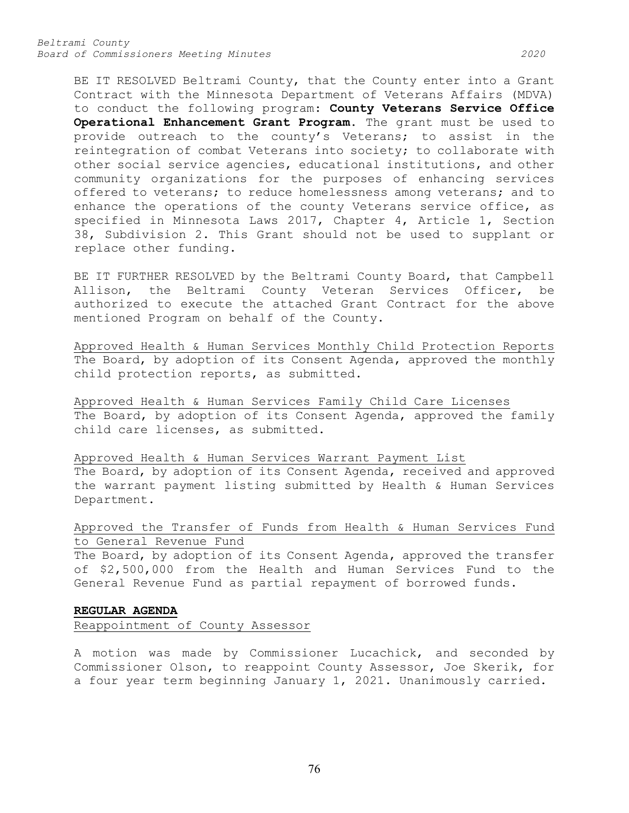BE IT RESOLVED Beltrami County, that the County enter into a Grant Contract with the Minnesota Department of Veterans Affairs (MDVA) to conduct the following program: **County Veterans Service Office Operational Enhancement Grant Program.** The grant must be used to provide outreach to the county's Veterans; to assist in the reintegration of combat Veterans into society; to collaborate with other social service agencies, educational institutions, and other community organizations for the purposes of enhancing services offered to veterans; to reduce homelessness among veterans; and to enhance the operations of the county Veterans service office, as specified in Minnesota Laws 2017, Chapter 4, Article 1, Section 38, Subdivision 2. This Grant should not be used to supplant or replace other funding.

BE IT FURTHER RESOLVED by the Beltrami County Board, that Campbell Allison, the Beltrami County Veteran Services Officer, be authorized to execute the attached Grant Contract for the above mentioned Program on behalf of the County.

Approved Health & Human Services Monthly Child Protection Reports The Board, by adoption of its Consent Agenda, approved the monthly child protection reports, as submitted.

Approved Health & Human Services Family Child Care Licenses The Board, by adoption of its Consent Agenda, approved the family child care licenses, as submitted.

Approved Health & Human Services Warrant Payment List The Board, by adoption of its Consent Agenda, received and approved the warrant payment listing submitted by Health & Human Services Department.

Approved the Transfer of Funds from Health & Human Services Fund to General Revenue Fund

The Board, by adoption of its Consent Agenda, approved the transfer of \$2,500,000 from the Health and Human Services Fund to the General Revenue Fund as partial repayment of borrowed funds.

## **REGULAR AGENDA**

Reappointment of County Assessor

A motion was made by Commissioner Lucachick, and seconded by Commissioner Olson, to reappoint County Assessor, Joe Skerik, for a four year term beginning January 1, 2021. Unanimously carried.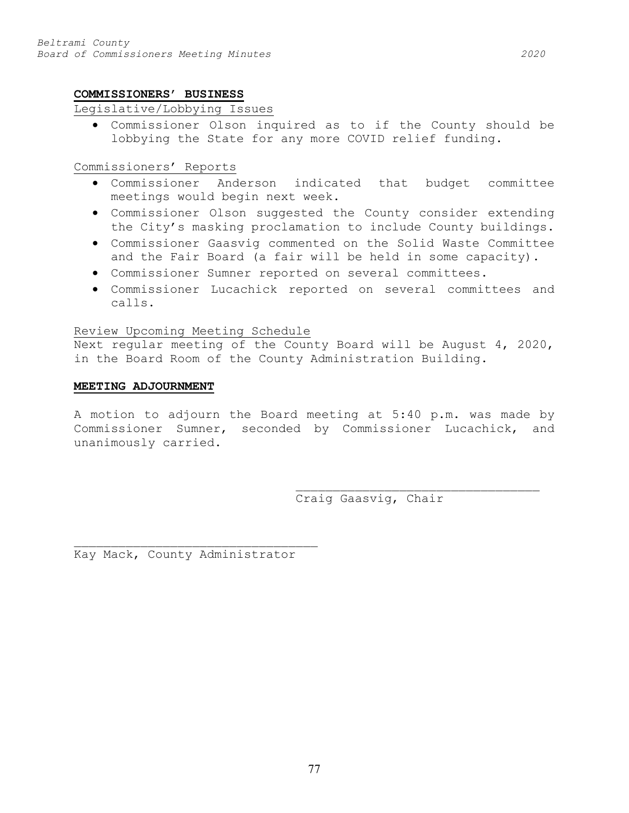## **COMMISSIONERS' BUSINESS**

## Legislative/Lobbying Issues

• Commissioner Olson inquired as to if the County should be lobbying the State for any more COVID relief funding.

## Commissioners' Reports

- Commissioner Anderson indicated that budget committee meetings would begin next week.
- Commissioner Olson suggested the County consider extending the City's masking proclamation to include County buildings.
- Commissioner Gaasvig commented on the Solid Waste Committee and the Fair Board (a fair will be held in some capacity).
- Commissioner Sumner reported on several committees.
- Commissioner Lucachick reported on several committees and calls.

## Review Upcoming Meeting Schedule

Next regular meeting of the County Board will be August 4, 2020, in the Board Room of the County Administration Building.

### **MEETING ADJOURNMENT**

A motion to adjourn the Board meeting at 5:40 p.m. was made by Commissioner Sumner, seconded by Commissioner Lucachick, and unanimously carried.

Craig Gaasvig, Chair

\_\_\_\_\_\_\_\_\_\_\_\_\_\_\_\_\_\_\_\_\_\_\_\_\_\_\_\_\_\_\_\_\_

Kay Mack, County Administrator

\_\_\_\_\_\_\_\_\_\_\_\_\_\_\_\_\_\_\_\_\_\_\_\_\_\_\_\_\_\_\_\_\_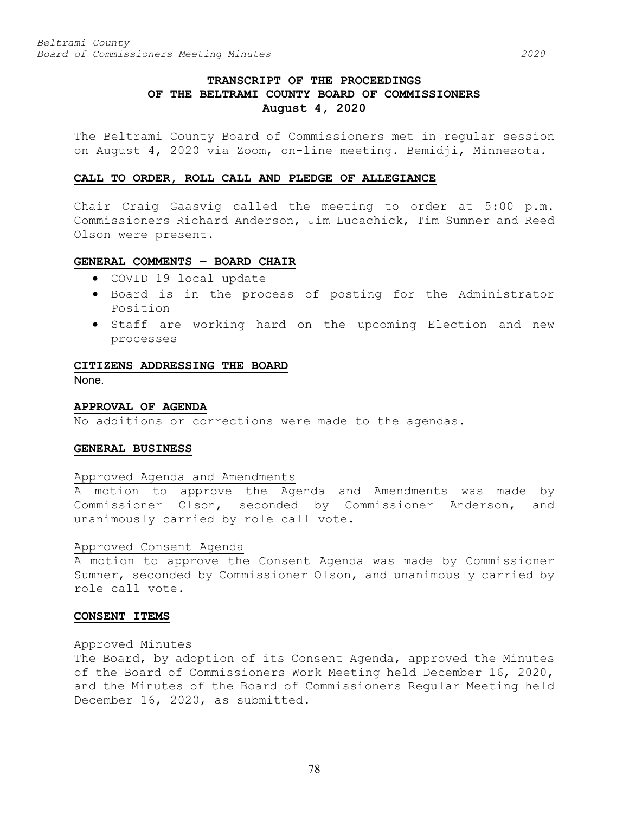# **TRANSCRIPT OF THE PROCEEDINGS OF THE BELTRAMI COUNTY BOARD OF COMMISSIONERS August 4, 2020**

The Beltrami County Board of Commissioners met in regular session on August 4, 2020 via Zoom, on-line meeting. Bemidji, Minnesota.

### **CALL TO ORDER, ROLL CALL AND PLEDGE OF ALLEGIANCE**

Chair Craig Gaasvig called the meeting to order at 5:00 p.m. Commissioners Richard Anderson, Jim Lucachick, Tim Sumner and Reed Olson were present.

### **GENERAL COMMENTS – BOARD CHAIR**

- COVID 19 local update
- Board is in the process of posting for the Administrator Position
- Staff are working hard on the upcoming Election and new processes

### **CITIZENS ADDRESSING THE BOARD**

None.

### **APPROVAL OF AGENDA**

No additions or corrections were made to the agendas.

### **GENERAL BUSINESS**

## Approved Agenda and Amendments

A motion to approve the Agenda and Amendments was made by Commissioner Olson, seconded by Commissioner Anderson, and unanimously carried by role call vote.

### Approved Consent Agenda

A motion to approve the Consent Agenda was made by Commissioner Sumner, seconded by Commissioner Olson, and unanimously carried by role call vote.

## **CONSENT ITEMS**

## Approved Minutes

The Board, by adoption of its Consent Agenda, approved the Minutes of the Board of Commissioners Work Meeting held December 16, 2020, and the Minutes of the Board of Commissioners Regular Meeting held December 16, 2020, as submitted.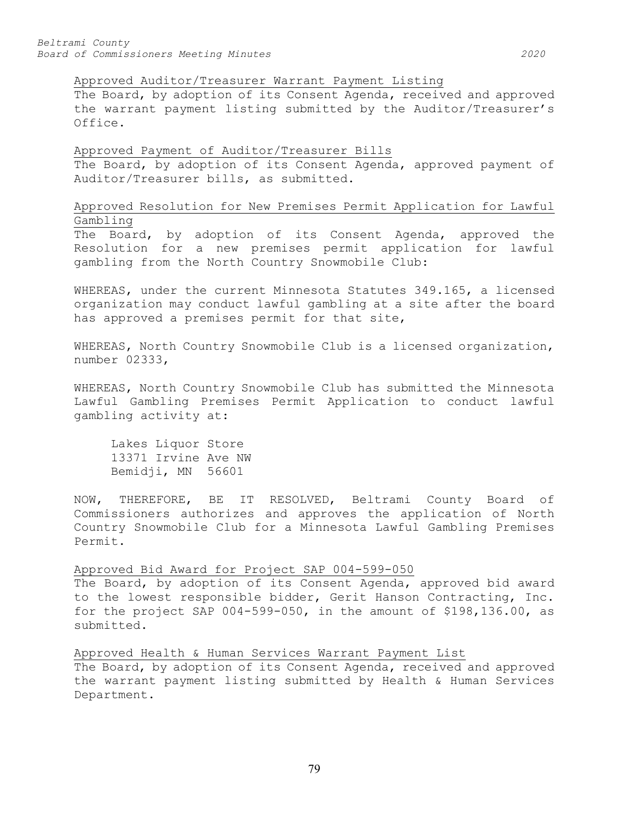Approved Auditor/Treasurer Warrant Payment Listing

The Board, by adoption of its Consent Agenda, received and approved the warrant payment listing submitted by the Auditor/Treasurer's Office.

Approved Payment of Auditor/Treasurer Bills The Board, by adoption of its Consent Agenda, approved payment of Auditor/Treasurer bills, as submitted.

Approved Resolution for New Premises Permit Application for Lawful Gambling

The Board, by adoption of its Consent Agenda, approved the Resolution for a new premises permit application for lawful gambling from the North Country Snowmobile Club:

WHEREAS, under the current Minnesota Statutes 349.165, a licensed organization may conduct lawful gambling at a site after the board has approved a premises permit for that site,

WHEREAS, North Country Snowmobile Club is a licensed organization, number 02333,

WHEREAS, North Country Snowmobile Club has submitted the Minnesota Lawful Gambling Premises Permit Application to conduct lawful gambling activity at:

Lakes Liquor Store 13371 Irvine Ave NW Bemidji, MN 56601

NOW, THEREFORE, BE IT RESOLVED, Beltrami County Board of Commissioners authorizes and approves the application of North Country Snowmobile Club for a Minnesota Lawful Gambling Premises Permit.

Approved Bid Award for Project SAP 004-599-050

The Board, by adoption of its Consent Agenda, approved bid award to the lowest responsible bidder, Gerit Hanson Contracting, Inc. for the project SAP 004-599-050, in the amount of \$198,136.00, as submitted.

Approved Health & Human Services Warrant Payment List The Board, by adoption of its Consent Agenda, received and approved the warrant payment listing submitted by Health & Human Services Department.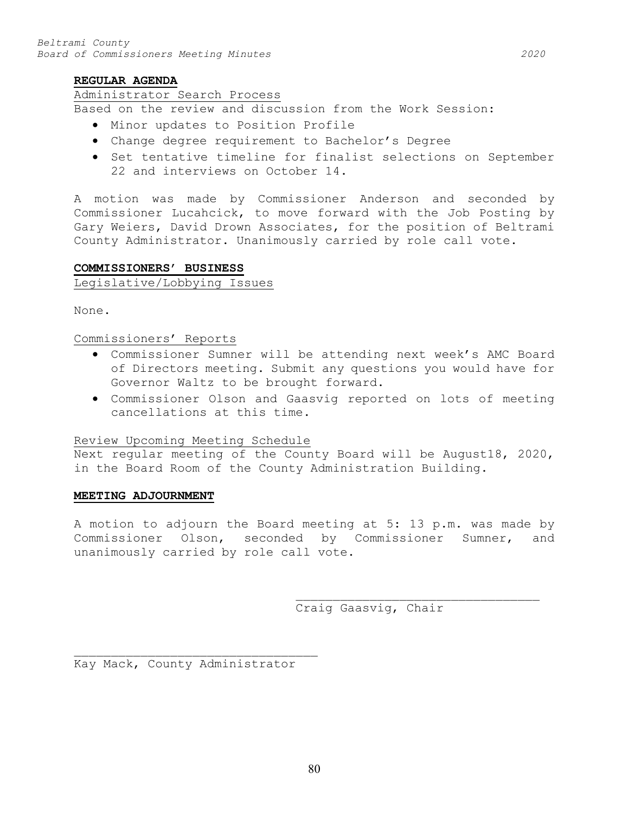### **REGULAR AGENDA**

### Administrator Search Process

Based on the review and discussion from the Work Session:

- Minor updates to Position Profile
- Change degree requirement to Bachelor's Degree
- Set tentative timeline for finalist selections on September 22 and interviews on October 14.

A motion was made by Commissioner Anderson and seconded by Commissioner Lucahcick, to move forward with the Job Posting by Gary Weiers, David Drown Associates, for the position of Beltrami County Administrator. Unanimously carried by role call vote.

## **COMMISSIONERS' BUSINESS**

# Legislative/Lobbying Issues

None.

# Commissioners' Reports

- Commissioner Sumner will be attending next week's AMC Board of Directors meeting. Submit any questions you would have for Governor Waltz to be brought forward.
- Commissioner Olson and Gaasvig reported on lots of meeting cancellations at this time.

## Review Upcoming Meeting Schedule

Next regular meeting of the County Board will be August18, 2020, in the Board Room of the County Administration Building.

### **MEETING ADJOURNMENT**

A motion to adjourn the Board meeting at 5: 13 p.m. was made by Commissioner Olson, seconded by Commissioner Sumner, and unanimously carried by role call vote.

> \_\_\_\_\_\_\_\_\_\_\_\_\_\_\_\_\_\_\_\_\_\_\_\_\_\_\_\_\_\_\_\_\_ Craig Gaasvig, Chair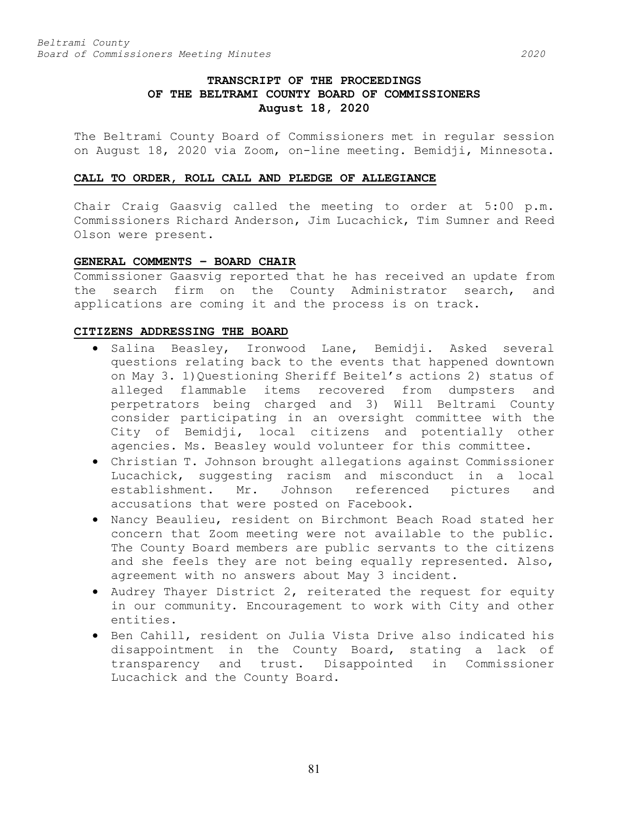# **TRANSCRIPT OF THE PROCEEDINGS OF THE BELTRAMI COUNTY BOARD OF COMMISSIONERS August 18, 2020**

The Beltrami County Board of Commissioners met in regular session on August 18, 2020 via Zoom, on-line meeting. Bemidji, Minnesota.

### **CALL TO ORDER, ROLL CALL AND PLEDGE OF ALLEGIANCE**

Chair Craig Gaasvig called the meeting to order at 5:00 p.m. Commissioners Richard Anderson, Jim Lucachick, Tim Sumner and Reed Olson were present.

### **GENERAL COMMENTS – BOARD CHAIR**

Commissioner Gaasvig reported that he has received an update from the search firm on the County Administrator search, and applications are coming it and the process is on track.

## **CITIZENS ADDRESSING THE BOARD**

- Salina Beasley, Ironwood Lane, Bemidji. Asked several questions relating back to the events that happened downtown on May 3. 1)Questioning Sheriff Beitel's actions 2) status of alleged flammable items recovered from dumpsters and perpetrators being charged and 3) Will Beltrami County consider participating in an oversight committee with the City of Bemidji, local citizens and potentially other agencies. Ms. Beasley would volunteer for this committee.
- Christian T. Johnson brought allegations against Commissioner Lucachick, suggesting racism and misconduct in a local<br>establishment. Mr. Johnson referenced pictures and establishment. Mr. Johnson referenced pictures and accusations that were posted on Facebook.
- Nancy Beaulieu, resident on Birchmont Beach Road stated her concern that Zoom meeting were not available to the public. The County Board members are public servants to the citizens and she feels they are not being equally represented. Also, agreement with no answers about May 3 incident.
- Audrey Thayer District 2, reiterated the request for equity in our community. Encouragement to work with City and other entities.
- Ben Cahill, resident on Julia Vista Drive also indicated his disappointment in the County Board, stating a lack of transparency and trust. Disappointed in Commissioner Lucachick and the County Board.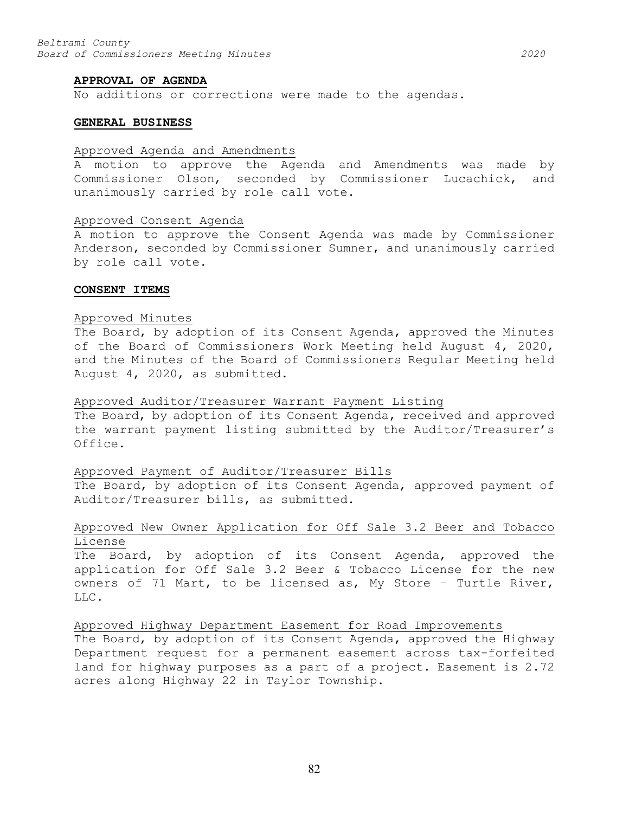#### **APPROVAL OF AGENDA**

No additions or corrections were made to the agendas.

### **GENERAL BUSINESS**

## Approved Agenda and Amendments

A motion to approve the Agenda and Amendments was made by Commissioner Olson, seconded by Commissioner Lucachick, and unanimously carried by role call vote.

### Approved Consent Agenda

A motion to approve the Consent Agenda was made by Commissioner Anderson, seconded by Commissioner Sumner, and unanimously carried by role call vote.

#### **CONSENT ITEMS**

#### Approved Minutes

The Board, by adoption of its Consent Agenda, approved the Minutes of the Board of Commissioners Work Meeting held August 4, 2020, and the Minutes of the Board of Commissioners Regular Meeting held August 4, 2020, as submitted.

### Approved Auditor/Treasurer Warrant Payment Listing

The Board, by adoption of its Consent Agenda, received and approved the warrant payment listing submitted by the Auditor/Treasurer's Office.

### Approved Payment of Auditor/Treasurer Bills

The Board, by adoption of its Consent Agenda, approved payment of Auditor/Treasurer bills, as submitted.

# Approved New Owner Application for Off Sale 3.2 Beer and Tobacco License

The Board, by adoption of its Consent Agenda, approved the application for Off Sale 3.2 Beer & Tobacco License for the new owners of 71 Mart, to be licensed as, My Store – Turtle River, LLC.

Approved Highway Department Easement for Road Improvements The Board, by adoption of its Consent Agenda, approved the Highway Department request for a permanent easement across tax-forfeited land for highway purposes as a part of a project. Easement is 2.72 acres along Highway 22 in Taylor Township.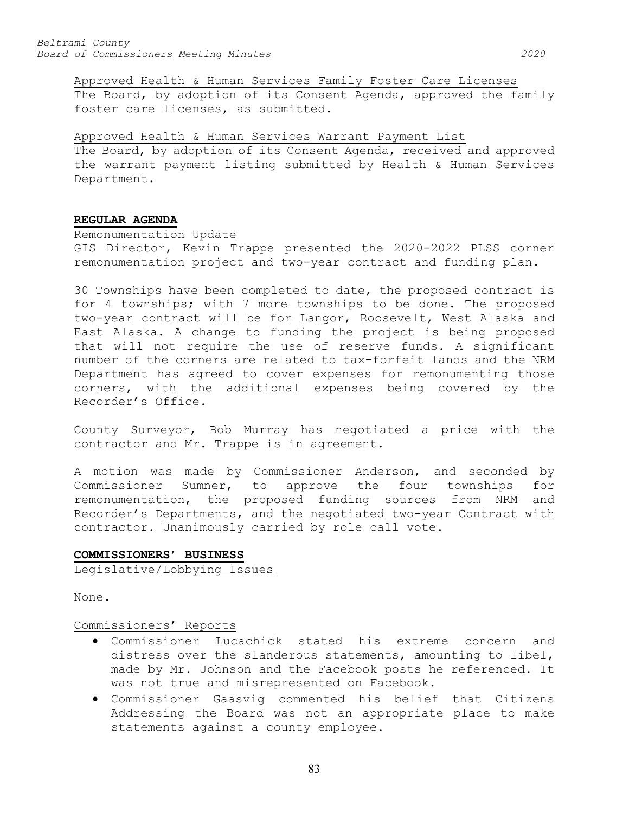Approved Health & Human Services Family Foster Care Licenses The Board, by adoption of its Consent Agenda, approved the family foster care licenses, as submitted.

Approved Health & Human Services Warrant Payment List The Board, by adoption of its Consent Agenda, received and approved the warrant payment listing submitted by Health & Human Services Department.

## **REGULAR AGENDA**

## Remonumentation Update

GIS Director, Kevin Trappe presented the 2020-2022 PLSS corner remonumentation project and two-year contract and funding plan.

30 Townships have been completed to date, the proposed contract is for 4 townships; with 7 more townships to be done. The proposed two-year contract will be for Langor, Roosevelt, West Alaska and East Alaska. A change to funding the project is being proposed that will not require the use of reserve funds. A significant number of the corners are related to tax-forfeit lands and the NRM Department has agreed to cover expenses for remonumenting those corners, with the additional expenses being covered by the Recorder's Office.

County Surveyor, Bob Murray has negotiated a price with the contractor and Mr. Trappe is in agreement.

A motion was made by Commissioner Anderson, and seconded by Commissioner Sumner, to approve the four townships for remonumentation, the proposed funding sources from NRM and Recorder's Departments, and the negotiated two-year Contract with contractor. Unanimously carried by role call vote.

# **COMMISSIONERS' BUSINESS**

Legislative/Lobbying Issues

None.

### Commissioners' Reports

- Commissioner Lucachick stated his extreme concern and distress over the slanderous statements, amounting to libel, made by Mr. Johnson and the Facebook posts he referenced. It was not true and misrepresented on Facebook.
- Commissioner Gaasvig commented his belief that Citizens Addressing the Board was not an appropriate place to make statements against a county employee.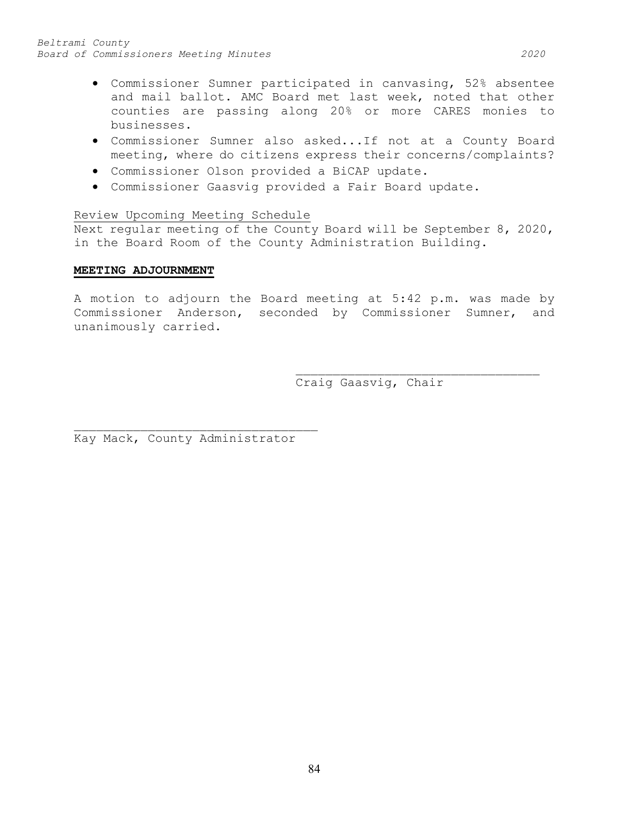- Commissioner Sumner participated in canvasing, 52% absentee and mail ballot. AMC Board met last week, noted that other counties are passing along 20% or more CARES monies to businesses.
- Commissioner Sumner also asked...If not at a County Board meeting, where do citizens express their concerns/complaints?
- Commissioner Olson provided a BiCAP update.
- Commissioner Gaasvig provided a Fair Board update.

## Review Upcoming Meeting Schedule

Next regular meeting of the County Board will be September 8, 2020, in the Board Room of the County Administration Building.

## **MEETING ADJOURNMENT**

A motion to adjourn the Board meeting at 5:42 p.m. was made by Commissioner Anderson, seconded by Commissioner Sumner, and unanimously carried.

> \_\_\_\_\_\_\_\_\_\_\_\_\_\_\_\_\_\_\_\_\_\_\_\_\_\_\_\_\_\_\_\_\_ Craig Gaasvig, Chair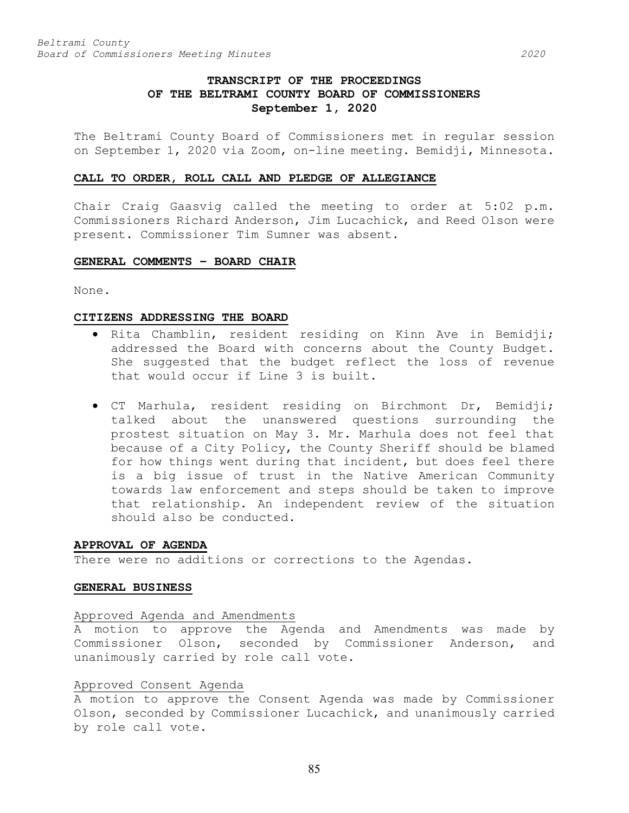# **TRANSCRIPT OF THE PROCEEDINGS OF THE BELTRAMI COUNTY BOARD OF COMMISSIONERS September 1, 2020**

The Beltrami County Board of Commissioners met in regular session on September 1, 2020 via Zoom, on-line meeting. Bemidji, Minnesota.

### **CALL TO ORDER, ROLL CALL AND PLEDGE OF ALLEGIANCE**

Chair Craig Gaasvig called the meeting to order at 5:02 p.m. Commissioners Richard Anderson, Jim Lucachick, and Reed Olson were present. Commissioner Tim Sumner was absent.

# **GENERAL COMMENTS – BOARD CHAIR**

None.

### **CITIZENS ADDRESSING THE BOARD**

- Rita Chamblin, resident residing on Kinn Ave in Bemidji; addressed the Board with concerns about the County Budget. She suggested that the budget reflect the loss of revenue that would occur if Line 3 is built.
- CT Marhula, resident residing on Birchmont Dr, Bemidji; talked about the unanswered questions surrounding the prostest situation on May 3. Mr. Marhula does not feel that because of a City Policy, the County Sheriff should be blamed for how things went during that incident, but does feel there is a big issue of trust in the Native American Community towards law enforcement and steps should be taken to improve that relationship. An independent review of the situation should also be conducted.

### **APPROVAL OF AGENDA**

There were no additions or corrections to the Agendas.

### **GENERAL BUSINESS**

### Approved Agenda and Amendments

A motion to approve the Agenda and Amendments was made by Commissioner Olson, seconded by Commissioner Anderson, and unanimously carried by role call vote.

### Approved Consent Agenda

A motion to approve the Consent Agenda was made by Commissioner Olson, seconded by Commissioner Lucachick, and unanimously carried by role call vote.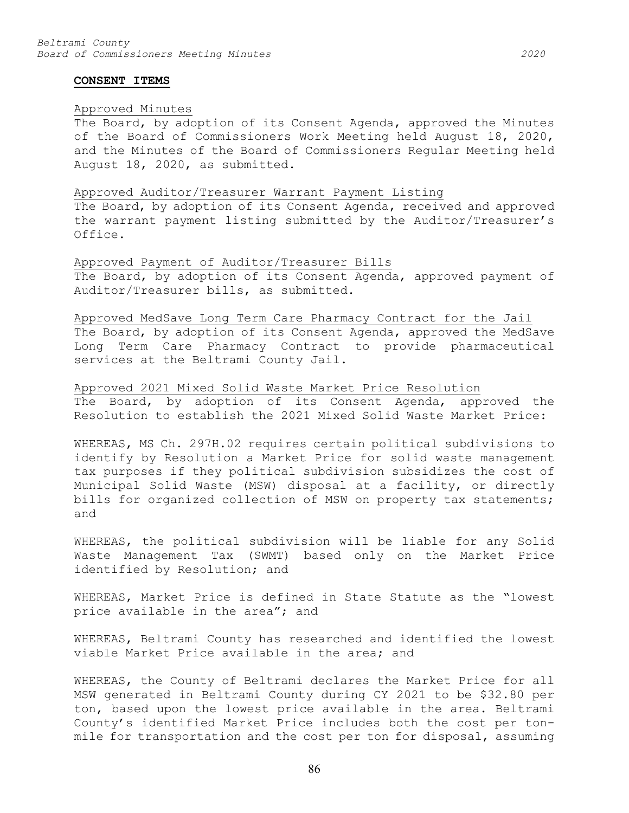#### **CONSENT ITEMS**

#### Approved Minutes

The Board, by adoption of its Consent Agenda, approved the Minutes of the Board of Commissioners Work Meeting held August 18, 2020, and the Minutes of the Board of Commissioners Regular Meeting held August 18, 2020, as submitted.

### Approved Auditor/Treasurer Warrant Payment Listing

The Board, by adoption of its Consent Agenda, received and approved the warrant payment listing submitted by the Auditor/Treasurer's Office.

Approved Payment of Auditor/Treasurer Bills The Board, by adoption of its Consent Agenda, approved payment of Auditor/Treasurer bills, as submitted.

Approved MedSave Long Term Care Pharmacy Contract for the Jail The Board, by adoption of its Consent Agenda, approved the MedSave Long Term Care Pharmacy Contract to provide pharmaceutical services at the Beltrami County Jail.

Approved 2021 Mixed Solid Waste Market Price Resolution The Board, by adoption of its Consent Agenda, approved the Resolution to establish the 2021 Mixed Solid Waste Market Price:

WHEREAS, MS Ch. 297H.02 requires certain political subdivisions to identify by Resolution a Market Price for solid waste management tax purposes if they political subdivision subsidizes the cost of Municipal Solid Waste (MSW) disposal at a facility, or directly bills for organized collection of MSW on property tax statements; and

WHEREAS, the political subdivision will be liable for any Solid Waste Management Tax (SWMT) based only on the Market Price identified by Resolution; and

WHEREAS, Market Price is defined in State Statute as the "lowest price available in the area"; and

WHEREAS, Beltrami County has researched and identified the lowest viable Market Price available in the area; and

WHEREAS, the County of Beltrami declares the Market Price for all MSW generated in Beltrami County during CY 2021 to be \$32.80 per ton, based upon the lowest price available in the area. Beltrami County's identified Market Price includes both the cost per tonmile for transportation and the cost per ton for disposal, assuming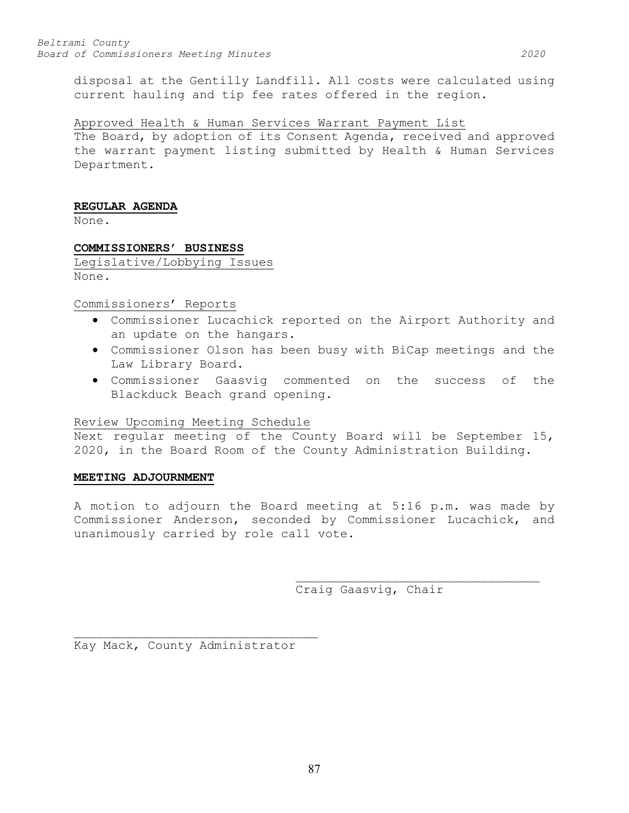disposal at the Gentilly Landfill. All costs were calculated using current hauling and tip fee rates offered in the region.

## Approved Health & Human Services Warrant Payment List

The Board, by adoption of its Consent Agenda, received and approved the warrant payment listing submitted by Health & Human Services Department.

## **REGULAR AGENDA**

None.

## **COMMISSIONERS' BUSINESS**

Legislative/Lobbying Issues None.

## Commissioners' Reports

- Commissioner Lucachick reported on the Airport Authority and an update on the hangars.
- Commissioner Olson has been busy with BiCap meetings and the Law Library Board.
- Commissioner Gaasvig commented on the success of the Blackduck Beach grand opening.

## Review Upcoming Meeting Schedule

Next regular meeting of the County Board will be September 15, 2020, in the Board Room of the County Administration Building.

## **MEETING ADJOURNMENT**

A motion to adjourn the Board meeting at 5:16 p.m. was made by Commissioner Anderson, seconded by Commissioner Lucachick, and unanimously carried by role call vote.

Craig Gaasvig, Chair

\_\_\_\_\_\_\_\_\_\_\_\_\_\_\_\_\_\_\_\_\_\_\_\_\_\_\_\_\_\_\_\_\_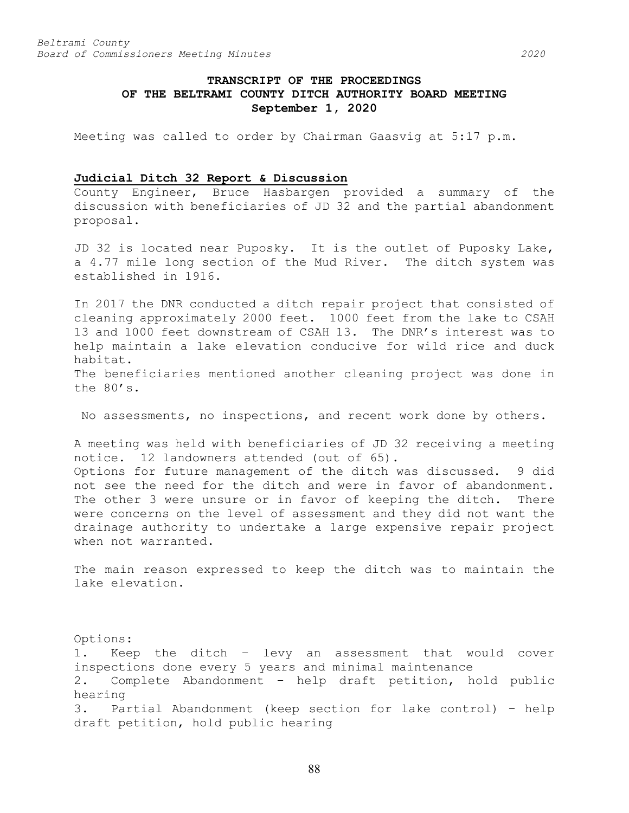# **TRANSCRIPT OF THE PROCEEDINGS OF THE BELTRAMI COUNTY DITCH AUTHORITY BOARD MEETING September 1, 2020**

Meeting was called to order by Chairman Gaasvig at 5:17 p.m.

# **Judicial Ditch 32 Report & Discussion**

County Engineer, Bruce Hasbargen provided a summary of the discussion with beneficiaries of JD 32 and the partial abandonment proposal.

JD 32 is located near Puposky. It is the outlet of Puposky Lake, a 4.77 mile long section of the Mud River. The ditch system was established in 1916.

In 2017 the DNR conducted a ditch repair project that consisted of cleaning approximately 2000 feet. 1000 feet from the lake to CSAH 13 and 1000 feet downstream of CSAH 13. The DNR's interest was to help maintain a lake elevation conducive for wild rice and duck habitat.

The beneficiaries mentioned another cleaning project was done in the 80's.

No assessments, no inspections, and recent work done by others.

A meeting was held with beneficiaries of JD 32 receiving a meeting notice. 12 landowners attended (out of 65). Options for future management of the ditch was discussed. 9 did not see the need for the ditch and were in favor of abandonment. The other 3 were unsure or in favor of keeping the ditch. There were concerns on the level of assessment and they did not want the drainage authority to undertake a large expensive repair project when not warranted.

The main reason expressed to keep the ditch was to maintain the lake elevation.

Options: 1. Keep the ditch – levy an assessment that would cover inspections done every 5 years and minimal maintenance 2. Complete Abandonment – help draft petition, hold public hearing 3. Partial Abandonment (keep section for lake control) – help draft petition, hold public hearing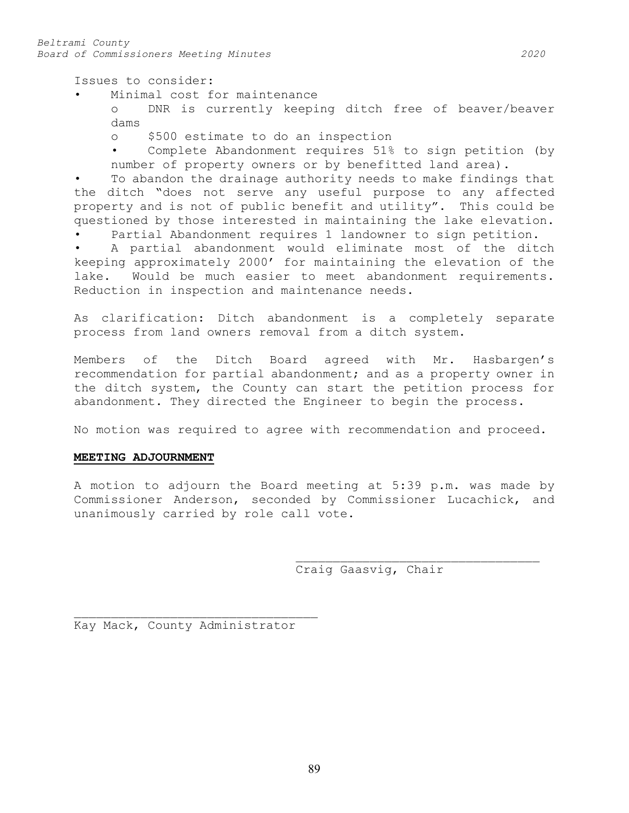Issues to consider:

Minimal cost for maintenance<br>o DNR is currently keepi

DNR is currently keeping ditch free of beaver/beaver dams

o \$500 estimate to do an inspection

Complete Abandonment requires 51% to sign petition (by number of property owners or by benefitted land area).

To abandon the drainage authority needs to make findings that the ditch "does not serve any useful purpose to any affected property and is not of public benefit and utility". This could be questioned by those interested in maintaining the lake elevation. Partial Abandonment requires 1 landowner to sign petition.

A partial abandonment would eliminate most of the ditch keeping approximately 2000' for maintaining the elevation of the lake. Would be much easier to meet abandonment requirements. Reduction in inspection and maintenance needs.

As clarification: Ditch abandonment is a completely separate process from land owners removal from a ditch system.

Members of the Ditch Board agreed with Mr. Hasbargen's recommendation for partial abandonment; and as a property owner in the ditch system, the County can start the petition process for abandonment. They directed the Engineer to begin the process.

No motion was required to agree with recommendation and proceed.

## **MEETING ADJOURNMENT**

A motion to adjourn the Board meeting at 5:39 p.m. was made by Commissioner Anderson, seconded by Commissioner Lucachick, and unanimously carried by role call vote.

> \_\_\_\_\_\_\_\_\_\_\_\_\_\_\_\_\_\_\_\_\_\_\_\_\_\_\_\_\_\_\_\_\_ Craig Gaasvig, Chair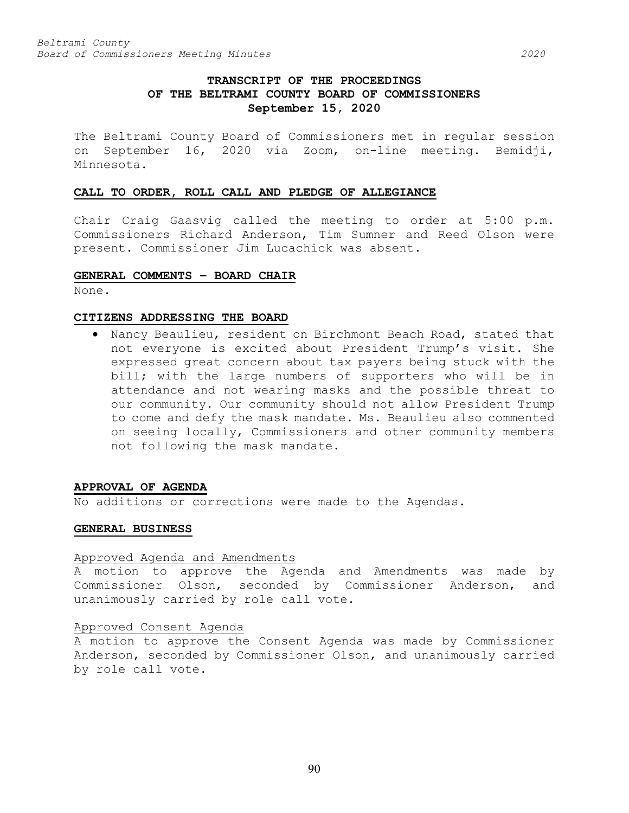# **TRANSCRIPT OF THE PROCEEDINGS OF THE BELTRAMI COUNTY BOARD OF COMMISSIONERS September 15, 2020**

The Beltrami County Board of Commissioners met in regular session on September 16, 2020 via Zoom, on-line meeting. Bemidji, Minnesota.

## **CALL TO ORDER, ROLL CALL AND PLEDGE OF ALLEGIANCE**

Chair Craig Gaasvig called the meeting to order at 5:00 p.m. Commissioners Richard Anderson, Tim Sumner and Reed Olson were present. Commissioner Jim Lucachick was absent.

## **GENERAL COMMENTS – BOARD CHAIR**

None.

### **CITIZENS ADDRESSING THE BOARD**

• Nancy Beaulieu, resident on Birchmont Beach Road, stated that not everyone is excited about President Trump's visit. She expressed great concern about tax payers being stuck with the bill; with the large numbers of supporters who will be in attendance and not wearing masks and the possible threat to our community. Our community should not allow President Trump to come and defy the mask mandate. Ms. Beaulieu also commented on seeing locally, Commissioners and other community members not following the mask mandate.

### **APPROVAL OF AGENDA**

No additions or corrections were made to the Agendas.

## **GENERAL BUSINESS**

### Approved Agenda and Amendments

A motion to approve the Agenda and Amendments was made by Commissioner Olson, seconded by Commissioner Anderson, and unanimously carried by role call vote.

## Approved Consent Agenda

A motion to approve the Consent Agenda was made by Commissioner Anderson, seconded by Commissioner Olson, and unanimously carried by role call vote.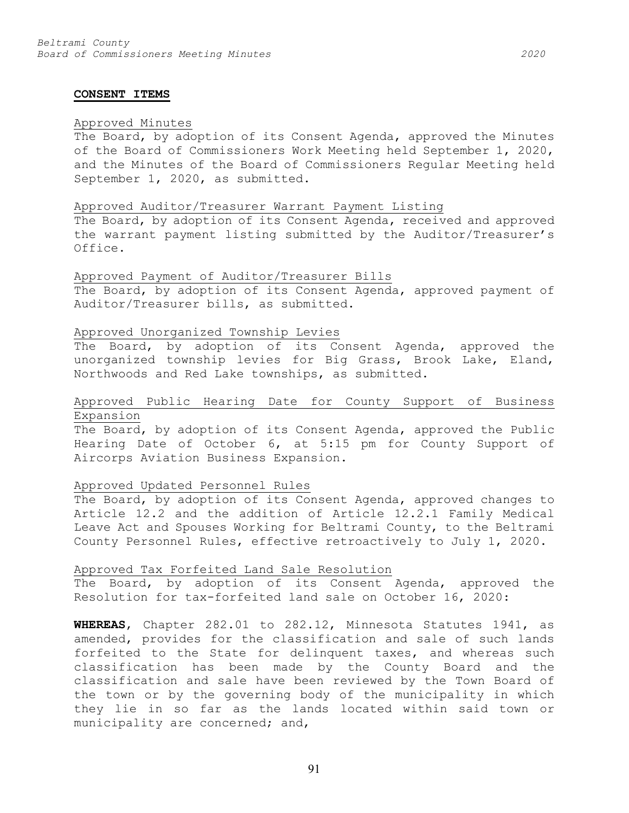#### **CONSENT ITEMS**

### Approved Minutes

The Board, by adoption of its Consent Agenda, approved the Minutes of the Board of Commissioners Work Meeting held September 1, 2020, and the Minutes of the Board of Commissioners Regular Meeting held September 1, 2020, as submitted.

### Approved Auditor/Treasurer Warrant Payment Listing

The Board, by adoption of its Consent Agenda, received and approved the warrant payment listing submitted by the Auditor/Treasurer's Office.

## Approved Payment of Auditor/Treasurer Bills The Board, by adoption of its Consent Agenda, approved payment of Auditor/Treasurer bills, as submitted.

## Approved Unorganized Township Levies

The Board, by adoption of its Consent Agenda, approved the unorganized township levies for Big Grass, Brook Lake, Eland, Northwoods and Red Lake townships, as submitted.

## Approved Public Hearing Date for County Support of Business Expansion

The Board, by adoption of its Consent Agenda, approved the Public Hearing Date of October 6, at 5:15 pm for County Support of Aircorps Aviation Business Expansion.

## Approved Updated Personnel Rules

The Board, by adoption of its Consent Agenda, approved changes to Article 12.2 and the addition of Article 12.2.1 Family Medical Leave Act and Spouses Working for Beltrami County, to the Beltrami County Personnel Rules, effective retroactively to July 1, 2020.

## Approved Tax Forfeited Land Sale Resolution

The Board, by adoption of its Consent Agenda, approved the Resolution for tax-forfeited land sale on October 16, 2020:

**WHEREAS**, Chapter 282.01 to 282.12, Minnesota Statutes 1941, as amended, provides for the classification and sale of such lands forfeited to the State for delinquent taxes, and whereas such classification has been made by the County Board and the classification and sale have been reviewed by the Town Board of the town or by the governing body of the municipality in which they lie in so far as the lands located within said town or municipality are concerned; and,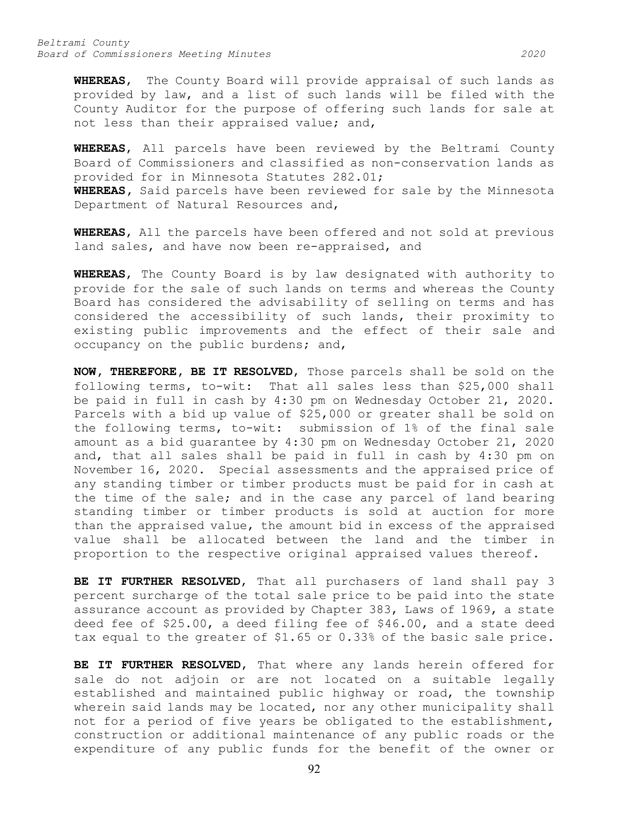*Beltrami County Board of Commissioners Meeting Minutes 2020*

**WHEREAS**, The County Board will provide appraisal of such lands as provided by law, and a list of such lands will be filed with the County Auditor for the purpose of offering such lands for sale at not less than their appraised value; and,

**WHEREAS**, All parcels have been reviewed by the Beltrami County Board of Commissioners and classified as non-conservation lands as provided for in Minnesota Statutes 282.01; **WHEREAS,** Said parcels have been reviewed for sale by the Minnesota Department of Natural Resources and,

**WHEREAS**, All the parcels have been offered and not sold at previous land sales, and have now been re-appraised, and

**WHEREAS**, The County Board is by law designated with authority to provide for the sale of such lands on terms and whereas the County Board has considered the advisability of selling on terms and has considered the accessibility of such lands, their proximity to existing public improvements and the effect of their sale and occupancy on the public burdens; and,

**NOW, THEREFORE, BE IT RESOLVED**, Those parcels shall be sold on the following terms, to-wit: That all sales less than \$25,000 shall be paid in full in cash by 4:30 pm on Wednesday October 21, 2020. Parcels with a bid up value of \$25,000 or greater shall be sold on the following terms, to-wit: submission of 1% of the final sale amount as a bid guarantee by 4:30 pm on Wednesday October 21, 2020 and, that all sales shall be paid in full in cash by 4:30 pm on November 16, 2020. Special assessments and the appraised price of any standing timber or timber products must be paid for in cash at the time of the sale; and in the case any parcel of land bearing standing timber or timber products is sold at auction for more than the appraised value, the amount bid in excess of the appraised value shall be allocated between the land and the timber in proportion to the respective original appraised values thereof.

**BE IT FURTHER RESOLVED**, That all purchasers of land shall pay 3 percent surcharge of the total sale price to be paid into the state assurance account as provided by Chapter 383, Laws of 1969, a state deed fee of \$25.00, a deed filing fee of \$46.00, and a state deed tax equal to the greater of \$1.65 or 0.33% of the basic sale price.

**BE IT FURTHER RESOLVED**, That where any lands herein offered for sale do not adjoin or are not located on a suitable legally established and maintained public highway or road, the township wherein said lands may be located, nor any other municipality shall not for a period of five years be obligated to the establishment, construction or additional maintenance of any public roads or the expenditure of any public funds for the benefit of the owner or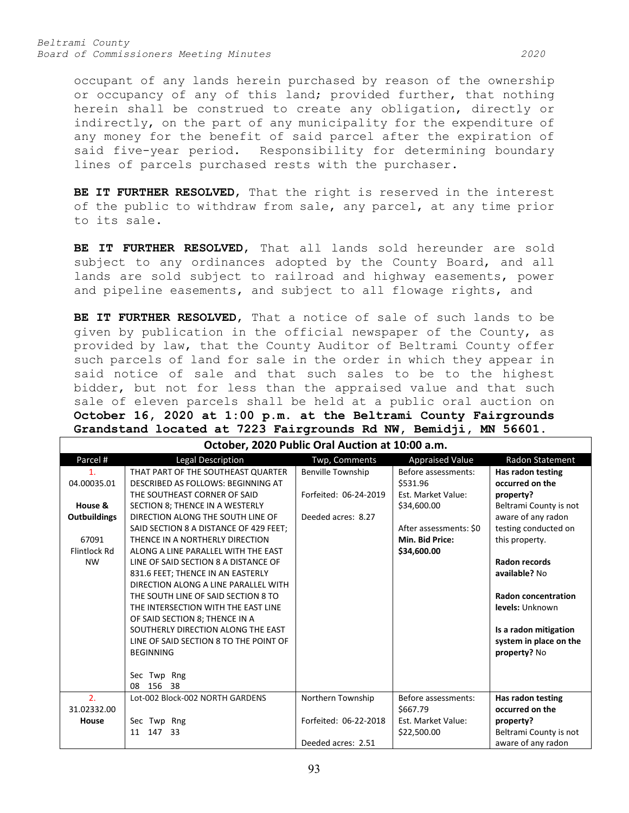*Beltrami County Board of Commissioners Meeting Minutes 2020*

occupant of any lands herein purchased by reason of the ownership or occupancy of any of this land; provided further, that nothing herein shall be construed to create any obligation, directly or indirectly, on the part of any municipality for the expenditure of any money for the benefit of said parcel after the expiration of said five-year period. Responsibility for determining boundary lines of parcels purchased rests with the purchaser.

BE IT FURTHER RESOLVED, That the right is reserved in the interest of the public to withdraw from sale, any parcel, at any time prior to its sale.

**BE IT FURTHER RESOLVED**, That all lands sold hereunder are sold subject to any ordinances adopted by the County Board, and all lands are sold subject to railroad and highway easements, power and pipeline easements, and subject to all flowage rights, and

**BE IT FURTHER RESOLVED**, That a notice of sale of such lands to be given by publication in the official newspaper of the County, as provided by law, that the County Auditor of Beltrami County offer such parcels of land for sale in the order in which they appear in said notice of sale and that such sales to be to the highest bidder, but not for less than the appraised value and that such sale of eleven parcels shall be held at a public oral auction on **October 16, 2020 at 1:00 p.m. at the Beltrami County Fairgrounds Grandstand located at 7223 Fairgrounds Rd NW, Bemidji, MN 56601.**

| October, 2020 Public Oral Auction at 10:00 a.m. |                                        |                          |                        |                            |  |  |
|-------------------------------------------------|----------------------------------------|--------------------------|------------------------|----------------------------|--|--|
| Parcel #                                        | Legal Description                      | Twp, Comments            | <b>Appraised Value</b> | Radon Statement            |  |  |
| $\mathbf{1}$ .                                  | THAT PART OF THE SOUTHEAST QUARTER     | <b>Benville Township</b> | Before assessments:    | Has radon testing          |  |  |
| 04.00035.01                                     | DESCRIBED AS FOLLOWS: BEGINNING AT     |                          | \$531.96               | occurred on the            |  |  |
|                                                 | THE SOUTHEAST CORNER OF SAID           | Forfeited: 06-24-2019    | Est. Market Value:     | property?                  |  |  |
| House &                                         | SECTION 8; THENCE IN A WESTERLY        |                          | \$34,600.00            | Beltrami County is not     |  |  |
| <b>Outbuildings</b>                             | DIRECTION ALONG THE SOUTH LINE OF      | Deeded acres: 8.27       |                        | aware of any radon         |  |  |
|                                                 | SAID SECTION 8 A DISTANCE OF 429 FEET: |                          | After assessments: \$0 | testing conducted on       |  |  |
| 67091                                           | THENCE IN A NORTHERLY DIRECTION        |                          | Min. Bid Price:        | this property.             |  |  |
| Flintlock Rd                                    | ALONG A LINE PARALLEL WITH THE EAST    |                          | \$34,600.00            |                            |  |  |
| <b>NW</b>                                       | LINE OF SAID SECTION 8 A DISTANCE OF   |                          |                        | <b>Radon records</b>       |  |  |
|                                                 | 831.6 FEET: THENCE IN AN EASTERLY      |                          |                        | available? No              |  |  |
|                                                 | DIRECTION ALONG A LINE PARALLEL WITH   |                          |                        |                            |  |  |
|                                                 | THE SOUTH LINE OF SAID SECTION 8 TO    |                          |                        | <b>Radon concentration</b> |  |  |
|                                                 | THE INTERSECTION WITH THE EAST LINE    |                          |                        | levels: Unknown            |  |  |
|                                                 | OF SAID SECTION 8; THENCE IN A         |                          |                        |                            |  |  |
|                                                 | SOUTHERLY DIRECTION ALONG THE EAST     |                          |                        | Is a radon mitigation      |  |  |
|                                                 | LINE OF SAID SECTION 8 TO THE POINT OF |                          |                        | system in place on the     |  |  |
|                                                 | <b>BEGINNING</b>                       |                          |                        | property? No               |  |  |
|                                                 |                                        |                          |                        |                            |  |  |
|                                                 | Sec Twp Rng                            |                          |                        |                            |  |  |
|                                                 | 156 38<br>08                           |                          |                        |                            |  |  |
| 2.                                              | Lot-002 Block-002 NORTH GARDENS        | Northern Township        | Before assessments:    | Has radon testing          |  |  |
| 31.02332.00                                     |                                        |                          | \$667.79               | occurred on the            |  |  |
| House                                           | Sec Twp Rng                            | Forfeited: 06-22-2018    | Est. Market Value:     | property?                  |  |  |
|                                                 | 147<br>- 33<br>11                      |                          | \$22,500.00            | Beltrami County is not     |  |  |
|                                                 |                                        | Deeded acres: 2.51       |                        | aware of any radon         |  |  |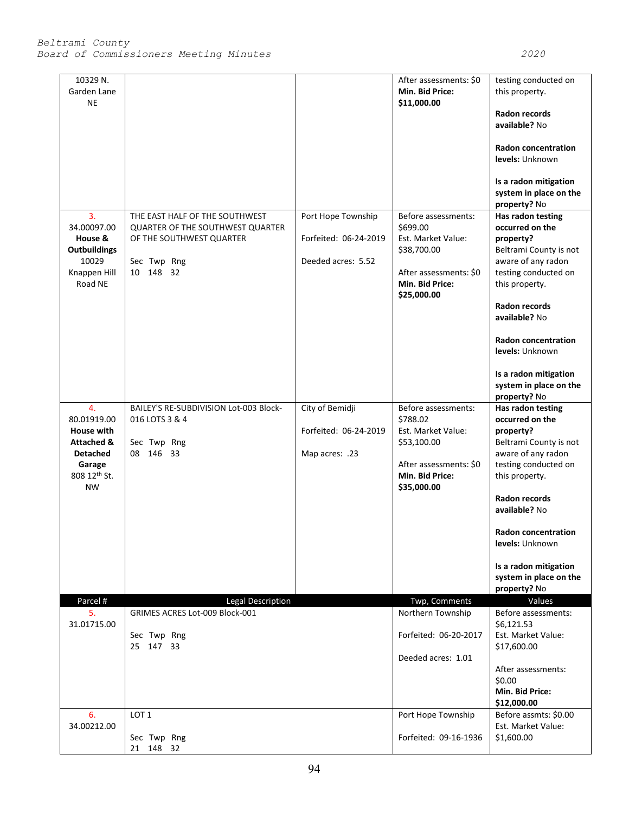| 10329 N.<br>Garden Lane<br><b>NE</b>                                                                                      |                                                                                                                                   |                                                                   | After assessments: \$0<br>Min. Bid Price:<br>\$11,000.00                                                                         | testing conducted on<br>this property.<br>Radon records<br>available? No<br><b>Radon concentration</b><br>levels: Unknown<br>Is a radon mitigation<br>system in place on the<br>property? No                                                                                                             |
|---------------------------------------------------------------------------------------------------------------------------|-----------------------------------------------------------------------------------------------------------------------------------|-------------------------------------------------------------------|----------------------------------------------------------------------------------------------------------------------------------|----------------------------------------------------------------------------------------------------------------------------------------------------------------------------------------------------------------------------------------------------------------------------------------------------------|
| 3.<br>34.00097.00<br>House &<br><b>Outbuildings</b><br>10029<br>Knappen Hill<br>Road NE                                   | THE EAST HALF OF THE SOUTHWEST<br><b>QUARTER OF THE SOUTHWEST QUARTER</b><br>OF THE SOUTHWEST QUARTER<br>Sec Twp Rng<br>10 148 32 | Port Hope Township<br>Forfeited: 06-24-2019<br>Deeded acres: 5.52 | Before assessments:<br>\$699.00<br>Est. Market Value:<br>\$38,700.00<br>After assessments: \$0<br>Min. Bid Price:<br>\$25,000.00 | Has radon testing<br>occurred on the<br>property?<br>Beltrami County is not<br>aware of any radon<br>testing conducted on<br>this property.<br><b>Radon records</b><br>available? No<br><b>Radon concentration</b><br>levels: Unknown<br>Is a radon mitigation<br>system in place on the<br>property? No |
| 4.<br>80.01919.00<br><b>House with</b><br><b>Attached &amp;</b><br><b>Detached</b><br>Garage<br>808 12th St.<br><b>NW</b> | BAILEY'S RE-SUBDIVISION Lot-003 Block-<br>016 LOTS 3 & 4<br>Sec Twp Rng<br>08 146 33                                              | City of Bemidji<br>Forfeited: 06-24-2019<br>Map acres: .23        | Before assessments:<br>\$788.02<br>Est. Market Value:<br>\$53,100.00<br>After assessments: \$0<br>Min. Bid Price:<br>\$35,000.00 | Has radon testing<br>occurred on the<br>property?<br>Beltrami County is not<br>aware of any radon<br>testing conducted on<br>this property.<br><b>Radon records</b><br>available? No<br>Radon concentration<br>levels: Unknown<br>Is a radon mitigation<br>system in place on the<br>property? No        |
| Parcel #<br>5.<br>31.01715.00                                                                                             | Legal Description<br>GRIMES ACRES Lot-009 Block-001<br>Sec Twp Rng<br>25 147 33                                                   |                                                                   | Twp, Comments<br>Northern Township<br>Forfeited: 06-20-2017<br>Deeded acres: 1.01                                                | Values<br>Before assessments:<br>\$6,121.53<br>Est. Market Value:<br>\$17,600.00<br>After assessments:<br>\$0.00<br>Min. Bid Price:<br>\$12,000.00                                                                                                                                                       |
| 6.<br>34.00212.00                                                                                                         | LOT <sub>1</sub><br>Sec Twp Rng<br>21 148 32                                                                                      |                                                                   | Port Hope Township<br>Forfeited: 09-16-1936                                                                                      | Before assmts: \$0.00<br>Est. Market Value:<br>\$1,600.00                                                                                                                                                                                                                                                |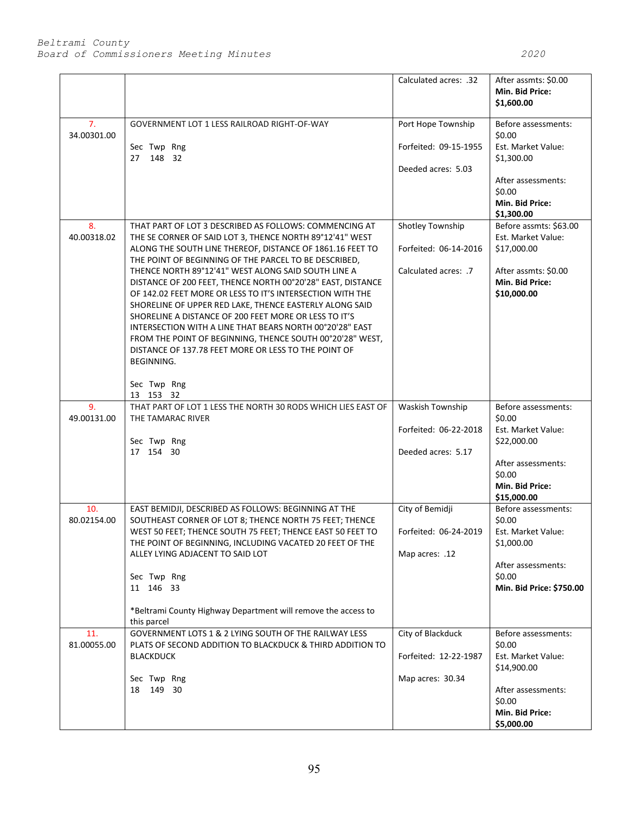|                               |                                                                                                                                                                                                                                                                                                                                                                                                                                                                                                                                                                                                                                                                                                                                                                      | Calculated acres: .32                                             | After assmts: \$0.00<br>Min. Bid Price:<br>\$1,600.00                                                                                |
|-------------------------------|----------------------------------------------------------------------------------------------------------------------------------------------------------------------------------------------------------------------------------------------------------------------------------------------------------------------------------------------------------------------------------------------------------------------------------------------------------------------------------------------------------------------------------------------------------------------------------------------------------------------------------------------------------------------------------------------------------------------------------------------------------------------|-------------------------------------------------------------------|--------------------------------------------------------------------------------------------------------------------------------------|
| 7.<br>34.00301.00             | GOVERNMENT LOT 1 LESS RAILROAD RIGHT-OF-WAY<br>Sec Twp Rng<br>27 148 32                                                                                                                                                                                                                                                                                                                                                                                                                                                                                                                                                                                                                                                                                              | Port Hope Township<br>Forfeited: 09-15-1955<br>Deeded acres: 5.03 | Before assessments:<br>\$0.00<br>Est. Market Value:<br>\$1,300.00<br>After assessments:<br>\$0.00<br>Min. Bid Price:                 |
| 8.<br>40.00318.02             | THAT PART OF LOT 3 DESCRIBED AS FOLLOWS: COMMENCING AT<br>THE SE CORNER OF SAID LOT 3, THENCE NORTH 89°12'41" WEST<br>ALONG THE SOUTH LINE THEREOF, DISTANCE OF 1861.16 FEET TO<br>THE POINT OF BEGINNING OF THE PARCEL TO BE DESCRIBED,<br>THENCE NORTH 89°12'41" WEST ALONG SAID SOUTH LINE A<br>DISTANCE OF 200 FEET, THENCE NORTH 00°20'28" EAST, DISTANCE<br>OF 142.02 FEET MORE OR LESS TO IT'S INTERSECTION WITH THE<br>SHORELINE OF UPPER RED LAKE, THENCE EASTERLY ALONG SAID<br>SHORELINE A DISTANCE OF 200 FEET MORE OR LESS TO IT'S<br>INTERSECTION WITH A LINE THAT BEARS NORTH 00°20'28" EAST<br>FROM THE POINT OF BEGINNING, THENCE SOUTH 00°20'28" WEST,<br>DISTANCE OF 137.78 FEET MORE OR LESS TO THE POINT OF<br><b>BEGINNING.</b><br>Sec Twp Rng | Shotley Township<br>Forfeited: 06-14-2016<br>Calculated acres: .7 | \$1,300.00<br>Before assmts: \$63.00<br>Est. Market Value:<br>\$17,000.00<br>After assmts: \$0.00<br>Min. Bid Price:<br>\$10,000.00  |
| 9 <sub>1</sub><br>49.00131.00 | 13 153 32<br>THAT PART OF LOT 1 LESS THE NORTH 30 RODS WHICH LIES EAST OF<br>THE TAMARAC RIVER<br>Sec Twp Rng<br>17 154 30                                                                                                                                                                                                                                                                                                                                                                                                                                                                                                                                                                                                                                           | Waskish Township<br>Forfeited: 06-22-2018<br>Deeded acres: 5.17   | Before assessments:<br>\$0.00<br>Est. Market Value:<br>\$22,000.00<br>After assessments:<br>\$0.00<br>Min. Bid Price:<br>\$15,000.00 |
| 10.<br>80.02154.00            | EAST BEMIDJI, DESCRIBED AS FOLLOWS: BEGINNING AT THE<br>SOUTHEAST CORNER OF LOT 8; THENCE NORTH 75 FEET; THENCE<br>WEST 50 FEET; THENCE SOUTH 75 FEET; THENCE EAST 50 FEET TO<br>THE POINT OF BEGINNING, INCLUDING VACATED 20 FEET OF THE<br>ALLEY LYING ADJACENT TO SAID LOT<br>Sec Twp Rng<br>11 146 33<br>*Beltrami County Highway Department will remove the access to<br>this parcel                                                                                                                                                                                                                                                                                                                                                                            | City of Bemidji<br>Forfeited: 06-24-2019<br>Map acres: .12        | Before assessments:<br>\$0.00<br>Est. Market Value:<br>\$1,000.00<br>After assessments:<br>\$0.00<br>Min. Bid Price: \$750.00        |
| 11.<br>81.00055.00            | GOVERNMENT LOTS 1 & 2 LYING SOUTH OF THE RAILWAY LESS<br>PLATS OF SECOND ADDITION TO BLACKDUCK & THIRD ADDITION TO<br><b>BLACKDUCK</b><br>Sec Twp Rng<br>18 149 30                                                                                                                                                                                                                                                                                                                                                                                                                                                                                                                                                                                                   | City of Blackduck<br>Forfeited: 12-22-1987<br>Map acres: 30.34    | Before assessments:<br>\$0.00<br>Est. Market Value:<br>\$14,900.00<br>After assessments:<br>\$0.00<br>Min. Bid Price:<br>\$5,000.00  |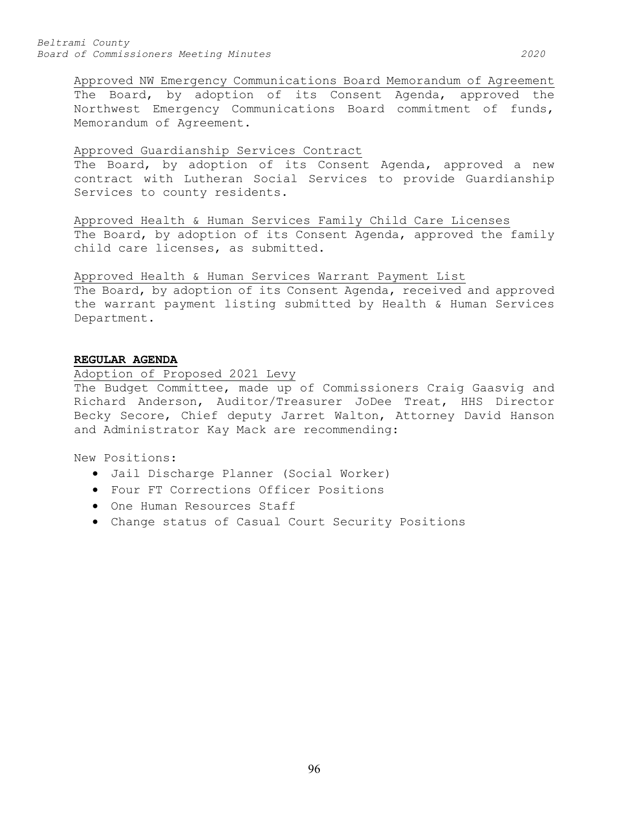## Approved Guardianship Services Contract

The Board, by adoption of its Consent Agenda, approved a new contract with Lutheran Social Services to provide Guardianship Services to county residents.

Approved Health & Human Services Family Child Care Licenses The Board, by adoption of its Consent Agenda, approved the family child care licenses, as submitted.

Approved Health & Human Services Warrant Payment List The Board, by adoption of its Consent Agenda, received and approved the warrant payment listing submitted by Health & Human Services Department.

## **REGULAR AGENDA**

## Adoption of Proposed 2021 Levy

The Budget Committee, made up of Commissioners Craig Gaasvig and Richard Anderson, Auditor/Treasurer JoDee Treat, HHS Director Becky Secore, Chief deputy Jarret Walton, Attorney David Hanson and Administrator Kay Mack are recommending:

New Positions:

- Jail Discharge Planner (Social Worker)
- Four FT Corrections Officer Positions
- One Human Resources Staff
- Change status of Casual Court Security Positions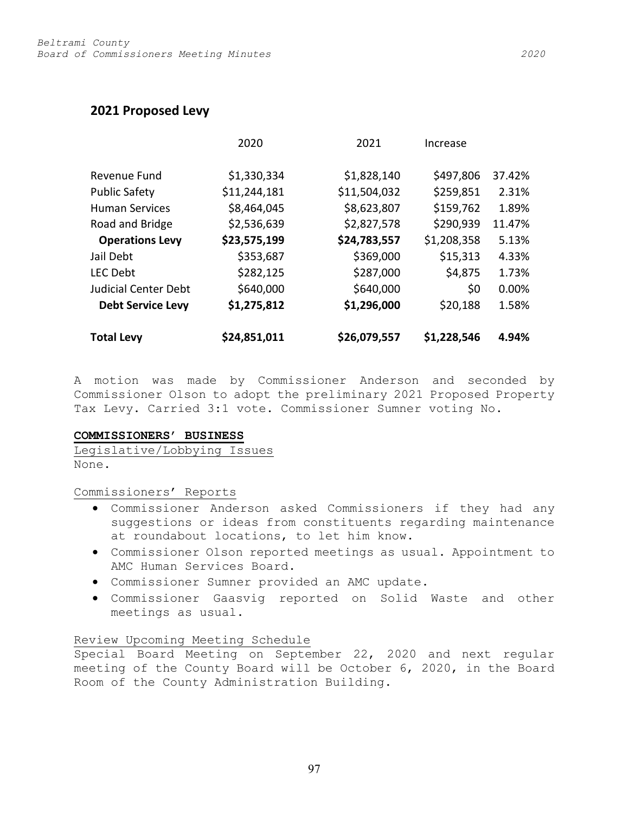# **2021 Proposed Levy**

|                             | 2020         | 2021         | Increase    |        |
|-----------------------------|--------------|--------------|-------------|--------|
| Revenue Fund                | \$1,330,334  | \$1,828,140  | \$497,806   | 37.42% |
| <b>Public Safety</b>        | \$11,244,181 | \$11,504,032 | \$259,851   | 2.31%  |
| <b>Human Services</b>       | \$8,464,045  | \$8,623,807  | \$159,762   | 1.89%  |
| Road and Bridge             | \$2,536,639  | \$2,827,578  | \$290,939   | 11.47% |
| <b>Operations Levy</b>      | \$23,575,199 | \$24,783,557 | \$1,208,358 | 5.13%  |
| Jail Debt                   | \$353,687    | \$369,000    | \$15,313    | 4.33%  |
| <b>LEC Debt</b>             | \$282,125    | \$287,000    | \$4,875     | 1.73%  |
| <b>Judicial Center Debt</b> | \$640,000    | \$640,000    | \$0         | 0.00%  |
| <b>Debt Service Levy</b>    | \$1,275,812  | \$1,296,000  | \$20,188    | 1.58%  |
| <b>Total Levy</b>           | \$24,851,011 | \$26,079,557 | \$1,228,546 | 4.94%  |

A motion was made by Commissioner Anderson and seconded by Commissioner Olson to adopt the preliminary 2021 Proposed Property Tax Levy. Carried 3:1 vote. Commissioner Sumner voting No.

## **COMMISSIONERS' BUSINESS**

Legislative/Lobbying Issues None.

Commissioners' Reports

- Commissioner Anderson asked Commissioners if they had any suggestions or ideas from constituents regarding maintenance at roundabout locations, to let him know.
- Commissioner Olson reported meetings as usual. Appointment to AMC Human Services Board.
- Commissioner Sumner provided an AMC update.
- Commissioner Gaasvig reported on Solid Waste and other meetings as usual.

## Review Upcoming Meeting Schedule

Special Board Meeting on September 22, 2020 and next regular meeting of the County Board will be October 6, 2020, in the Board Room of the County Administration Building.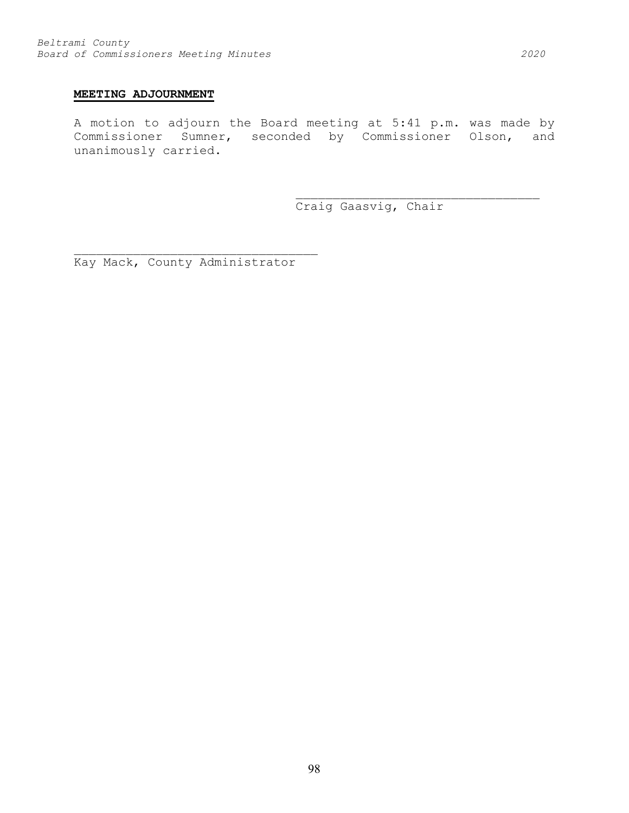## **MEETING ADJOURNMENT**

A motion to adjourn the Board meeting at 5:41 p.m. was made by Commissioner Sumner, seconded by Commissioner Olson, and unanimously carried.

Craig Gaasvig, Chair

\_\_\_\_\_\_\_\_\_\_\_\_\_\_\_\_\_\_\_\_\_\_\_\_\_\_\_\_\_\_\_\_\_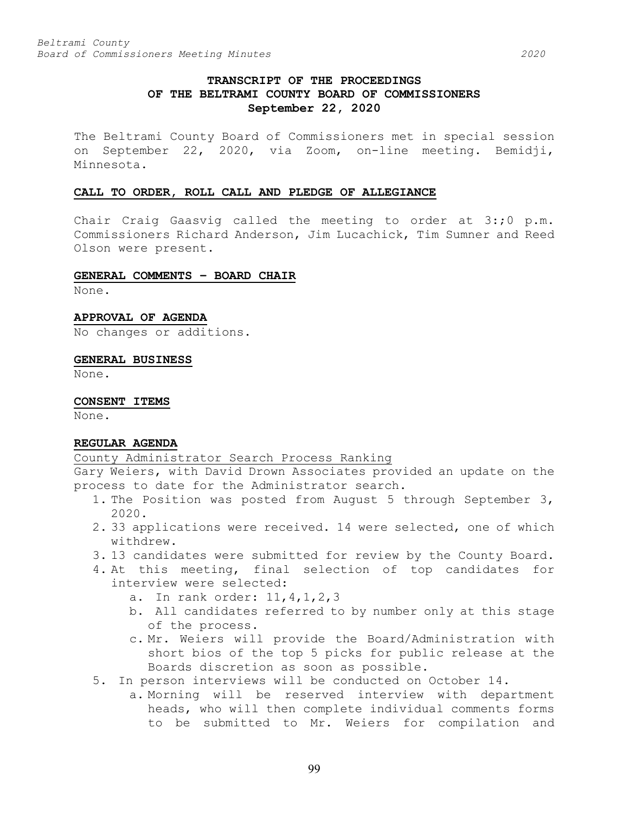# **TRANSCRIPT OF THE PROCEEDINGS OF THE BELTRAMI COUNTY BOARD OF COMMISSIONERS September 22, 2020**

The Beltrami County Board of Commissioners met in special session on September 22, 2020, via Zoom, on-line meeting. Bemidji, Minnesota.

## **CALL TO ORDER, ROLL CALL AND PLEDGE OF ALLEGIANCE**

Chair Craig Gaasvig called the meeting to order at 3:;0 p.m. Commissioners Richard Anderson, Jim Lucachick, Tim Sumner and Reed Olson were present.

## **GENERAL COMMENTS – BOARD CHAIR**

None.

**APPROVAL OF AGENDA**

No changes or additions.

**GENERAL BUSINESS**

None.

**CONSENT ITEMS**

None.

## **REGULAR AGENDA**

County Administrator Search Process Ranking

Gary Weiers, with David Drown Associates provided an update on the process to date for the Administrator search.

- 1. The Position was posted from August 5 through September 3, 2020.
- 2. 33 applications were received. 14 were selected, one of which withdrew.
- 3. 13 candidates were submitted for review by the County Board.
- 4. At this meeting, final selection of top candidates for interview were selected:
	- a. In rank order: 11,4,1,2,3
	- b. All candidates referred to by number only at this stage of the process.
	- c. Mr. Weiers will provide the Board/Administration with short bios of the top 5 picks for public release at the Boards discretion as soon as possible.
- 5. In person interviews will be conducted on October 14.
	- a. Morning will be reserved interview with department heads, who will then complete individual comments forms to be submitted to Mr. Weiers for compilation and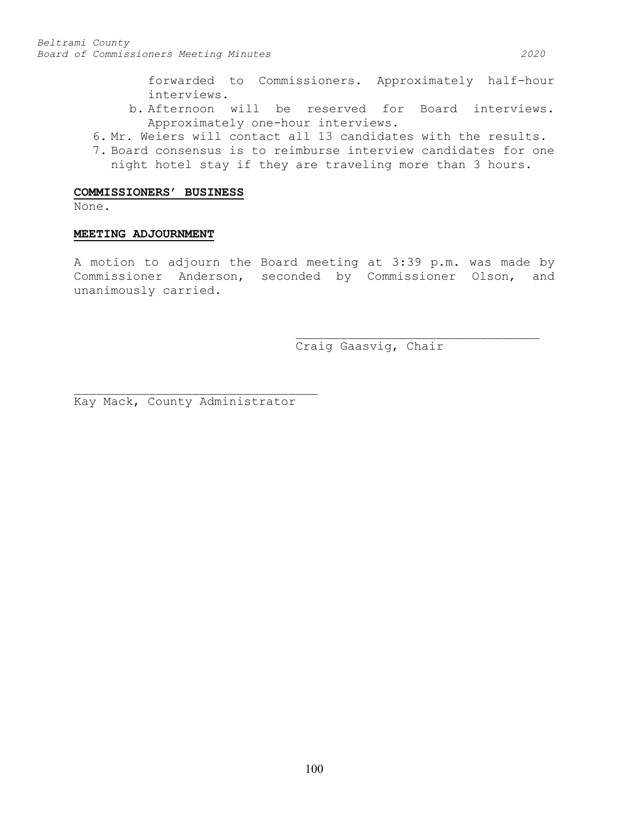forwarded to Commissioners. Approximately half-hour interviews.

- b. Afternoon will be reserved for Board interviews. Approximately one-hour interviews.
- 6. Mr. Weiers will contact all 13 candidates with the results.
- 7. Board consensus is to reimburse interview candidates for one night hotel stay if they are traveling more than 3 hours.

## **COMMISSIONERS' BUSINESS**

None.

### **MEETING ADJOURNMENT**

A motion to adjourn the Board meeting at 3:39 p.m. was made by Commissioner Anderson, seconded by Commissioner Olson, and unanimously carried.

> \_\_\_\_\_\_\_\_\_\_\_\_\_\_\_\_\_\_\_\_\_\_\_\_\_\_\_\_\_\_\_\_\_ Craig Gaasvig, Chair

Kay Mack, County Administrator

\_\_\_\_\_\_\_\_\_\_\_\_\_\_\_\_\_\_\_\_\_\_\_\_\_\_\_\_\_\_\_\_\_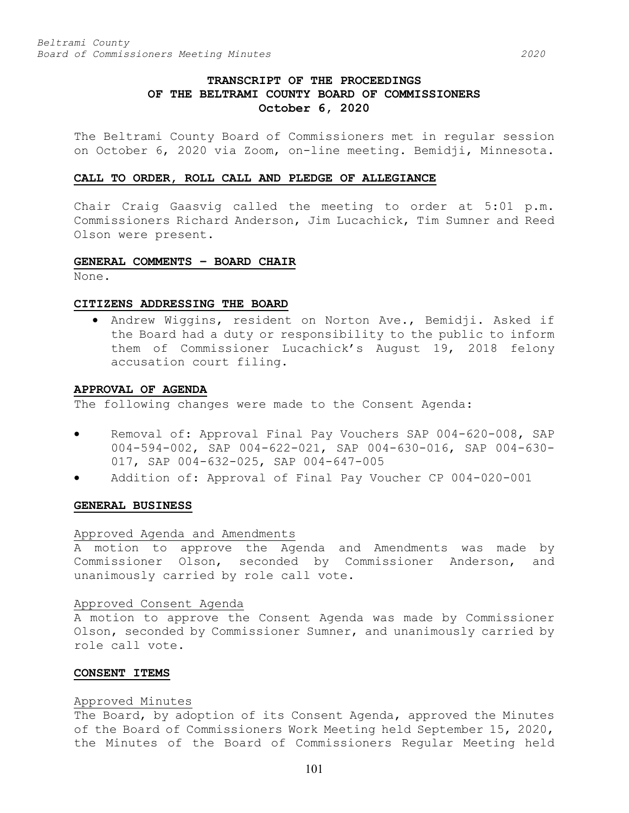## **TRANSCRIPT OF THE PROCEEDINGS OF THE BELTRAMI COUNTY BOARD OF COMMISSIONERS October 6, 2020**

The Beltrami County Board of Commissioners met in regular session on October 6, 2020 via Zoom, on-line meeting. Bemidji, Minnesota.

#### **CALL TO ORDER, ROLL CALL AND PLEDGE OF ALLEGIANCE**

Chair Craig Gaasvig called the meeting to order at 5:01 p.m. Commissioners Richard Anderson, Jim Lucachick, Tim Sumner and Reed Olson were present.

### **GENERAL COMMENTS – BOARD CHAIR**

None.

## **CITIZENS ADDRESSING THE BOARD**

• Andrew Wiggins, resident on Norton Ave., Bemidji. Asked if the Board had a duty or responsibility to the public to inform them of Commissioner Lucachick's August 19, 2018 felony accusation court filing.

#### **APPROVAL OF AGENDA**

The following changes were made to the Consent Agenda:

- Removal of: Approval Final Pay Vouchers SAP 004-620-008, SAP 004-594-002, SAP 004-622-021, SAP 004-630-016, SAP 004-630- 017, SAP 004-632-025, SAP 004-647-005
- Addition of: Approval of Final Pay Voucher CP 004-020-001

#### **GENERAL BUSINESS**

#### Approved Agenda and Amendments

A motion to approve the Agenda and Amendments was made by Commissioner Olson, seconded by Commissioner Anderson, and unanimously carried by role call vote.

#### Approved Consent Agenda

A motion to approve the Consent Agenda was made by Commissioner Olson, seconded by Commissioner Sumner, and unanimously carried by role call vote.

### **CONSENT ITEMS**

#### Approved Minutes

The Board, by adoption of its Consent Agenda, approved the Minutes of the Board of Commissioners Work Meeting held September 15, 2020, the Minutes of the Board of Commissioners Regular Meeting held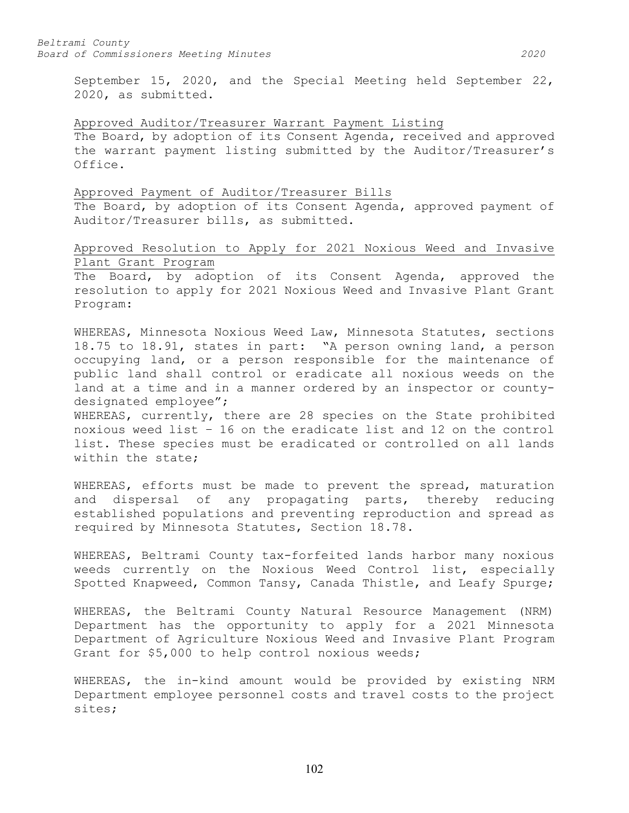September 15, 2020, and the Special Meeting held September 22, 2020, as submitted.

### Approved Auditor/Treasurer Warrant Payment Listing

The Board, by adoption of its Consent Agenda, received and approved the warrant payment listing submitted by the Auditor/Treasurer's Office.

#### Approved Payment of Auditor/Treasurer Bills

The Board, by adoption of its Consent Agenda, approved payment of Auditor/Treasurer bills, as submitted.

# Approved Resolution to Apply for 2021 Noxious Weed and Invasive Plant Grant Program

The Board, by adoption of its Consent Agenda, approved the resolution to apply for 2021 Noxious Weed and Invasive Plant Grant Program:

WHEREAS, Minnesota Noxious Weed Law, Minnesota Statutes, sections 18.75 to 18.91, states in part: "A person owning land, a person occupying land, or a person responsible for the maintenance of public land shall control or eradicate all noxious weeds on the land at a time and in a manner ordered by an inspector or countydesignated employee";

WHEREAS, currently, there are 28 species on the State prohibited noxious weed list – 16 on the eradicate list and 12 on the control list. These species must be eradicated or controlled on all lands within the state;

WHEREAS, efforts must be made to prevent the spread, maturation and dispersal of any propagating parts, thereby reducing established populations and preventing reproduction and spread as required by Minnesota Statutes, Section 18.78.

WHEREAS, Beltrami County tax-forfeited lands harbor many noxious weeds currently on the Noxious Weed Control list, especially Spotted Knapweed, Common Tansy, Canada Thistle, and Leafy Spurge;

WHEREAS, the Beltrami County Natural Resource Management (NRM) Department has the opportunity to apply for a 2021 Minnesota Department of Agriculture Noxious Weed and Invasive Plant Program Grant for \$5,000 to help control noxious weeds;

WHEREAS, the in-kind amount would be provided by existing NRM Department employee personnel costs and travel costs to the project sites;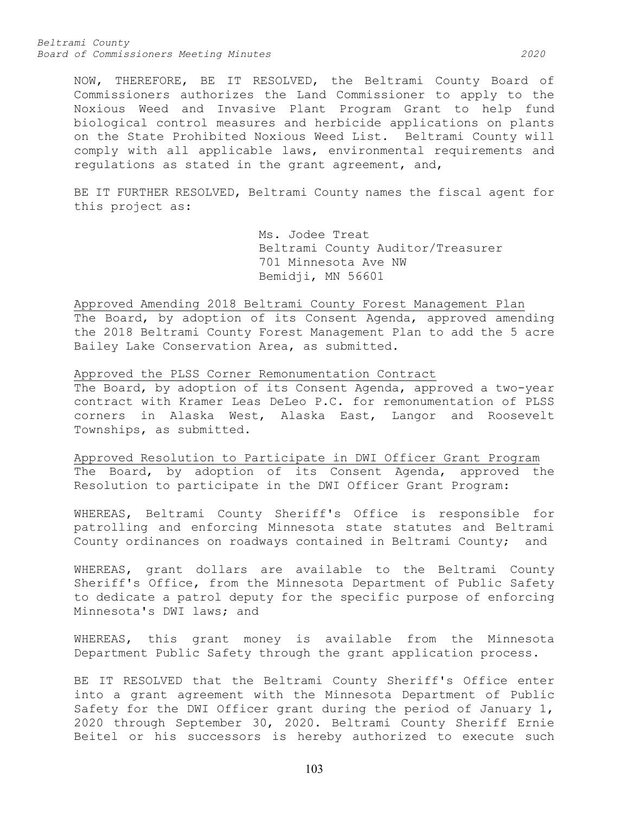*Beltrami County Board of Commissioners Meeting Minutes 2020*

NOW, THEREFORE, BE IT RESOLVED, the Beltrami County Board of Commissioners authorizes the Land Commissioner to apply to the Noxious Weed and Invasive Plant Program Grant to help fund biological control measures and herbicide applications on plants on the State Prohibited Noxious Weed List. Beltrami County will comply with all applicable laws, environmental requirements and regulations as stated in the grant agreement, and,

BE IT FURTHER RESOLVED, Beltrami County names the fiscal agent for this project as:

> Ms. Jodee Treat Beltrami County Auditor/Treasurer 701 Minnesota Ave NW Bemidji, MN 56601

Approved Amending 2018 Beltrami County Forest Management Plan The Board, by adoption of its Consent Agenda, approved amending the 2018 Beltrami County Forest Management Plan to add the 5 acre Bailey Lake Conservation Area, as submitted.

Approved the PLSS Corner Remonumentation Contract The Board, by adoption of its Consent Agenda, approved a two-year contract with Kramer Leas DeLeo P.C. for remonumentation of PLSS corners in Alaska West, Alaska East, Langor and Roosevelt Townships, as submitted.

Approved Resolution to Participate in DWI Officer Grant Program The Board, by adoption of its Consent Agenda, approved the Resolution to participate in the DWI Officer Grant Program:

WHEREAS, Beltrami County Sheriff's Office is responsible for patrolling and enforcing Minnesota state statutes and Beltrami County ordinances on roadways contained in Beltrami County; and

WHEREAS, grant dollars are available to the Beltrami County Sheriff's Office, from the Minnesota Department of Public Safety to dedicate a patrol deputy for the specific purpose of enforcing Minnesota's DWI laws; and

WHEREAS, this grant money is available from the Minnesota Department Public Safety through the grant application process.

BE IT RESOLVED that the Beltrami County Sheriff's Office enter into a grant agreement with the Minnesota Department of Public Safety for the DWI Officer grant during the period of January 1, 2020 through September 30, 2020. Beltrami County Sheriff Ernie Beitel or his successors is hereby authorized to execute such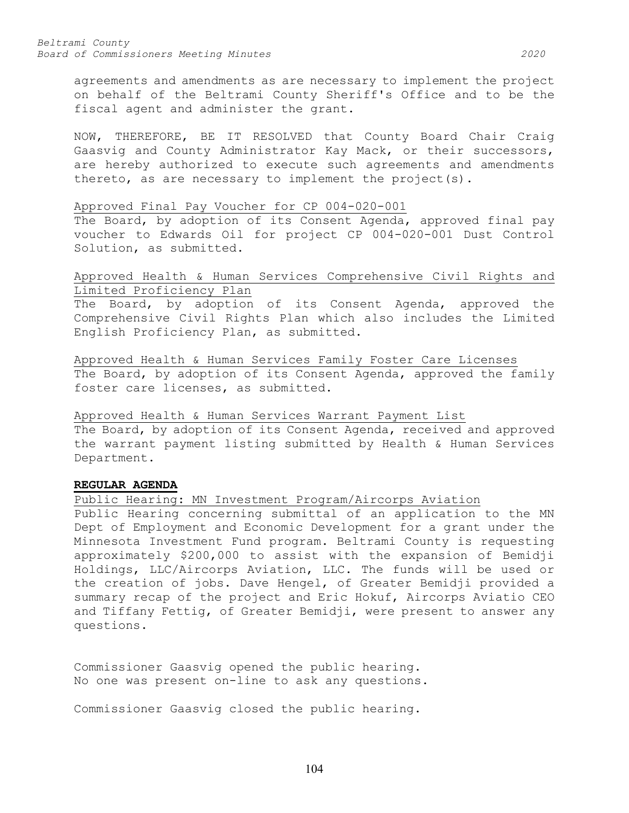agreements and amendments as are necessary to implement the project on behalf of the Beltrami County Sheriff's Office and to be the fiscal agent and administer the grant.

NOW, THEREFORE, BE IT RESOLVED that County Board Chair Craig Gaasvig and County Administrator Kay Mack, or their successors, are hereby authorized to execute such agreements and amendments thereto, as are necessary to implement the project(s).

### Approved Final Pay Voucher for CP 004-020-001

The Board, by adoption of its Consent Agenda, approved final pay voucher to Edwards Oil for project CP 004-020-001 Dust Control Solution, as submitted.

## Approved Health & Human Services Comprehensive Civil Rights and Limited Proficiency Plan

The Board, by adoption of its Consent Agenda, approved the Comprehensive Civil Rights Plan which also includes the Limited English Proficiency Plan, as submitted.

Approved Health & Human Services Family Foster Care Licenses The Board, by adoption of its Consent Agenda, approved the family foster care licenses, as submitted.

Approved Health & Human Services Warrant Payment List The Board, by adoption of its Consent Agenda, received and approved the warrant payment listing submitted by Health & Human Services Department.

## **REGULAR AGENDA**

Public Hearing: MN Investment Program/Aircorps Aviation

Public Hearing concerning submittal of an application to the MN Dept of Employment and Economic Development for a grant under the Minnesota Investment Fund program. Beltrami County is requesting approximately \$200,000 to assist with the expansion of Bemidji Holdings, LLC/Aircorps Aviation, LLC. The funds will be used or the creation of jobs. Dave Hengel, of Greater Bemidji provided a summary recap of the project and Eric Hokuf, Aircorps Aviatio CEO and Tiffany Fettig, of Greater Bemidji, were present to answer any questions.

Commissioner Gaasvig opened the public hearing. No one was present on-line to ask any questions.

Commissioner Gaasvig closed the public hearing.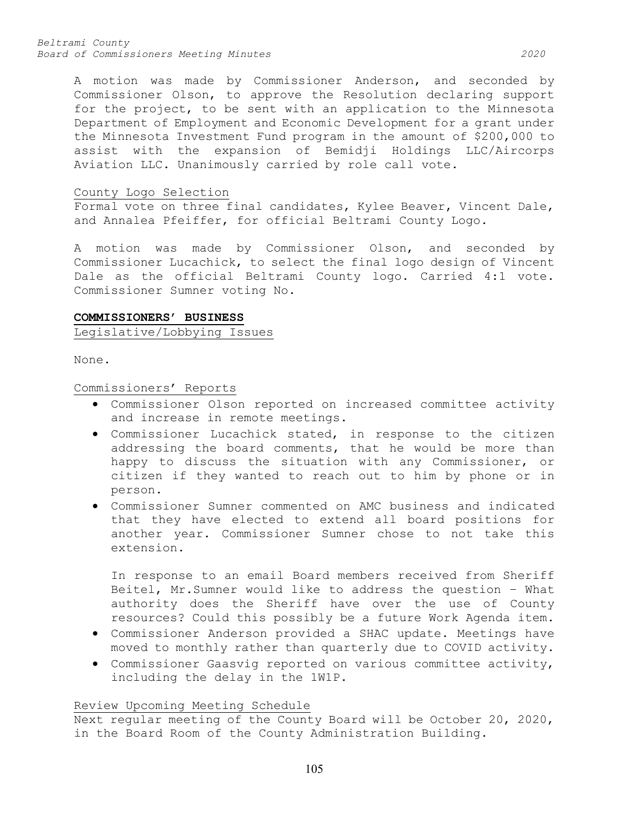*Beltrami County Board of Commissioners Meeting Minutes 2020*

A motion was made by Commissioner Anderson, and seconded by Commissioner Olson, to approve the Resolution declaring support for the project, to be sent with an application to the Minnesota Department of Employment and Economic Development for a grant under the Minnesota Investment Fund program in the amount of \$200,000 to assist with the expansion of Bemidji Holdings LLC/Aircorps Aviation LLC. Unanimously carried by role call vote.

### County Logo Selection

Formal vote on three final candidates, Kylee Beaver, Vincent Dale, and Annalea Pfeiffer, for official Beltrami County Logo.

A motion was made by Commissioner Olson, and seconded by Commissioner Lucachick, to select the final logo design of Vincent Dale as the official Beltrami County logo. Carried 4:1 vote. Commissioner Sumner voting No.

### **COMMISSIONERS' BUSINESS**

## Legislative/Lobbying Issues

None.

### Commissioners' Reports

- Commissioner Olson reported on increased committee activity and increase in remote meetings.
- Commissioner Lucachick stated, in response to the citizen addressing the board comments, that he would be more than happy to discuss the situation with any Commissioner, or citizen if they wanted to reach out to him by phone or in person.
- Commissioner Sumner commented on AMC business and indicated that they have elected to extend all board positions for another year. Commissioner Sumner chose to not take this extension.

In response to an email Board members received from Sheriff Beitel, Mr.Sumner would like to address the question – What authority does the Sheriff have over the use of County resources? Could this possibly be a future Work Agenda item.

- Commissioner Anderson provided a SHAC update. Meetings have moved to monthly rather than quarterly due to COVID activity.
- Commissioner Gaasvig reported on various committee activity, including the delay in the 1W1P.

## Review Upcoming Meeting Schedule

Next regular meeting of the County Board will be October 20, 2020, in the Board Room of the County Administration Building.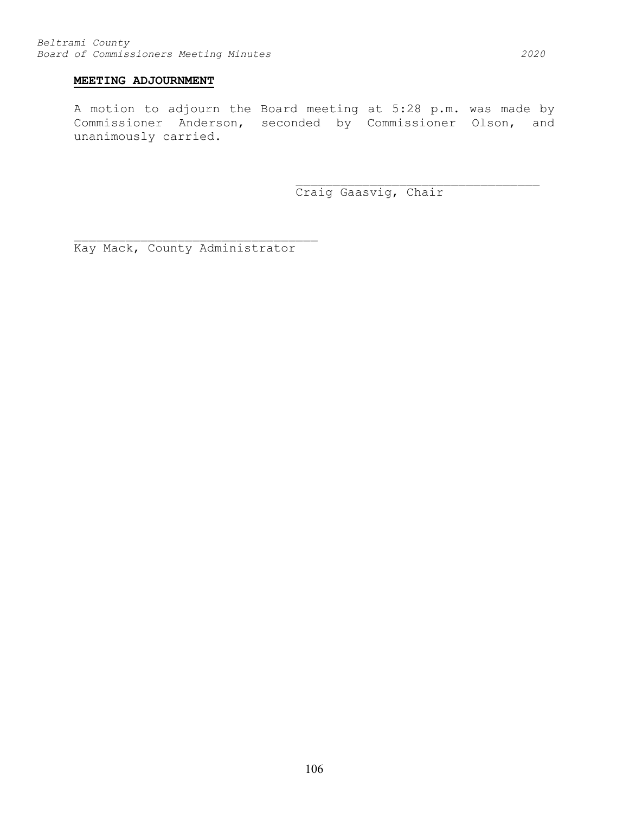## **MEETING ADJOURNMENT**

A motion to adjourn the Board meeting at 5:28 p.m. was made by Commissioner Anderson, seconded by Commissioner Olson, and unanimously carried.

> \_\_\_\_\_\_\_\_\_\_\_\_\_\_\_\_\_\_\_\_\_\_\_\_\_\_\_\_\_\_\_\_\_ Craig Gaasvig, Chair

Kay Mack, County Administrator

\_\_\_\_\_\_\_\_\_\_\_\_\_\_\_\_\_\_\_\_\_\_\_\_\_\_\_\_\_\_\_\_\_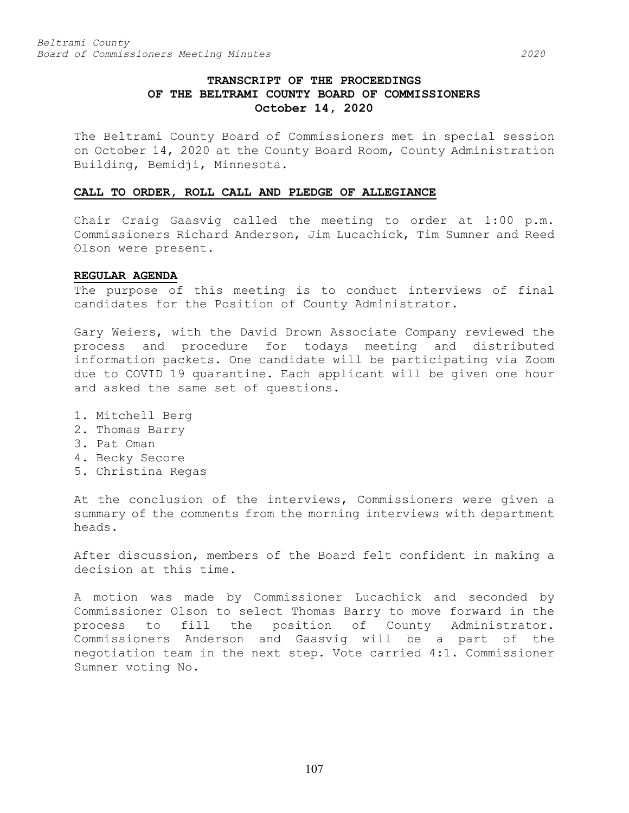# **TRANSCRIPT OF THE PROCEEDINGS OF THE BELTRAMI COUNTY BOARD OF COMMISSIONERS October 14, 2020**

The Beltrami County Board of Commissioners met in special session on October 14, 2020 at the County Board Room, County Administration Building, Bemidji, Minnesota.

## **CALL TO ORDER, ROLL CALL AND PLEDGE OF ALLEGIANCE**

Chair Craig Gaasvig called the meeting to order at 1:00 p.m. Commissioners Richard Anderson, Jim Lucachick, Tim Sumner and Reed Olson were present.

### **REGULAR AGENDA**

The purpose of this meeting is to conduct interviews of final candidates for the Position of County Administrator.

Gary Weiers, with the David Drown Associate Company reviewed the process and procedure for todays meeting and distributed information packets. One candidate will be participating via Zoom due to COVID 19 quarantine. Each applicant will be given one hour and asked the same set of questions.

- 1. Mitchell Berg
- 2. Thomas Barry
- 3. Pat Oman
- 4. Becky Secore
- 5. Christina Regas

At the conclusion of the interviews, Commissioners were given a summary of the comments from the morning interviews with department heads.

After discussion, members of the Board felt confident in making a decision at this time.

A motion was made by Commissioner Lucachick and seconded by Commissioner Olson to select Thomas Barry to move forward in the process to fill the position of County Administrator. Commissioners Anderson and Gaasvig will be a part of the negotiation team in the next step. Vote carried 4:1. Commissioner Sumner voting No.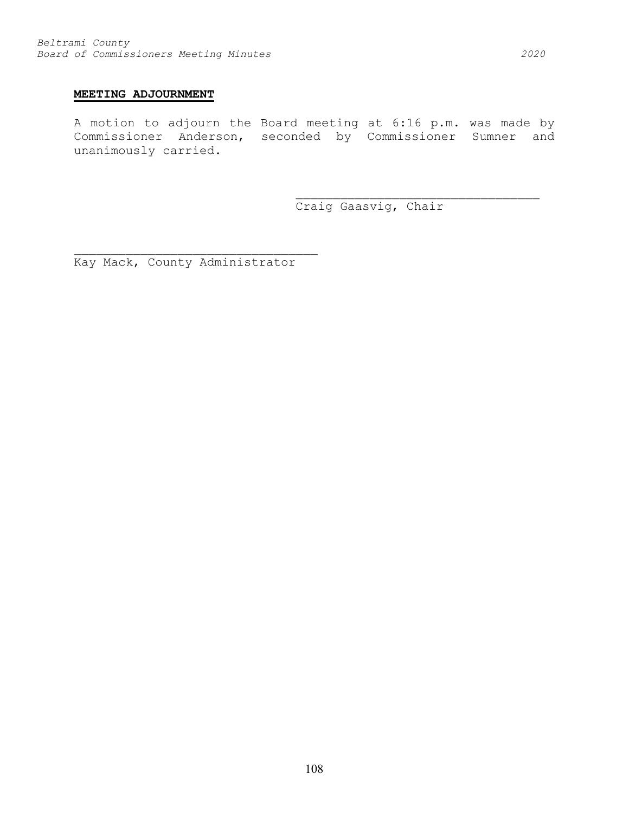# **MEETING ADJOURNMENT**

A motion to adjourn the Board meeting at 6:16 p.m. was made by Commissioner Anderson, seconded by Commissioner Sumner and unanimously carried.

Craig Gaasvig, Chair

\_\_\_\_\_\_\_\_\_\_\_\_\_\_\_\_\_\_\_\_\_\_\_\_\_\_\_\_\_\_\_\_\_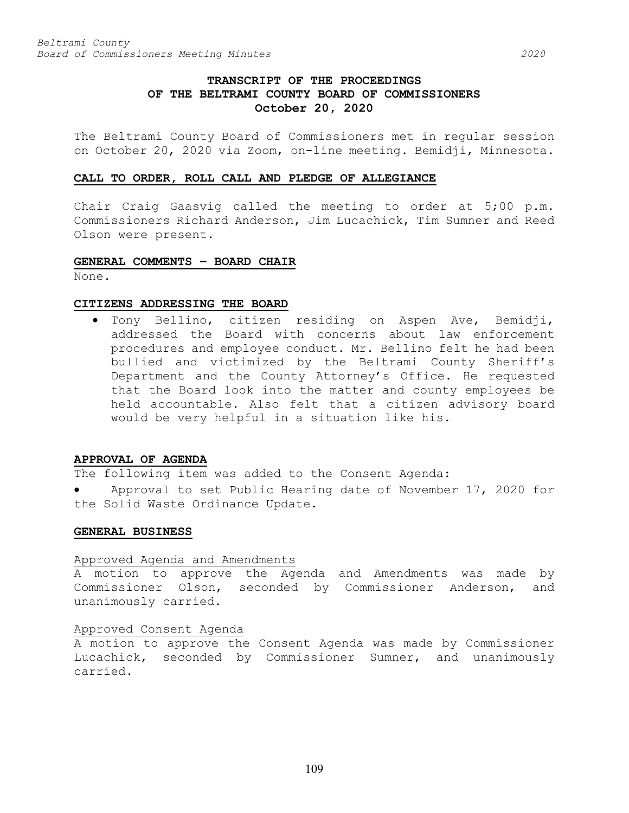# **TRANSCRIPT OF THE PROCEEDINGS OF THE BELTRAMI COUNTY BOARD OF COMMISSIONERS October 20, 2020**

The Beltrami County Board of Commissioners met in regular session on October 20, 2020 via Zoom, on-line meeting. Bemidji, Minnesota.

#### **CALL TO ORDER, ROLL CALL AND PLEDGE OF ALLEGIANCE**

Chair Craig Gaasvig called the meeting to order at 5;00 p.m. Commissioners Richard Anderson, Jim Lucachick, Tim Sumner and Reed Olson were present.

# **GENERAL COMMENTS – BOARD CHAIR**

None.

## **CITIZENS ADDRESSING THE BOARD**

• Tony Bellino, citizen residing on Aspen Ave, Bemidji, addressed the Board with concerns about law enforcement procedures and employee conduct. Mr. Bellino felt he had been bullied and victimized by the Beltrami County Sheriff's Department and the County Attorney's Office. He requested that the Board look into the matter and county employees be held accountable. Also felt that a citizen advisory board would be very helpful in a situation like his.

# **APPROVAL OF AGENDA**

The following item was added to the Consent Agenda:

Approval to set Public Hearing date of November 17, 2020 for the Solid Waste Ordinance Update.

#### **GENERAL BUSINESS**

#### Approved Agenda and Amendments

A motion to approve the Agenda and Amendments was made by Commissioner Olson, seconded by Commissioner Anderson, and unanimously carried.

# Approved Consent Agenda

A motion to approve the Consent Agenda was made by Commissioner Lucachick, seconded by Commissioner Sumner, and unanimously carried.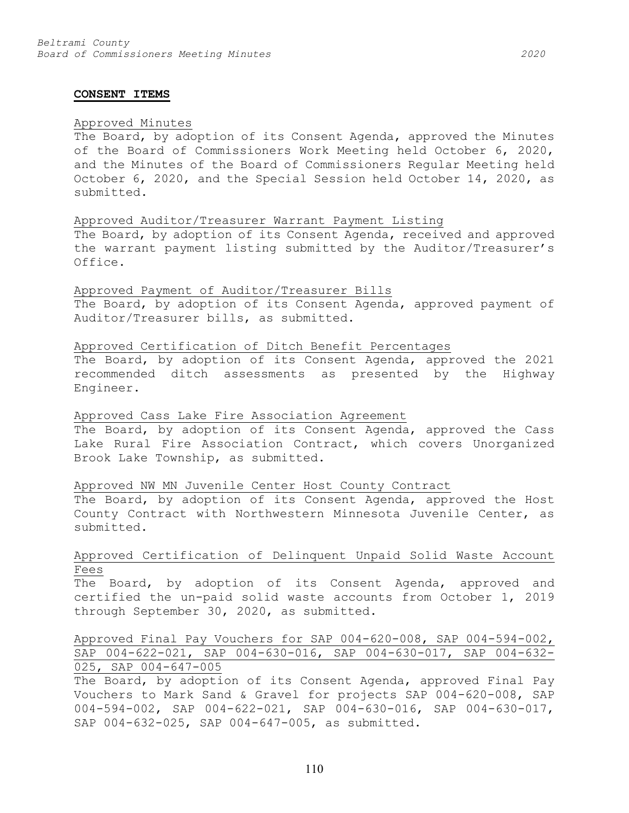#### **CONSENT ITEMS**

## Approved Minutes

The Board, by adoption of its Consent Agenda, approved the Minutes of the Board of Commissioners Work Meeting held October 6, 2020, and the Minutes of the Board of Commissioners Regular Meeting held October 6, 2020, and the Special Session held October 14, 2020, as submitted.

#### Approved Auditor/Treasurer Warrant Payment Listing

The Board, by adoption of its Consent Agenda, received and approved the warrant payment listing submitted by the Auditor/Treasurer's Office.

## Approved Payment of Auditor/Treasurer Bills

The Board, by adoption of its Consent Agenda, approved payment of Auditor/Treasurer bills, as submitted.

## Approved Certification of Ditch Benefit Percentages

The Board, by adoption of its Consent Agenda, approved the 2021 recommended ditch assessments as presented by the Highway Engineer.

#### Approved Cass Lake Fire Association Agreement

The Board, by adoption of its Consent Agenda, approved the Cass Lake Rural Fire Association Contract, which covers Unorganized Brook Lake Township, as submitted.

## Approved NW MN Juvenile Center Host County Contract

The Board, by adoption of its Consent Agenda, approved the Host County Contract with Northwestern Minnesota Juvenile Center, as submitted.

# Approved Certification of Delinquent Unpaid Solid Waste Account Fees

The Board, by adoption of its Consent Agenda, approved and certified the un-paid solid waste accounts from October 1, 2019 through September 30, 2020, as submitted.

# Approved Final Pay Vouchers for SAP 004-620-008, SAP 004-594-002, SAP 004-622-021, SAP 004-630-016, SAP 004-630-017, SAP 004-632- 025, SAP 004-647-005

The Board, by adoption of its Consent Agenda, approved Final Pay Vouchers to Mark Sand & Gravel for projects SAP 004-620-008, SAP 004-594-002, SAP 004-622-021, SAP 004-630-016, SAP 004-630-017, SAP 004-632-025, SAP 004-647-005, as submitted.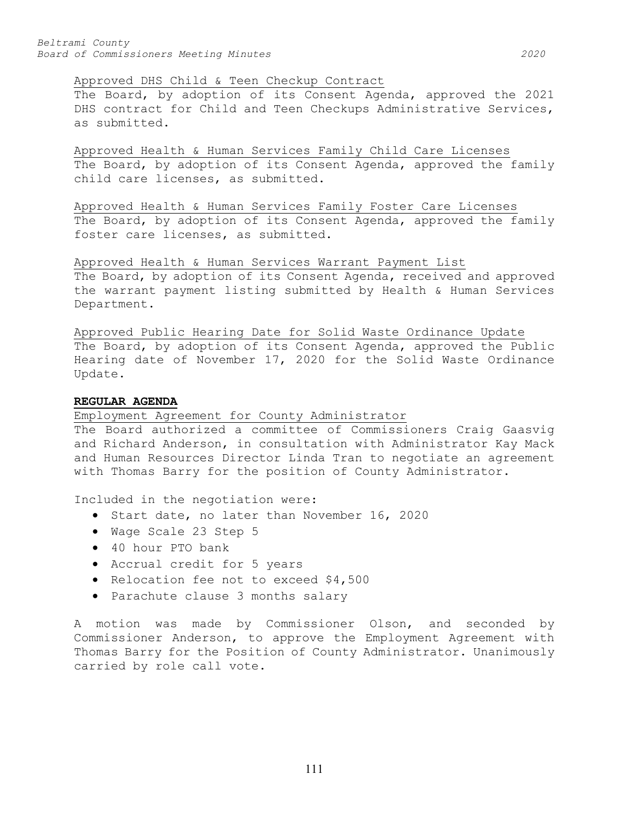#### Approved DHS Child & Teen Checkup Contract

The Board, by adoption of its Consent Agenda, approved the 2021 DHS contract for Child and Teen Checkups Administrative Services, as submitted.

Approved Health & Human Services Family Child Care Licenses The Board, by adoption of its Consent Agenda, approved the family child care licenses, as submitted.

Approved Health & Human Services Family Foster Care Licenses The Board, by adoption of its Consent Agenda, approved the family foster care licenses, as submitted.

Approved Health & Human Services Warrant Payment List

The Board, by adoption of its Consent Agenda, received and approved the warrant payment listing submitted by Health & Human Services Department.

Approved Public Hearing Date for Solid Waste Ordinance Update The Board, by adoption of its Consent Agenda, approved the Public Hearing date of November 17, 2020 for the Solid Waste Ordinance Update.

## **REGULAR AGENDA**

Employment Agreement for County Administrator

The Board authorized a committee of Commissioners Craig Gaasvig and Richard Anderson, in consultation with Administrator Kay Mack and Human Resources Director Linda Tran to negotiate an agreement with Thomas Barry for the position of County Administrator.

Included in the negotiation were:

- Start date, no later than November 16, 2020
- Wage Scale 23 Step 5
- 40 hour PTO bank
- Accrual credit for 5 years
- Relocation fee not to exceed \$4,500
- Parachute clause 3 months salary

A motion was made by Commissioner Olson, and seconded by Commissioner Anderson, to approve the Employment Agreement with Thomas Barry for the Position of County Administrator. Unanimously carried by role call vote.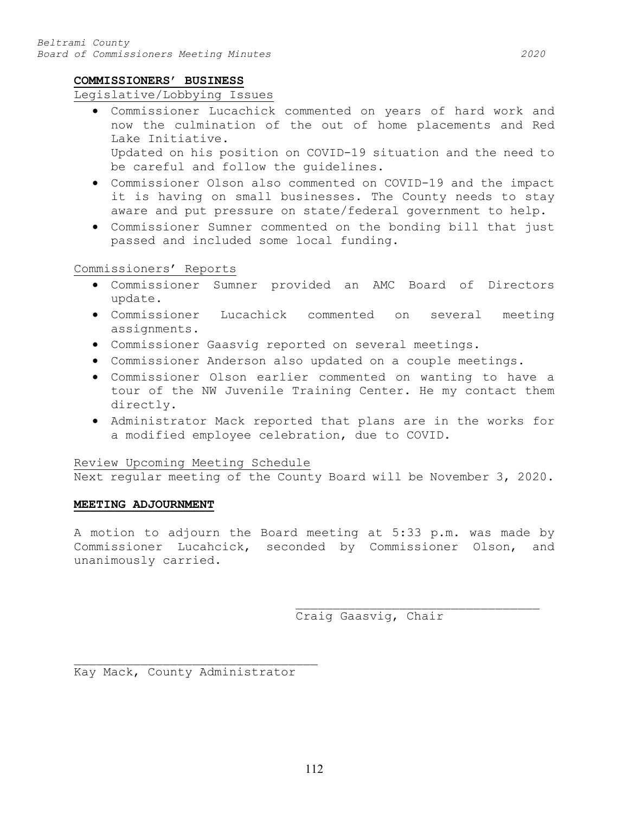# **COMMISSIONERS' BUSINESS**

# Legislative/Lobbying Issues

- Commissioner Lucachick commented on years of hard work and now the culmination of the out of home placements and Red Lake Initiative. Updated on his position on COVID-19 situation and the need to be careful and follow the guidelines.
- Commissioner Olson also commented on COVID-19 and the impact it is having on small businesses. The County needs to stay aware and put pressure on state/federal government to help.
- Commissioner Sumner commented on the bonding bill that just passed and included some local funding.

# Commissioners' Reports

- Commissioner Sumner provided an AMC Board of Directors update.
- Commissioner Lucachick commented on several meeting assignments.
- Commissioner Gaasvig reported on several meetings.
- Commissioner Anderson also updated on a couple meetings.
- Commissioner Olson earlier commented on wanting to have a tour of the NW Juvenile Training Center. He my contact them directly.
- Administrator Mack reported that plans are in the works for a modified employee celebration, due to COVID.

# Review Upcoming Meeting Schedule

Next regular meeting of the County Board will be November 3, 2020.

# **MEETING ADJOURNMENT**

A motion to adjourn the Board meeting at 5:33 p.m. was made by Commissioner Lucahcick, seconded by Commissioner Olson, and unanimously carried.

> \_\_\_\_\_\_\_\_\_\_\_\_\_\_\_\_\_\_\_\_\_\_\_\_\_\_\_\_\_\_\_\_\_ Craig Gaasvig, Chair

\_\_\_\_\_\_\_\_\_\_\_\_\_\_\_\_\_\_\_\_\_\_\_\_\_\_\_\_\_\_\_\_\_ Kay Mack, County Administrator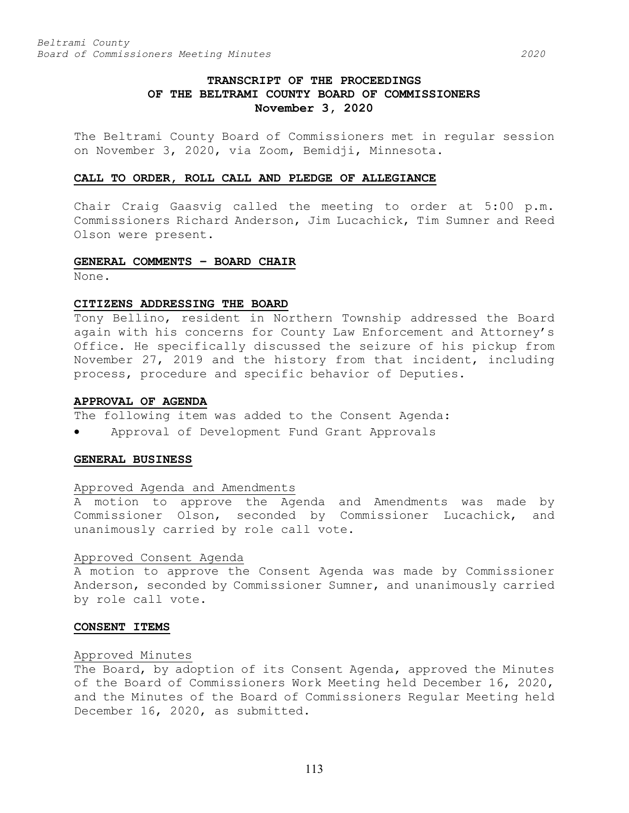# **TRANSCRIPT OF THE PROCEEDINGS OF THE BELTRAMI COUNTY BOARD OF COMMISSIONERS November 3, 2020**

The Beltrami County Board of Commissioners met in regular session on November 3, 2020, via Zoom, Bemidji, Minnesota.

#### **CALL TO ORDER, ROLL CALL AND PLEDGE OF ALLEGIANCE**

Chair Craig Gaasvig called the meeting to order at 5:00 p.m. Commissioners Richard Anderson, Jim Lucachick, Tim Sumner and Reed Olson were present.

# **GENERAL COMMENTS – BOARD CHAIR**

None.

#### **CITIZENS ADDRESSING THE BOARD**

Tony Bellino, resident in Northern Township addressed the Board again with his concerns for County Law Enforcement and Attorney's Office. He specifically discussed the seizure of his pickup from November 27, 2019 and the history from that incident, including process, procedure and specific behavior of Deputies.

#### **APPROVAL OF AGENDA**

The following item was added to the Consent Agenda:

• Approval of Development Fund Grant Approvals

## **GENERAL BUSINESS**

## Approved Agenda and Amendments

A motion to approve the Agenda and Amendments was made by Commissioner Olson, seconded by Commissioner Lucachick, and unanimously carried by role call vote.

# Approved Consent Agenda

A motion to approve the Consent Agenda was made by Commissioner Anderson, seconded by Commissioner Sumner, and unanimously carried by role call vote.

# **CONSENT ITEMS**

#### Approved Minutes

The Board, by adoption of its Consent Agenda, approved the Minutes of the Board of Commissioners Work Meeting held December 16, 2020, and the Minutes of the Board of Commissioners Regular Meeting held December 16, 2020, as submitted.

113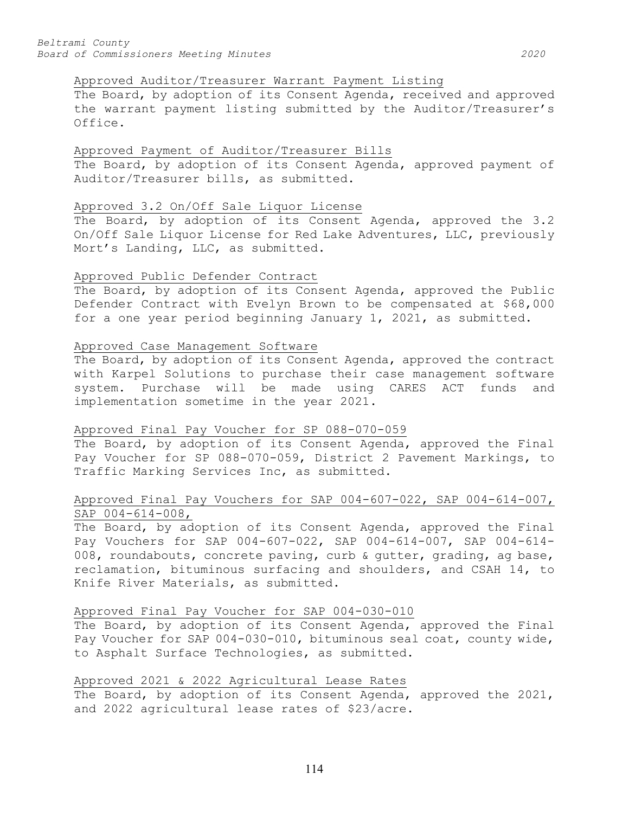# Approved Auditor/Treasurer Warrant Payment Listing

The Board, by adoption of its Consent Agenda, received and approved the warrant payment listing submitted by the Auditor/Treasurer's Office.

# Approved Payment of Auditor/Treasurer Bills

The Board, by adoption of its Consent Agenda, approved payment of Auditor/Treasurer bills, as submitted.

# Approved 3.2 On/Off Sale Liquor License

The Board, by adoption of its Consent Agenda, approved the 3.2 On/Off Sale Liquor License for Red Lake Adventures, LLC, previously Mort's Landing, LLC, as submitted.

# Approved Public Defender Contract

The Board, by adoption of its Consent Agenda, approved the Public Defender Contract with Evelyn Brown to be compensated at \$68,000 for a one year period beginning January 1, 2021, as submitted.

# Approved Case Management Software

The Board, by adoption of its Consent Agenda, approved the contract with Karpel Solutions to purchase their case management software system. Purchase will be made using CARES ACT funds and implementation sometime in the year 2021.

# Approved Final Pay Voucher for SP 088-070-059

The Board, by adoption of its Consent Agenda, approved the Final Pay Voucher for SP 088-070-059, District 2 Pavement Markings, to Traffic Marking Services Inc, as submitted.

# Approved Final Pay Vouchers for SAP 004-607-022, SAP 004-614-007, SAP 004-614-008,

The Board, by adoption of its Consent Agenda, approved the Final Pay Vouchers for SAP 004-607-022, SAP 004-614-007, SAP 004-614- 008, roundabouts, concrete paving, curb & gutter, grading, ag base, reclamation, bituminous surfacing and shoulders, and CSAH 14, to Knife River Materials, as submitted.

# Approved Final Pay Voucher for SAP 004-030-010

The Board, by adoption of its Consent Agenda, approved the Final Pay Voucher for SAP 004-030-010, bituminous seal coat, county wide, to Asphalt Surface Technologies, as submitted.

# Approved 2021 & 2022 Agricultural Lease Rates

The Board, by adoption of its Consent Agenda, approved the 2021, and 2022 agricultural lease rates of \$23/acre.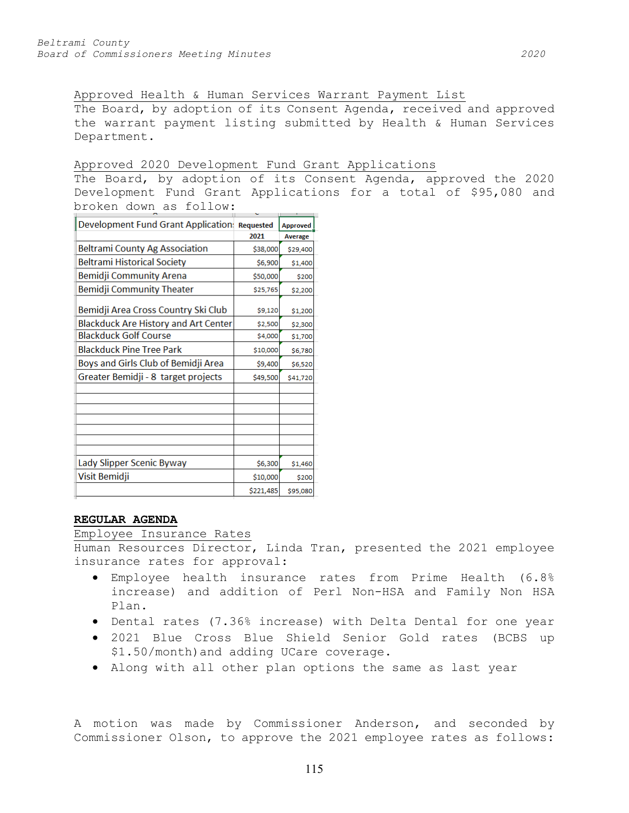Approved Health & Human Services Warrant Payment List The Board, by adoption of its Consent Agenda, received and approved the warrant payment listing submitted by Health & Human Services Department.

## Approved 2020 Development Fund Grant Applications

The Board, by adoption of its Consent Agenda, approved the 2020 Development Fund Grant Applications for a total of \$95,080 and broken down as follow:

| Development Fund Grant Application Requested |           | <b>Approved</b> |
|----------------------------------------------|-----------|-----------------|
|                                              | 2021      | Average         |
| Beltrami County Ag Association               | \$38,000  | \$29,400        |
| <b>Beltrami Historical Society</b>           | \$6,900   | \$1,400         |
| Bemidji Community Arena                      | \$50,000  | \$200           |
| Bemidji Community Theater                    | \$25,765  | \$2,200         |
| Bemidji Area Cross Country Ski Club          | \$9,120   | \$1,200         |
| <b>Blackduck Are History and Art Center</b>  | \$2,500   | \$2,300         |
| <b>Blackduck Golf Course</b>                 | \$4,000   | \$1,700         |
| <b>Blackduck Pine Tree Park</b>              | \$10,000  | \$6,780         |
| Boys and Girls Club of Bemidji Area          | \$9,400   | \$6,520         |
| Greater Bemidji - 8 target projects          | \$49,500  | \$41,720        |
|                                              |           |                 |
|                                              |           |                 |
|                                              |           |                 |
|                                              |           |                 |
|                                              |           |                 |
| Lady Slipper Scenic Byway                    | \$6,300   | \$1,460         |
| Visit Bemidji                                | \$10,000  | \$200           |
|                                              | \$221,485 | \$95,080        |

# **REGULAR AGENDA**

### Employee Insurance Rates

Human Resources Director, Linda Tran, presented the 2021 employee insurance rates for approval:

- Employee health insurance rates from Prime Health (6.8% increase) and addition of Perl Non-HSA and Family Non HSA Plan.
- Dental rates (7.36% increase) with Delta Dental for one year
- 2021 Blue Cross Blue Shield Senior Gold rates (BCBS up \$1.50/month)and adding UCare coverage.
- Along with all other plan options the same as last year

A motion was made by Commissioner Anderson, and seconded by Commissioner Olson, to approve the 2021 employee rates as follows: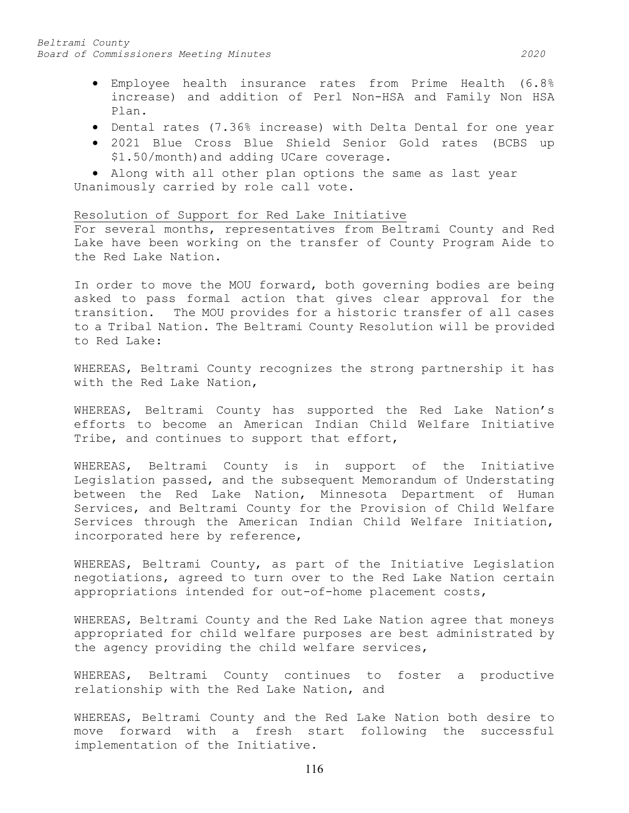- Employee health insurance rates from Prime Health (6.8% increase) and addition of Perl Non-HSA and Family Non HSA Plan.
- Dental rates (7.36% increase) with Delta Dental for one year
- 2021 Blue Cross Blue Shield Senior Gold rates (BCBS up \$1.50/month)and adding UCare coverage.

• Along with all other plan options the same as last year Unanimously carried by role call vote.

## Resolution of Support for Red Lake Initiative

For several months, representatives from Beltrami County and Red Lake have been working on the transfer of County Program Aide to the Red Lake Nation.

In order to move the MOU forward, both governing bodies are being asked to pass formal action that gives clear approval for the transition. The MOU provides for a historic transfer of all cases to a Tribal Nation. The Beltrami County Resolution will be provided to Red Lake:

WHEREAS, Beltrami County recognizes the strong partnership it has with the Red Lake Nation,

WHEREAS, Beltrami County has supported the Red Lake Nation's efforts to become an American Indian Child Welfare Initiative Tribe, and continues to support that effort,

WHEREAS, Beltrami County is in support of the Initiative Legislation passed, and the subsequent Memorandum of Understating between the Red Lake Nation, Minnesota Department of Human Services, and Beltrami County for the Provision of Child Welfare Services through the American Indian Child Welfare Initiation, incorporated here by reference,

WHEREAS, Beltrami County, as part of the Initiative Legislation negotiations, agreed to turn over to the Red Lake Nation certain appropriations intended for out-of-home placement costs,

WHEREAS, Beltrami County and the Red Lake Nation agree that moneys appropriated for child welfare purposes are best administrated by the agency providing the child welfare services,

WHEREAS, Beltrami County continues to foster a productive relationship with the Red Lake Nation, and

WHEREAS, Beltrami County and the Red Lake Nation both desire to move forward with a fresh start following the successful implementation of the Initiative.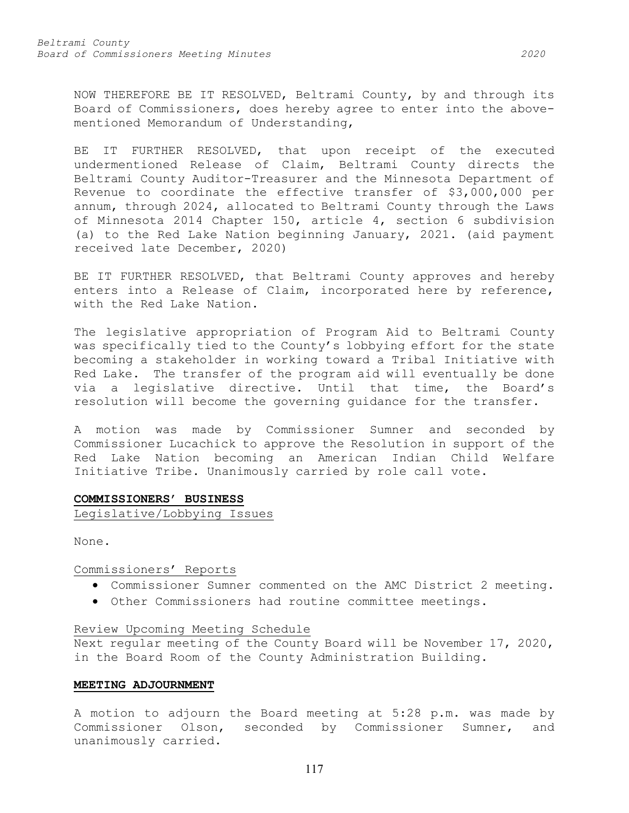NOW THEREFORE BE IT RESOLVED, Beltrami County, by and through its Board of Commissioners, does hereby agree to enter into the abovementioned Memorandum of Understanding,

BE IT FURTHER RESOLVED, that upon receipt of the executed undermentioned Release of Claim, Beltrami County directs the Beltrami County Auditor-Treasurer and the Minnesota Department of Revenue to coordinate the effective transfer of \$3,000,000 per annum, through 2024, allocated to Beltrami County through the Laws of Minnesota 2014 Chapter 150, article 4, section 6 subdivision (a) to the Red Lake Nation beginning January, 2021. (aid payment received late December, 2020)

BE IT FURTHER RESOLVED, that Beltrami County approves and hereby enters into a Release of Claim, incorporated here by reference, with the Red Lake Nation.

The legislative appropriation of Program Aid to Beltrami County was specifically tied to the County's lobbying effort for the state becoming a stakeholder in working toward a Tribal Initiative with Red Lake. The transfer of the program aid will eventually be done via a legislative directive. Until that time, the Board's resolution will become the governing guidance for the transfer.

A motion was made by Commissioner Sumner and seconded by Commissioner Lucachick to approve the Resolution in support of the Red Lake Nation becoming an American Indian Child Welfare Initiative Tribe. Unanimously carried by role call vote.

#### **COMMISSIONERS' BUSINESS**

Legislative/Lobbying Issues

None.

# Commissioners' Reports

- Commissioner Sumner commented on the AMC District 2 meeting.
- Other Commissioners had routine committee meetings.

# Review Upcoming Meeting Schedule

Next regular meeting of the County Board will be November 17, 2020, in the Board Room of the County Administration Building.

#### **MEETING ADJOURNMENT**

A motion to adjourn the Board meeting at 5:28 p.m. was made by<br>Commissioner Olson, seconded by Commissioner Sumner, and seconded by Commissioner Sumner, and unanimously carried.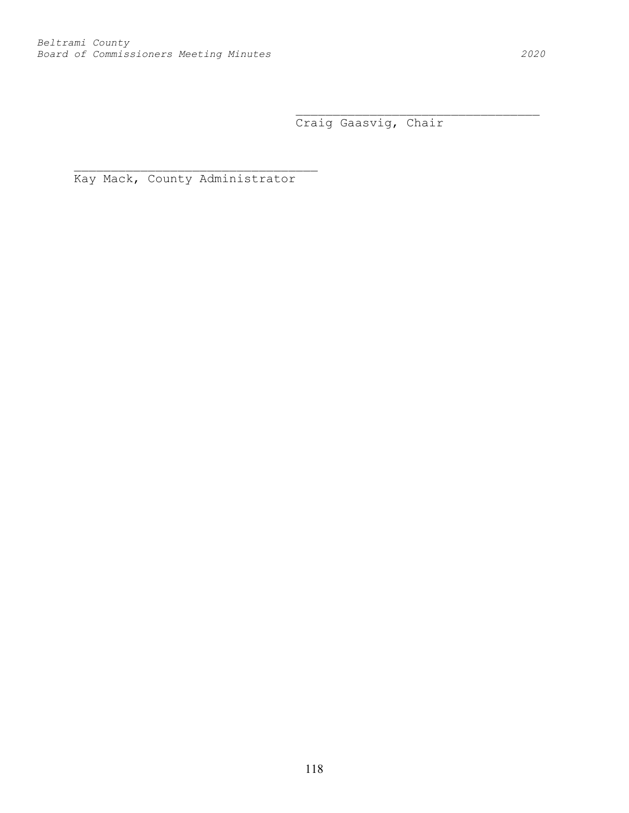\_\_\_\_\_\_\_\_\_\_\_\_\_\_\_\_\_\_\_\_\_\_\_\_\_\_\_\_\_\_\_\_\_ Craig Gaasvig, Chair

Kay Mack, County Administrator

\_\_\_\_\_\_\_\_\_\_\_\_\_\_\_\_\_\_\_\_\_\_\_\_\_\_\_\_\_\_\_\_\_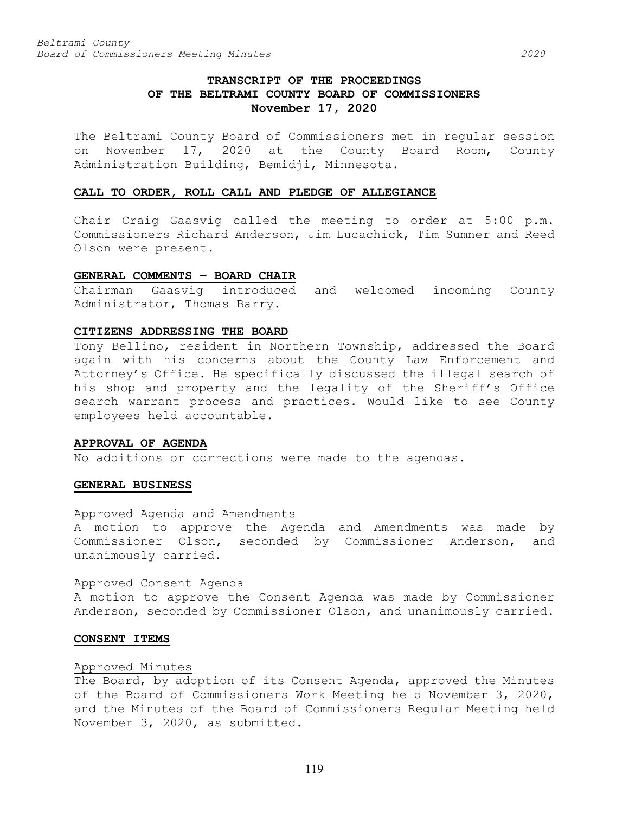# **TRANSCRIPT OF THE PROCEEDINGS OF THE BELTRAMI COUNTY BOARD OF COMMISSIONERS November 17, 2020**

The Beltrami County Board of Commissioners met in regular session on November 17, 2020 at the County Board Room, County Administration Building, Bemidji, Minnesota.

#### **CALL TO ORDER, ROLL CALL AND PLEDGE OF ALLEGIANCE**

Chair Craig Gaasvig called the meeting to order at 5:00 p.m. Commissioners Richard Anderson, Jim Lucachick, Tim Sumner and Reed Olson were present.

## **GENERAL COMMENTS – BOARD CHAIR**

Chairman Gaasvig introduced and welcomed incoming County Administrator, Thomas Barry.

## **CITIZENS ADDRESSING THE BOARD**

Tony Bellino, resident in Northern Township, addressed the Board again with his concerns about the County Law Enforcement and Attorney's Office. He specifically discussed the illegal search of his shop and property and the legality of the Sheriff's Office search warrant process and practices. Would like to see County employees held accountable.

# **APPROVAL OF AGENDA**

No additions or corrections were made to the agendas.

## **GENERAL BUSINESS**

## Approved Agenda and Amendments

A motion to approve the Agenda and Amendments was made by Commissioner Olson, seconded by Commissioner Anderson, and unanimously carried.

#### Approved Consent Agenda

A motion to approve the Consent Agenda was made by Commissioner Anderson, seconded by Commissioner Olson, and unanimously carried.

## **CONSENT ITEMS**

# Approved Minutes

The Board, by adoption of its Consent Agenda, approved the Minutes of the Board of Commissioners Work Meeting held November 3, 2020, and the Minutes of the Board of Commissioners Regular Meeting held November 3, 2020, as submitted.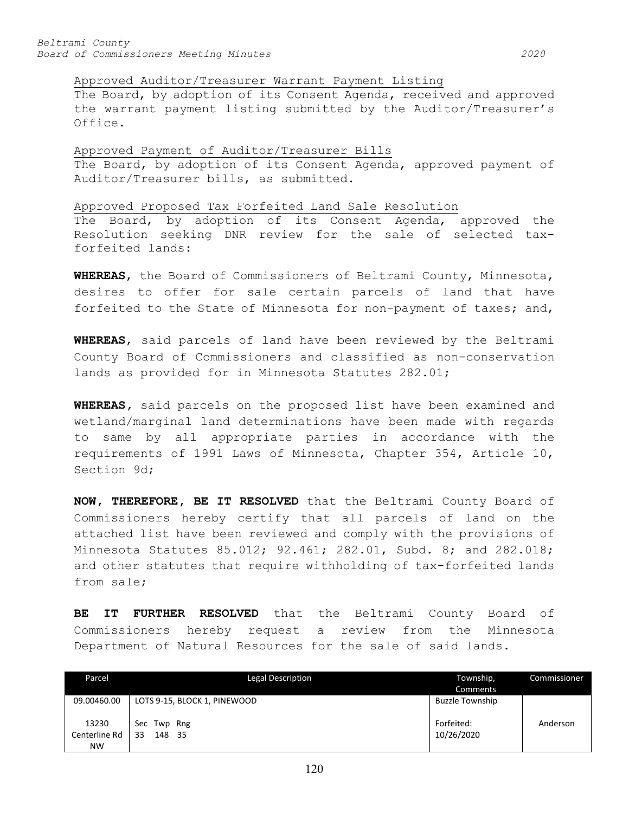Approved Auditor/Treasurer Warrant Payment Listing

The Board, by adoption of its Consent Agenda, received and approved the warrant payment listing submitted by the Auditor/Treasurer's Office.

Approved Payment of Auditor/Treasurer Bills The Board, by adoption of its Consent Agenda, approved payment of Auditor/Treasurer bills, as submitted.

Approved Proposed Tax Forfeited Land Sale Resolution The Board, by adoption of its Consent Agenda, approved the Resolution seeking DNR review for the sale of selected taxforfeited lands:

**WHEREAS**, the Board of Commissioners of Beltrami County, Minnesota, desires to offer for sale certain parcels of land that have forfeited to the State of Minnesota for non-payment of taxes; and,

**WHEREAS**, said parcels of land have been reviewed by the Beltrami County Board of Commissioners and classified as non-conservation lands as provided for in Minnesota Statutes 282.01;

**WHEREAS,** said parcels on the proposed list have been examined and wetland/marginal land determinations have been made with regards to same by all appropriate parties in accordance with the requirements of 1991 Laws of Minnesota, Chapter 354, Article 10, Section 9d;

**NOW, THEREFORE, BE IT RESOLVED** that the Beltrami County Board of Commissioners hereby certify that all parcels of land on the attached list have been reviewed and comply with the provisions of Minnesota Statutes 85.012; 92.461; 282.01, Subd. 8; and 282.018; and other statutes that require withholding of tax-forfeited lands from sale;

**BE IT FURTHER RESOLVED** that the Beltrami County Board of Commissioners hereby request a review from the Minnesota Department of Natural Resources for the sale of said lands.

| Parcel        | <b>Legal Description</b>     | Township,              | Commissioner |
|---------------|------------------------------|------------------------|--------------|
|               |                              | Comments               |              |
| 09.00460.00   | LOTS 9-15, BLOCK 1, PINEWOOD | <b>Buzzle Township</b> |              |
|               |                              |                        |              |
| 13230         | Sec<br>Twp Rng               | Forfeited:             | Anderson     |
| Centerline Rd | 33<br>148 35                 | 10/26/2020             |              |
| <b>NW</b>     |                              |                        |              |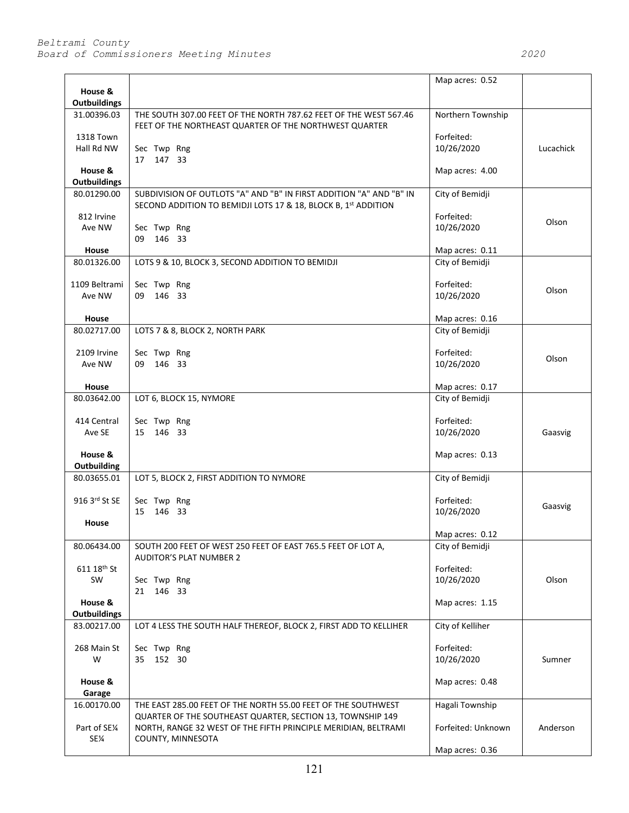|                                |                                                                                                                                                   | Map acres: 0.52          |           |
|--------------------------------|---------------------------------------------------------------------------------------------------------------------------------------------------|--------------------------|-----------|
| House &                        |                                                                                                                                                   |                          |           |
| <b>Outbuildings</b>            |                                                                                                                                                   |                          |           |
| 31.00396.03                    | THE SOUTH 307.00 FEET OF THE NORTH 787.62 FEET OF THE WEST 567.46<br>FEET OF THE NORTHEAST QUARTER OF THE NORTHWEST QUARTER                       | Northern Township        |           |
| <b>1318 Town</b>               |                                                                                                                                                   | Forfeited:               |           |
| Hall Rd NW                     | Sec Twp Rng<br>17 147 33                                                                                                                          | 10/26/2020               | Lucachick |
| House &                        |                                                                                                                                                   | Map acres: 4.00          |           |
| <b>Outbuildings</b>            |                                                                                                                                                   |                          |           |
| 80.01290.00                    | SUBDIVISION OF OUTLOTS "A" AND "B" IN FIRST ADDITION "A" AND "B" IN<br>SECOND ADDITION TO BEMIDJI LOTS 17 & 18, BLOCK B, 1st ADDITION             | City of Bemidji          |           |
| 812 Irvine                     |                                                                                                                                                   | Forfeited:<br>10/26/2020 | Olson     |
| Ave NW                         | Sec Twp Rng<br>09 146 33                                                                                                                          |                          |           |
| House                          |                                                                                                                                                   | Map acres: 0.11          |           |
| 80.01326.00                    | LOTS 9 & 10, BLOCK 3, SECOND ADDITION TO BEMIDJI                                                                                                  | City of Bemidji          |           |
| 1109 Beltrami                  | Sec Twp Rng                                                                                                                                       | Forfeited:               |           |
| Ave NW                         | 09 146 33                                                                                                                                         |                          | Olson     |
| House                          |                                                                                                                                                   | Map acres: 0.16          |           |
| 80.02717.00                    | LOTS 7 & 8, BLOCK 2, NORTH PARK                                                                                                                   | City of Bemidji          |           |
| 2109 Irvine                    | Sec Twp Rng                                                                                                                                       | Forfeited:               |           |
| Ave NW                         | 09 146 33                                                                                                                                         | 10/26/2020               | Olson     |
| House                          |                                                                                                                                                   | Map acres: 0.17          |           |
| 80.03642.00                    | LOT 6, BLOCK 15, NYMORE                                                                                                                           | City of Bemidji          |           |
|                                |                                                                                                                                                   |                          |           |
| 414 Central                    | Sec Twp Rng                                                                                                                                       | Forfeited:               |           |
| Ave SE                         | 15 146 33                                                                                                                                         | 10/26/2020               | Gaasvig   |
| House &<br>Outbuilding         |                                                                                                                                                   | Map acres: 0.13          |           |
| 80.03655.01                    | LOT 5, BLOCK 2, FIRST ADDITION TO NYMORE                                                                                                          | City of Bemidji          |           |
| 916 3rd St SE                  | Sec Twp Rng                                                                                                                                       | Forfeited:               |           |
|                                | 146 33<br>15                                                                                                                                      | 10/26/2020               | Gaasvig   |
| House                          |                                                                                                                                                   |                          |           |
|                                |                                                                                                                                                   | Map acres: 0.12          |           |
| 80.06434.00                    | SOUTH 200 FEET OF WEST 250 FEET OF EAST 765.5 FEET OF LOT A,<br><b>AUDITOR'S PLAT NUMBER 2</b>                                                    | City of Bemidji          |           |
| 611 18th St                    |                                                                                                                                                   | Forfeited:               |           |
| SW                             | Sec Twp Rng                                                                                                                                       | 10/26/2020               | Olson     |
|                                | 21 146 33                                                                                                                                         |                          |           |
| House &<br><b>Outbuildings</b> |                                                                                                                                                   | Map acres: 1.15          |           |
| 83.00217.00                    | LOT 4 LESS THE SOUTH HALF THEREOF, BLOCK 2, FIRST ADD TO KELLIHER                                                                                 | City of Kelliher         |           |
| 268 Main St                    | Sec Twp Rng                                                                                                                                       | Forfeited:               |           |
| W                              | 35 152 30                                                                                                                                         | 10/26/2020               | Sumner    |
| House &<br>Garage              |                                                                                                                                                   | Map acres: 0.48          |           |
| 16.00170.00                    | THE EAST 285.00 FEET OF THE NORTH 55.00 FEET OF THE SOUTHWEST                                                                                     | Hagali Township          |           |
| Part of SE1⁄4<br>SE¼           | QUARTER OF THE SOUTHEAST QUARTER, SECTION 13, TOWNSHIP 149<br>NORTH, RANGE 32 WEST OF THE FIFTH PRINCIPLE MERIDIAN, BELTRAMI<br>COUNTY, MINNESOTA | Forfeited: Unknown       | Anderson  |
|                                |                                                                                                                                                   | Map acres: 0.36          |           |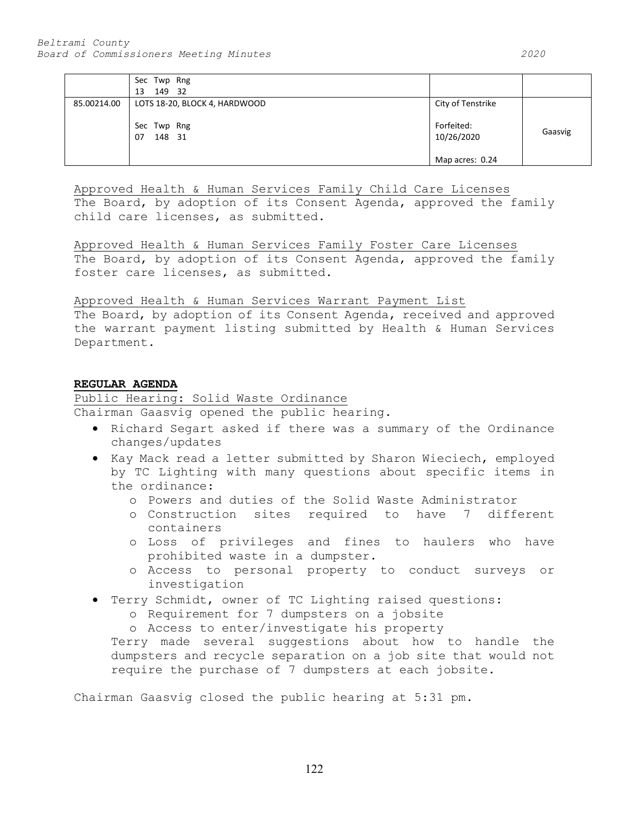|             | Sec Twp Rng                   |                          |         |
|-------------|-------------------------------|--------------------------|---------|
|             | 149 32<br>13                  |                          |         |
| 85.00214.00 | LOTS 18-20, BLOCK 4, HARDWOOD | City of Tenstrike        |         |
|             | Sec Twp Rng<br>148 31<br>07   | Forfeited:<br>10/26/2020 | Gaasvig |
|             |                               | Map acres: 0.24          |         |

Approved Health & Human Services Family Child Care Licenses The Board, by adoption of its Consent Agenda, approved the family child care licenses, as submitted.

Approved Health & Human Services Family Foster Care Licenses The Board, by adoption of its Consent Agenda, approved the family foster care licenses, as submitted.

# Approved Health & Human Services Warrant Payment List

The Board, by adoption of its Consent Agenda, received and approved the warrant payment listing submitted by Health & Human Services Department.

# **REGULAR AGENDA**

Public Hearing: Solid Waste Ordinance

Chairman Gaasvig opened the public hearing.

- Richard Segart asked if there was a summary of the Ordinance changes/updates
- Kay Mack read a letter submitted by Sharon Wieciech, employed by TC Lighting with many questions about specific items in the ordinance:
	- o Powers and duties of the Solid Waste Administrator
	- o Construction sites required to have 7 different containers
	- o Loss of privileges and fines to haulers who have prohibited waste in a dumpster.
	- o Access to personal property to conduct surveys or investigation
- Terry Schmidt, owner of TC Lighting raised questions:
	- o Requirement for 7 dumpsters on a jobsite
	- o Access to enter/investigate his property

Terry made several suggestions about how to handle the dumpsters and recycle separation on a job site that would not require the purchase of 7 dumpsters at each jobsite.

Chairman Gaasvig closed the public hearing at 5:31 pm.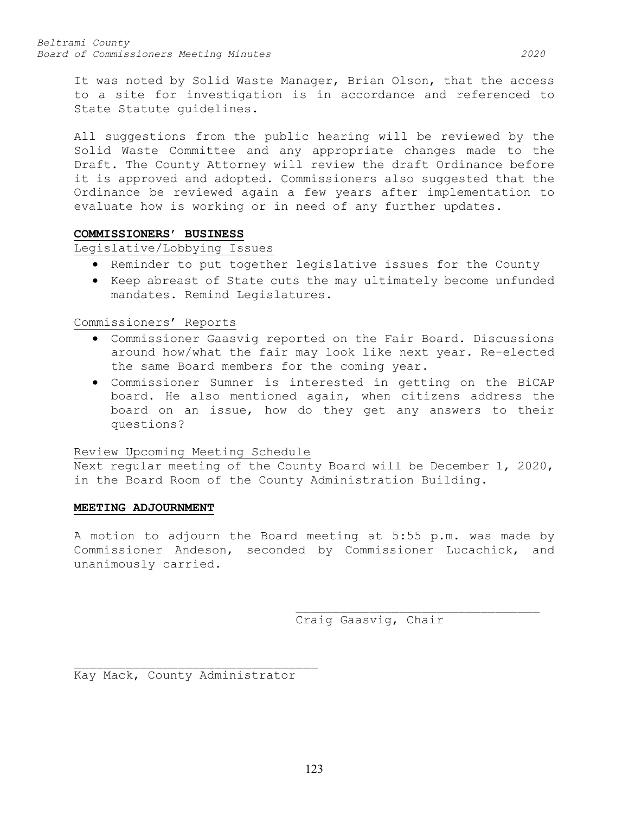It was noted by Solid Waste Manager, Brian Olson, that the access to a site for investigation is in accordance and referenced to State Statute guidelines.

All suggestions from the public hearing will be reviewed by the Solid Waste Committee and any appropriate changes made to the Draft. The County Attorney will review the draft Ordinance before it is approved and adopted. Commissioners also suggested that the Ordinance be reviewed again a few years after implementation to evaluate how is working or in need of any further updates.

# **COMMISSIONERS' BUSINESS**

Legislative/Lobbying Issues

- Reminder to put together legislative issues for the County
- Keep abreast of State cuts the may ultimately become unfunded mandates. Remind Legislatures.

Commissioners' Reports

- Commissioner Gaasvig reported on the Fair Board. Discussions around how/what the fair may look like next year. Re-elected the same Board members for the coming year.
- Commissioner Sumner is interested in getting on the BiCAP board. He also mentioned again, when citizens address the board on an issue, how do they get any answers to their questions?

# Review Upcoming Meeting Schedule

Next regular meeting of the County Board will be December 1, 2020, in the Board Room of the County Administration Building.

#### **MEETING ADJOURNMENT**

A motion to adjourn the Board meeting at 5:55 p.m. was made by Commissioner Andeson, seconded by Commissioner Lucachick, and unanimously carried.

> \_\_\_\_\_\_\_\_\_\_\_\_\_\_\_\_\_\_\_\_\_\_\_\_\_\_\_\_\_\_\_\_\_ Craig Gaasvig, Chair

\_\_\_\_\_\_\_\_\_\_\_\_\_\_\_\_\_\_\_\_\_\_\_\_\_\_\_\_\_\_\_\_\_ Kay Mack, County Administrator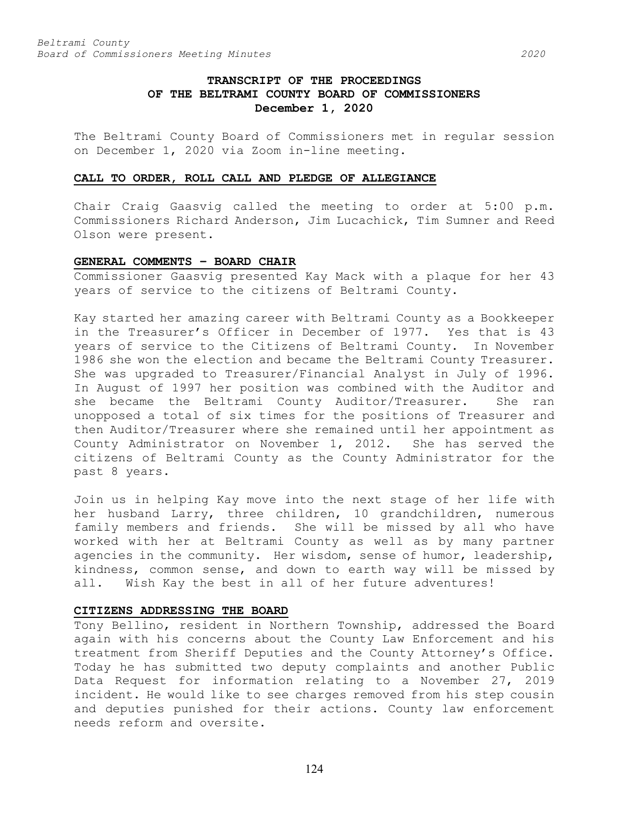# **TRANSCRIPT OF THE PROCEEDINGS OF THE BELTRAMI COUNTY BOARD OF COMMISSIONERS December 1, 2020**

The Beltrami County Board of Commissioners met in regular session on December 1, 2020 via Zoom in-line meeting.

#### **CALL TO ORDER, ROLL CALL AND PLEDGE OF ALLEGIANCE**

Chair Craig Gaasvig called the meeting to order at 5:00 p.m. Commissioners Richard Anderson, Jim Lucachick, Tim Sumner and Reed Olson were present.

#### **GENERAL COMMENTS – BOARD CHAIR**

Commissioner Gaasvig presented Kay Mack with a plaque for her 43 years of service to the citizens of Beltrami County.

Kay started her amazing career with Beltrami County as a Bookkeeper in the Treasurer's Officer in December of 1977. Yes that is 43 years of service to the Citizens of Beltrami County. In November 1986 she won the election and became the Beltrami County Treasurer. She was upgraded to Treasurer/Financial Analyst in July of 1996. In August of 1997 her position was combined with the Auditor and she became the Beltrami County Auditor/Treasurer. She ran unopposed a total of six times for the positions of Treasurer and then Auditor/Treasurer where she remained until her appointment as County Administrator on November 1, 2012. She has served the citizens of Beltrami County as the County Administrator for the past 8 years.

Join us in helping Kay move into the next stage of her life with her husband Larry, three children, 10 grandchildren, numerous family members and friends. She will be missed by all who have worked with her at Beltrami County as well as by many partner agencies in the community. Her wisdom, sense of humor, leadership, kindness, common sense, and down to earth way will be missed by all. Wish Kay the best in all of her future adventures!

# **CITIZENS ADDRESSING THE BOARD**

Tony Bellino, resident in Northern Township, addressed the Board again with his concerns about the County Law Enforcement and his treatment from Sheriff Deputies and the County Attorney's Office. Today he has submitted two deputy complaints and another Public Data Request for information relating to a November 27, 2019 incident. He would like to see charges removed from his step cousin and deputies punished for their actions. County law enforcement needs reform and oversite.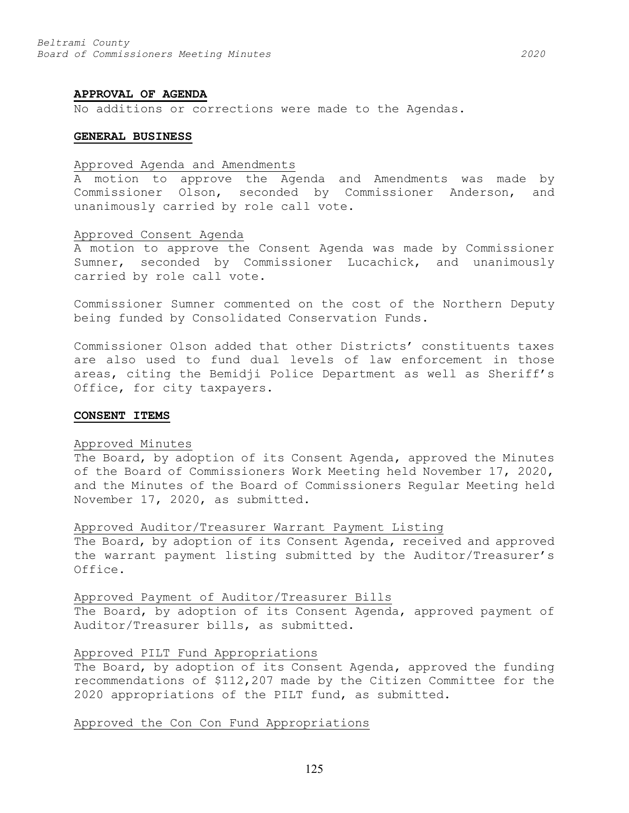#### **APPROVAL OF AGENDA**

No additions or corrections were made to the Agendas.

#### **GENERAL BUSINESS**

#### Approved Agenda and Amendments

A motion to approve the Agenda and Amendments was made by Commissioner Olson, seconded by Commissioner Anderson, and unanimously carried by role call vote.

#### Approved Consent Agenda

A motion to approve the Consent Agenda was made by Commissioner Sumner, seconded by Commissioner Lucachick, and unanimously carried by role call vote.

Commissioner Sumner commented on the cost of the Northern Deputy being funded by Consolidated Conservation Funds.

Commissioner Olson added that other Districts' constituents taxes are also used to fund dual levels of law enforcement in those areas, citing the Bemidji Police Department as well as Sheriff's Office, for city taxpayers.

#### **CONSENT ITEMS**

## Approved Minutes

The Board, by adoption of its Consent Agenda, approved the Minutes of the Board of Commissioners Work Meeting held November 17, 2020, and the Minutes of the Board of Commissioners Regular Meeting held November 17, 2020, as submitted.

Approved Auditor/Treasurer Warrant Payment Listing

The Board, by adoption of its Consent Agenda, received and approved the warrant payment listing submitted by the Auditor/Treasurer's Office.

#### Approved Payment of Auditor/Treasurer Bills

The Board, by adoption of its Consent Agenda, approved payment of Auditor/Treasurer bills, as submitted.

#### Approved PILT Fund Appropriations

The Board, by adoption of its Consent Agenda, approved the funding recommendations of \$112,207 made by the Citizen Committee for the 2020 appropriations of the PILT fund, as submitted.

#### Approved the Con Con Fund Appropriations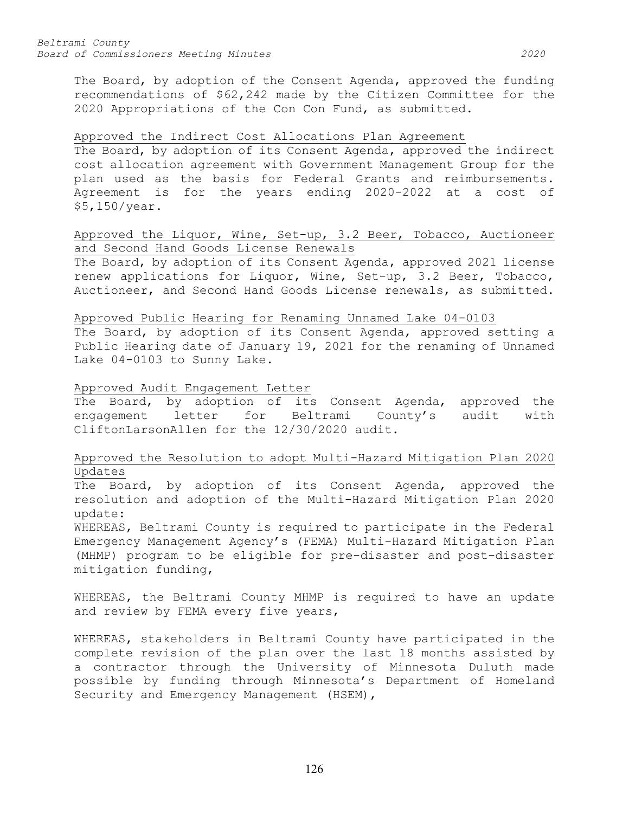The Board, by adoption of the Consent Agenda, approved the funding recommendations of \$62,242 made by the Citizen Committee for the 2020 Appropriations of the Con Con Fund, as submitted.

## Approved the Indirect Cost Allocations Plan Agreement

The Board, by adoption of its Consent Agenda, approved the indirect cost allocation agreement with Government Management Group for the plan used as the basis for Federal Grants and reimbursements. Agreement is for the years ending 2020-2022 at a cost of \$5,150/year.

# Approved the Liquor, Wine, Set-up, 3.2 Beer, Tobacco, Auctioneer and Second Hand Goods License Renewals

The Board, by adoption of its Consent Agenda, approved 2021 license renew applications for Liquor, Wine, Set-up, 3.2 Beer, Tobacco, Auctioneer, and Second Hand Goods License renewals, as submitted.

# Approved Public Hearing for Renaming Unnamed Lake 04-0103

The Board, by adoption of its Consent Agenda, approved setting a Public Hearing date of January 19, 2021 for the renaming of Unnamed Lake 04-0103 to Sunny Lake.

# Approved Audit Engagement Letter

The Board, by adoption of its Consent Agenda, approved the engagement letter for Beltrami County's audit with CliftonLarsonAllen for the 12/30/2020 audit.

# Approved the Resolution to adopt Multi-Hazard Mitigation Plan 2020 Updates

The Board, by adoption of its Consent Agenda, approved the resolution and adoption of the Multi-Hazard Mitigation Plan 2020 update:

WHEREAS, Beltrami County is required to participate in the Federal Emergency Management Agency's (FEMA) Multi-Hazard Mitigation Plan (MHMP) program to be eligible for pre-disaster and post-disaster mitigation funding,

WHEREAS, the Beltrami County MHMP is required to have an update and review by FEMA every five years,

WHEREAS, stakeholders in Beltrami County have participated in the complete revision of the plan over the last 18 months assisted by a contractor through the University of Minnesota Duluth made possible by funding through Minnesota's Department of Homeland Security and Emergency Management (HSEM),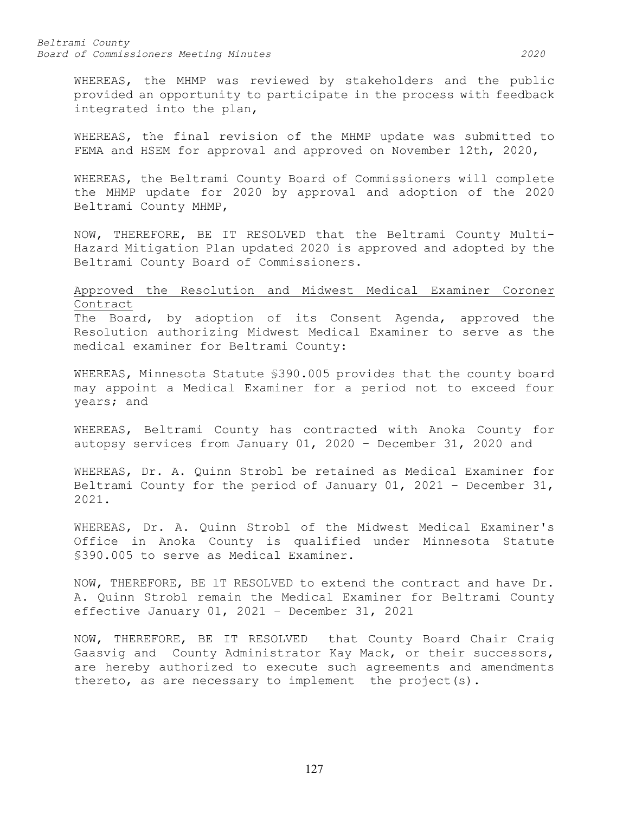WHEREAS, the MHMP was reviewed by stakeholders and the public provided an opportunity to participate in the process with feedback integrated into the plan,

WHEREAS, the final revision of the MHMP update was submitted to FEMA and HSEM for approval and approved on November 12th, 2020,

WHEREAS, the Beltrami County Board of Commissioners will complete the MHMP update for 2020 by approval and adoption of the 2020 Beltrami County MHMP,

NOW, THEREFORE, BE IT RESOLVED that the Beltrami County Multi-Hazard Mitigation Plan updated 2020 is approved and adopted by the Beltrami County Board of Commissioners.

# Approved the Resolution and Midwest Medical Examiner Coroner Contract

The Board, by adoption of its Consent Agenda, approved the Resolution authorizing Midwest Medical Examiner to serve as the medical examiner for Beltrami County:

WHEREAS, Minnesota Statute §390.005 provides that the county board may appoint a Medical Examiner for a period not to exceed four years; and

WHEREAS, Beltrami County has contracted with Anoka County for autopsy services from January 01, 2020 – December 31, 2020 and

WHEREAS, Dr. A. Quinn Strobl be retained as Medical Examiner for Beltrami County for the period of January 01, 2021 – December 31, 2021.

WHEREAS, Dr. A. Quinn Strobl of the Midwest Medical Examiner's Office in Anoka County is qualified under Minnesota Statute §390.005 to serve as Medical Examiner.

NOW, THEREFORE, BE lT RESOLVED to extend the contract and have Dr. A. Quinn Strobl remain the Medical Examiner for Beltrami County effective January 01, 2021 – December 31, 2021

NOW, THEREFORE, BE IT RESOLVED that County Board Chair Craig Gaasvig and County Administrator Kay Mack, or their successors, are hereby authorized to execute such agreements and amendments thereto, as are necessary to implement the project(s).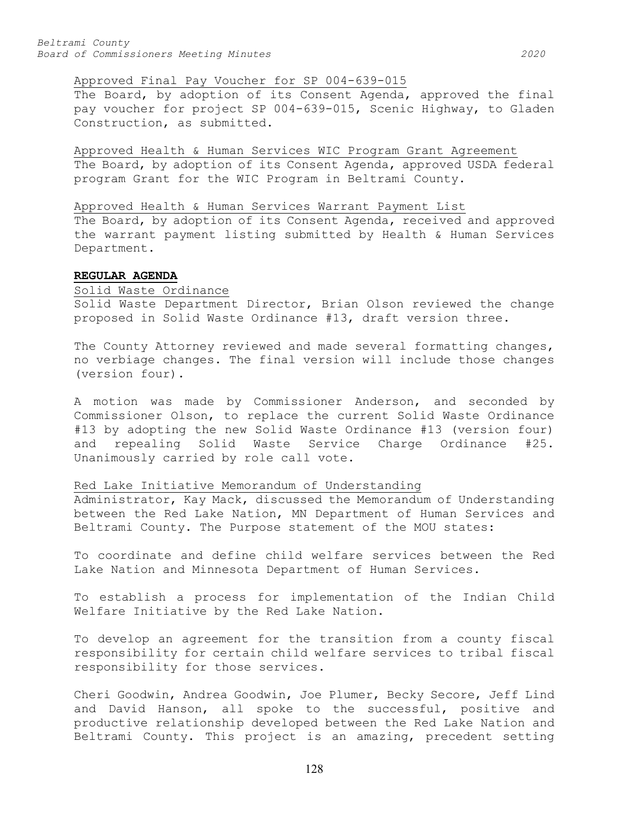## Approved Final Pay Voucher for SP 004-639-015

The Board, by adoption of its Consent Agenda, approved the final pay voucher for project SP 004-639-015, Scenic Highway, to Gladen Construction, as submitted.

Approved Health & Human Services WIC Program Grant Agreement The Board, by adoption of its Consent Agenda, approved USDA federal program Grant for the WIC Program in Beltrami County.

## Approved Health & Human Services Warrant Payment List

The Board, by adoption of its Consent Agenda, received and approved the warrant payment listing submitted by Health & Human Services Department.

## **REGULAR AGENDA**

#### Solid Waste Ordinance

Solid Waste Department Director, Brian Olson reviewed the change proposed in Solid Waste Ordinance #13, draft version three.

The County Attorney reviewed and made several formatting changes, no verbiage changes. The final version will include those changes (version four).

A motion was made by Commissioner Anderson, and seconded by Commissioner Olson, to replace the current Solid Waste Ordinance #13 by adopting the new Solid Waste Ordinance #13 (version four)<br>and repealing Solid Waste Service Charge Ordinance #25. and repealing Solid Waste Service Charge Ordinance #25. Unanimously carried by role call vote.

# Red Lake Initiative Memorandum of Understanding

Administrator, Kay Mack, discussed the Memorandum of Understanding between the Red Lake Nation, MN Department of Human Services and Beltrami County. The Purpose statement of the MOU states:

To coordinate and define child welfare services between the Red Lake Nation and Minnesota Department of Human Services.

To establish a process for implementation of the Indian Child Welfare Initiative by the Red Lake Nation.

To develop an agreement for the transition from a county fiscal responsibility for certain child welfare services to tribal fiscal responsibility for those services.

Cheri Goodwin, Andrea Goodwin, Joe Plumer, Becky Secore, Jeff Lind and David Hanson, all spoke to the successful, positive and productive relationship developed between the Red Lake Nation and Beltrami County. This project is an amazing, precedent setting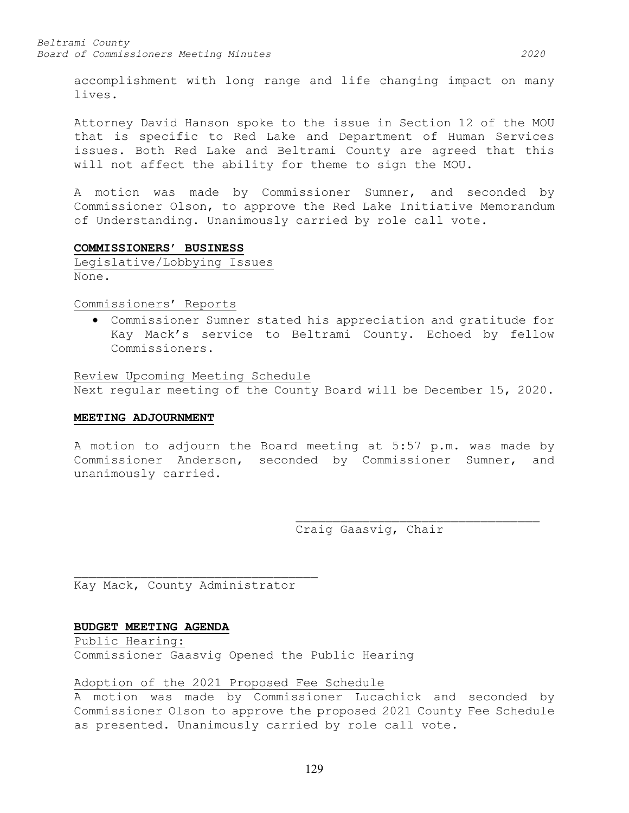accomplishment with long range and life changing impact on many lives.

Attorney David Hanson spoke to the issue in Section 12 of the MOU that is specific to Red Lake and Department of Human Services issues. Both Red Lake and Beltrami County are agreed that this will not affect the ability for theme to sign the MOU.

A motion was made by Commissioner Sumner, and seconded by Commissioner Olson, to approve the Red Lake Initiative Memorandum of Understanding. Unanimously carried by role call vote.

# **COMMISSIONERS' BUSINESS**

Legislative/Lobbying Issues None.

Commissioners' Reports

• Commissioner Sumner stated his appreciation and gratitude for Kay Mack's service to Beltrami County. Echoed by fellow Commissioners.

Review Upcoming Meeting Schedule Next regular meeting of the County Board will be December 15, 2020.

#### **MEETING ADJOURNMENT**

A motion to adjourn the Board meeting at 5:57 p.m. was made by Commissioner Anderson, seconded by Commissioner Sumner, and unanimously carried.

> \_\_\_\_\_\_\_\_\_\_\_\_\_\_\_\_\_\_\_\_\_\_\_\_\_\_\_\_\_\_\_\_\_ Craig Gaasvig, Chair

\_\_\_\_\_\_\_\_\_\_\_\_\_\_\_\_\_\_\_\_\_\_\_\_\_\_\_\_\_\_\_\_\_ Kay Mack, County Administrator

# **BUDGET MEETING AGENDA**

Public Hearing: Commissioner Gaasvig Opened the Public Hearing

# Adoption of the 2021 Proposed Fee Schedule

A motion was made by Commissioner Lucachick and seconded by Commissioner Olson to approve the proposed 2021 County Fee Schedule as presented. Unanimously carried by role call vote.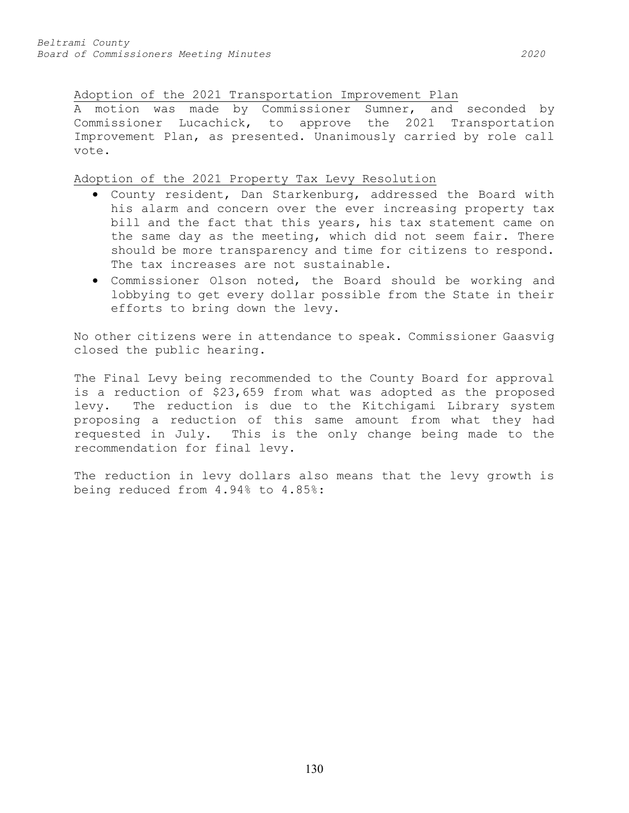Adoption of the 2021 Transportation Improvement Plan

A motion was made by Commissioner Sumner, and seconded by Commissioner Lucachick, to approve the 2021 Transportation Improvement Plan, as presented. Unanimously carried by role call vote.

Adoption of the 2021 Property Tax Levy Resolution

- County resident, Dan Starkenburg, addressed the Board with his alarm and concern over the ever increasing property tax bill and the fact that this years, his tax statement came on the same day as the meeting, which did not seem fair. There should be more transparency and time for citizens to respond. The tax increases are not sustainable.
- Commissioner Olson noted, the Board should be working and lobbying to get every dollar possible from the State in their efforts to bring down the levy.

No other citizens were in attendance to speak. Commissioner Gaasvig closed the public hearing.

The Final Levy being recommended to the County Board for approval is a reduction of \$23,659 from what was adopted as the proposed<br>levy. The reduction is due to the Kitchigami Library system The reduction is due to the Kitchigami Library system proposing a reduction of this same amount from what they had requested in July. This is the only change being made to the recommendation for final levy.

The reduction in levy dollars also means that the levy growth is being reduced from 4.94% to 4.85%: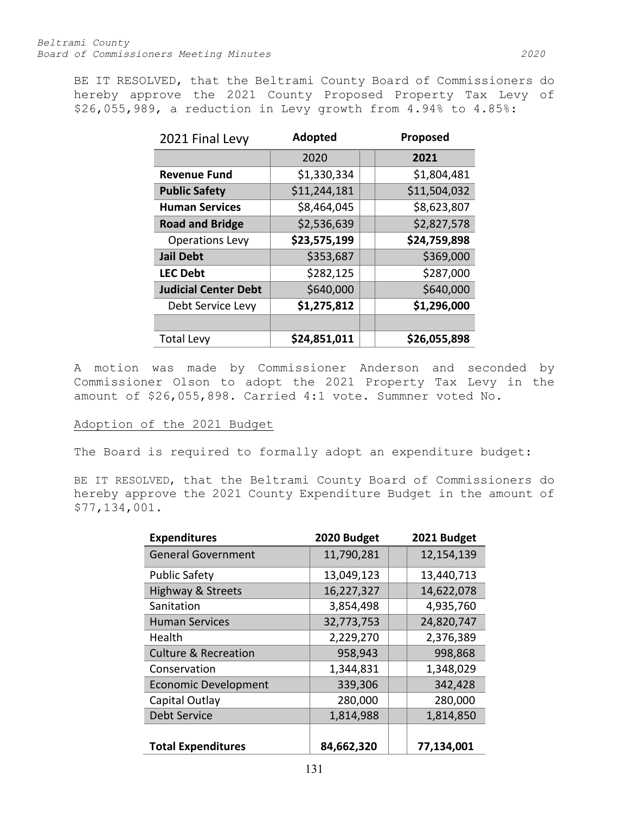BE IT RESOLVED, that the Beltrami County Board of Commissioners do hereby approve the 2021 County Proposed Property Tax Levy of \$26,055,989, a reduction in Levy growth from 4.94% to 4.85%:

| 2021 Final Levy             | <b>Adopted</b> | Proposed     |  |
|-----------------------------|----------------|--------------|--|
|                             | 2020           | 2021         |  |
| <b>Revenue Fund</b>         | \$1,330,334    | \$1,804,481  |  |
| <b>Public Safety</b>        | \$11,244,181   | \$11,504,032 |  |
| <b>Human Services</b>       | \$8,464,045    | \$8,623,807  |  |
| <b>Road and Bridge</b>      | \$2,536,639    | \$2,827,578  |  |
| <b>Operations Levy</b>      | \$23,575,199   | \$24,759,898 |  |
| <b>Jail Debt</b>            | \$353,687      | \$369,000    |  |
| <b>LEC Debt</b>             | \$282,125      | \$287,000    |  |
| <b>Judicial Center Debt</b> | \$640,000      | \$640,000    |  |
| Debt Service Levy           | \$1,275,812    | \$1,296,000  |  |
|                             |                |              |  |
| <b>Total Levy</b>           | \$24,851,011   | \$26,055,898 |  |

A motion was made by Commissioner Anderson and seconded by Commissioner Olson to adopt the 2021 Property Tax Levy in the amount of \$26,055,898. Carried 4:1 vote. Summner voted No.

# Adoption of the 2021 Budget

The Board is required to formally adopt an expenditure budget:

BE IT RESOLVED, that the Beltrami County Board of Commissioners do hereby approve the 2021 County Expenditure Budget in the amount of \$77,134,001.

| <b>Expenditures</b>             | 2020 Budget | 2021 Budget |
|---------------------------------|-------------|-------------|
| <b>General Government</b>       | 11,790,281  | 12,154,139  |
| <b>Public Safety</b>            | 13,049,123  | 13,440,713  |
| <b>Highway &amp; Streets</b>    | 16,227,327  | 14,622,078  |
| Sanitation                      | 3,854,498   | 4,935,760   |
| <b>Human Services</b>           | 32,773,753  | 24,820,747  |
| Health                          | 2,229,270   | 2,376,389   |
| <b>Culture &amp; Recreation</b> | 958,943     | 998,868     |
| Conservation                    | 1,344,831   | 1,348,029   |
| <b>Economic Development</b>     | 339,306     | 342,428     |
| Capital Outlay                  | 280,000     | 280,000     |
| <b>Debt Service</b>             | 1,814,988   | 1,814,850   |
|                                 |             |             |
| <b>Total Expenditures</b>       | 84,662,320  | 77,134,001  |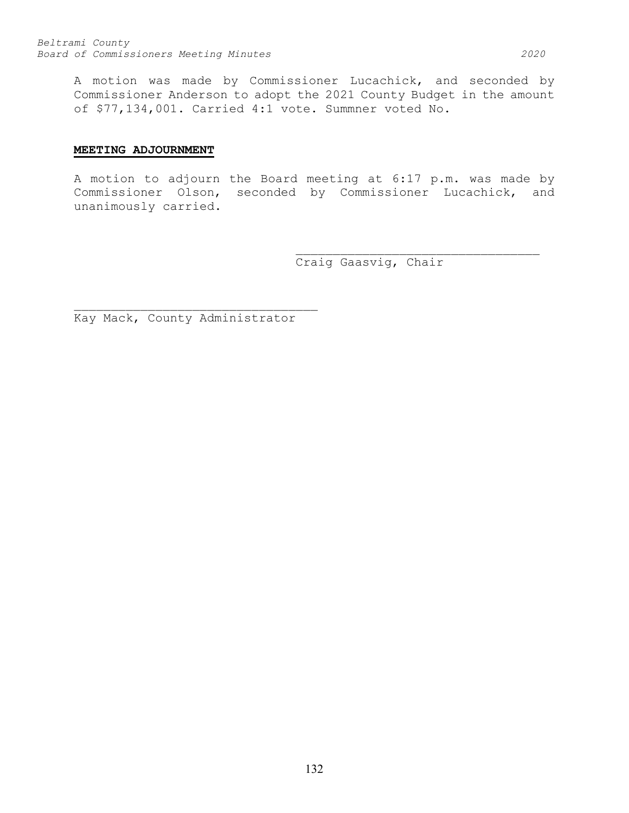A motion was made by Commissioner Lucachick, and seconded by Commissioner Anderson to adopt the 2021 County Budget in the amount of \$77,134,001. Carried 4:1 vote. Summner voted No.

# **MEETING ADJOURNMENT**

A motion to adjourn the Board meeting at 6:17 p.m. was made by Commissioner Olson, seconded by Commissioner Lucachick, and unanimously carried.

> \_\_\_\_\_\_\_\_\_\_\_\_\_\_\_\_\_\_\_\_\_\_\_\_\_\_\_\_\_\_\_\_\_ Craig Gaasvig, Chair

Kay Mack, County Administrator

\_\_\_\_\_\_\_\_\_\_\_\_\_\_\_\_\_\_\_\_\_\_\_\_\_\_\_\_\_\_\_\_\_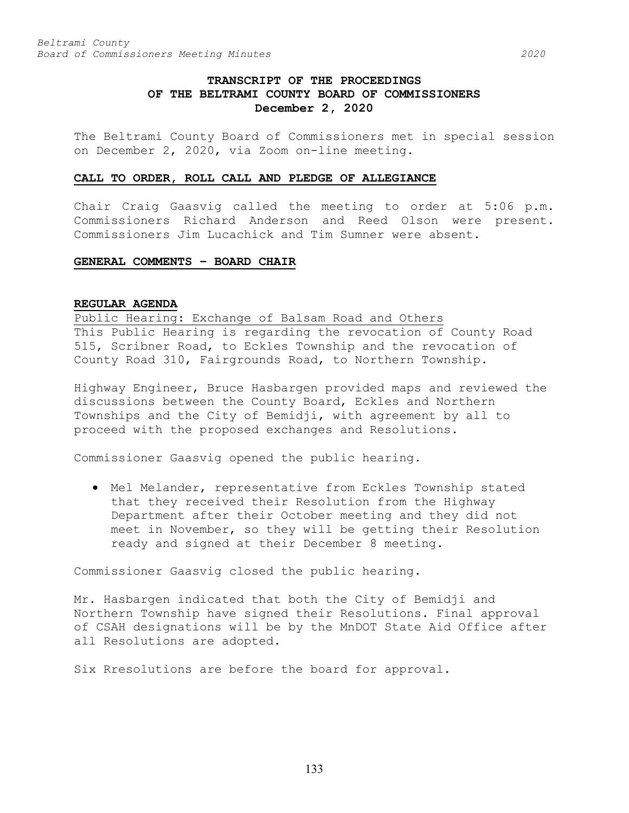# **TRANSCRIPT OF THE PROCEEDINGS OF THE BELTRAMI COUNTY BOARD OF COMMISSIONERS December 2, 2020**

The Beltrami County Board of Commissioners met in special session on December 2, 2020, via Zoom on-line meeting.

#### **CALL TO ORDER, ROLL CALL AND PLEDGE OF ALLEGIANCE**

Chair Craig Gaasvig called the meeting to order at 5:06 p.m. Commissioners Richard Anderson and Reed Olson were present. Commissioners Jim Lucachick and Tim Sumner were absent.

## **GENERAL COMMENTS – BOARD CHAIR**

# **REGULAR AGENDA**

Public Hearing: Exchange of Balsam Road and Others This Public Hearing is regarding the revocation of County Road 515, Scribner Road, to Eckles Township and the revocation of County Road 310, Fairgrounds Road, to Northern Township.

Highway Engineer, Bruce Hasbargen provided maps and reviewed the discussions between the County Board, Eckles and Northern Townships and the City of Bemidji, with agreement by all to proceed with the proposed exchanges and Resolutions.

Commissioner Gaasvig opened the public hearing.

• Mel Melander, representative from Eckles Township stated that they received their Resolution from the Highway Department after their October meeting and they did not meet in November, so they will be getting their Resolution ready and signed at their December 8 meeting.

Commissioner Gaasvig closed the public hearing.

Mr. Hasbargen indicated that both the City of Bemidji and Northern Township have signed their Resolutions. Final approval of CSAH designations will be by the MnDOT State Aid Office after all Resolutions are adopted.

Six Rresolutions are before the board for approval.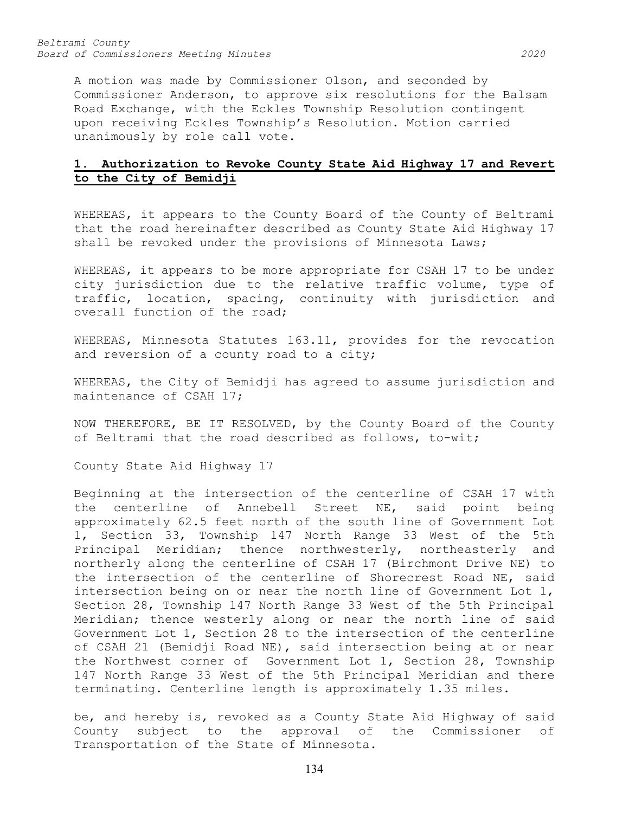*Beltrami County Board of Commissioners Meeting Minutes 2020*

A motion was made by Commissioner Olson, and seconded by Commissioner Anderson, to approve six resolutions for the Balsam Road Exchange, with the Eckles Township Resolution contingent upon receiving Eckles Township's Resolution. Motion carried unanimously by role call vote.

# **1. Authorization to Revoke County State Aid Highway 17 and Revert to the City of Bemidji**

WHEREAS, it appears to the County Board of the County of Beltrami that the road hereinafter described as County State Aid Highway 17 shall be revoked under the provisions of Minnesota Laws;

WHEREAS, it appears to be more appropriate for CSAH 17 to be under city jurisdiction due to the relative traffic volume, type of traffic, location, spacing, continuity with jurisdiction and overall function of the road;

WHEREAS, Minnesota Statutes 163.11, provides for the revocation and reversion of a county road to a city;

WHEREAS, the City of Bemidji has agreed to assume jurisdiction and maintenance of CSAH 17;

NOW THEREFORE, BE IT RESOLVED, by the County Board of the County of Beltrami that the road described as follows, to-wit;

County State Aid Highway 17

Beginning at the intersection of the centerline of CSAH 17 with the centerline of Annebell Street NE, said point being approximately 62.5 feet north of the south line of Government Lot 1, Section 33, Township 147 North Range 33 West of the 5th Principal Meridian; thence northwesterly, northeasterly and northerly along the centerline of CSAH 17 (Birchmont Drive NE) to the intersection of the centerline of Shorecrest Road NE, said intersection being on or near the north line of Government Lot 1, Section 28, Township 147 North Range 33 West of the 5th Principal Meridian; thence westerly along or near the north line of said Government Lot 1, Section 28 to the intersection of the centerline of CSAH 21 (Bemidji Road NE), said intersection being at or near the Northwest corner of Government Lot 1, Section 28, Township 147 North Range 33 West of the 5th Principal Meridian and there terminating. Centerline length is approximately 1.35 miles.

be, and hereby is, revoked as a County State Aid Highway of said<br>County subject to the approval of the Commissioner of County subject to the approval of Transportation of the State of Minnesota.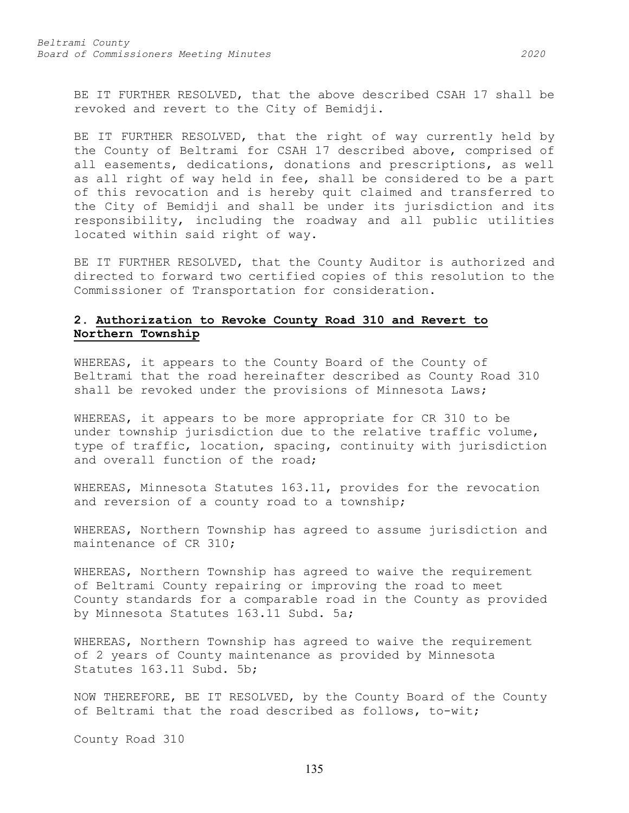BE IT FURTHER RESOLVED, that the above described CSAH 17 shall be revoked and revert to the City of Bemidji.

BE IT FURTHER RESOLVED, that the right of way currently held by the County of Beltrami for CSAH 17 described above, comprised of all easements, dedications, donations and prescriptions, as well as all right of way held in fee, shall be considered to be a part of this revocation and is hereby quit claimed and transferred to the City of Bemidji and shall be under its jurisdiction and its responsibility, including the roadway and all public utilities located within said right of way.

BE IT FURTHER RESOLVED, that the County Auditor is authorized and directed to forward two certified copies of this resolution to the Commissioner of Transportation for consideration.

# **2. Authorization to Revoke County Road 310 and Revert to Northern Township**

WHEREAS, it appears to the County Board of the County of Beltrami that the road hereinafter described as County Road 310 shall be revoked under the provisions of Minnesota Laws;

WHEREAS, it appears to be more appropriate for CR 310 to be under township jurisdiction due to the relative traffic volume, type of traffic, location, spacing, continuity with jurisdiction and overall function of the road;

WHEREAS, Minnesota Statutes 163.11, provides for the revocation and reversion of a county road to a township;

WHEREAS, Northern Township has agreed to assume jurisdiction and maintenance of CR 310;

WHEREAS, Northern Township has agreed to waive the requirement of Beltrami County repairing or improving the road to meet County standards for a comparable road in the County as provided by Minnesota Statutes 163.11 Subd. 5a;

WHEREAS, Northern Township has agreed to waive the requirement of 2 years of County maintenance as provided by Minnesota Statutes 163.11 Subd. 5b;

NOW THEREFORE, BE IT RESOLVED, by the County Board of the County of Beltrami that the road described as follows, to-wit;

County Road 310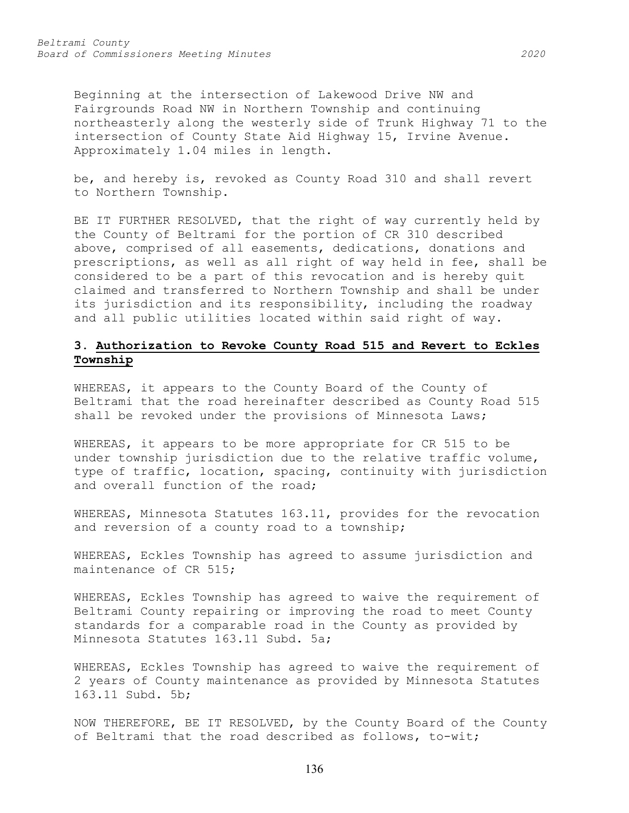Beginning at the intersection of Lakewood Drive NW and Fairgrounds Road NW in Northern Township and continuing northeasterly along the westerly side of Trunk Highway 71 to the intersection of County State Aid Highway 15, Irvine Avenue. Approximately 1.04 miles in length.

be, and hereby is, revoked as County Road 310 and shall revert to Northern Township.

BE IT FURTHER RESOLVED, that the right of way currently held by the County of Beltrami for the portion of CR 310 described above, comprised of all easements, dedications, donations and prescriptions, as well as all right of way held in fee, shall be considered to be a part of this revocation and is hereby quit claimed and transferred to Northern Township and shall be under its jurisdiction and its responsibility, including the roadway and all public utilities located within said right of way.

# **3. Authorization to Revoke County Road 515 and Revert to Eckles Township**

WHEREAS, it appears to the County Board of the County of Beltrami that the road hereinafter described as County Road 515 shall be revoked under the provisions of Minnesota Laws;

WHEREAS, it appears to be more appropriate for CR 515 to be under township jurisdiction due to the relative traffic volume, type of traffic, location, spacing, continuity with jurisdiction and overall function of the road;

WHEREAS, Minnesota Statutes 163.11, provides for the revocation and reversion of a county road to a township;

WHEREAS, Eckles Township has agreed to assume jurisdiction and maintenance of CR 515;

WHEREAS, Eckles Township has agreed to waive the requirement of Beltrami County repairing or improving the road to meet County standards for a comparable road in the County as provided by Minnesota Statutes 163.11 Subd. 5a;

WHEREAS, Eckles Township has agreed to waive the requirement of 2 years of County maintenance as provided by Minnesota Statutes 163.11 Subd. 5b;

NOW THEREFORE, BE IT RESOLVED, by the County Board of the County of Beltrami that the road described as follows, to-wit;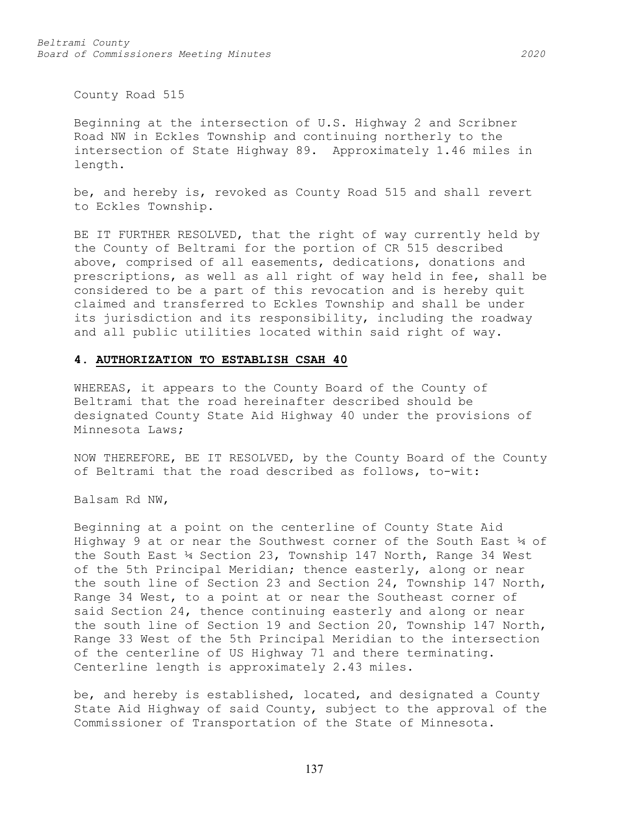County Road 515

Beginning at the intersection of U.S. Highway 2 and Scribner Road NW in Eckles Township and continuing northerly to the intersection of State Highway 89. Approximately 1.46 miles in length.

be, and hereby is, revoked as County Road 515 and shall revert to Eckles Township.

BE IT FURTHER RESOLVED, that the right of way currently held by the County of Beltrami for the portion of CR 515 described above, comprised of all easements, dedications, donations and prescriptions, as well as all right of way held in fee, shall be considered to be a part of this revocation and is hereby quit claimed and transferred to Eckles Township and shall be under its jurisdiction and its responsibility, including the roadway and all public utilities located within said right of way.

#### **4. AUTHORIZATION TO ESTABLISH CSAH 40**

WHEREAS, it appears to the County Board of the County of Beltrami that the road hereinafter described should be designated County State Aid Highway 40 under the provisions of Minnesota Laws;

NOW THEREFORE, BE IT RESOLVED, by the County Board of the County of Beltrami that the road described as follows, to-wit:

Balsam Rd NW,

Beginning at a point on the centerline of County State Aid Highway 9 at or near the Southwest corner of the South East ¼ of the South East  $\frac{1}{4}$  Section 23, Township 147 North, Range 34 West of the 5th Principal Meridian; thence easterly, along or near the south line of Section 23 and Section 24, Township 147 North, Range 34 West, to a point at or near the Southeast corner of said Section 24, thence continuing easterly and along or near the south line of Section 19 and Section 20, Township 147 North, Range 33 West of the 5th Principal Meridian to the intersection of the centerline of US Highway 71 and there terminating. Centerline length is approximately 2.43 miles.

be, and hereby is established, located, and designated a County State Aid Highway of said County, subject to the approval of the Commissioner of Transportation of the State of Minnesota.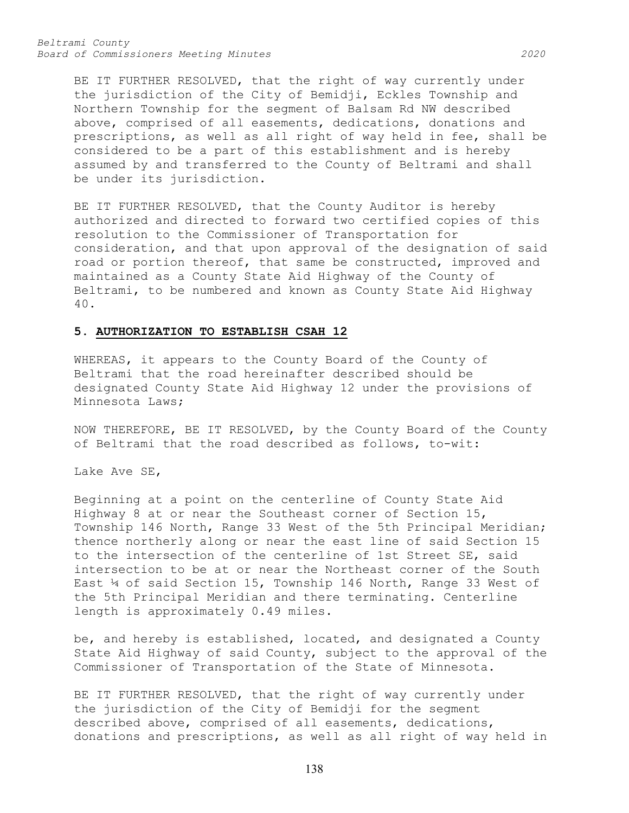*Beltrami County Board of Commissioners Meeting Minutes 2020*

BE IT FURTHER RESOLVED, that the right of way currently under the jurisdiction of the City of Bemidji, Eckles Township and Northern Township for the segment of Balsam Rd NW described above, comprised of all easements, dedications, donations and prescriptions, as well as all right of way held in fee, shall be considered to be a part of this establishment and is hereby assumed by and transferred to the County of Beltrami and shall be under its jurisdiction.

BE IT FURTHER RESOLVED, that the County Auditor is hereby authorized and directed to forward two certified copies of this resolution to the Commissioner of Transportation for consideration, and that upon approval of the designation of said road or portion thereof, that same be constructed, improved and maintained as a County State Aid Highway of the County of Beltrami, to be numbered and known as County State Aid Highway 40.

#### **5. AUTHORIZATION TO ESTABLISH CSAH 12**

WHEREAS, it appears to the County Board of the County of Beltrami that the road hereinafter described should be designated County State Aid Highway 12 under the provisions of Minnesota Laws;

NOW THEREFORE, BE IT RESOLVED, by the County Board of the County of Beltrami that the road described as follows, to-wit:

Lake Ave SE,

Beginning at a point on the centerline of County State Aid Highway 8 at or near the Southeast corner of Section 15, Township 146 North, Range 33 West of the 5th Principal Meridian; thence northerly along or near the east line of said Section 15 to the intersection of the centerline of 1st Street SE, said intersection to be at or near the Northeast corner of the South East ¼ of said Section 15, Township 146 North, Range 33 West of the 5th Principal Meridian and there terminating. Centerline length is approximately 0.49 miles.

be, and hereby is established, located, and designated a County State Aid Highway of said County, subject to the approval of the Commissioner of Transportation of the State of Minnesota.

BE IT FURTHER RESOLVED, that the right of way currently under the jurisdiction of the City of Bemidji for the segment described above, comprised of all easements, dedications, donations and prescriptions, as well as all right of way held in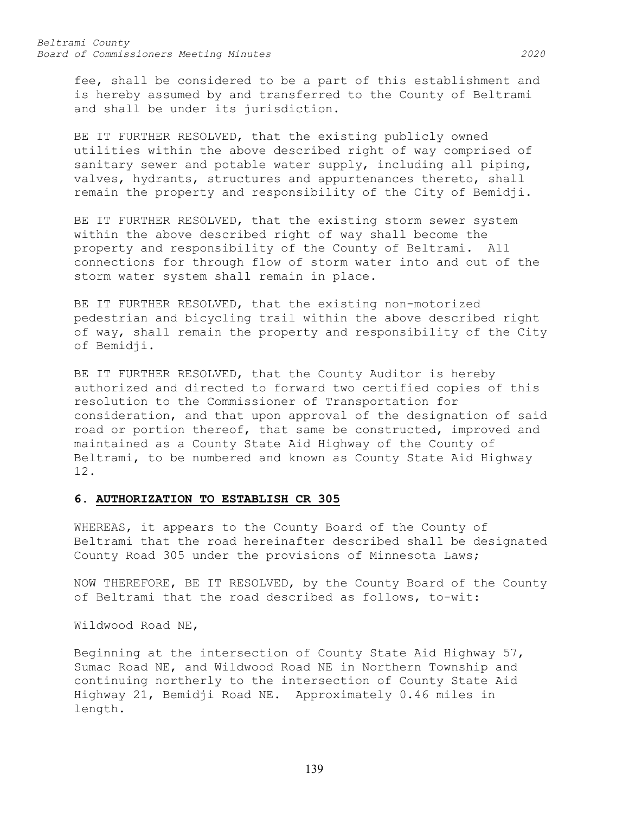fee, shall be considered to be a part of this establishment and is hereby assumed by and transferred to the County of Beltrami and shall be under its jurisdiction.

BE IT FURTHER RESOLVED, that the existing publicly owned utilities within the above described right of way comprised of sanitary sewer and potable water supply, including all piping, valves, hydrants, structures and appurtenances thereto, shall remain the property and responsibility of the City of Bemidji.

BE IT FURTHER RESOLVED, that the existing storm sewer system within the above described right of way shall become the property and responsibility of the County of Beltrami. All connections for through flow of storm water into and out of the storm water system shall remain in place.

BE IT FURTHER RESOLVED, that the existing non-motorized pedestrian and bicycling trail within the above described right of way, shall remain the property and responsibility of the City of Bemidji.

BE IT FURTHER RESOLVED, that the County Auditor is hereby authorized and directed to forward two certified copies of this resolution to the Commissioner of Transportation for consideration, and that upon approval of the designation of said road or portion thereof, that same be constructed, improved and maintained as a County State Aid Highway of the County of Beltrami, to be numbered and known as County State Aid Highway 12.

#### **6. AUTHORIZATION TO ESTABLISH CR 305**

WHEREAS, it appears to the County Board of the County of Beltrami that the road hereinafter described shall be designated County Road 305 under the provisions of Minnesota Laws;

NOW THEREFORE, BE IT RESOLVED, by the County Board of the County of Beltrami that the road described as follows, to-wit:

Wildwood Road NE,

Beginning at the intersection of County State Aid Highway 57, Sumac Road NE, and Wildwood Road NE in Northern Township and continuing northerly to the intersection of County State Aid Highway 21, Bemidji Road NE. Approximately 0.46 miles in length.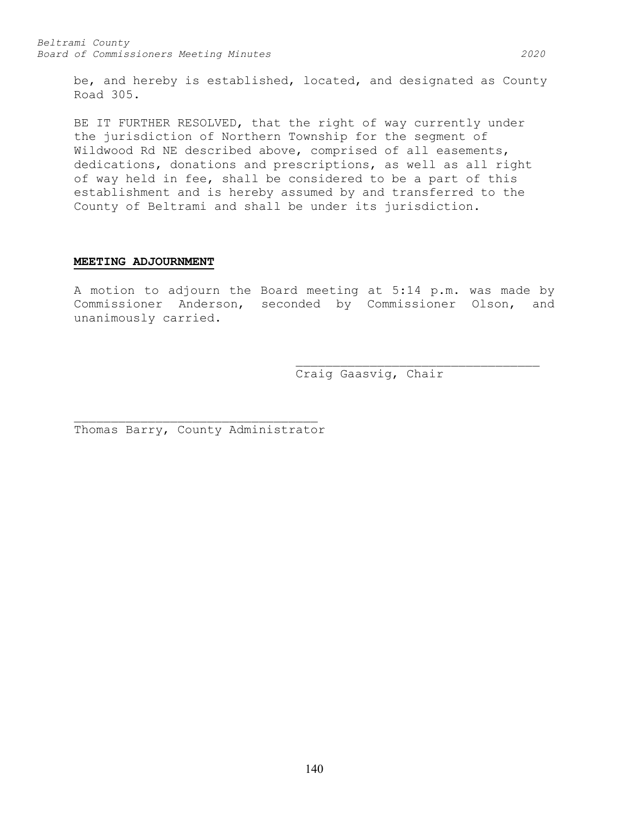be, and hereby is established, located, and designated as County Road 305.

BE IT FURTHER RESOLVED, that the right of way currently under the jurisdiction of Northern Township for the segment of Wildwood Rd NE described above, comprised of all easements, dedications, donations and prescriptions, as well as all right of way held in fee, shall be considered to be a part of this establishment and is hereby assumed by and transferred to the County of Beltrami and shall be under its jurisdiction.

#### **MEETING ADJOURNMENT**

A motion to adjourn the Board meeting at 5:14 p.m. was made by Commissioner Anderson, seconded by Commissioner Olson, and unanimously carried.

> \_\_\_\_\_\_\_\_\_\_\_\_\_\_\_\_\_\_\_\_\_\_\_\_\_\_\_\_\_\_\_\_\_ Craig Gaasvig, Chair

\_\_\_\_\_\_\_\_\_\_\_\_\_\_\_\_\_\_\_\_\_\_\_\_\_\_\_\_\_\_\_\_\_ Thomas Barry, County Administrator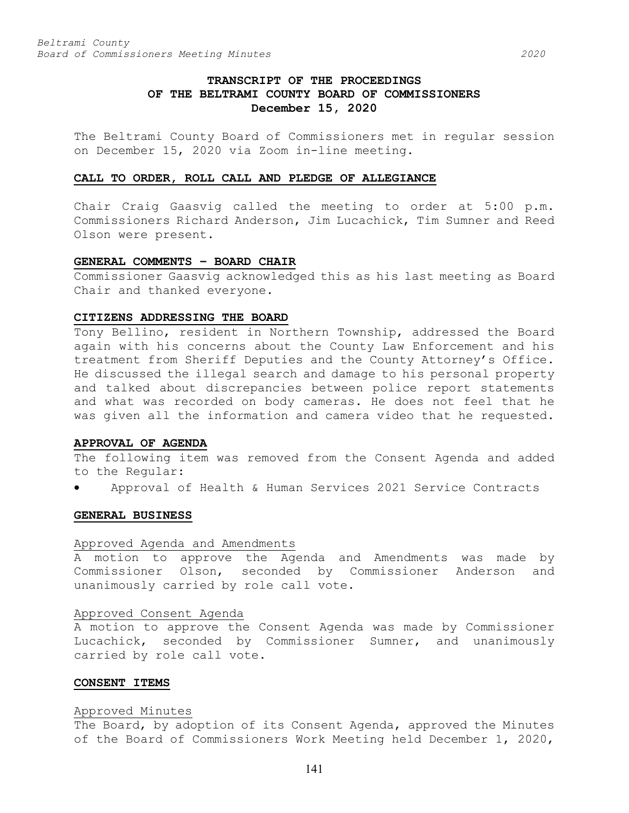# **TRANSCRIPT OF THE PROCEEDINGS OF THE BELTRAMI COUNTY BOARD OF COMMISSIONERS December 15, 2020**

The Beltrami County Board of Commissioners met in regular session on December 15, 2020 via Zoom in-line meeting.

#### **CALL TO ORDER, ROLL CALL AND PLEDGE OF ALLEGIANCE**

Chair Craig Gaasvig called the meeting to order at 5:00 p.m. Commissioners Richard Anderson, Jim Lucachick, Tim Sumner and Reed Olson were present.

#### **GENERAL COMMENTS – BOARD CHAIR**

Commissioner Gaasvig acknowledged this as his last meeting as Board Chair and thanked everyone.

## **CITIZENS ADDRESSING THE BOARD**

Tony Bellino, resident in Northern Township, addressed the Board again with his concerns about the County Law Enforcement and his treatment from Sheriff Deputies and the County Attorney's Office. He discussed the illegal search and damage to his personal property and talked about discrepancies between police report statements and what was recorded on body cameras. He does not feel that he was given all the information and camera video that he requested.

#### **APPROVAL OF AGENDA**

The following item was removed from the Consent Agenda and added to the Regular:

• Approval of Health & Human Services 2021 Service Contracts

## **GENERAL BUSINESS**

#### Approved Agenda and Amendments

A motion to approve the Agenda and Amendments was made by Commissioner Olson, seconded by Commissioner Anderson and unanimously carried by role call vote.

#### Approved Consent Agenda

A motion to approve the Consent Agenda was made by Commissioner Lucachick, seconded by Commissioner Sumner, and unanimously carried by role call vote.

#### **CONSENT ITEMS**

#### Approved Minutes

The Board, by adoption of its Consent Agenda, approved the Minutes of the Board of Commissioners Work Meeting held December 1, 2020,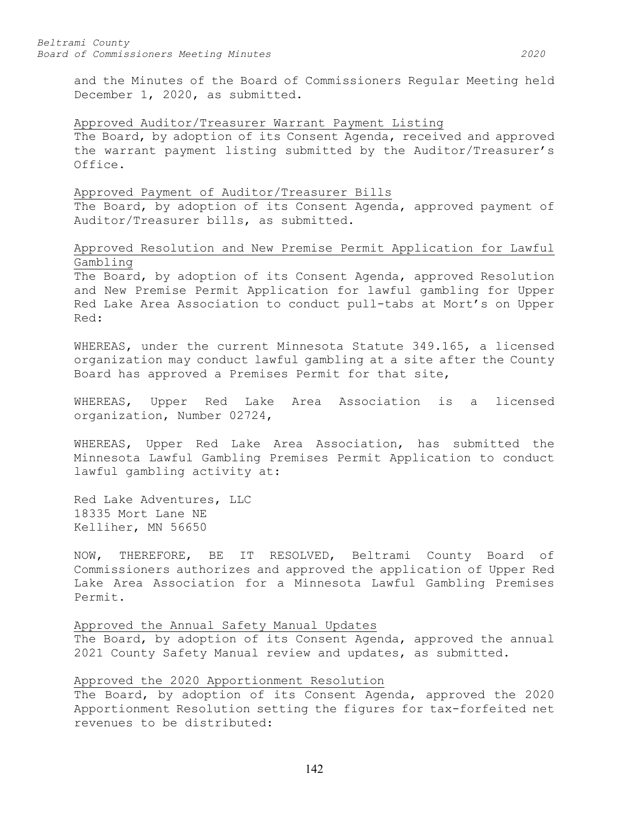and the Minutes of the Board of Commissioners Regular Meeting held December 1, 2020, as submitted.

#### Approved Auditor/Treasurer Warrant Payment Listing

The Board, by adoption of its Consent Agenda, received and approved the warrant payment listing submitted by the Auditor/Treasurer's Office.

#### Approved Payment of Auditor/Treasurer Bills

The Board, by adoption of its Consent Agenda, approved payment of Auditor/Treasurer bills, as submitted.

# Approved Resolution and New Premise Permit Application for Lawful Gambling

The Board, by adoption of its Consent Agenda, approved Resolution and New Premise Permit Application for lawful gambling for Upper Red Lake Area Association to conduct pull-tabs at Mort's on Upper Red:

WHEREAS, under the current Minnesota Statute 349.165, a licensed organization may conduct lawful gambling at a site after the County Board has approved a Premises Permit for that site,

WHEREAS, Upper Red Lake Area Association is a licensed organization, Number 02724,

WHEREAS, Upper Red Lake Area Association, has submitted the Minnesota Lawful Gambling Premises Permit Application to conduct lawful gambling activity at:

Red Lake Adventures, LLC 18335 Mort Lane NE Kelliher, MN 56650

NOW, THEREFORE, BE IT RESOLVED, Beltrami County Board of Commissioners authorizes and approved the application of Upper Red Lake Area Association for a Minnesota Lawful Gambling Premises Permit.

# Approved the Annual Safety Manual Updates

The Board, by adoption of its Consent Agenda, approved the annual 2021 County Safety Manual review and updates, as submitted.

# Approved the 2020 Apportionment Resolution

The Board, by adoption of its Consent Agenda, approved the 2020 Apportionment Resolution setting the figures for tax-forfeited net revenues to be distributed: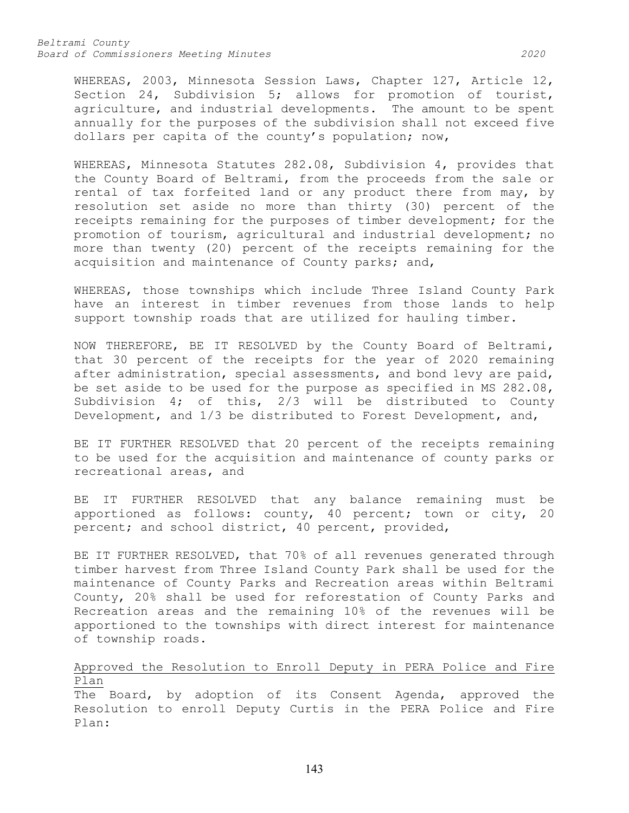*Beltrami County Board of Commissioners Meeting Minutes 2020*

WHEREAS, 2003, Minnesota Session Laws, Chapter 127, Article 12, Section 24, Subdivision 5; allows for promotion of tourist, agriculture, and industrial developments. The amount to be spent annually for the purposes of the subdivision shall not exceed five dollars per capita of the county's population; now,

WHEREAS, Minnesota Statutes 282.08, Subdivision 4, provides that the County Board of Beltrami, from the proceeds from the sale or rental of tax forfeited land or any product there from may, by resolution set aside no more than thirty (30) percent of the receipts remaining for the purposes of timber development; for the promotion of tourism, agricultural and industrial development; no more than twenty (20) percent of the receipts remaining for the acquisition and maintenance of County parks; and,

WHEREAS, those townships which include Three Island County Park have an interest in timber revenues from those lands to help support township roads that are utilized for hauling timber.

NOW THEREFORE, BE IT RESOLVED by the County Board of Beltrami, that 30 percent of the receipts for the year of 2020 remaining after administration, special assessments, and bond levy are paid, be set aside to be used for the purpose as specified in MS 282.08, Subdivision 4; of this, 2/3 will be distributed to County Development, and 1/3 be distributed to Forest Development, and,

BE IT FURTHER RESOLVED that 20 percent of the receipts remaining to be used for the acquisition and maintenance of county parks or recreational areas, and

BE IT FURTHER RESOLVED that any balance remaining must be apportioned as follows: county, 40 percent; town or city, 20 percent; and school district, 40 percent, provided,

BE IT FURTHER RESOLVED, that 70% of all revenues generated through timber harvest from Three Island County Park shall be used for the maintenance of County Parks and Recreation areas within Beltrami County, 20% shall be used for reforestation of County Parks and Recreation areas and the remaining 10% of the revenues will be apportioned to the townships with direct interest for maintenance of township roads.

# Approved the Resolution to Enroll Deputy in PERA Police and Fire Plan

The Board, by adoption of its Consent Agenda, approved the Resolution to enroll Deputy Curtis in the PERA Police and Fire Plan: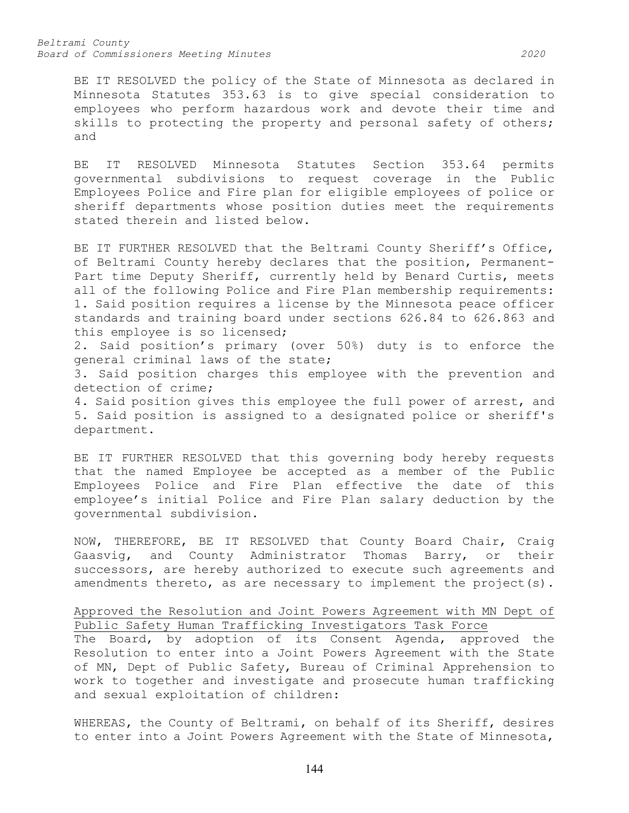*Beltrami County Board of Commissioners Meeting Minutes 2020*

BE IT RESOLVED the policy of the State of Minnesota as declared in Minnesota Statutes 353.63 is to give special consideration to employees who perform hazardous work and devote their time and skills to protecting the property and personal safety of others; and

BE IT RESOLVED Minnesota Statutes Section 353.64 permits governmental subdivisions to request coverage in the Public Employees Police and Fire plan for eligible employees of police or sheriff departments whose position duties meet the requirements stated therein and listed below.

BE IT FURTHER RESOLVED that the Beltrami County Sheriff's Office, of Beltrami County hereby declares that the position, Permanent-Part time Deputy Sheriff, currently held by Benard Curtis, meets all of the following Police and Fire Plan membership requirements: 1. Said position requires a license by the Minnesota peace officer standards and training board under sections 626.84 to 626.863 and this employee is so licensed;

2. Said position's primary (over 50%) duty is to enforce the general criminal laws of the state;

3. Said position charges this employee with the prevention and detection of crime;

4. Said position gives this employee the full power of arrest, and 5. Said position is assigned to a designated police or sheriff's department.

BE IT FURTHER RESOLVED that this governing body hereby requests that the named Employee be accepted as a member of the Public Employees Police and Fire Plan effective the date of this employee's initial Police and Fire Plan salary deduction by the governmental subdivision.

NOW, THEREFORE, BE IT RESOLVED that County Board Chair, Craig Gaasvig, and County Administrator Thomas Barry, or their successors, are hereby authorized to execute such agreements and amendments thereto, as are necessary to implement the project(s).

# Approved the Resolution and Joint Powers Agreement with MN Dept of Public Safety Human Trafficking Investigators Task Force

The Board, by adoption of its Consent Agenda, approved the Resolution to enter into a Joint Powers Agreement with the State of MN, Dept of Public Safety, Bureau of Criminal Apprehension to work to together and investigate and prosecute human trafficking and sexual exploitation of children:

WHEREAS, the County of Beltrami, on behalf of its Sheriff, desires to enter into a Joint Powers Agreement with the State of Minnesota,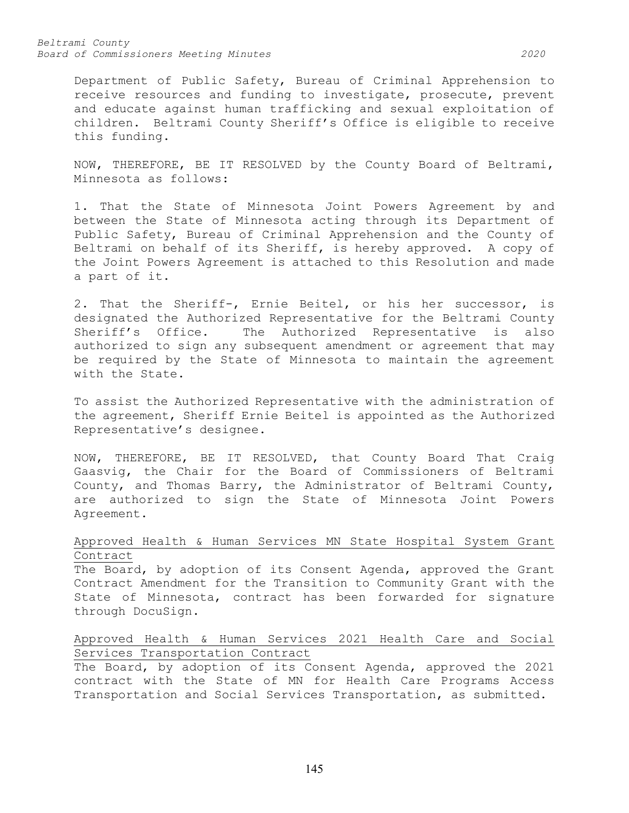#### *Beltrami County Board of Commissioners Meeting Minutes 2020*

Department of Public Safety, Bureau of Criminal Apprehension to receive resources and funding to investigate, prosecute, prevent and educate against human trafficking and sexual exploitation of children. Beltrami County Sheriff's Office is eligible to receive this funding.

NOW, THEREFORE, BE IT RESOLVED by the County Board of Beltrami, Minnesota as follows:

1. That the State of Minnesota Joint Powers Agreement by and between the State of Minnesota acting through its Department of Public Safety, Bureau of Criminal Apprehension and the County of Beltrami on behalf of its Sheriff, is hereby approved. A copy of the Joint Powers Agreement is attached to this Resolution and made a part of it.

2. That the Sheriff-, Ernie Beitel, or his her successor, is designated the Authorized Representative for the Beltrami County Sheriff's Office. The Authorized Representative is also authorized to sign any subsequent amendment or agreement that may be required by the State of Minnesota to maintain the agreement with the State.

To assist the Authorized Representative with the administration of the agreement, Sheriff Ernie Beitel is appointed as the Authorized Representative's designee.

NOW, THEREFORE, BE IT RESOLVED, that County Board That Craig Gaasvig, the Chair for the Board of Commissioners of Beltrami County, and Thomas Barry, the Administrator of Beltrami County, are authorized to sign the State of Minnesota Joint Powers Agreement.

# Approved Health & Human Services MN State Hospital System Grant Contract

The Board, by adoption of its Consent Agenda, approved the Grant Contract Amendment for the Transition to Community Grant with the State of Minnesota, contract has been forwarded for signature through DocuSign.

# Approved Health & Human Services 2021 Health Care and Social Services Transportation Contract

The Board, by adoption of its Consent Agenda, approved the 2021 contract with the State of MN for Health Care Programs Access Transportation and Social Services Transportation, as submitted.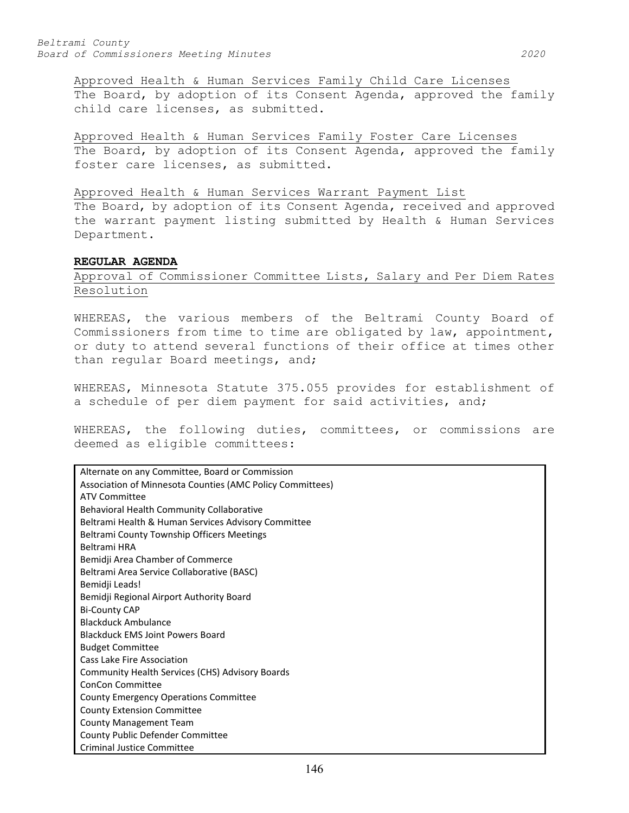Approved Health & Human Services Family Child Care Licenses The Board, by adoption of its Consent Agenda, approved the family child care licenses, as submitted.

Approved Health & Human Services Family Foster Care Licenses The Board, by adoption of its Consent Agenda, approved the family foster care licenses, as submitted.

#### Approved Health & Human Services Warrant Payment List

The Board, by adoption of its Consent Agenda, received and approved the warrant payment listing submitted by Health & Human Services Department.

### **REGULAR AGENDA**

# Approval of Commissioner Committee Lists, Salary and Per Diem Rates Resolution

WHEREAS, the various members of the Beltrami County Board of Commissioners from time to time are obligated by law, appointment, or duty to attend several functions of their office at times other than regular Board meetings, and;

WHEREAS, Minnesota Statute 375.055 provides for establishment of a schedule of per diem payment for said activities, and;

WHEREAS, the following duties, committees, or commissions are deemed as eligible committees:

| Alternate on any Committee, Board or Commission           |
|-----------------------------------------------------------|
| Association of Minnesota Counties (AMC Policy Committees) |
| <b>ATV Committee</b>                                      |
| Behavioral Health Community Collaborative                 |
| Beltrami Health & Human Services Advisory Committee       |
| <b>Beltrami County Township Officers Meetings</b>         |
| Beltrami HRA                                              |
| Bemidji Area Chamber of Commerce                          |
| Beltrami Area Service Collaborative (BASC)                |
| Bemidji Leads!                                            |
| Bemidji Regional Airport Authority Board                  |
| <b>Bi-County CAP</b>                                      |
| <b>Blackduck Ambulance</b>                                |
| <b>Blackduck EMS Joint Powers Board</b>                   |
| <b>Budget Committee</b>                                   |
| Cass Lake Fire Association                                |
| Community Health Services (CHS) Advisory Boards           |
| ConCon Committee                                          |
| <b>County Emergency Operations Committee</b>              |
| <b>County Extension Committee</b>                         |
| <b>County Management Team</b>                             |
| County Public Defender Committee                          |
| Criminal Justice Committee                                |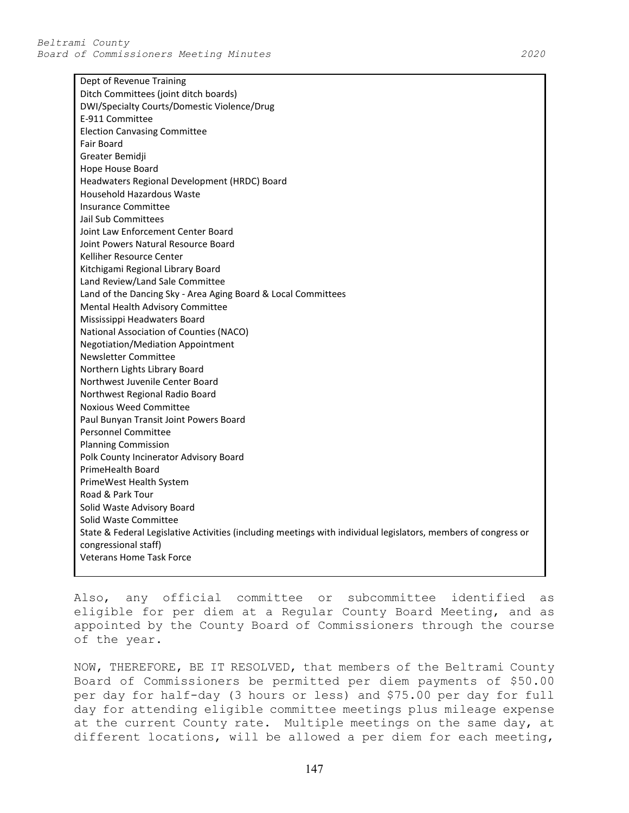Dept of Revenue Training

E-911 Committee

Insurance Committee Jail Sub Committees

Kelliher Resource Center

Newsletter Committee

Fair Board Greater Bemidji Hope House Board

Ditch Committees (joint ditch boards) DWI/Specialty Courts/Domestic Violence/Drug Election Canvasing Committee Headwaters Regional Development (HRDC) Board Household Hazardous Waste Joint Law Enforcement Center Board Joint Powers Natural Resource Board Kitchigami Regional Library Board Land Review/Land Sale Committee Land of the Dancing Sky - Area Aging Board & Local Committees Mental Health Advisory Committee Mississippi Headwaters Board National Association of Counties (NACO) Negotiation/Mediation Appointment Northern Lights Library Board

Northwest Juvenile Center Board Northwest Regional Radio Board Noxious Weed Committee Paul Bunyan Transit Joint Powers Board Personnel Committee Planning Commission Polk County Incinerator Advisory Board PrimeHealth Board PrimeWest Health System Road & Park Tour Solid Waste Advisory Board Solid Waste Committee State & Federal Legislative Activities (including meetings with individual legislators, members of congress or congressional staff) Veterans Home Task Force

Also, any official committee or subcommittee identified as eligible for per diem at a Regular County Board Meeting, and as appointed by the County Board of Commissioners through the course of the year.

NOW, THEREFORE, BE IT RESOLVED, that members of the Beltrami County Board of Commissioners be permitted per diem payments of \$50.00 per day for half-day (3 hours or less) and \$75.00 per day for full day for attending eligible committee meetings plus mileage expense at the current County rate. Multiple meetings on the same day, at different locations, will be allowed a per diem for each meeting,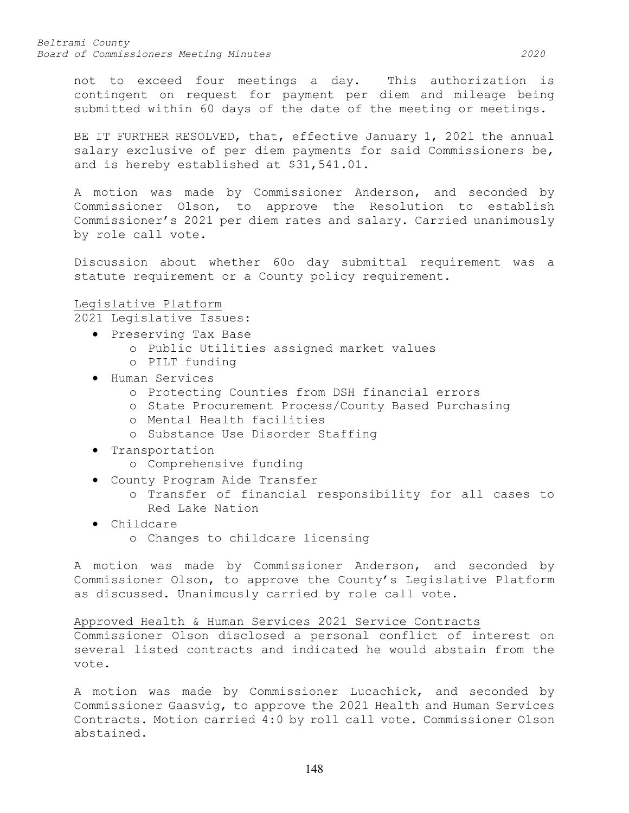not to exceed four meetings a day. This authorization is contingent on request for payment per diem and mileage being submitted within 60 days of the date of the meeting or meetings.

BE IT FURTHER RESOLVED, that, effective January 1, 2021 the annual salary exclusive of per diem payments for said Commissioners be, and is hereby established at \$31,541.01.

A motion was made by Commissioner Anderson, and seconded by Commissioner Olson, to approve the Resolution to establish Commissioner's 2021 per diem rates and salary. Carried unanimously by role call vote.

Discussion about whether 60o day submittal requirement was a statute requirement or a County policy requirement.

# Legislative Platform

2021 Legislative Issues:

- Preserving Tax Base
	- o Public Utilities assigned market values
	- o PILT funding
- Human Services
	- o Protecting Counties from DSH financial errors
	- o State Procurement Process/County Based Purchasing
	- o Mental Health facilities
	- o Substance Use Disorder Staffing
- Transportation
	- o Comprehensive funding
- County Program Aide Transfer
	- o Transfer of financial responsibility for all cases to Red Lake Nation
- Childcare
	- o Changes to childcare licensing

A motion was made by Commissioner Anderson, and seconded by Commissioner Olson, to approve the County's Legislative Platform as discussed. Unanimously carried by role call vote.

Approved Health & Human Services 2021 Service Contracts

Commissioner Olson disclosed a personal conflict of interest on several listed contracts and indicated he would abstain from the vote.

A motion was made by Commissioner Lucachick, and seconded by Commissioner Gaasvig, to approve the 2021 Health and Human Services Contracts. Motion carried 4:0 by roll call vote. Commissioner Olson abstained.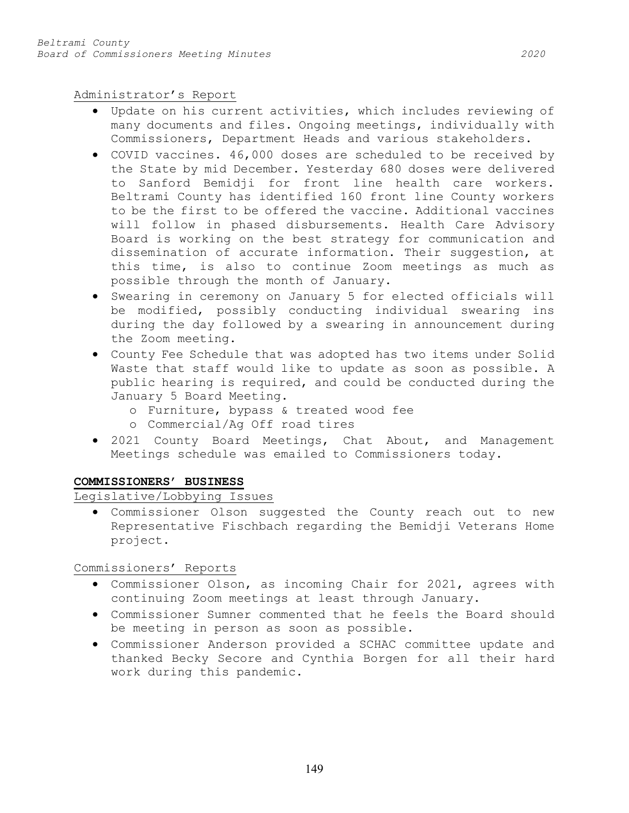Administrator's Report

- Update on his current activities, which includes reviewing of many documents and files. Ongoing meetings, individually with Commissioners, Department Heads and various stakeholders.
- COVID vaccines. 46,000 doses are scheduled to be received by the State by mid December. Yesterday 680 doses were delivered to Sanford Bemidji for front line health care workers. Beltrami County has identified 160 front line County workers to be the first to be offered the vaccine. Additional vaccines will follow in phased disbursements. Health Care Advisory Board is working on the best strategy for communication and dissemination of accurate information. Their suggestion, at this time, is also to continue Zoom meetings as much as possible through the month of January.
- Swearing in ceremony on January 5 for elected officials will be modified, possibly conducting individual swearing ins during the day followed by a swearing in announcement during the Zoom meeting.
- County Fee Schedule that was adopted has two items under Solid Waste that staff would like to update as soon as possible. A public hearing is required, and could be conducted during the January 5 Board Meeting.
	- o Furniture, bypass & treated wood fee
	- o Commercial/Ag Off road tires
- 2021 County Board Meetings, Chat About, and Management Meetings schedule was emailed to Commissioners today.

# **COMMISSIONERS' BUSINESS**

Legislative/Lobbying Issues

• Commissioner Olson suggested the County reach out to new Representative Fischbach regarding the Bemidji Veterans Home project.

Commissioners' Reports

- Commissioner Olson, as incoming Chair for 2021, agrees with continuing Zoom meetings at least through January.
- Commissioner Sumner commented that he feels the Board should be meeting in person as soon as possible.
- Commissioner Anderson provided a SCHAC committee update and thanked Becky Secore and Cynthia Borgen for all their hard work during this pandemic.